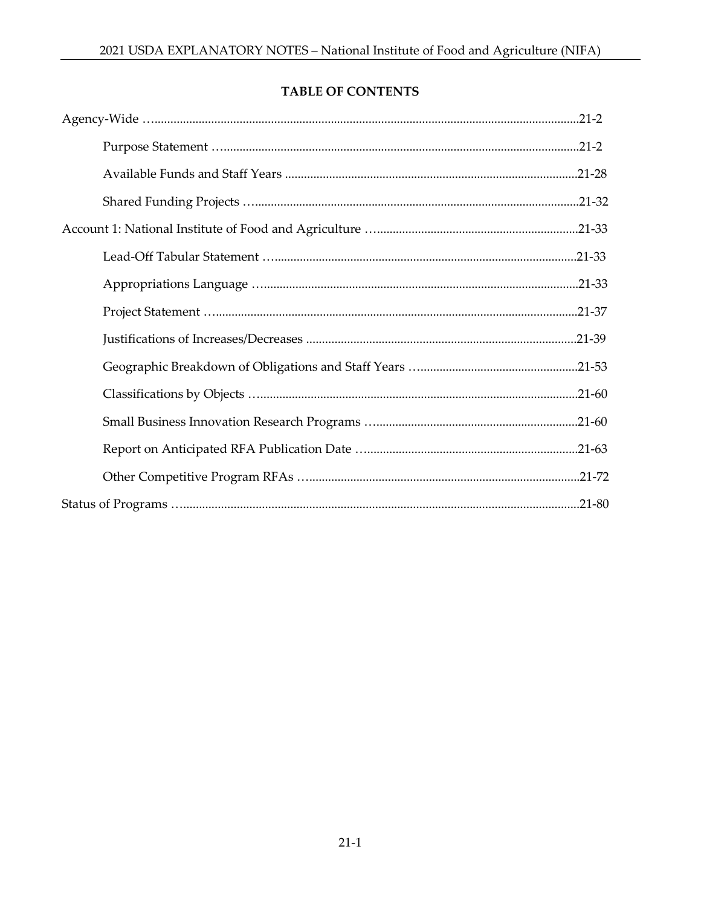# TABLE OF CONTENTS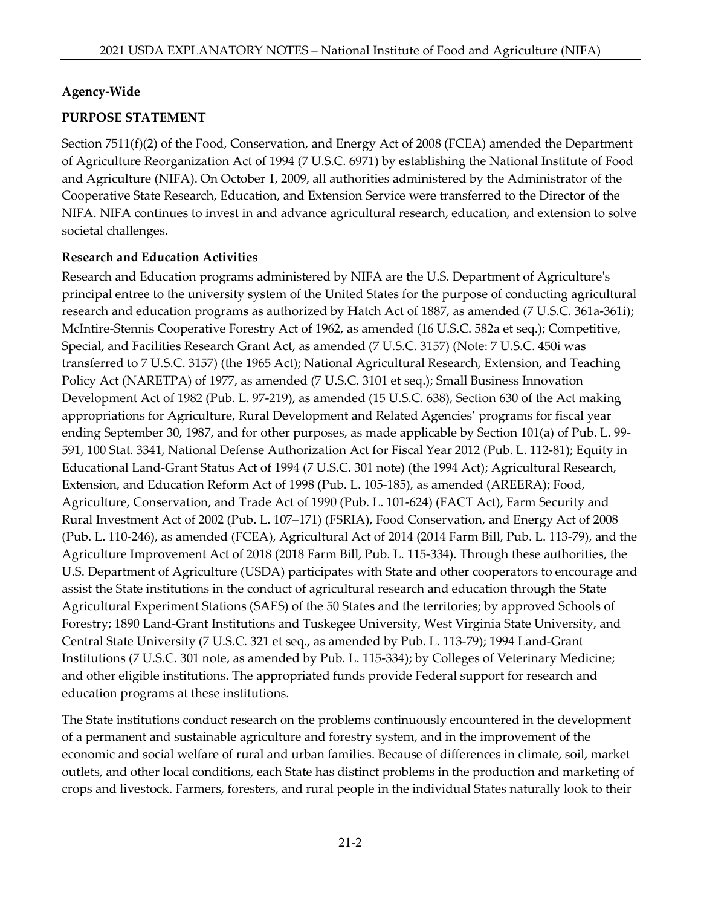#### **Agency-Wide**

#### **PURPOSE STATEMENT**

Section 7511(f)(2) of the Food, Conservation, and Energy Act of 2008 (FCEA) amended the Department of Agriculture Reorganization Act of 1994 (7 U.S.C. 6971) by establishing the National Institute of Food and Agriculture (NIFA). On October 1, 2009, all authorities administered by the Administrator of the Cooperative State Research, Education, and Extension Service were transferred to the Director of the NIFA. NIFA continues to invest in and advance agricultural research, education, and extension to solve societal challenges.

#### **Research and Education Activities**

Research and Education programs administered by NIFA are the U.S. Department of Agriculture's principal entree to the university system of the United States for the purpose of conducting agricultural research and education programs as authorized by Hatch Act of 1887, as amended (7 U.S.C. 361a-361i); McIntire-Stennis Cooperative Forestry Act of 1962, as amended (16 U.S.C. 582a et seq.); Competitive, Special, and Facilities Research Grant Act, as amended (7 U.S.C. 3157) (Note: 7 U.S.C. 450i was transferred to 7 U.S.C. 3157) (the 1965 Act); National Agricultural Research, Extension, and Teaching Policy Act (NARETPA) of 1977, as amended (7 U.S.C. 3101 et seq.); Small Business Innovation Development Act of 1982 (Pub. L. 97-219), as amended (15 U.S.C. 638), Section 630 of the Act making appropriations for Agriculture, Rural Development and Related Agencies' programs for fiscal year ending September 30, 1987, and for other purposes, as made applicable by Section 101(a) of Pub. L. 99- 591, 100 Stat. 3341, National Defense Authorization Act for Fiscal Year 2012 (Pub. L. 112-81); Equity in Educational Land-Grant Status Act of 1994 (7 U.S.C. 301 note) (the 1994 Act); Agricultural Research, Extension, and Education Reform Act of 1998 (Pub. L. 105-185), as amended (AREERA); Food, Agriculture, Conservation, and Trade Act of 1990 (Pub. L. 101-624) (FACT Act), Farm Security and Rural Investment Act of 2002 (Pub. L. 107–171) (FSRIA), Food Conservation, and Energy Act of 2008 (Pub. L. 110-246), as amended (FCEA), Agricultural Act of 2014 (2014 Farm Bill, Pub. L. 113-79), and the Agriculture Improvement Act of 2018 (2018 Farm Bill, Pub. L. 115-334). Through these authorities, the U.S. Department of Agriculture (USDA) participates with State and other cooperators to encourage and assist the State institutions in the conduct of agricultural research and education through the State Agricultural Experiment Stations (SAES) of the 50 States and the territories; by approved Schools of Forestry; 1890 Land-Grant Institutions and Tuskegee University, West Virginia State University, and Central State University (7 U.S.C. 321 et seq., as amended by Pub. L. 113-79); 1994 Land-Grant Institutions (7 U.S.C. 301 note, as amended by Pub. L. 115-334); by Colleges of Veterinary Medicine; and other eligible institutions. The appropriated funds provide Federal support for research and education programs at these institutions.

The State institutions conduct research on the problems continuously encountered in the development of a permanent and sustainable agriculture and forestry system, and in the improvement of the economic and social welfare of rural and urban families. Because of differences in climate, soil, market outlets, and other local conditions, each State has distinct problems in the production and marketing of crops and livestock. Farmers, foresters, and rural people in the individual States naturally look to their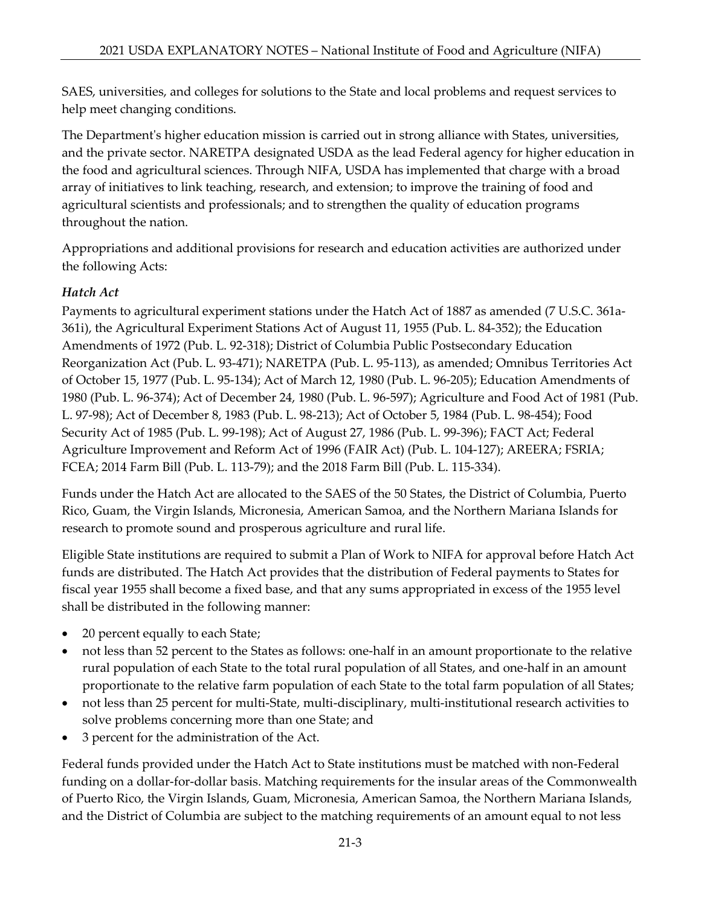SAES, universities, and colleges for solutions to the State and local problems and request services to help meet changing conditions.

The Department's higher education mission is carried out in strong alliance with States, universities, and the private sector. NARETPA designated USDA as the lead Federal agency for higher education in the food and agricultural sciences. Through NIFA, USDA has implemented that charge with a broad array of initiatives to link teaching, research, and extension; to improve the training of food and agricultural scientists and professionals; and to strengthen the quality of education programs throughout the nation.

Appropriations and additional provisions for research and education activities are authorized under the following Acts:

# *Hatch Act*

Payments to agricultural experiment stations under the Hatch Act of 1887 as amended (7 U.S.C. 361a-361i), the Agricultural Experiment Stations Act of August 11, 1955 (Pub. L. 84-352); the Education Amendments of 1972 (Pub. L. 92-318); District of Columbia Public Postsecondary Education Reorganization Act (Pub. L. 93-471); NARETPA (Pub. L. 95-113), as amended; Omnibus Territories Act of October 15, 1977 (Pub. L. 95-134); Act of March 12, 1980 (Pub. L. 96-205); Education Amendments of 1980 (Pub. L. 96-374); Act of December 24, 1980 (Pub. L. 96-597); Agriculture and Food Act of 1981 (Pub. L. 97-98); Act of December 8, 1983 (Pub. L. 98-213); Act of October 5, 1984 (Pub. L. 98-454); Food Security Act of 1985 (Pub. L. 99-198); Act of August 27, 1986 (Pub. L. 99-396); FACT Act; Federal Agriculture Improvement and Reform Act of 1996 (FAIR Act) (Pub. L. 104-127); AREERA; FSRIA; FCEA; 2014 Farm Bill (Pub. L. 113-79); and the 2018 Farm Bill (Pub. L. 115-334).

Funds under the Hatch Act are allocated to the SAES of the 50 States, the District of Columbia, Puerto Rico, Guam, the Virgin Islands, Micronesia, American Samoa, and the Northern Mariana Islands for research to promote sound and prosperous agriculture and rural life.

Eligible State institutions are required to submit a Plan of Work to NIFA for approval before Hatch Act funds are distributed. The Hatch Act provides that the distribution of Federal payments to States for fiscal year 1955 shall become a fixed base, and that any sums appropriated in excess of the 1955 level shall be distributed in the following manner:

- 20 percent equally to each State;
- not less than 52 percent to the States as follows: one-half in an amount proportionate to the relative rural population of each State to the total rural population of all States, and one-half in an amount proportionate to the relative farm population of each State to the total farm population of all States;
- not less than 25 percent for multi-State, multi-disciplinary, multi-institutional research activities to solve problems concerning more than one State; and
- 3 percent for the administration of the Act.

Federal funds provided under the Hatch Act to State institutions must be matched with non-Federal funding on a dollar-for-dollar basis. Matching requirements for the insular areas of the Commonwealth of Puerto Rico, the Virgin Islands, Guam, Micronesia, American Samoa, the Northern Mariana Islands, and the District of Columbia are subject to the matching requirements of an amount equal to not less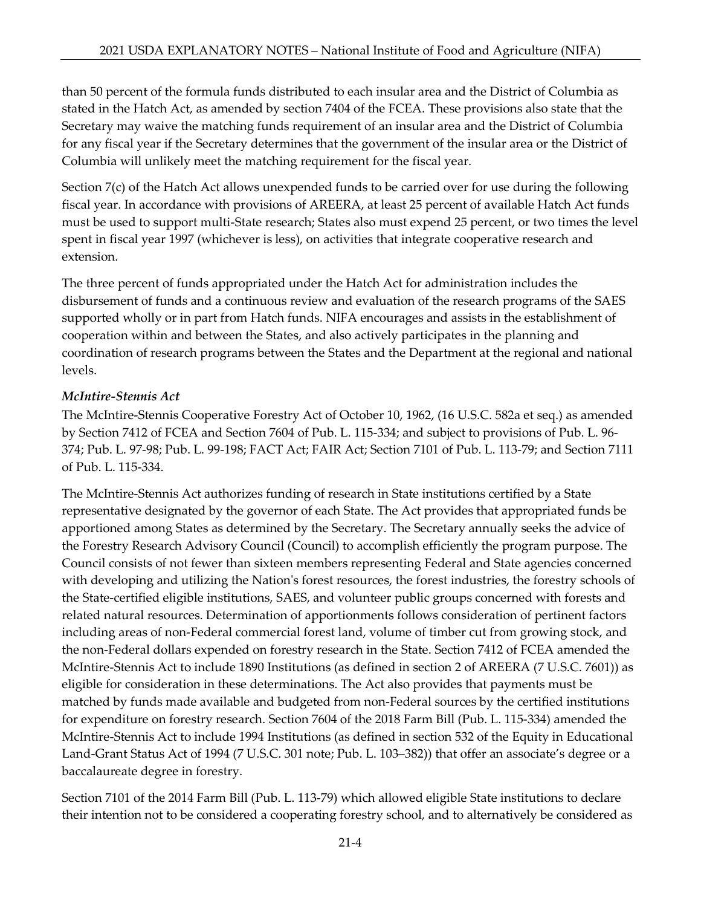than 50 percent of the formula funds distributed to each insular area and the District of Columbia as stated in the Hatch Act, as amended by section 7404 of the FCEA. These provisions also state that the Secretary may waive the matching funds requirement of an insular area and the District of Columbia for any fiscal year if the Secretary determines that the government of the insular area or the District of Columbia will unlikely meet the matching requirement for the fiscal year.

Section 7(c) of the Hatch Act allows unexpended funds to be carried over for use during the following fiscal year. In accordance with provisions of AREERA, at least 25 percent of available Hatch Act funds must be used to support multi-State research; States also must expend 25 percent, or two times the level spent in fiscal year 1997 (whichever is less), on activities that integrate cooperative research and extension.

The three percent of funds appropriated under the Hatch Act for administration includes the disbursement of funds and a continuous review and evaluation of the research programs of the SAES supported wholly or in part from Hatch funds. NIFA encourages and assists in the establishment of cooperation within and between the States, and also actively participates in the planning and coordination of research programs between the States and the Department at the regional and national levels.

# *McIntire-Stennis Act*

The McIntire-Stennis Cooperative Forestry Act of October 10, 1962, (16 U.S.C. 582a et seq.) as amended by Section 7412 of FCEA and Section 7604 of Pub. L. 115-334; and subject to provisions of Pub. L. 96- 374; Pub. L. 97-98; Pub. L. 99-198; FACT Act; FAIR Act; Section 7101 of Pub. L. 113-79; and Section 7111 of Pub. L. 115-334.

The McIntire-Stennis Act authorizes funding of research in State institutions certified by a State representative designated by the governor of each State. The Act provides that appropriated funds be apportioned among States as determined by the Secretary. The Secretary annually seeks the advice of the Forestry Research Advisory Council (Council) to accomplish efficiently the program purpose. The Council consists of not fewer than sixteen members representing Federal and State agencies concerned with developing and utilizing the Nation's forest resources, the forest industries, the forestry schools of the State-certified eligible institutions, SAES, and volunteer public groups concerned with forests and related natural resources. Determination of apportionments follows consideration of pertinent factors including areas of non-Federal commercial forest land, volume of timber cut from growing stock, and the non-Federal dollars expended on forestry research in the State. Section 7412 of FCEA amended the McIntire-Stennis Act to include 1890 Institutions (as defined in section 2 of AREERA (7 U.S.C. 7601)) as eligible for consideration in these determinations. The Act also provides that payments must be matched by funds made available and budgeted from non-Federal sources by the certified institutions for expenditure on forestry research. Section 7604 of the 2018 Farm Bill (Pub. L. 115-334) amended the McIntire-Stennis Act to include 1994 Institutions (as defined in section 532 of the Equity in Educational Land-Grant Status Act of 1994 [\(7 U.S.C. 301](http://uscode.house.gov/quicksearch/get.plx?title=7§ion=301) note; Pub. L. 103–382)) that offer an associate's degree or a baccalaureate degree in forestry.

Section 7101 of the 2014 Farm Bill (Pub. L. 113-79) which allowed eligible State institutions to declare their intention not to be considered a cooperating forestry school, and to alternatively be considered as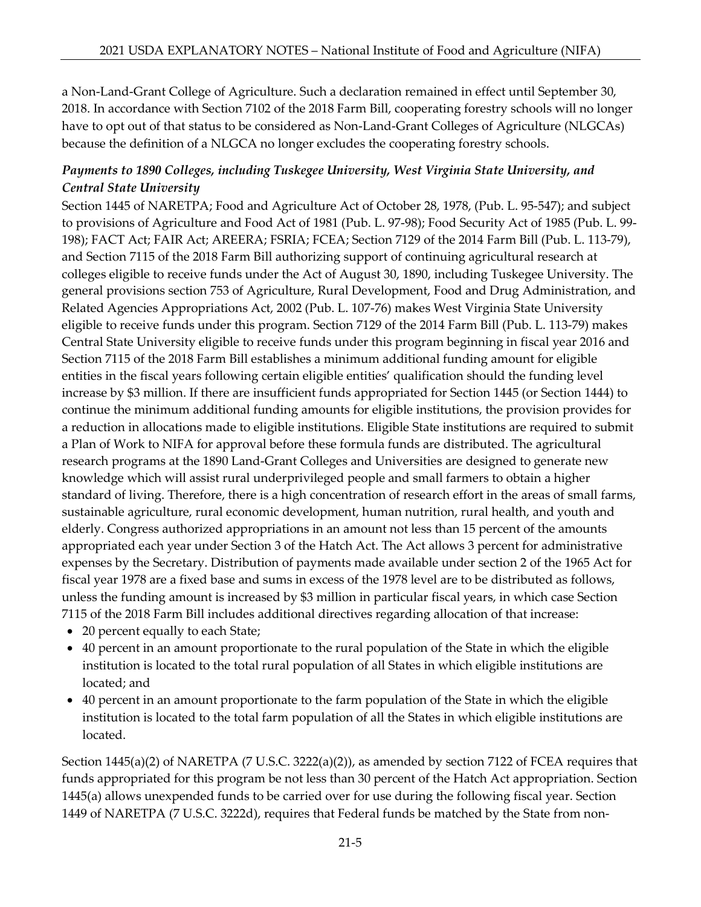a Non-Land-Grant College of Agriculture. Such a declaration remained in effect until September 30, 2018. In accordance with Section 7102 of the 2018 Farm Bill, cooperating forestry schools will no longer have to opt out of that status to be considered as Non-Land-Grant Colleges of Agriculture (NLGCAs) because the definition of a NLGCA no longer excludes the cooperating forestry schools.

# *Payments to 1890 Colleges, including Tuskegee University, West Virginia State University, and Central State University*

Section 1445 of NARETPA; Food and Agriculture Act of October 28, 1978, (Pub. L. 95-547); and subject to provisions of Agriculture and Food Act of 1981 (Pub. L. 97-98); Food Security Act of 1985 (Pub. L. 99- 198); FACT Act; FAIR Act; AREERA; FSRIA; FCEA; Section 7129 of the 2014 Farm Bill (Pub. L. 113-79), and Section 7115 of the 2018 Farm Bill authorizing support of continuing agricultural research at colleges eligible to receive funds under the Act of August 30, 1890, including Tuskegee University. The general provisions section 753 of Agriculture, Rural Development, Food and Drug Administration, and Related Agencies Appropriations Act, 2002 (Pub. L. 107-76) makes West Virginia State University eligible to receive funds under this program. Section 7129 of the 2014 Farm Bill (Pub. L. 113-79) makes Central State University eligible to receive funds under this program beginning in fiscal year 2016 and Section 7115 of the 2018 Farm Bill establishes a minimum additional funding amount for eligible entities in the fiscal years following certain eligible entities' qualification should the funding level increase by \$3 million. If there are insufficient funds appropriated for Section 1445 (or Section 1444) to continue the minimum additional funding amounts for eligible institutions, the provision provides for a reduction in allocations made to eligible institutions. Eligible State institutions are required to submit a Plan of Work to NIFA for approval before these formula funds are distributed. The agricultural research programs at the 1890 Land-Grant Colleges and Universities are designed to generate new knowledge which will assist rural underprivileged people and small farmers to obtain a higher standard of living. Therefore, there is a high concentration of research effort in the areas of small farms, sustainable agriculture, rural economic development, human nutrition, rural health, and youth and elderly. Congress authorized appropriations in an amount not less than 15 percent of the amounts appropriated each year under Section 3 of the Hatch Act. The Act allows 3 percent for administrative expenses by the Secretary. Distribution of payments made available under section 2 of the 1965 Act for fiscal year 1978 are a fixed base and sums in excess of the 1978 level are to be distributed as follows, unless the funding amount is increased by \$3 million in particular fiscal years, in which case Section 7115 of the 2018 Farm Bill includes additional directives regarding allocation of that increase:

- 20 percent equally to each State;
- 40 percent in an amount proportionate to the rural population of the State in which the eligible institution is located to the total rural population of all States in which eligible institutions are located; and
- 40 percent in an amount proportionate to the farm population of the State in which the eligible institution is located to the total farm population of all the States in which eligible institutions are located.

Section 1445(a)(2) of NARETPA (7 U.S.C. 3222(a)(2)), as amended by section 7122 of FCEA requires that funds appropriated for this program be not less than 30 percent of the Hatch Act appropriation. Section 1445(a) allows unexpended funds to be carried over for use during the following fiscal year. Section 1449 of NARETPA (7 U.S.C. 3222d), requires that Federal funds be matched by the State from non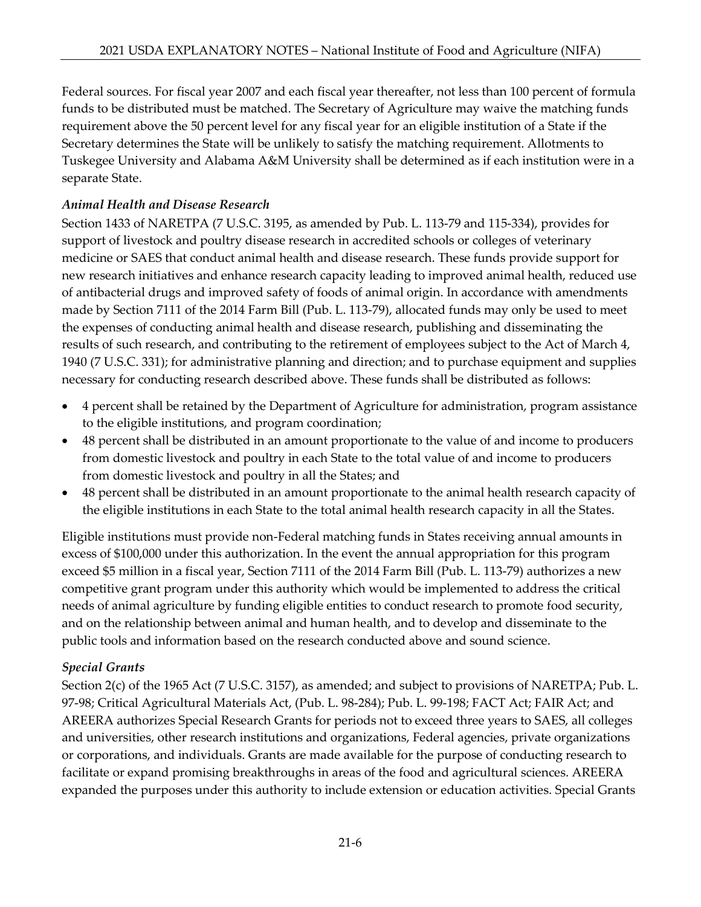Federal sources. For fiscal year 2007 and each fiscal year thereafter, not less than 100 percent of formula funds to be distributed must be matched. The Secretary of Agriculture may waive the matching funds requirement above the 50 percent level for any fiscal year for an eligible institution of a State if the Secretary determines the State will be unlikely to satisfy the matching requirement. Allotments to Tuskegee University and Alabama A&M University shall be determined as if each institution were in a separate State.

# *Animal Health and Disease Research*

Section 1433 of NARETPA (7 U.S.C. 3195, as amended by Pub. L. 113-79 and 115-334), provides for support of livestock and poultry disease research in accredited schools or colleges of veterinary medicine or SAES that conduct animal health and disease research. These funds provide support for new research initiatives and enhance research capacity leading to improved animal health, reduced use of antibacterial drugs and improved safety of foods of animal origin. In accordance with amendments made by Section 7111 of the 2014 Farm Bill (Pub. L. 113-79), allocated funds may only be used to meet the expenses of conducting animal health and disease research, publishing and disseminating the results of such research, and contributing to the retirement of employees subject to the Act of March 4, 1940 (7 U.S.C. 331); for administrative planning and direction; and to purchase equipment and supplies necessary for conducting research described above. These funds shall be distributed as follows:

- 4 percent shall be retained by the Department of Agriculture for administration, program assistance to the eligible institutions, and program coordination;
- 48 percent shall be distributed in an amount proportionate to the value of and income to producers from domestic livestock and poultry in each State to the total value of and income to producers from domestic livestock and poultry in all the States; and
- 48 percent shall be distributed in an amount proportionate to the animal health research capacity of the eligible institutions in each State to the total animal health research capacity in all the States.

Eligible institutions must provide non-Federal matching funds in States receiving annual amounts in excess of \$100,000 under this authorization. In the event the annual appropriation for this program exceed \$5 million in a fiscal year, Section 7111 of the 2014 Farm Bill (Pub. L. 113-79) authorizes a new competitive grant program under this authority which would be implemented to address the critical needs of animal agriculture by funding eligible entities to conduct research to promote food security, and on the relationship between animal and human health, and to develop and disseminate to the public tools and information based on the research conducted above and sound science.

### *Special Grants*

Section 2(c) of the 1965 Act (7 U.S.C. 3157), as amended; and subject to provisions of NARETPA; Pub. L. 97-98; Critical Agricultural Materials Act, (Pub. L. 98-284); Pub. L. 99-198; FACT Act; FAIR Act; and AREERA authorizes Special Research Grants for periods not to exceed three years to SAES, all colleges and universities, other research institutions and organizations, Federal agencies, private organizations or corporations, and individuals. Grants are made available for the purpose of conducting research to facilitate or expand promising breakthroughs in areas of the food and agricultural sciences. AREERA expanded the purposes under this authority to include extension or education activities. Special Grants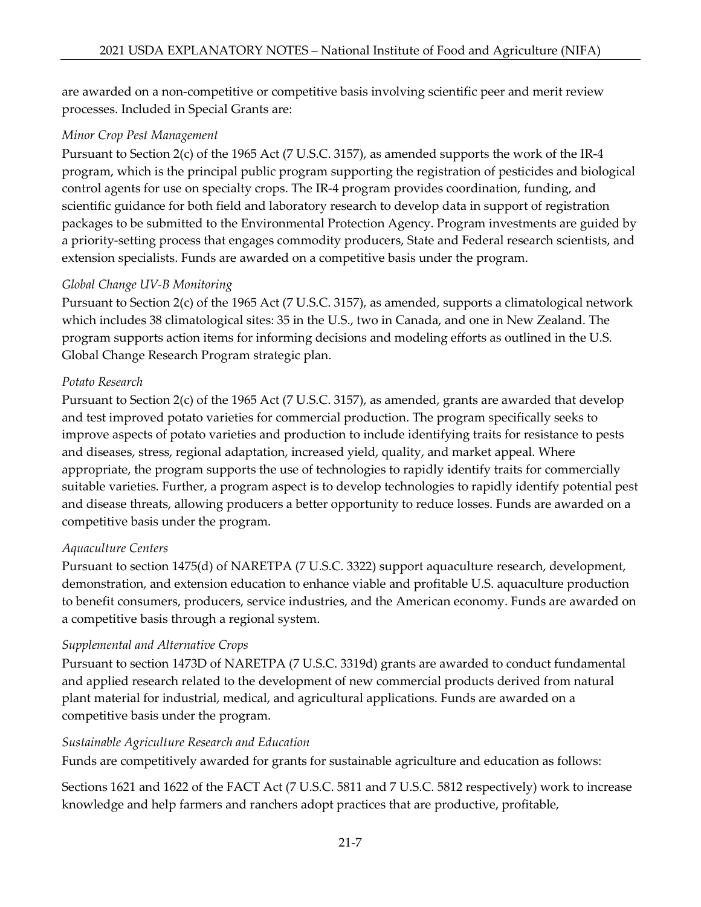are awarded on a non-competitive or competitive basis involving scientific peer and merit review processes. Included in Special Grants are:

### *Minor Crop Pest Management*

Pursuant to Section 2(c) of the 1965 Act (7 U.S.C. 3157), as amended supports the work of the IR-4 program, which is the principal public program supporting the registration of pesticides and biological control agents for use on specialty crops. The IR-4 program provides coordination, funding, and scientific guidance for both field and laboratory research to develop data in support of registration packages to be submitted to the Environmental Protection Agency. Program investments are guided by a priority-setting process that engages commodity producers, State and Federal research scientists, and extension specialists. Funds are awarded on a competitive basis under the program.

# *Global Change UV-B Monitoring*

Pursuant to Section 2(c) of the 1965 Act (7 U.S.C. 3157), as amended, supports a climatological network which includes 38 climatological sites: 35 in the U.S., two in Canada, and one in New Zealand. The program supports action items for informing decisions and modeling efforts as outlined in the U.S. Global Change Research Program strategic plan.

# *Potato Research*

Pursuant to Section 2(c) of the 1965 Act (7 U.S.C. 3157), as amended, grants are awarded that develop and test improved potato varieties for commercial production. The program specifically seeks to improve aspects of potato varieties and production to include identifying traits for resistance to pests and diseases, stress, regional adaptation, increased yield, quality, and market appeal. Where appropriate, the program supports the use of technologies to rapidly identify traits for commercially suitable varieties. Further, a program aspect is to develop technologies to rapidly identify potential pest and disease threats, allowing producers a better opportunity to reduce losses. Funds are awarded on a competitive basis under the program.

### *Aquaculture Centers*

Pursuant to section 1475(d) of NARETPA (7 U.S.C. 3322) support aquaculture research, development, demonstration, and extension education to enhance viable and profitable U.S. aquaculture production to benefit consumers, producers, service industries, and the American economy. Funds are awarded on a competitive basis through a regional system.

### *Supplemental and Alternative Crops*

Pursuant to section 1473D of NARETPA (7 U.S.C. 3319d) grants are awarded to conduct fundamental and applied research related to the development of new commercial products derived from natural plant material for industrial, medical, and agricultural applications. Funds are awarded on a competitive basis under the program.

# *Sustainable Agriculture Research and Education*

Funds are competitively awarded for grants for sustainable agriculture and education as follows:

Sections 1621 and 1622 of the FACT Act (7 U.S.C. 5811 and 7 U.S.C. 5812 respectively) work to increase knowledge and help farmers and ranchers adopt practices that are productive, profitable,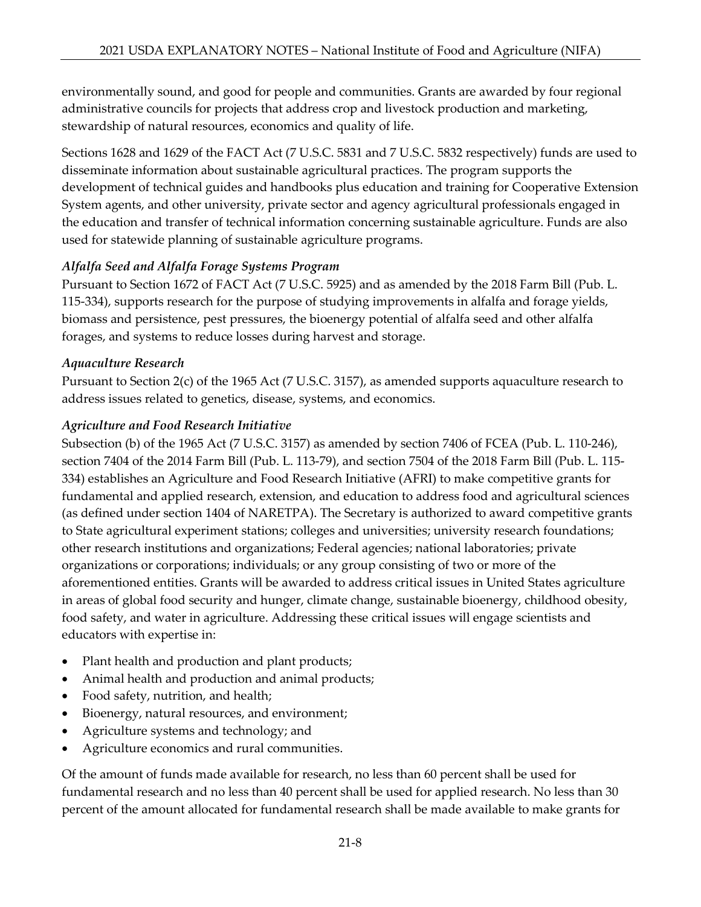environmentally sound, and good for people and communities. Grants are awarded by four regional administrative councils for projects that address crop and livestock production and marketing, stewardship of natural resources, economics and quality of life.

Sections 1628 and 1629 of the FACT Act (7 U.S.C. 5831 and 7 U.S.C. 5832 respectively) funds are used to disseminate information about sustainable agricultural practices. The program supports the development of technical guides and handbooks plus education and training for Cooperative Extension System agents, and other university, private sector and agency agricultural professionals engaged in the education and transfer of technical information concerning sustainable agriculture. Funds are also used for statewide planning of sustainable agriculture programs.

# *Alfalfa Seed and Alfalfa Forage Systems Program*

Pursuant to Section 1672 of FACT Act (7 U.S.C. 5925) and as amended by the 2018 Farm Bill (Pub. L. 115-334), supports research for the purpose of studying improvements in alfalfa and forage yields, biomass and persistence, pest pressures, the bioenergy potential of alfalfa seed and other alfalfa forages, and systems to reduce losses during harvest and storage.

# *Aquaculture Research*

Pursuant to Section 2(c) of the 1965 Act (7 U.S.C. 3157), as amended supports aquaculture research to address issues related to genetics, disease, systems, and economics.

# *Agriculture and Food Research Initiative*

Subsection (b) of the 1965 Act (7 U.S.C. 3157) as amended by section 7406 of FCEA (Pub. L. 110-246), section 7404 of the 2014 Farm Bill (Pub. L. 113-79), and section 7504 of the 2018 Farm Bill (Pub. L. 115- 334) establishes an Agriculture and Food Research Initiative (AFRI) to make competitive grants for fundamental and applied research, extension, and education to address food and agricultural sciences (as defined under section 1404 of NARETPA). The Secretary is authorized to award competitive grants to State agricultural experiment stations; colleges and universities; university research foundations; other research institutions and organizations; Federal agencies; national laboratories; private organizations or corporations; individuals; or any group consisting of two or more of the aforementioned entities. Grants will be awarded to address critical issues in United States agriculture in areas of global food security and hunger, climate change, sustainable bioenergy, childhood obesity, food safety, and water in agriculture. Addressing these critical issues will engage scientists and educators with expertise in:

- Plant health and production and plant products;
- Animal health and production and animal products;
- Food safety, nutrition, and health;
- Bioenergy, natural resources, and environment;
- Agriculture systems and technology; and
- Agriculture economics and rural communities.

Of the amount of funds made available for research, no less than 60 percent shall be used for fundamental research and no less than 40 percent shall be used for applied research. No less than 30 percent of the amount allocated for fundamental research shall be made available to make grants for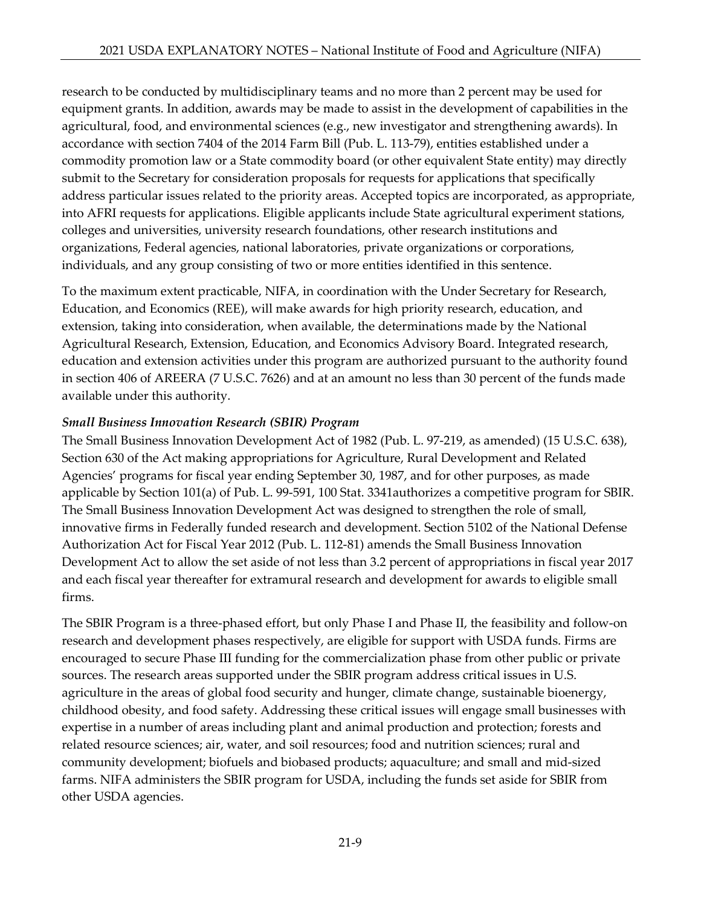research to be conducted by multidisciplinary teams and no more than 2 percent may be used for equipment grants. In addition, awards may be made to assist in the development of capabilities in the agricultural, food, and environmental sciences (e.g., new investigator and strengthening awards). In accordance with section 7404 of the 2014 Farm Bill (Pub. L. 113-79), entities established under a commodity promotion law or a State commodity board (or other equivalent State entity) may directly submit to the Secretary for consideration proposals for requests for applications that specifically address particular issues related to the priority areas. Accepted topics are incorporated, as appropriate, into AFRI requests for applications. Eligible applicants include State agricultural experiment stations, colleges and universities, university research foundations, other research institutions and organizations, Federal agencies, national laboratories, private organizations or corporations, individuals, and any group consisting of two or more entities identified in this sentence.

To the maximum extent practicable, NIFA, in coordination with the Under Secretary for Research, Education, and Economics (REE), will make awards for high priority research, education, and extension, taking into consideration, when available, the determinations made by the National Agricultural Research, Extension, Education, and Economics Advisory Board. Integrated research, education and extension activities under this program are authorized pursuant to the authority found in section 406 of AREERA (7 U.S.C. 7626) and at an amount no less than 30 percent of the funds made available under this authority.

### *Small Business Innovation Research (SBIR) Program*

The Small Business Innovation Development Act of 1982 (Pub. L. 97-219, as amended) (15 U.S.C. 638), Section 630 of the Act making appropriations for Agriculture, Rural Development and Related Agencies' programs for fiscal year ending September 30, 1987, and for other purposes, as made applicable by Section 101(a) of Pub. L. 99-591, 100 Stat. 3341authorizes a competitive program for SBIR. The Small Business Innovation Development Act was designed to strengthen the role of small, innovative firms in Federally funded research and development. Section 5102 of the National Defense Authorization Act for Fiscal Year 2012 (Pub. L. 112-81) amends the Small Business Innovation Development Act to allow the set aside of not less than 3.2 percent of appropriations in fiscal year 2017 and each fiscal year thereafter for extramural research and development for awards to eligible small firms.

The SBIR Program is a three-phased effort, but only Phase I and Phase II, the feasibility and follow-on research and development phases respectively, are eligible for support with USDA funds. Firms are encouraged to secure Phase III funding for the commercialization phase from other public or private sources. The research areas supported under the SBIR program address critical issues in U.S. agriculture in the areas of global food security and hunger, climate change, sustainable bioenergy, childhood obesity, and food safety. Addressing these critical issues will engage small businesses with expertise in a number of areas including plant and animal production and protection; forests and related resource sciences; air, water, and soil resources; food and nutrition sciences; rural and community development; biofuels and biobased products; aquaculture; and small and mid-sized farms. NIFA administers the SBIR program for USDA, including the funds set aside for SBIR from other USDA agencies.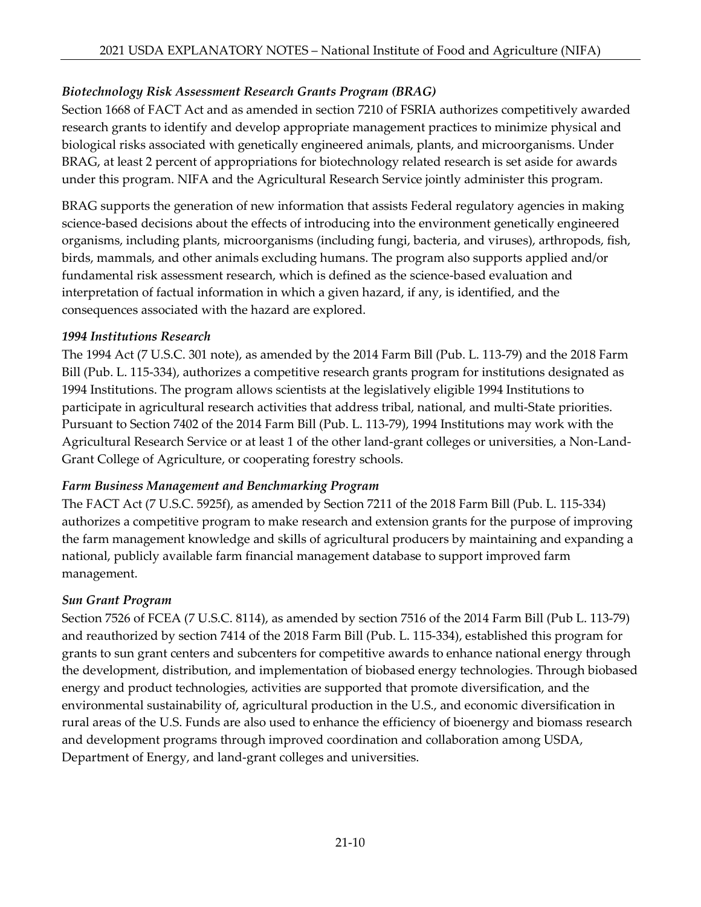# *Biotechnology Risk Assessment Research Grants Program (BRAG)*

Section 1668 of FACT Act and as amended in section 7210 of FSRIA authorizes competitively awarded research grants to identify and develop appropriate management practices to minimize physical and biological risks associated with genetically engineered animals, plants, and microorganisms. Under BRAG, at least 2 percent of appropriations for biotechnology related research is set aside for awards under this program. NIFA and the Agricultural Research Service jointly administer this program.

BRAG supports the generation of new information that assists Federal regulatory agencies in making science-based decisions about the effects of introducing into the environment genetically engineered organisms, including plants, microorganisms (including fungi, bacteria, and viruses), arthropods, fish, birds, mammals, and other animals excluding humans. The program also supports applied and/or fundamental risk assessment research, which is defined as the science-based evaluation and interpretation of factual information in which a given hazard, if any, is identified, and the consequences associated with the hazard are explored.

#### *1994 Institutions Research*

The 1994 Act (7 U.S.C. 301 note), as amended by the 2014 Farm Bill (Pub. L. 113-79) and the 2018 Farm Bill (Pub. L. 115-334), authorizes a competitive research grants program for institutions designated as 1994 Institutions. The program allows scientists at the legislatively eligible 1994 Institutions to participate in agricultural research activities that address tribal, national, and multi-State priorities. Pursuant to Section 7402 of the 2014 Farm Bill (Pub. L. 113-79), 1994 Institutions may work with the Agricultural Research Service or at least 1 of the other land-grant colleges or universities, a Non-Land-Grant College of Agriculture, or cooperating forestry schools.

### *Farm Business Management and Benchmarking Program*

The FACT Act (7 U.S.C. 5925f), as amended by Section 7211 of the 2018 Farm Bill (Pub. L. 115-334) authorizes a competitive program to make research and extension grants for the purpose of improving the farm management knowledge and skills of agricultural producers by maintaining and expanding a national, publicly available farm financial management database to support improved farm management.

### *Sun Grant Program*

Section 7526 of FCEA (7 U.S.C. 8114), as amended by section 7516 of the 2014 Farm Bill (Pub L. 113-79) and reauthorized by section 7414 of the 2018 Farm Bill (Pub. L. 115-334), established this program for grants to sun grant centers and subcenters for competitive awards to enhance national energy through the development, distribution, and implementation of biobased energy technologies. Through biobased energy and product technologies, activities are supported that promote diversification, and the environmental sustainability of, agricultural production in the U.S., and economic diversification in rural areas of the U.S. Funds are also used to enhance the efficiency of bioenergy and biomass research and development programs through improved coordination and collaboration among USDA, Department of Energy, and land-grant colleges and universities.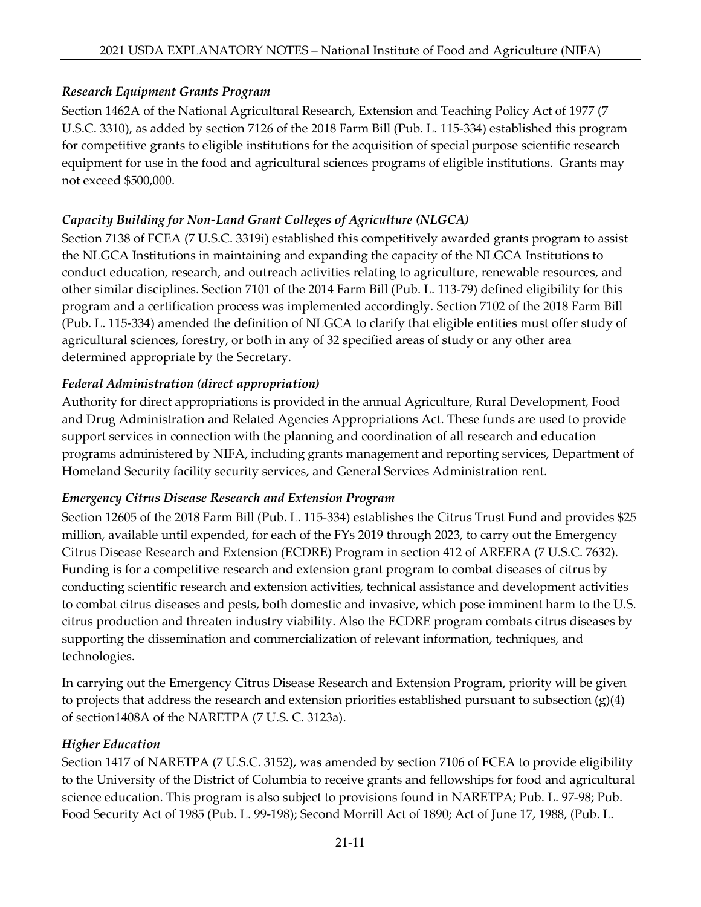# *Research Equipment Grants Program*

Section 1462A of the National Agricultural Research, Extension and Teaching Policy Act of 1977 (7 U.S.C. 3310), as added by section 7126 of the 2018 Farm Bill (Pub. L. 115-334) established this program for competitive grants to eligible institutions for the acquisition of special purpose scientific research equipment for use in the food and agricultural sciences programs of eligible institutions. Grants may not exceed \$500,000.

# *Capacity Building for Non-Land Grant Colleges of Agriculture (NLGCA)*

Section 7138 of FCEA (7 U.S.C. 3319i) established this competitively awarded grants program to assist the NLGCA Institutions in maintaining and expanding the capacity of the NLGCA Institutions to conduct education, research, and outreach activities relating to agriculture, renewable resources, and other similar disciplines. Section 7101 of the 2014 Farm Bill (Pub. L. 113-79) defined eligibility for this program and a certification process was implemented accordingly. Section 7102 of the 2018 Farm Bill (Pub. L. 115-334) amended the definition of NLGCA to clarify that eligible entities must offer study of agricultural sciences, forestry, or both in any of 32 specified areas of study or any other area determined appropriate by the Secretary.

# *Federal Administration (direct appropriation)*

Authority for direct appropriations is provided in the annual Agriculture, Rural Development, Food and Drug Administration and Related Agencies Appropriations Act. These funds are used to provide support services in connection with the planning and coordination of all research and education programs administered by NIFA, including grants management and reporting services, Department of Homeland Security facility security services, and General Services Administration rent.

### *Emergency Citrus Disease Research and Extension Program*

Section 12605 of the 2018 Farm Bill (Pub. L. 115-334) establishes the Citrus Trust Fund and provides \$25 million, available until expended, for each of the FYs 2019 through 2023, to carry out the Emergency Citrus Disease Research and Extension (ECDRE) Program in section 412 of AREERA (7 U.S.C. 7632). Funding is for a competitive research and extension grant program to combat diseases of citrus by conducting scientific research and extension activities, technical assistance and development activities to combat citrus diseases and pests, both domestic and invasive, which pose imminent harm to the U.S. citrus production and threaten industry viability. Also the ECDRE program combats citrus diseases by supporting the dissemination and commercialization of relevant information, techniques, and technologies.

In carrying out the Emergency Citrus Disease Research and Extension Program, priority will be given to projects that address the research and extension priorities established pursuant to subsection  $(g)(4)$ of section1408A of the NARETPA (7 U.S. C. 3123a).

# *Higher Education*

Section 1417 of NARETPA (7 U.S.C. 3152), was amended by section 7106 of FCEA to provide eligibility to the University of the District of Columbia to receive grants and fellowships for food and agricultural science education. This program is also subject to provisions found in NARETPA; Pub. L. 97-98; Pub. Food Security Act of 1985 (Pub. L. 99-198); Second Morrill Act of 1890; Act of June 17, 1988, (Pub. L.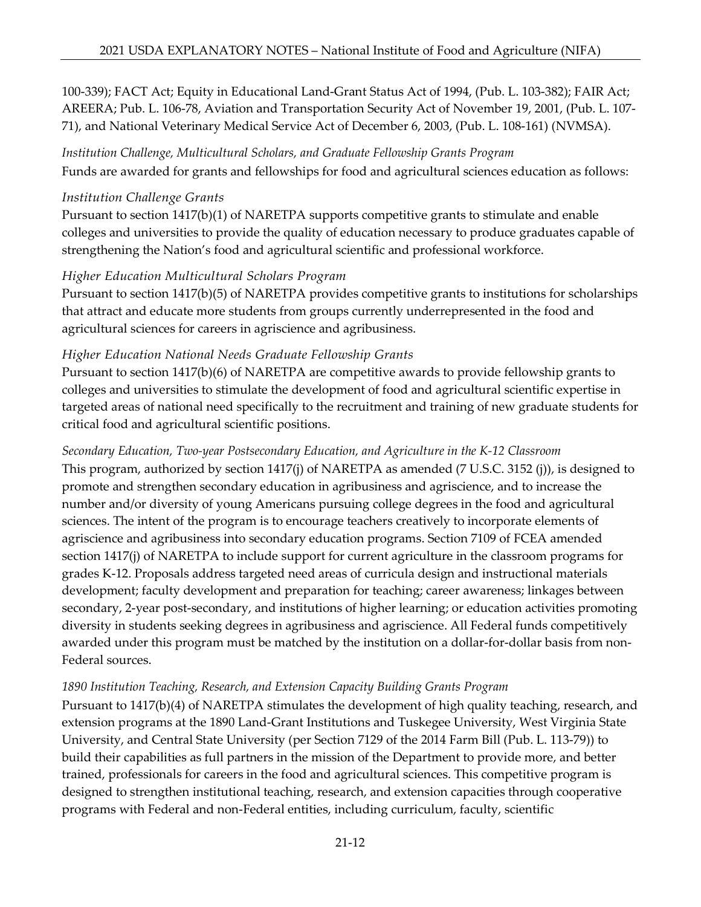100-339); FACT Act; Equity in Educational Land-Grant Status Act of 1994, (Pub. L. 103-382); FAIR Act; AREERA; Pub. L. 106-78, Aviation and Transportation Security Act of November 19, 2001, (Pub. L. 107- 71), and National Veterinary Medical Service Act of December 6, 2003, (Pub. L. 108-161) (NVMSA).

*Institution Challenge, Multicultural Scholars, and Graduate Fellowship Grants Program* Funds are awarded for grants and fellowships for food and agricultural sciences education as follows:

#### *Institution Challenge Grants*

Pursuant to section 1417(b)(1) of NARETPA supports competitive grants to stimulate and enable colleges and universities to provide the quality of education necessary to produce graduates capable of strengthening the Nation's food and agricultural scientific and professional workforce.

### *Higher Education Multicultural Scholars Program*

Pursuant to section 1417(b)(5) of NARETPA provides competitive grants to institutions for scholarships that attract and educate more students from groups currently underrepresented in the food and agricultural sciences for careers in agriscience and agribusiness.

### *Higher Education National Needs Graduate Fellowship Grants*

Pursuant to section 1417(b)(6) of NARETPA are competitive awards to provide fellowship grants to colleges and universities to stimulate the development of food and agricultural scientific expertise in targeted areas of national need specifically to the recruitment and training of new graduate students for critical food and agricultural scientific positions.

### *Secondary Education, Two-year Postsecondary Education, and Agriculture in the K-12 Classroom*

This program, authorized by section 1417(j) of NARETPA as amended (7 U.S.C. 3152 (j)), is designed to promote and strengthen secondary education in agribusiness and agriscience, and to increase the number and/or diversity of young Americans pursuing college degrees in the food and agricultural sciences. The intent of the program is to encourage teachers creatively to incorporate elements of agriscience and agribusiness into secondary education programs. Section 7109 of FCEA amended section 1417(j) of NARETPA to include support for current agriculture in the classroom programs for grades K-12. Proposals address targeted need areas of curricula design and instructional materials development; faculty development and preparation for teaching; career awareness; linkages between secondary, 2-year post-secondary, and institutions of higher learning; or education activities promoting diversity in students seeking degrees in agribusiness and agriscience. All Federal funds competitively awarded under this program must be matched by the institution on a dollar-for-dollar basis from non-Federal sources.

### *1890 Institution Teaching, Research, and Extension Capacity Building Grants Program*

Pursuant to 1417(b)(4) of NARETPA stimulates the development of high quality teaching, research, and extension programs at the 1890 Land-Grant Institutions and Tuskegee University, West Virginia State University, and Central State University (per Section 7129 of the 2014 Farm Bill (Pub. L. 113-79)) to build their capabilities as full partners in the mission of the Department to provide more, and better trained, professionals for careers in the food and agricultural sciences. This competitive program is designed to strengthen institutional teaching, research, and extension capacities through cooperative programs with Federal and non-Federal entities, including curriculum, faculty, scientific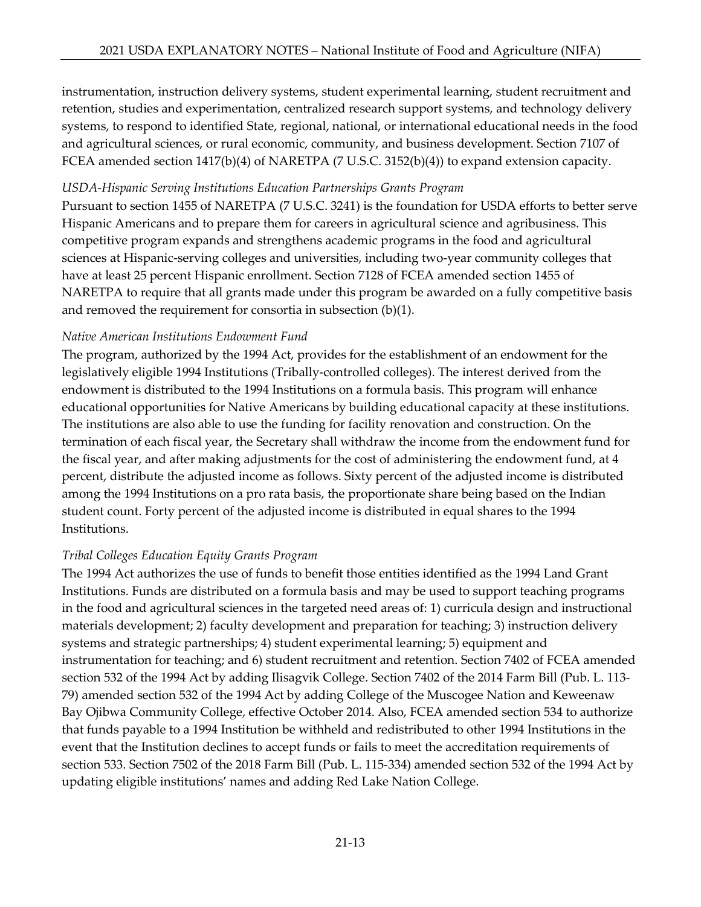instrumentation, instruction delivery systems, student experimental learning, student recruitment and retention, studies and experimentation, centralized research support systems, and technology delivery systems, to respond to identified State, regional, national, or international educational needs in the food and agricultural sciences, or rural economic, community, and business development. Section 7107 of FCEA amended section 1417(b)(4) of NARETPA (7 U.S.C. 3152(b)(4)) to expand extension capacity.

### *USDA-Hispanic Serving Institutions Education Partnerships Grants Program*

Pursuant to section 1455 of NARETPA (7 U.S.C. 3241) is the foundation for USDA efforts to better serve Hispanic Americans and to prepare them for careers in agricultural science and agribusiness. This competitive program expands and strengthens academic programs in the food and agricultural sciences at Hispanic-serving colleges and universities, including two-year community colleges that have at least 25 percent Hispanic enrollment. Section 7128 of FCEA amended section 1455 of NARETPA to require that all grants made under this program be awarded on a fully competitive basis and removed the requirement for consortia in subsection (b)(1).

# *Native American Institutions Endowment Fund*

The program, authorized by the 1994 Act, provides for the establishment of an endowment for the legislatively eligible 1994 Institutions (Tribally-controlled colleges). The interest derived from the endowment is distributed to the 1994 Institutions on a formula basis. This program will enhance educational opportunities for Native Americans by building educational capacity at these institutions. The institutions are also able to use the funding for facility renovation and construction. On the termination of each fiscal year, the Secretary shall withdraw the income from the endowment fund for the fiscal year, and after making adjustments for the cost of administering the endowment fund, at 4 percent, distribute the adjusted income as follows. Sixty percent of the adjusted income is distributed among the 1994 Institutions on a pro rata basis, the proportionate share being based on the Indian student count. Forty percent of the adjusted income is distributed in equal shares to the 1994 Institutions.

# *Tribal Colleges Education Equity Grants Program*

The 1994 Act authorizes the use of funds to benefit those entities identified as the 1994 Land Grant Institutions. Funds are distributed on a formula basis and may be used to support teaching programs in the food and agricultural sciences in the targeted need areas of: 1) curricula design and instructional materials development; 2) faculty development and preparation for teaching; 3) instruction delivery systems and strategic partnerships; 4) student experimental learning; 5) equipment and instrumentation for teaching; and 6) student recruitment and retention. Section 7402 of FCEA amended section 532 of the 1994 Act by adding Ilisagvik College. Section 7402 of the 2014 Farm Bill (Pub. L. 113- 79) amended section 532 of the 1994 Act by adding College of the Muscogee Nation and Keweenaw Bay Ojibwa Community College, effective October 2014. Also, FCEA amended section 534 to authorize that funds payable to a 1994 Institution be withheld and redistributed to other 1994 Institutions in the event that the Institution declines to accept funds or fails to meet the accreditation requirements of section 533. Section 7502 of the 2018 Farm Bill (Pub. L. 115-334) amended section 532 of the 1994 Act by updating eligible institutions' names and adding Red Lake Nation College.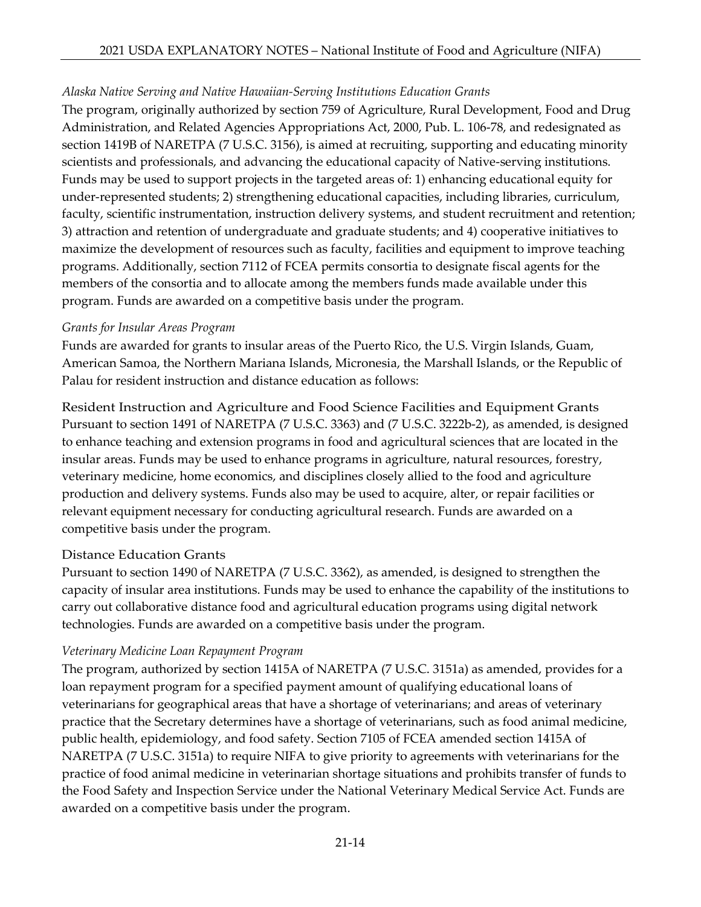# *Alaska Native Serving and Native Hawaiian-Serving Institutions Education Grants*

The program, originally authorized by section 759 of Agriculture, Rural Development, Food and Drug Administration, and Related Agencies Appropriations Act, 2000, Pub. L. 106-78, and redesignated as section 1419B of NARETPA (7 U.S.C. 3156), is aimed at recruiting, supporting and educating minority scientists and professionals, and advancing the educational capacity of Native-serving institutions. Funds may be used to support projects in the targeted areas of: 1) enhancing educational equity for under-represented students; 2) strengthening educational capacities, including libraries, curriculum, faculty, scientific instrumentation, instruction delivery systems, and student recruitment and retention; 3) attraction and retention of undergraduate and graduate students; and 4) cooperative initiatives to maximize the development of resources such as faculty, facilities and equipment to improve teaching programs. Additionally, section 7112 of FCEA permits consortia to designate fiscal agents for the members of the consortia and to allocate among the members funds made available under this program. Funds are awarded on a competitive basis under the program.

#### *Grants for Insular Areas Program*

Funds are awarded for grants to insular areas of the Puerto Rico, the U.S. Virgin Islands, Guam, American Samoa, the Northern Mariana Islands, Micronesia, the Marshall Islands, or the Republic of Palau for resident instruction and distance education as follows:

Resident Instruction and Agriculture and Food Science Facilities and Equipment Grants Pursuant to section 1491 of NARETPA (7 U.S.C. 3363) and (7 U.S.C. 3222b-2), as amended, is designed to enhance teaching and extension programs in food and agricultural sciences that are located in the insular areas. Funds may be used to enhance programs in agriculture, natural resources, forestry, veterinary medicine, home economics, and disciplines closely allied to the food and agriculture production and delivery systems. Funds also may be used to acquire, alter, or repair facilities or relevant equipment necessary for conducting agricultural research. Funds are awarded on a competitive basis under the program.

### Distance Education Grants

Pursuant to section 1490 of NARETPA (7 U.S.C. 3362), as amended, is designed to strengthen the capacity of insular area institutions. Funds may be used to enhance the capability of the institutions to carry out collaborative distance food and agricultural education programs using digital network technologies. Funds are awarded on a competitive basis under the program.

### *Veterinary Medicine Loan Repayment Program*

The program, authorized by section 1415A of NARETPA (7 U.S.C. 3151a) as amended, provides for a loan repayment program for a specified payment amount of qualifying educational loans of veterinarians for geographical areas that have a shortage of veterinarians; and areas of veterinary practice that the Secretary determines have a shortage of veterinarians, such as food animal medicine, public health, epidemiology, and food safety. Section 7105 of FCEA amended section 1415A of NARETPA (7 U.S.C. 3151a) to require NIFA to give priority to agreements with veterinarians for the practice of food animal medicine in veterinarian shortage situations and prohibits transfer of funds to the Food Safety and Inspection Service under the National Veterinary Medical Service Act. Funds are awarded on a competitive basis under the program.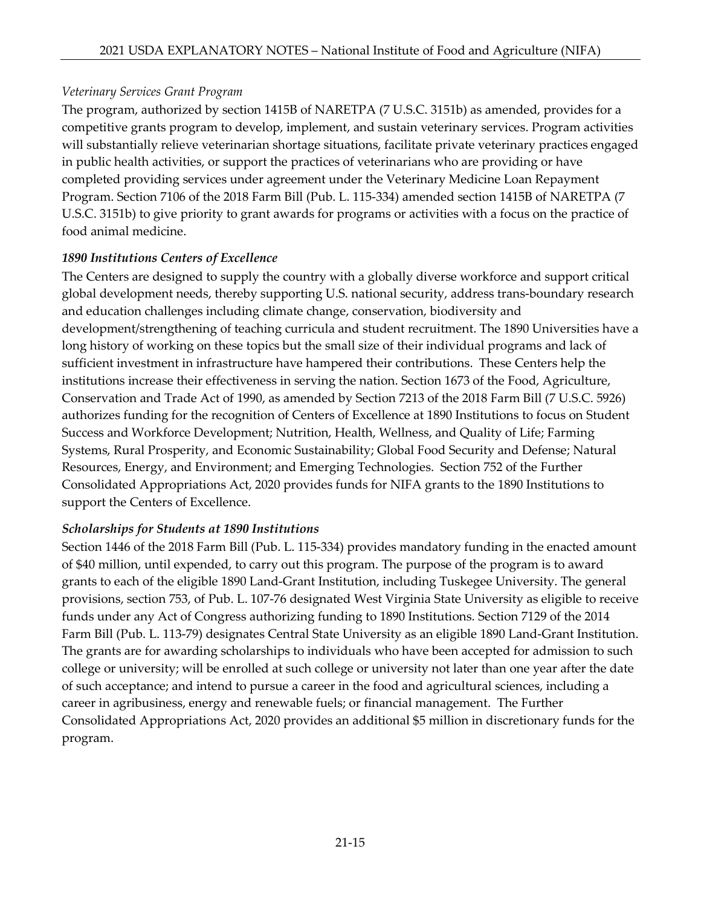# *Veterinary Services Grant Program*

The program, authorized by section 1415B of NARETPA (7 U.S.C. 3151b) as amended, provides for a competitive grants program to develop, implement, and sustain veterinary services. Program activities will substantially relieve veterinarian shortage situations, facilitate private veterinary practices engaged in public health activities, or support the practices of veterinarians who are providing or have completed providing services under agreement under the Veterinary Medicine Loan Repayment Program. Section 7106 of the 2018 Farm Bill (Pub. L. 115-334) amended section 1415B of NARETPA (7 U.S.C. 3151b) to give priority to grant awards for programs or activities with a focus on the practice of food animal medicine.

# *1890 Institutions Centers of Excellence*

The Centers are designed to supply the country with a globally diverse workforce and support critical global development needs, thereby supporting U.S. national security, address trans-boundary research and education challenges including climate change, conservation, biodiversity and development/strengthening of teaching curricula and student recruitment. The 1890 Universities have a long history of working on these topics but the small size of their individual programs and lack of sufficient investment in infrastructure have hampered their contributions. These Centers help the institutions increase their effectiveness in serving the nation. Section 1673 of the Food, Agriculture, Conservation and Trade Act of 1990, as amended by Section 7213 of the 2018 Farm Bill (7 U.S.C. 5926) authorizes funding for the recognition of Centers of Excellence at 1890 Institutions to focus on Student Success and Workforce Development; Nutrition, Health, Wellness, and Quality of Life; Farming Systems, Rural Prosperity, and Economic Sustainability; Global Food Security and Defense; Natural Resources, Energy, and Environment; and Emerging Technologies. Section 752 of the Further Consolidated Appropriations Act, 2020 provides funds for NIFA grants to the 1890 Institutions to support the Centers of Excellence.

### *Scholarships for Students at 1890 Institutions*

Section 1446 of the 2018 Farm Bill (Pub. L. 115-334) provides mandatory funding in the enacted amount of \$40 million, until expended, to carry out this program. The purpose of the program is to award grants to each of the eligible 1890 Land-Grant Institution, including Tuskegee University. The general provisions, section 753, of Pub. L. 107-76 designated West Virginia State University as eligible to receive funds under any Act of Congress authorizing funding to 1890 Institutions. Section 7129 of the 2014 Farm Bill (Pub. L. 113-79) designates Central State University as an eligible 1890 Land-Grant Institution. The grants are for awarding scholarships to individuals who have been accepted for admission to such college or university; will be enrolled at such college or university not later than one year after the date of such acceptance; and intend to pursue a career in the food and agricultural sciences, including a career in agribusiness, energy and renewable fuels; or financial management. The Further Consolidated Appropriations Act, 2020 provides an additional \$5 million in discretionary funds for the program.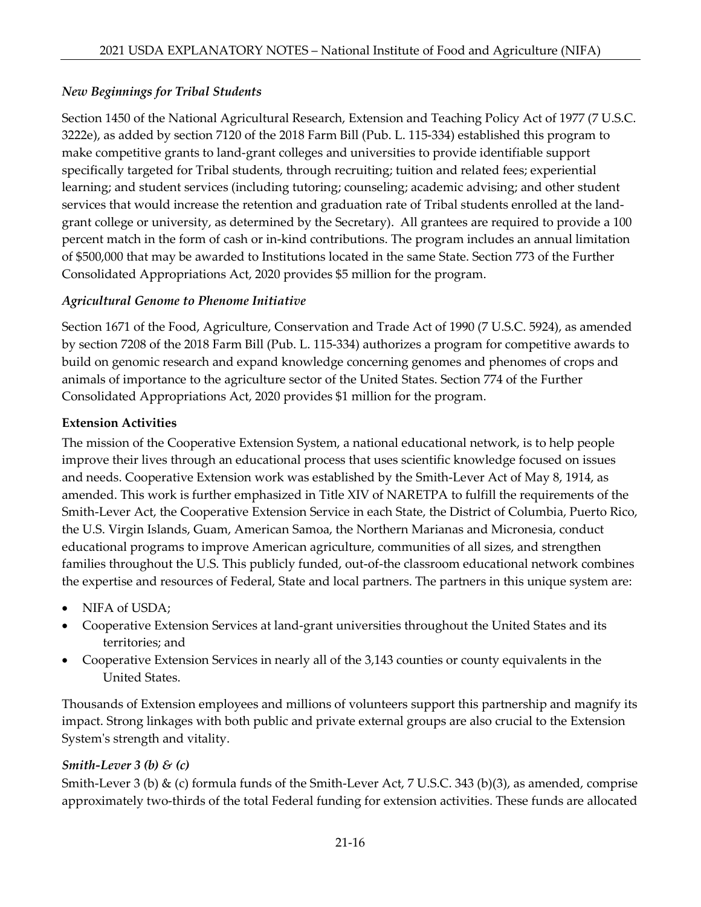# *New Beginnings for Tribal Students*

Section 1450 of the National Agricultural Research, Extension and Teaching Policy Act of 1977 (7 U.S.C. 3222e), as added by section 7120 of the 2018 Farm Bill (Pub. L. 115-334) established this program to make competitive grants to land-grant colleges and universities to provide identifiable support specifically targeted for Tribal students, through recruiting; tuition and related fees; experiential learning; and student services (including tutoring; counseling; academic advising; and other student services that would increase the retention and graduation rate of Tribal students enrolled at the landgrant college or university, as determined by the Secretary). All grantees are required to provide a 100 percent match in the form of cash or in-kind contributions. The program includes an annual limitation of \$500,000 that may be awarded to Institutions located in the same State. Section 773 of the Further Consolidated Appropriations Act, 2020 provides \$5 million for the program.

### *Agricultural Genome to Phenome Initiative*

Section 1671 of the Food, Agriculture, Conservation and Trade Act of 1990 (7 U.S.C. 5924), as amended by section 7208 of the 2018 Farm Bill (Pub. L. 115-334) authorizes a program for competitive awards to build on genomic research and expand knowledge concerning genomes and phenomes of crops and animals of importance to the agriculture sector of the United States. Section 774 of the Further Consolidated Appropriations Act, 2020 provides \$1 million for the program.

### **Extension Activities**

The mission of the Cooperative Extension System, a national educational network, is to help people improve their lives through an educational process that uses scientific knowledge focused on issues and needs. Cooperative Extension work was established by the Smith-Lever Act of May 8, 1914, as amended. This work is further emphasized in Title XIV of NARETPA to fulfill the requirements of the Smith-Lever Act, the Cooperative Extension Service in each State, the District of Columbia, Puerto Rico, the U.S. Virgin Islands, Guam, American Samoa, the Northern Marianas and Micronesia, conduct educational programs to improve American agriculture, communities of all sizes, and strengthen families throughout the U.S. This publicly funded, out-of-the classroom educational network combines the expertise and resources of Federal, State and local partners. The partners in this unique system are:

- NIFA of USDA;
- Cooperative Extension Services at land-grant universities throughout the United States and its territories; and
- Cooperative Extension Services in nearly all of the 3,143 counties or county equivalents in the United States.

Thousands of Extension employees and millions of volunteers support this partnership and magnify its impact. Strong linkages with both public and private external groups are also crucial to the Extension System's strength and vitality.

### *Smith-Lever 3 (b) & (c)*

Smith-Lever 3 (b) & (c) formula funds of the Smith-Lever Act, 7 U.S.C. 343 (b)(3), as amended, comprise approximately two-thirds of the total Federal funding for extension activities. These funds are allocated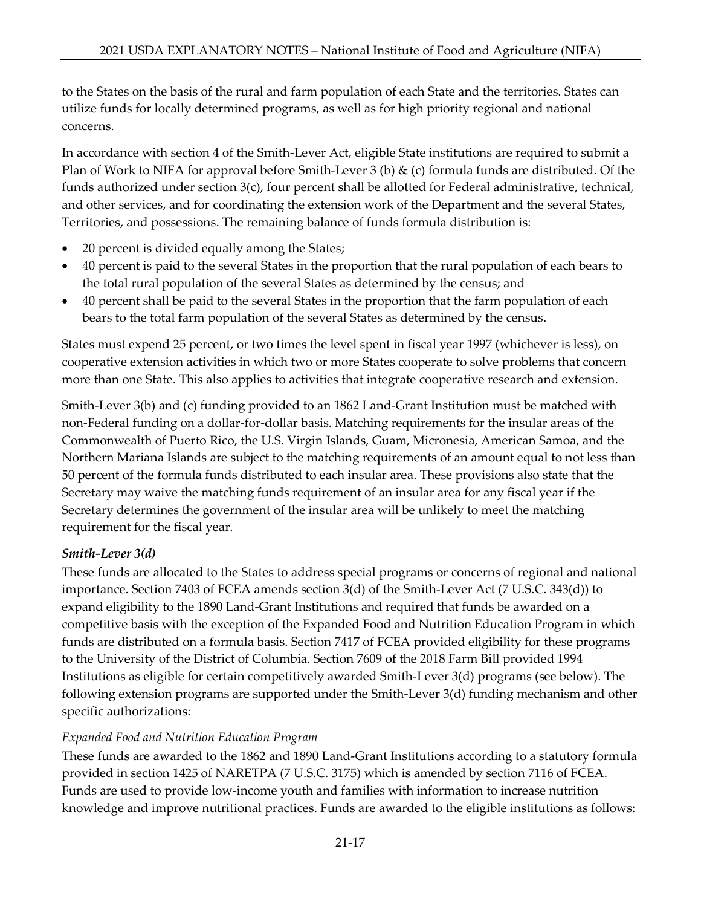to the States on the basis of the rural and farm population of each State and the territories. States can utilize funds for locally determined programs, as well as for high priority regional and national concerns.

In accordance with section 4 of the Smith-Lever Act, eligible State institutions are required to submit a Plan of Work to NIFA for approval before Smith-Lever 3 (b) & (c) formula funds are distributed. Of the funds authorized under section 3(c), four percent shall be allotted for Federal administrative, technical, and other services, and for coordinating the extension work of the Department and the several States, Territories, and possessions. The remaining balance of funds formula distribution is:

- 20 percent is divided equally among the States;
- 40 percent is paid to the several States in the proportion that the rural population of each bears to the total rural population of the several States as determined by the census; and
- 40 percent shall be paid to the several States in the proportion that the farm population of each bears to the total farm population of the several States as determined by the census.

States must expend 25 percent, or two times the level spent in fiscal year 1997 (whichever is less), on cooperative extension activities in which two or more States cooperate to solve problems that concern more than one State. This also applies to activities that integrate cooperative research and extension.

Smith-Lever 3(b) and (c) funding provided to an 1862 Land-Grant Institution must be matched with non-Federal funding on a dollar-for-dollar basis. Matching requirements for the insular areas of the Commonwealth of Puerto Rico, the U.S. Virgin Islands, Guam, Micronesia, American Samoa, and the Northern Mariana Islands are subject to the matching requirements of an amount equal to not less than 50 percent of the formula funds distributed to each insular area. These provisions also state that the Secretary may waive the matching funds requirement of an insular area for any fiscal year if the Secretary determines the government of the insular area will be unlikely to meet the matching requirement for the fiscal year.

### *Smith-Lever 3(d)*

These funds are allocated to the States to address special programs or concerns of regional and national importance. Section 7403 of FCEA amends section 3(d) of the Smith-Lever Act (7 U.S.C. 343(d)) to expand eligibility to the 1890 Land-Grant Institutions and required that funds be awarded on a competitive basis with the exception of the Expanded Food and Nutrition Education Program in which funds are distributed on a formula basis. Section 7417 of FCEA provided eligibility for these programs to the University of the District of Columbia. Section 7609 of the 2018 Farm Bill provided 1994 Institutions as eligible for certain competitively awarded Smith-Lever 3(d) programs (see below). The following extension programs are supported under the Smith-Lever 3(d) funding mechanism and other specific authorizations:

### *Expanded Food and Nutrition Education Program*

These funds are awarded to the 1862 and 1890 Land-Grant Institutions according to a statutory formula provided in section 1425 of NARETPA (7 U.S.C. 3175) which is amended by section 7116 of FCEA. Funds are used to provide low-income youth and families with information to increase nutrition knowledge and improve nutritional practices. Funds are awarded to the eligible institutions as follows: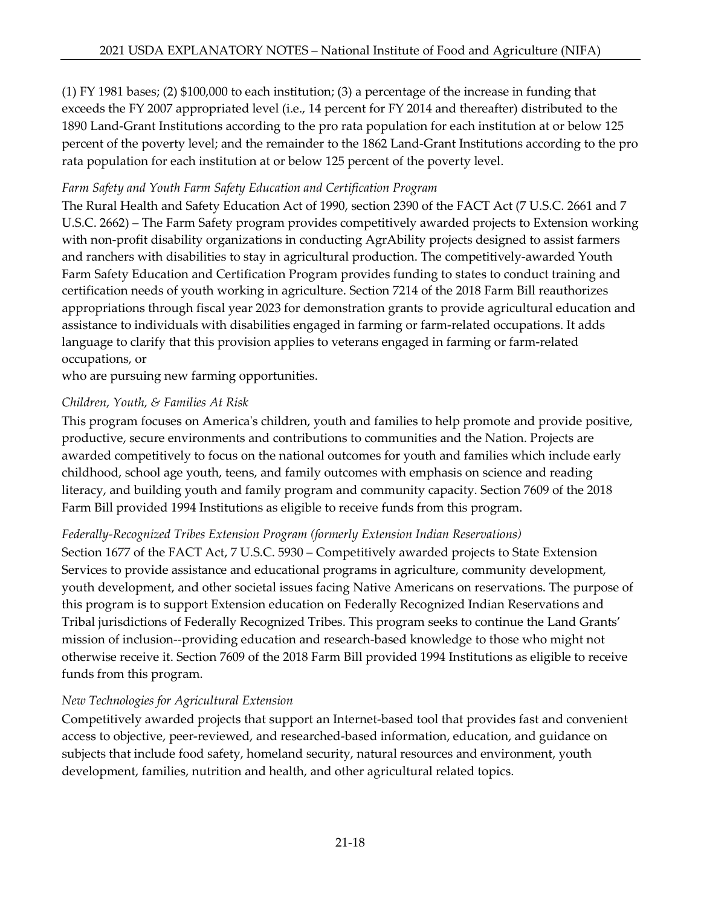(1) FY 1981 bases; (2) \$100,000 to each institution; (3) a percentage of the increase in funding that exceeds the FY 2007 appropriated level (i.e., 14 percent for FY 2014 and thereafter) distributed to the 1890 Land-Grant Institutions according to the pro rata population for each institution at or below 125 percent of the poverty level; and the remainder to the 1862 Land-Grant Institutions according to the pro rata population for each institution at or below 125 percent of the poverty level.

### *Farm Safety and Youth Farm Safety Education and Certification Program*

The Rural Health and Safety Education Act of 1990, section 2390 of the FACT Act (7 U.S.C. 2661 and 7 U.S.C. 2662) – The Farm Safety program provides competitively awarded projects to Extension working with non-profit disability organizations in conducting AgrAbility projects designed to assist farmers and ranchers with disabilities to stay in agricultural production. The competitively-awarded Youth Farm Safety Education and Certification Program provides funding to states to conduct training and certification needs of youth working in agriculture. Section 7214 of the 2018 Farm Bill reauthorizes appropriations through fiscal year 2023 for demonstration grants to provide agricultural education and assistance to individuals with disabilities engaged in farming or farm-related occupations. It adds language to clarify that this provision applies to veterans engaged in farming or farm-related occupations, or

who are pursuing new farming opportunities.

### *Children, Youth, & Families At Risk*

This program focuses on America's children, youth and families to help promote and provide positive, productive, secure environments and contributions to communities and the Nation. Projects are awarded competitively to focus on the national outcomes for youth and families which include early childhood, school age youth, teens, and family outcomes with emphasis on science and reading literacy, and building youth and family program and community capacity. Section 7609 of the 2018 Farm Bill provided 1994 Institutions as eligible to receive funds from this program.

### *Federally-Recognized Tribes Extension Program (formerly Extension Indian Reservations)*

Section 1677 of the FACT Act, 7 U.S.C. 5930 – Competitively awarded projects to State Extension Services to provide assistance and educational programs in agriculture, community development, youth development, and other societal issues facing Native Americans on reservations. The purpose of this program is to support Extension education on Federally Recognized Indian Reservations and Tribal jurisdictions of Federally Recognized Tribes. This program seeks to continue the Land Grants' mission of inclusion--providing education and research-based knowledge to those who might not otherwise receive it. Section 7609 of the 2018 Farm Bill provided 1994 Institutions as eligible to receive funds from this program.

### *New Technologies for Agricultural Extension*

Competitively awarded projects that support an Internet-based tool that provides fast and convenient access to objective, peer-reviewed, and researched-based information, education, and guidance on subjects that include food safety, homeland security, natural resources and environment, youth development, families, nutrition and health, and other agricultural related topics.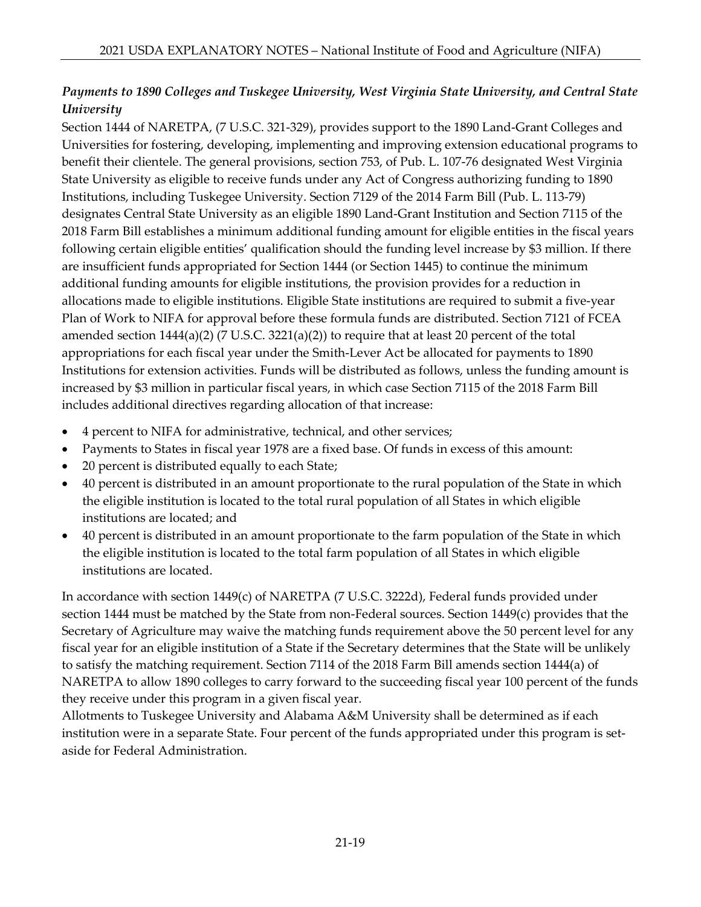# *Payments to 1890 Colleges and Tuskegee University, West Virginia State University, and Central State University*

Section 1444 of NARETPA, (7 U.S.C. 321-329), provides support to the 1890 Land-Grant Colleges and Universities for fostering, developing, implementing and improving extension educational programs to benefit their clientele. The general provisions, section 753, of Pub. L. 107-76 designated West Virginia State University as eligible to receive funds under any Act of Congress authorizing funding to 1890 Institutions, including Tuskegee University. Section 7129 of the 2014 Farm Bill (Pub. L. 113-79) designates Central State University as an eligible 1890 Land-Grant Institution and Section 7115 of the 2018 Farm Bill establishes a minimum additional funding amount for eligible entities in the fiscal years following certain eligible entities' qualification should the funding level increase by \$3 million. If there are insufficient funds appropriated for Section 1444 (or Section 1445) to continue the minimum additional funding amounts for eligible institutions, the provision provides for a reduction in allocations made to eligible institutions. Eligible State institutions are required to submit a five-year Plan of Work to NIFA for approval before these formula funds are distributed. Section 7121 of FCEA amended section  $1444(a)(2)$  (7 U.S.C.  $3221(a)(2)$ ) to require that at least 20 percent of the total appropriations for each fiscal year under the Smith-Lever Act be allocated for payments to 1890 Institutions for extension activities. Funds will be distributed as follows, unless the funding amount is increased by \$3 million in particular fiscal years, in which case Section 7115 of the 2018 Farm Bill includes additional directives regarding allocation of that increase:

- 4 percent to NIFA for administrative, technical, and other services;
- Payments to States in fiscal year 1978 are a fixed base. Of funds in excess of this amount:
- 20 percent is distributed equally to each State;
- 40 percent is distributed in an amount proportionate to the rural population of the State in which the eligible institution is located to the total rural population of all States in which eligible institutions are located; and
- 40 percent is distributed in an amount proportionate to the farm population of the State in which the eligible institution is located to the total farm population of all States in which eligible institutions are located.

In accordance with section 1449(c) of NARETPA (7 U.S.C. 3222d), Federal funds provided under section 1444 must be matched by the State from non-Federal sources. Section 1449(c) provides that the Secretary of Agriculture may waive the matching funds requirement above the 50 percent level for any fiscal year for an eligible institution of a State if the Secretary determines that the State will be unlikely to satisfy the matching requirement. Section 7114 of the 2018 Farm Bill amends section 1444(a) of NARETPA to allow 1890 colleges to carry forward to the succeeding fiscal year 100 percent of the funds they receive under this program in a given fiscal year.

Allotments to Tuskegee University and Alabama A&M University shall be determined as if each institution were in a separate State. Four percent of the funds appropriated under this program is setaside for Federal Administration.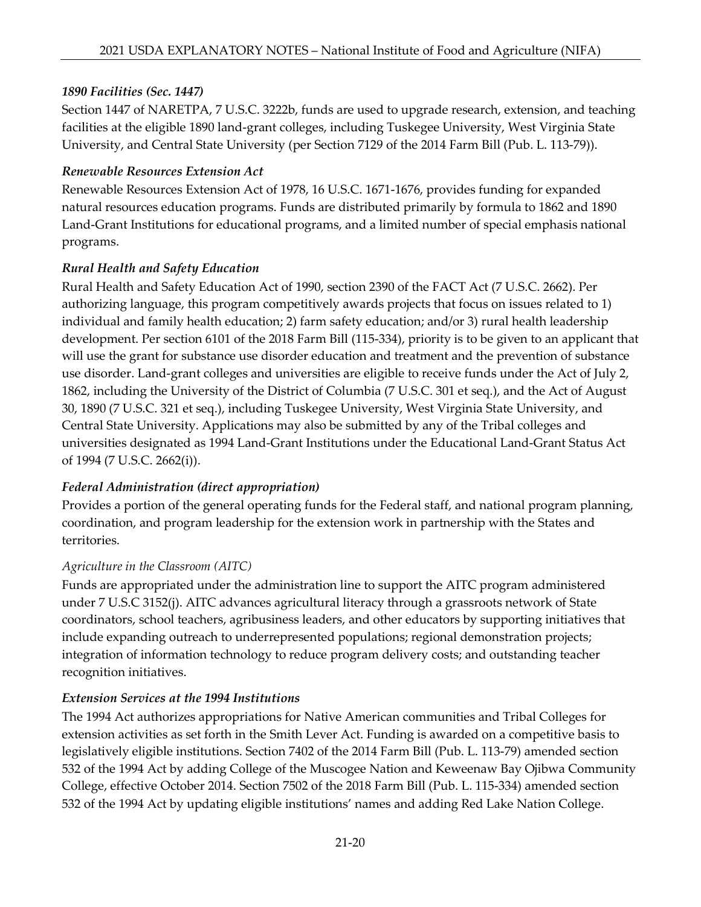# *1890 Facilities (Sec. 1447)*

Section 1447 of NARETPA, 7 U.S.C. 3222b, funds are used to upgrade research, extension, and teaching facilities at the eligible 1890 land-grant colleges, including Tuskegee University, West Virginia State University, and Central State University (per Section 7129 of the 2014 Farm Bill (Pub. L. 113-79)).

### *Renewable Resources Extension Act*

Renewable Resources Extension Act of 1978, 16 U.S.C. 1671-1676, provides funding for expanded natural resources education programs. Funds are distributed primarily by formula to 1862 and 1890 Land-Grant Institutions for educational programs, and a limited number of special emphasis national programs.

### *Rural Health and Safety Education*

Rural Health and Safety Education Act of 1990, section 2390 of the FACT Act (7 U.S.C. 2662). Per authorizing language, this program competitively awards projects that focus on issues related to 1) individual and family health education; 2) farm safety education; and/or 3) rural health leadership development. Per section 6101 of the 2018 Farm Bill (115-334), priority is to be given to an applicant that will use the grant for substance use disorder education and treatment and the prevention of substance use disorder. Land-grant colleges and universities are eligible to receive funds under the Act of July 2, 1862, including the University of the District of Columbia (7 U.S.C. 301 et seq.), and the Act of August 30, 1890 (7 U.S.C. 321 et seq.), including Tuskegee University, West Virginia State University, and Central State University. Applications may also be submitted by any of the Tribal colleges and universities designated as 1994 Land-Grant Institutions under the Educational Land-Grant Status Act of 1994 (7 U.S.C. 2662(i)).

### *Federal Administration (direct appropriation)*

Provides a portion of the general operating funds for the Federal staff, and national program planning, coordination, and program leadership for the extension work in partnership with the States and territories.

### *Agriculture in the Classroom (AITC)*

Funds are appropriated under the administration line to support the AITC program administered under 7 U.S.C 3152(j). AITC advances agricultural literacy through a grassroots network of State coordinators, school teachers, agribusiness leaders, and other educators by supporting initiatives that include expanding outreach to underrepresented populations; regional demonstration projects; integration of information technology to reduce program delivery costs; and outstanding teacher recognition initiatives.

### *Extension Services at the 1994 Institutions*

The 1994 Act authorizes appropriations for Native American communities and Tribal Colleges for extension activities as set forth in the Smith Lever Act. Funding is awarded on a competitive basis to legislatively eligible institutions. Section 7402 of the 2014 Farm Bill (Pub. L. 113-79) amended section 532 of the 1994 Act by adding College of the Muscogee Nation and Keweenaw Bay Ojibwa Community College, effective October 2014. Section 7502 of the 2018 Farm Bill (Pub. L. 115-334) amended section 532 of the 1994 Act by updating eligible institutions' names and adding Red Lake Nation College.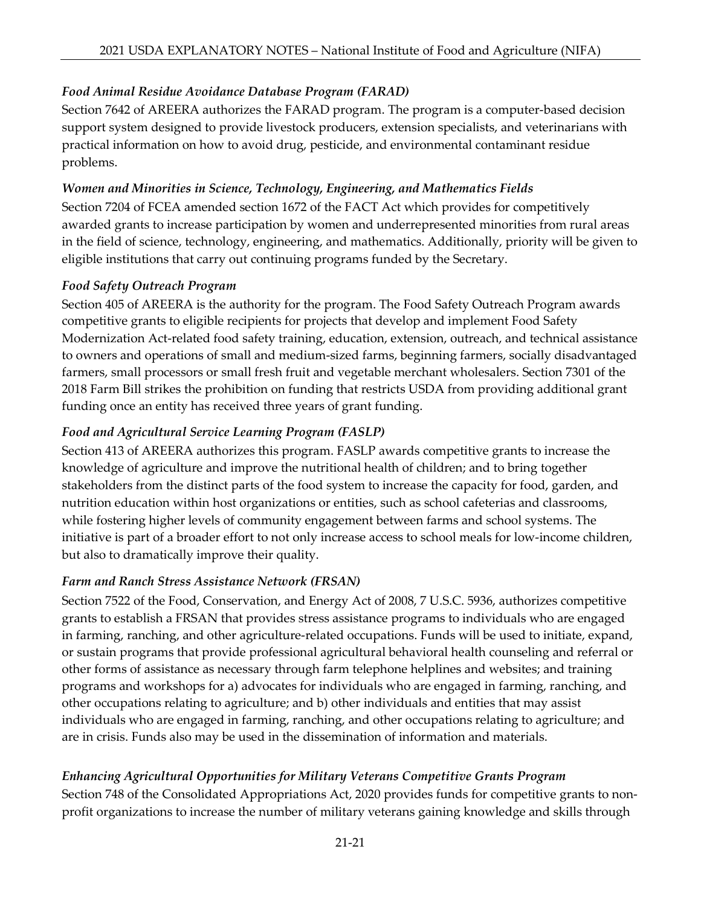# *Food Animal Residue Avoidance Database Program (FARAD)*

Section 7642 of AREERA authorizes the FARAD program. The program is a computer-based decision support system designed to provide livestock producers, extension specialists, and veterinarians with practical information on how to avoid drug, pesticide, and environmental contaminant residue problems.

#### *Women and Minorities in Science, Technology, Engineering, and Mathematics Fields*

Section 7204 of FCEA amended section 1672 of the FACT Act which provides for competitively awarded grants to increase participation by women and underrepresented minorities from rural areas in the field of science, technology, engineering, and mathematics. Additionally, priority will be given to eligible institutions that carry out continuing programs funded by the Secretary.

#### *Food Safety Outreach Program*

Section 405 of AREERA is the authority for the program. The Food Safety Outreach Program awards competitive grants to eligible recipients for projects that develop and implement Food Safety Modernization Act-related food safety training, education, extension, outreach, and technical assistance to owners and operations of small and medium-sized farms, beginning farmers, socially disadvantaged farmers, small processors or small fresh fruit and vegetable merchant wholesalers. Section 7301 of the 2018 Farm Bill strikes the prohibition on funding that restricts USDA from providing additional grant funding once an entity has received three years of grant funding.

### *Food and Agricultural Service Learning Program (FASLP)*

Section 413 of AREERA authorizes this program. FASLP awards competitive grants to increase the knowledge of agriculture and improve the nutritional health of children; and to bring together stakeholders from the distinct parts of the food system to increase the capacity for food, garden, and nutrition education within host organizations or entities, such as school cafeterias and classrooms, while fostering higher levels of community engagement between farms and school systems. The initiative is part of a broader effort to not only increase access to school meals for low-income children, but also to dramatically improve their quality.

### *Farm and Ranch Stress Assistance Network (FRSAN)*

Section 7522 of the Food, Conservation, and Energy Act of 2008, 7 U.S.C. 5936, authorizes competitive grants to establish a FRSAN that provides stress assistance programs to individuals who are engaged in farming, ranching, and other agriculture-related occupations. Funds will be used to initiate, expand, or sustain programs that provide professional agricultural behavioral health counseling and referral or other forms of assistance as necessary through farm telephone helplines and websites; and training programs and workshops for a) advocates for individuals who are engaged in farming, ranching, and other occupations relating to agriculture; and b) other individuals and entities that may assist individuals who are engaged in farming, ranching, and other occupations relating to agriculture; and are in crisis. Funds also may be used in the dissemination of information and materials.

# *Enhancing Agricultural Opportunities for Military Veterans Competitive Grants Program*

Section 748 of the Consolidated Appropriations Act, 2020 provides funds for competitive grants to nonprofit organizations to increase the number of military veterans gaining knowledge and skills through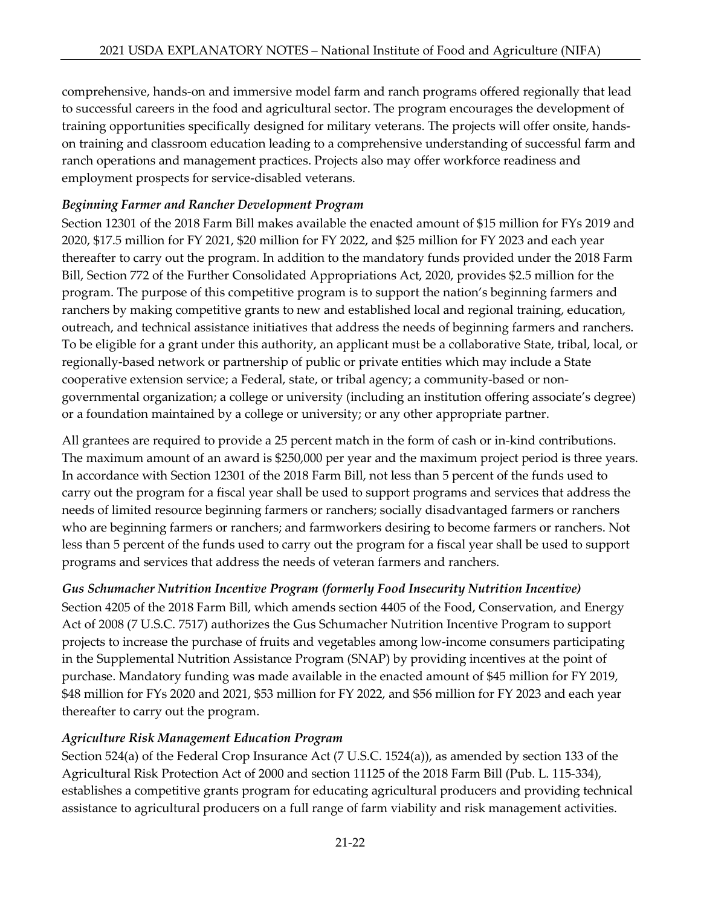comprehensive, hands-on and immersive model farm and ranch programs offered regionally that lead to successful careers in the food and agricultural sector. The program encourages the development of training opportunities specifically designed for military veterans. The projects will offer onsite, handson training and classroom education leading to a comprehensive understanding of successful farm and ranch operations and management practices. Projects also may offer workforce readiness and employment prospects for service-disabled veterans.

### *Beginning Farmer and Rancher Development Program*

Section 12301 of the 2018 Farm Bill makes available the enacted amount of \$15 million for FYs 2019 and 2020, \$17.5 million for FY 2021, \$20 million for FY 2022, and \$25 million for FY 2023 and each year thereafter to carry out the program. In addition to the mandatory funds provided under the 2018 Farm Bill, Section 772 of the Further Consolidated Appropriations Act, 2020, provides \$2.5 million for the program. The purpose of this competitive program is to support the nation's beginning farmers and ranchers by making competitive grants to new and established local and regional training, education, outreach, and technical assistance initiatives that address the needs of beginning farmers and ranchers. To be eligible for a grant under this authority, an applicant must be a collaborative State, tribal, local, or regionally-based network or partnership of public or private entities which may include a State cooperative extension service; a Federal, state, or tribal agency; a community-based or nongovernmental organization; a college or university (including an institution offering associate's degree) or a foundation maintained by a college or university; or any other appropriate partner.

All grantees are required to provide a 25 percent match in the form of cash or in-kind contributions. The maximum amount of an award is \$250,000 per year and the maximum project period is three years. In accordance with Section 12301 of the 2018 Farm Bill, not less than 5 percent of the funds used to carry out the program for a fiscal year shall be used to support programs and services that address the needs of limited resource beginning farmers or ranchers; socially disadvantaged farmers or ranchers who are beginning farmers or ranchers; and farmworkers desiring to become farmers or ranchers. Not less than 5 percent of the funds used to carry out the program for a fiscal year shall be used to support programs and services that address the needs of veteran farmers and ranchers.

*Gus Schumacher Nutrition Incentive Program (formerly Food Insecurity Nutrition Incentive)* Section 4205 of the 2018 Farm Bill, which amends section 4405 of the Food, Conservation, and Energy Act of 2008 (7 U.S.C. 7517) authorizes the Gus Schumacher Nutrition Incentive Program to support projects to increase the purchase of fruits and vegetables among low-income consumers participating in the Supplemental Nutrition Assistance Program (SNAP) by providing incentives at the point of purchase. Mandatory funding was made available in the enacted amount of \$45 million for FY 2019, \$48 million for FYs 2020 and 2021, \$53 million for FY 2022, and \$56 million for FY 2023 and each year thereafter to carry out the program.

### *Agriculture Risk Management Education Program*

Section 524(a) of the Federal Crop Insurance Act (7 U.S.C. 1524(a)), as amended by section 133 of the Agricultural Risk Protection Act of 2000 and section 11125 of the 2018 Farm Bill (Pub. L. 115-334), establishes a competitive grants program for educating agricultural producers and providing technical assistance to agricultural producers on a full range of farm viability and risk management activities.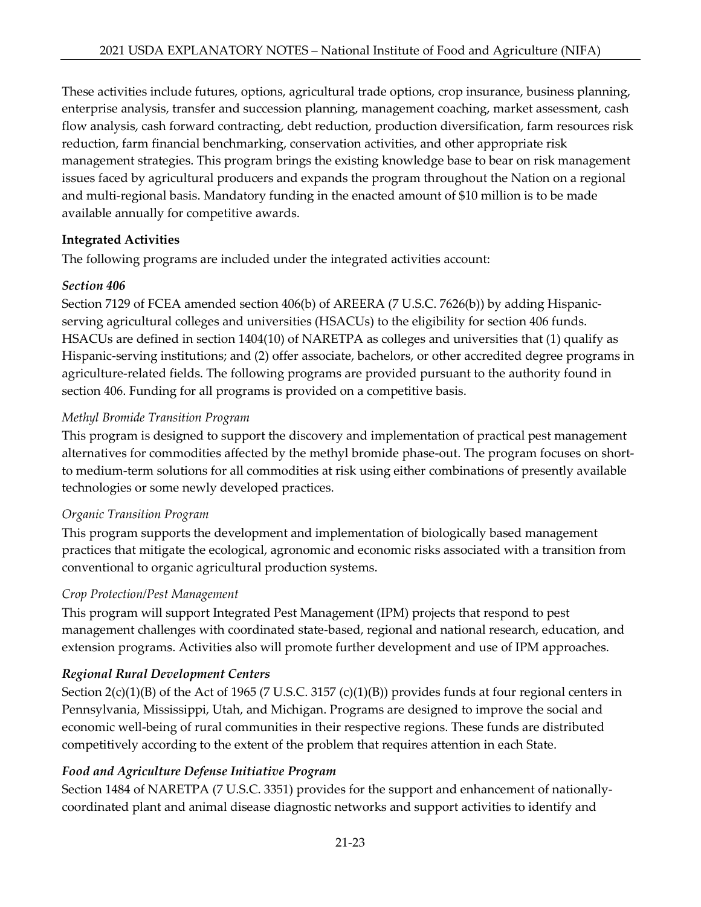These activities include futures, options, agricultural trade options, crop insurance, business planning, enterprise analysis, transfer and succession planning, management coaching, market assessment, cash flow analysis, cash forward contracting, debt reduction, production diversification, farm resources risk reduction, farm financial benchmarking, conservation activities, and other appropriate risk management strategies. This program brings the existing knowledge base to bear on risk management issues faced by agricultural producers and expands the program throughout the Nation on a regional and multi-regional basis. Mandatory funding in the enacted amount of \$10 million is to be made available annually for competitive awards.

# **Integrated Activities**

The following programs are included under the integrated activities account:

### *Section 406*

Section 7129 of FCEA amended section 406(b) of AREERA (7 U.S.C. 7626(b)) by adding Hispanicserving agricultural colleges and universities (HSACUs) to the eligibility for section 406 funds. HSACUs are defined in section 1404(10) of NARETPA as colleges and universities that (1) qualify as Hispanic-serving institutions; and (2) offer associate, bachelors, or other accredited degree programs in agriculture-related fields. The following programs are provided pursuant to the authority found in section 406. Funding for all programs is provided on a competitive basis.

# *Methyl Bromide Transition Program*

This program is designed to support the discovery and implementation of practical pest management alternatives for commodities affected by the methyl bromide phase-out. The program focuses on shortto medium-term solutions for all commodities at risk using either combinations of presently available technologies or some newly developed practices.

### *Organic Transition Program*

This program supports the development and implementation of biologically based management practices that mitigate the ecological, agronomic and economic risks associated with a transition from conventional to organic agricultural production systems.

### *Crop Protection/Pest Management*

This program will support Integrated Pest Management (IPM) projects that respond to pest management challenges with coordinated state-based, regional and national research, education, and extension programs. Activities also will promote further development and use of IPM approaches.

# *Regional Rural Development Centers*

Section 2(c)(1)(B) of the Act of 1965 (7 U.S.C. 3157 (c)(1)(B)) provides funds at four regional centers in Pennsylvania, Mississippi, Utah, and Michigan. Programs are designed to improve the social and economic well-being of rural communities in their respective regions. These funds are distributed competitively according to the extent of the problem that requires attention in each State.

# *Food and Agriculture Defense Initiative Program*

Section 1484 of NARETPA (7 U.S.C. 3351) provides for the support and enhancement of nationallycoordinated plant and animal disease diagnostic networks and support activities to identify and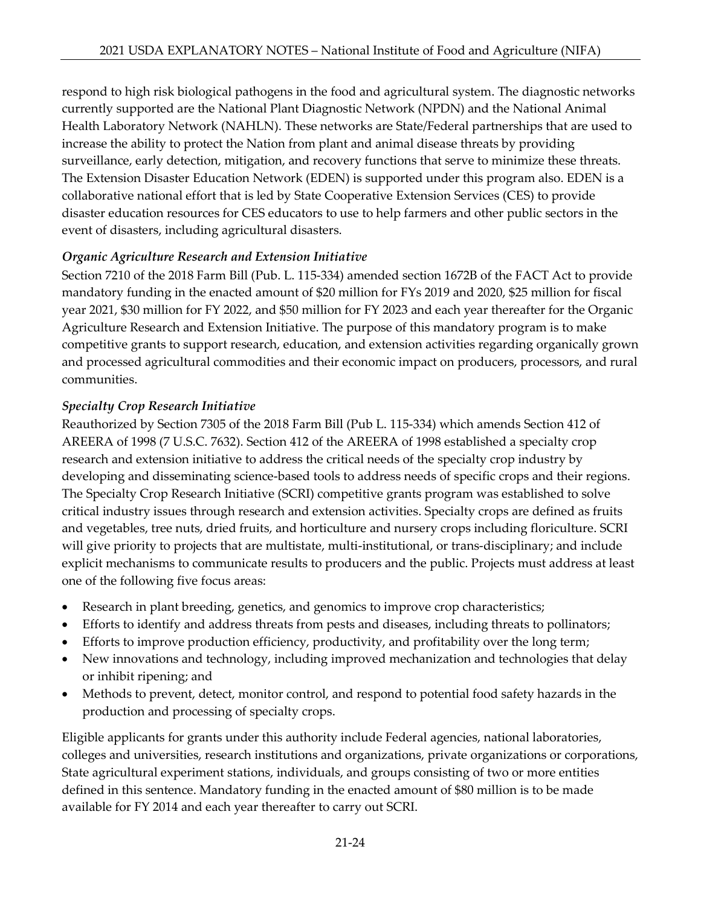respond to high risk biological pathogens in the food and agricultural system. The diagnostic networks currently supported are the National Plant Diagnostic Network (NPDN) and the National Animal Health Laboratory Network (NAHLN). These networks are State/Federal partnerships that are used to increase the ability to protect the Nation from plant and animal disease threats by providing surveillance, early detection, mitigation, and recovery functions that serve to minimize these threats. The Extension Disaster Education Network (EDEN) is supported under this program also. EDEN is a collaborative national effort that is led by State Cooperative Extension Services (CES) to provide disaster education resources for CES educators to use to help farmers and other public sectors in the event of disasters, including agricultural disasters.

### *Organic Agriculture Research and Extension Initiative*

Section 7210 of the 2018 Farm Bill (Pub. L. 115-334) amended section 1672B of the FACT Act to provide mandatory funding in the enacted amount of \$20 million for FYs 2019 and 2020, \$25 million for fiscal year 2021, \$30 million for FY 2022, and \$50 million for FY 2023 and each year thereafter for the Organic Agriculture Research and Extension Initiative. The purpose of this mandatory program is to make competitive grants to support research, education, and extension activities regarding organically grown and processed agricultural commodities and their economic impact on producers, processors, and rural communities.

# *Specialty Crop Research Initiative*

Reauthorized by Section 7305 of the 2018 Farm Bill (Pub L. 115-334) which amends Section 412 of AREERA of 1998 (7 U.S.C. 7632). Section 412 of the AREERA of 1998 established a specialty crop research and extension initiative to address the critical needs of the specialty crop industry by developing and disseminating science-based tools to address needs of specific crops and their regions. The Specialty Crop Research Initiative (SCRI) competitive grants program was established to solve critical industry issues through research and extension activities. Specialty crops are defined as fruits and vegetables, tree nuts, dried fruits, and horticulture and nursery crops including floriculture. SCRI will give priority to projects that are multistate, multi-institutional, or trans-disciplinary; and include explicit mechanisms to communicate results to producers and the public. Projects must address at least one of the following five focus areas:

- Research in plant breeding, genetics, and genomics to improve crop characteristics;
- Efforts to identify and address threats from pests and diseases, including threats to pollinators;
- Efforts to improve production efficiency, productivity, and profitability over the long term;
- New innovations and technology, including improved mechanization and technologies that delay or inhibit ripening; and
- Methods to prevent, detect, monitor control, and respond to potential food safety hazards in the production and processing of specialty crops.

Eligible applicants for grants under this authority include Federal agencies, national laboratories, colleges and universities, research institutions and organizations, private organizations or corporations, State agricultural experiment stations, individuals, and groups consisting of two or more entities defined in this sentence. Mandatory funding in the enacted amount of \$80 million is to be made available for FY 2014 and each year thereafter to carry out SCRI.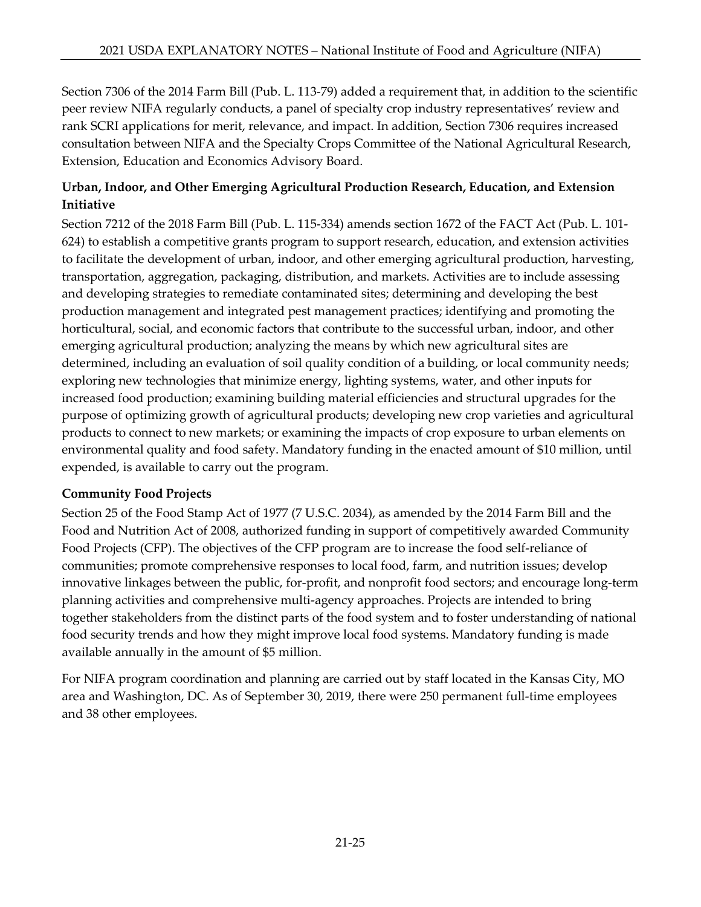Section 7306 of the 2014 Farm Bill (Pub. L. 113-79) added a requirement that, in addition to the scientific peer review NIFA regularly conducts, a panel of specialty crop industry representatives' review and rank SCRI applications for merit, relevance, and impact. In addition, Section 7306 requires increased consultation between NIFA and the Specialty Crops Committee of the National Agricultural Research, Extension, Education and Economics Advisory Board.

# **Urban, Indoor, and Other Emerging Agricultural Production Research, Education, and Extension Initiative**

Section 7212 of the 2018 Farm Bill (Pub. L. 115-334) amends section 1672 of the FACT Act (Pub. L. 101- 624) to establish a competitive grants program to support research, education, and extension activities to facilitate the development of urban, indoor, and other emerging agricultural production, harvesting, transportation, aggregation, packaging, distribution, and markets. Activities are to include assessing and developing strategies to remediate contaminated sites; determining and developing the best production management and integrated pest management practices; identifying and promoting the horticultural, social, and economic factors that contribute to the successful urban, indoor, and other emerging agricultural production; analyzing the means by which new agricultural sites are determined, including an evaluation of soil quality condition of a building, or local community needs; exploring new technologies that minimize energy, lighting systems, water, and other inputs for increased food production; examining building material efficiencies and structural upgrades for the purpose of optimizing growth of agricultural products; developing new crop varieties and agricultural products to connect to new markets; or examining the impacts of crop exposure to urban elements on environmental quality and food safety. Mandatory funding in the enacted amount of \$10 million, until expended, is available to carry out the program.

### **Community Food Projects**

Section 25 of the Food Stamp Act of 1977 (7 U.S.C. 2034), as amended by the 2014 Farm Bill and the Food and Nutrition Act of 2008, authorized funding in support of competitively awarded Community Food Projects (CFP). The objectives of the CFP program are to increase the food self-reliance of communities; promote comprehensive responses to local food, farm, and nutrition issues; develop innovative linkages between the public, for-profit, and nonprofit food sectors; and encourage long-term planning activities and comprehensive multi-agency approaches. Projects are intended to bring together stakeholders from the distinct parts of the food system and to foster understanding of national food security trends and how they might improve local food systems. Mandatory funding is made available annually in the amount of \$5 million.

For NIFA program coordination and planning are carried out by staff located in the Kansas City, MO area and Washington, DC. As of September 30, 2019, there were 250 permanent full-time employees and 38 other employees.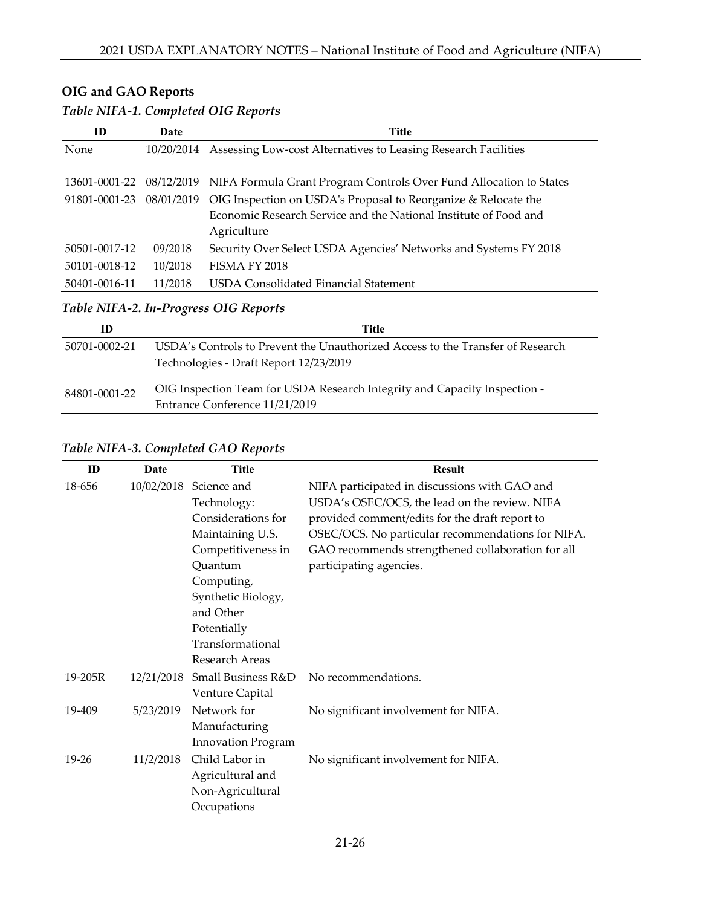# **OIG and GAO Reports**

#### *Table NIFA-1. Completed OIG Reports*

| ID                                    | Date       | <b>Title</b>                                                                  |  |  |  |  |  |
|---------------------------------------|------------|-------------------------------------------------------------------------------|--|--|--|--|--|
| None                                  | 10/20/2014 | Assessing Low-cost Alternatives to Leasing Research Facilities                |  |  |  |  |  |
|                                       |            |                                                                               |  |  |  |  |  |
| 13601-0001-22                         |            | 08/12/2019 NIFA Formula Grant Program Controls Over Fund Allocation to States |  |  |  |  |  |
| 91801-0001-23                         | 08/01/2019 | OIG Inspection on USDA's Proposal to Reorganize & Relocate the                |  |  |  |  |  |
|                                       |            | Economic Research Service and the National Institute of Food and              |  |  |  |  |  |
|                                       |            | Agriculture                                                                   |  |  |  |  |  |
| 50501-0017-12                         | 09/2018    | Security Over Select USDA Agencies' Networks and Systems FY 2018              |  |  |  |  |  |
| 50101-0018-12                         | 10/2018    | FISMA FY 2018                                                                 |  |  |  |  |  |
| 50401-0016-11                         | 11/2018    | USDA Consolidated Financial Statement                                         |  |  |  |  |  |
| Table NIFA-2. In-Progress OIG Reports |            |                                                                               |  |  |  |  |  |

| ID            | Title                                                                                                                    |
|---------------|--------------------------------------------------------------------------------------------------------------------------|
| 50701-0002-21 | USDA's Controls to Prevent the Unauthorized Access to the Transfer of Research<br>Technologies - Draft Report 12/23/2019 |
| 84801-0001-22 | OIG Inspection Team for USDA Research Integrity and Capacity Inspection -<br>Entrance Conference 11/21/2019              |

#### *Table NIFA-3. Completed GAO Reports*

| ID        | Date       | Title                     | <b>Result</b>                                     |
|-----------|------------|---------------------------|---------------------------------------------------|
| 18-656    | 10/02/2018 | Science and               | NIFA participated in discussions with GAO and     |
|           |            | Technology:               | USDA's OSEC/OCS, the lead on the review. NIFA     |
|           |            | Considerations for        | provided comment/edits for the draft report to    |
|           |            | Maintaining U.S.          | OSEC/OCS. No particular recommendations for NIFA. |
|           |            | Competitiveness in        | GAO recommends strengthened collaboration for all |
|           |            | Ouantum                   | participating agencies.                           |
|           |            | Computing,                |                                                   |
|           |            | Synthetic Biology,        |                                                   |
|           |            | and Other                 |                                                   |
|           |            | Potentially               |                                                   |
|           |            | Transformational          |                                                   |
|           |            | Research Areas            |                                                   |
| 19-205R   | 12/21/2018 | Small Business R&D        | No recommendations.                               |
|           |            | Venture Capital           |                                                   |
| 19-409    | 5/23/2019  | Network for               | No significant involvement for NIFA.              |
|           |            | Manufacturing             |                                                   |
|           |            | <b>Innovation Program</b> |                                                   |
| $19 - 26$ | 11/2/2018  | Child Labor in            | No significant involvement for NIFA.              |
|           |            | Agricultural and          |                                                   |
|           |            | Non-Agricultural          |                                                   |
|           |            | Occupations               |                                                   |
|           |            |                           |                                                   |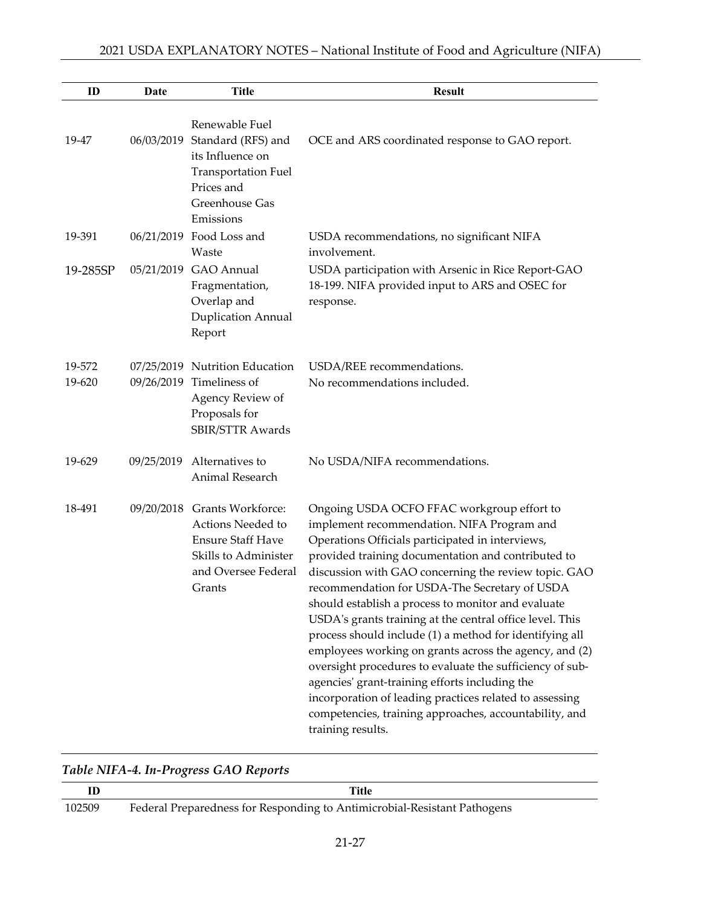| ID               | Date       | <b>Title</b>                                                                                                                           | <b>Result</b>                                                                                                                                                                                                                                                                                                                                                                                                                                                                                                                                                                                                                                                                                                                                                                                              |
|------------------|------------|----------------------------------------------------------------------------------------------------------------------------------------|------------------------------------------------------------------------------------------------------------------------------------------------------------------------------------------------------------------------------------------------------------------------------------------------------------------------------------------------------------------------------------------------------------------------------------------------------------------------------------------------------------------------------------------------------------------------------------------------------------------------------------------------------------------------------------------------------------------------------------------------------------------------------------------------------------|
| 19-47            | 06/03/2019 | Renewable Fuel<br>Standard (RFS) and<br>its Influence on<br><b>Transportation Fuel</b><br>Prices and<br>Greenhouse Gas<br>Emissions    | OCE and ARS coordinated response to GAO report.                                                                                                                                                                                                                                                                                                                                                                                                                                                                                                                                                                                                                                                                                                                                                            |
| 19-391           |            | 06/21/2019 Food Loss and<br>Waste                                                                                                      | USDA recommendations, no significant NIFA<br>involvement.                                                                                                                                                                                                                                                                                                                                                                                                                                                                                                                                                                                                                                                                                                                                                  |
| 19-285SP         | 05/21/2019 | GAO Annual<br>Fragmentation,<br>Overlap and<br>Duplication Annual<br>Report                                                            | USDA participation with Arsenic in Rice Report-GAO<br>18-199. NIFA provided input to ARS and OSEC for<br>response.                                                                                                                                                                                                                                                                                                                                                                                                                                                                                                                                                                                                                                                                                         |
| 19-572<br>19-620 |            | 07/25/2019 Nutrition Education<br>09/26/2019 Timeliness of<br>Agency Review of<br>Proposals for<br><b>SBIR/STTR Awards</b>             | USDA/REE recommendations.<br>No recommendations included.                                                                                                                                                                                                                                                                                                                                                                                                                                                                                                                                                                                                                                                                                                                                                  |
| 19-629           | 09/25/2019 | Alternatives to<br>Animal Research                                                                                                     | No USDA/NIFA recommendations.                                                                                                                                                                                                                                                                                                                                                                                                                                                                                                                                                                                                                                                                                                                                                                              |
| 18-491           |            | 09/20/2018 Grants Workforce:<br>Actions Needed to<br><b>Ensure Staff Have</b><br>Skills to Administer<br>and Oversee Federal<br>Grants | Ongoing USDA OCFO FFAC workgroup effort to<br>implement recommendation. NIFA Program and<br>Operations Officials participated in interviews,<br>provided training documentation and contributed to<br>discussion with GAO concerning the review topic. GAO<br>recommendation for USDA-The Secretary of USDA<br>should establish a process to monitor and evaluate<br>USDA's grants training at the central office level. This<br>process should include (1) a method for identifying all<br>employees working on grants across the agency, and (2)<br>oversight procedures to evaluate the sufficiency of sub-<br>agencies' grant-training efforts including the<br>incorporation of leading practices related to assessing<br>competencies, training approaches, accountability, and<br>training results. |

|        | Title                                                                    |
|--------|--------------------------------------------------------------------------|
| 102509 | Federal Preparedness for Responding to Antimicrobial-Resistant Pathogens |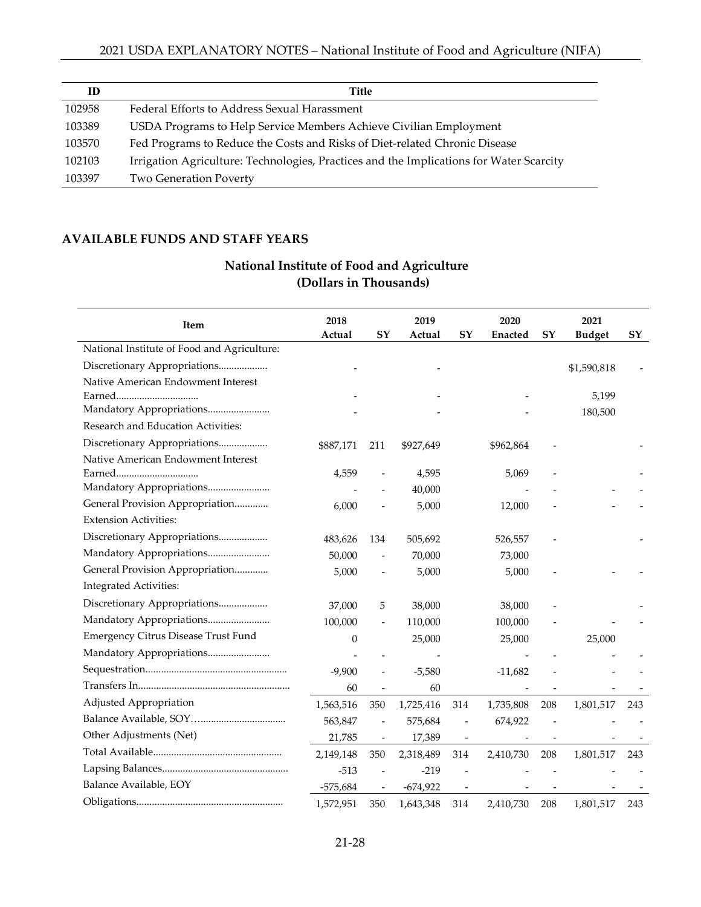| ID     | Title                                                                                   |
|--------|-----------------------------------------------------------------------------------------|
| 102958 | Federal Efforts to Address Sexual Harassment                                            |
| 103389 | USDA Programs to Help Service Members Achieve Civilian Employment                       |
| 103570 | Fed Programs to Reduce the Costs and Risks of Diet-related Chronic Disease              |
| 102103 | Irrigation Agriculture: Technologies, Practices and the Implications for Water Scarcity |
| 103397 | <b>Two Generation Poverty</b>                                                           |

#### **AVAILABLE FUNDS AND STAFF YEARS**

### **National Institute of Food and Agriculture (Dollars in Thousands)**

| Item                                        | 2018<br>Actual   | SY                       | 2019<br>Actual | SY                       | 2020<br><b>Enacted</b> | SY  | 2021<br><b>Budget</b> | SY  |
|---------------------------------------------|------------------|--------------------------|----------------|--------------------------|------------------------|-----|-----------------------|-----|
| National Institute of Food and Agriculture: |                  |                          |                |                          |                        |     |                       |     |
| Discretionary Appropriations                |                  |                          |                |                          |                        |     | \$1,590,818           |     |
| Native American Endowment Interest          |                  |                          |                |                          |                        |     |                       |     |
|                                             |                  |                          |                |                          |                        |     | 5,199                 |     |
| Mandatory Appropriations                    |                  |                          |                |                          |                        |     | 180,500               |     |
| Research and Education Activities:          |                  |                          |                |                          |                        |     |                       |     |
| Discretionary Appropriations                | \$887,171        | 211                      | \$927,649      |                          | \$962,864              |     |                       |     |
| Native American Endowment Interest          |                  |                          |                |                          |                        |     |                       |     |
|                                             | 4,559            |                          | 4,595          |                          | 5,069                  |     |                       |     |
| Mandatory Appropriations                    |                  |                          | 40,000         |                          |                        |     |                       |     |
| General Provision Appropriation             | 6,000            |                          | 5,000          |                          | 12,000                 |     |                       |     |
| <b>Extension Activities:</b>                |                  |                          |                |                          |                        |     |                       |     |
| Discretionary Appropriations                | 483,626          | 134                      | 505,692        |                          | 526,557                |     |                       |     |
| Mandatory Appropriations                    | 50,000           |                          | 70,000         |                          | 73,000                 |     |                       |     |
| General Provision Appropriation             | 5,000            |                          | 5,000          |                          | 5,000                  |     |                       |     |
| Integrated Activities:                      |                  |                          |                |                          |                        |     |                       |     |
| Discretionary Appropriations                | 37,000           | 5                        | 38,000         |                          | 38,000                 |     |                       |     |
| Mandatory Appropriations                    | 100,000          |                          | 110,000        |                          | 100,000                |     |                       |     |
| Emergency Citrus Disease Trust Fund         | $\boldsymbol{0}$ |                          | 25,000         |                          | 25,000                 |     | 25,000                |     |
| Mandatory Appropriations                    |                  |                          |                |                          |                        |     |                       |     |
|                                             | $-9,900$         |                          | $-5,580$       |                          | $-11,682$              |     |                       |     |
|                                             | 60               |                          | 60             |                          |                        |     |                       |     |
| Adjusted Appropriation                      | 1,563,516        | 350                      | 1,725,416      | 314                      | 1,735,808              | 208 | 1,801,517             | 243 |
|                                             | 563,847          | $\frac{1}{2}$            | 575,684        | $\overline{\phantom{a}}$ | 674,922                |     |                       |     |
| Other Adjustments (Net)                     | 21,785           | $\overline{\phantom{a}}$ | 17,389         |                          |                        |     |                       |     |
|                                             | 2,149,148        | 350                      | 2,318,489      | 314                      | 2,410,730              | 208 | 1,801,517             | 243 |
|                                             | $-513$           |                          | $-219$         |                          |                        |     |                       |     |
| Balance Available, EOY                      | $-575,684$       |                          | $-674,922$     |                          |                        |     |                       |     |
|                                             | 1,572,951        | 350                      | 1,643,348      | 314                      | 2,410,730              | 208 | 1,801,517             | 243 |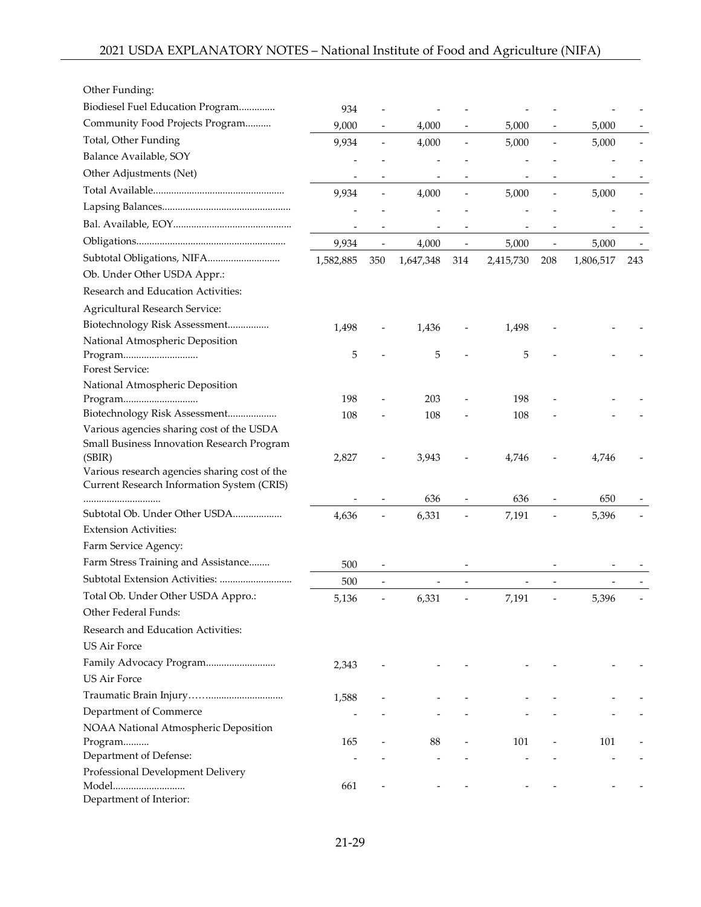| Other Funding:                                                                          |           |                          |           |                          |           |                          |           |     |
|-----------------------------------------------------------------------------------------|-----------|--------------------------|-----------|--------------------------|-----------|--------------------------|-----------|-----|
| Biodiesel Fuel Education Program                                                        | 934       |                          |           |                          |           |                          |           |     |
| Community Food Projects Program                                                         | 9,000     | $\overline{\phantom{a}}$ | 4,000     | $\overline{\phantom{a}}$ | 5,000     | $\overline{\phantom{a}}$ | 5,000     |     |
| Total, Other Funding                                                                    | 9,934     | $\overline{\phantom{a}}$ | 4,000     | $\overline{\phantom{m}}$ | 5,000     | $\overline{\phantom{a}}$ | 5,000     |     |
| Balance Available, SOY                                                                  |           |                          |           |                          |           |                          |           |     |
| Other Adjustments (Net)                                                                 |           |                          |           |                          |           |                          |           |     |
|                                                                                         | 9,934     |                          | 4,000     | $\overline{\phantom{0}}$ | 5,000     | $\overline{\phantom{a}}$ | 5,000     |     |
|                                                                                         |           |                          |           |                          |           |                          |           |     |
|                                                                                         |           |                          |           |                          |           |                          |           |     |
|                                                                                         | 9,934     | $\overline{\phantom{m}}$ | 4,000     | $\overline{\phantom{m}}$ | 5,000     | $\overline{\phantom{a}}$ | 5,000     |     |
| Subtotal Obligations, NIFA                                                              | 1,582,885 | 350                      | 1,647,348 | 314                      | 2,415,730 | 208                      | 1,806,517 | 243 |
| Ob. Under Other USDA Appr.:                                                             |           |                          |           |                          |           |                          |           |     |
| Research and Education Activities:                                                      |           |                          |           |                          |           |                          |           |     |
| <b>Agricultural Research Service:</b>                                                   |           |                          |           |                          |           |                          |           |     |
| Biotechnology Risk Assessment                                                           | 1,498     |                          | 1,436     |                          | 1,498     |                          |           |     |
| National Atmospheric Deposition                                                         |           |                          |           |                          |           |                          |           |     |
| Program                                                                                 | 5         |                          | 5         |                          | 5         |                          |           |     |
| Forest Service:                                                                         |           |                          |           |                          |           |                          |           |     |
| National Atmospheric Deposition                                                         |           |                          |           |                          |           |                          |           |     |
|                                                                                         | 198       |                          | 203       |                          | 198       |                          |           |     |
| Biotechnology Risk Assessment                                                           | 108       |                          | 108       |                          | 108       |                          |           |     |
| Various agencies sharing cost of the USDA<br>Small Business Innovation Research Program |           |                          |           |                          |           |                          |           |     |
| (SBIR)                                                                                  | 2,827     |                          | 3,943     |                          | 4,746     |                          | 4,746     |     |
| Various research agencies sharing cost of the                                           |           |                          |           |                          |           |                          |           |     |
| Current Research Information System (CRIS)                                              |           |                          |           |                          |           |                          |           |     |
|                                                                                         |           |                          | 636       |                          | 636       |                          | 650       |     |
| Subtotal Ob. Under Other USDA                                                           | 4,636     |                          | 6,331     |                          | 7,191     |                          | 5,396     |     |
| <b>Extension Activities:</b>                                                            |           |                          |           |                          |           |                          |           |     |
| Farm Service Agency:                                                                    |           |                          |           |                          |           |                          |           |     |
| Farm Stress Training and Assistance                                                     | 500       |                          |           |                          |           |                          |           |     |
| Subtotal Extension Activities:                                                          | 500       |                          |           |                          |           |                          |           |     |
| Total Ob. Under Other USDA Appro.:                                                      | 5,136     |                          | 6,331     |                          | 7,191     |                          | 5,396     |     |
| Other Federal Funds:                                                                    |           |                          |           |                          |           |                          |           |     |
| Research and Education Activities:                                                      |           |                          |           |                          |           |                          |           |     |
| <b>US Air Force</b>                                                                     |           |                          |           |                          |           |                          |           |     |
| Family Advocacy Program                                                                 | 2,343     |                          |           |                          |           |                          |           |     |
| <b>US Air Force</b>                                                                     |           |                          |           |                          |           |                          |           |     |
|                                                                                         | 1,588     |                          |           |                          |           |                          |           |     |
| Department of Commerce                                                                  |           |                          |           |                          |           |                          |           |     |
| NOAA National Atmospheric Deposition                                                    |           |                          |           |                          |           |                          |           |     |
| Program<br>Department of Defense:                                                       | 165       |                          | 88        |                          | 101       |                          | 101       |     |
| Professional Development Delivery                                                       |           |                          |           |                          |           |                          |           |     |
| Model                                                                                   | 661       |                          |           |                          |           |                          |           |     |
| Department of Interior:                                                                 |           |                          |           |                          |           |                          |           |     |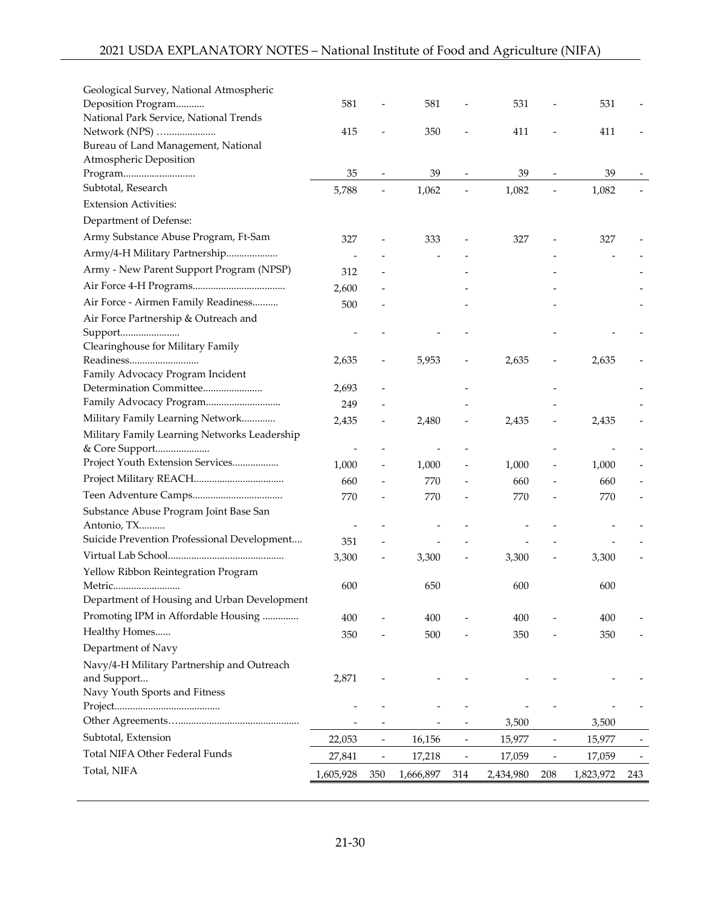| Geological Survey, National Atmospheric      |           |                          |           |                          |           |                              |           |     |
|----------------------------------------------|-----------|--------------------------|-----------|--------------------------|-----------|------------------------------|-----------|-----|
| Deposition Program                           | 581       |                          | 581       |                          | 531       |                              | 531       |     |
| National Park Service, National Trends       |           |                          |           |                          |           |                              |           |     |
| Network (NPS)                                | 415       |                          | 350       |                          | 411       |                              | 411       |     |
| Bureau of Land Management, National          |           |                          |           |                          |           |                              |           |     |
| Atmospheric Deposition                       |           |                          |           |                          |           |                              |           |     |
| Program                                      | 35        | $\overline{\phantom{m}}$ | 39        | $\overline{\phantom{a}}$ | 39        | $\qquad \qquad \blacksquare$ | 39        |     |
| Subtotal, Research                           | 5,788     |                          | 1,062     |                          | 1,082     | $\frac{1}{2}$                | 1,082     |     |
| <b>Extension Activities:</b>                 |           |                          |           |                          |           |                              |           |     |
| Department of Defense:                       |           |                          |           |                          |           |                              |           |     |
| Army Substance Abuse Program, Ft-Sam         | 327       |                          | 333       |                          | 327       |                              | 327       |     |
| Army/4-H Military Partnership                |           |                          |           |                          |           |                              |           |     |
| Army - New Parent Support Program (NPSP)     | 312       |                          |           |                          |           |                              |           |     |
|                                              | 2,600     |                          |           |                          |           |                              |           |     |
| Air Force - Airmen Family Readiness          | 500       |                          |           |                          |           |                              |           |     |
| Air Force Partnership & Outreach and         |           |                          |           |                          |           |                              |           |     |
| Support                                      |           |                          |           |                          |           |                              |           |     |
| Clearinghouse for Military Family            |           |                          |           |                          |           |                              |           |     |
| Readiness                                    | 2,635     |                          | 5,953     |                          | 2,635     | $\qquad \qquad -$            | 2,635     |     |
| Family Advocacy Program Incident             |           |                          |           |                          |           |                              |           |     |
| Determination Committee                      | 2,693     |                          |           |                          |           |                              |           |     |
|                                              | 249       |                          |           |                          |           |                              |           |     |
| Military Family Learning Network             | 2,435     |                          | 2,480     | $\overline{\phantom{0}}$ | 2,435     | $\overline{\phantom{a}}$     | 2,435     |     |
| Military Family Learning Networks Leadership |           |                          |           |                          |           |                              |           |     |
| & Core Support                               |           |                          |           |                          |           |                              |           |     |
| Project Youth Extension Services             | 1,000     |                          | 1,000     |                          | 1,000     |                              | 1,000     |     |
|                                              | 660       |                          | 770       |                          | 660       |                              | 660       |     |
|                                              | 770       |                          | 770       |                          | 770       |                              | 770       |     |
| Substance Abuse Program Joint Base San       |           |                          |           |                          |           |                              |           |     |
| Antonio, TX                                  |           |                          |           |                          |           |                              |           |     |
| Suicide Prevention Professional Development  | 351       |                          |           |                          |           |                              |           |     |
|                                              | 3,300     | $\overline{\phantom{m}}$ | 3,300     |                          | 3,300     |                              | 3,300     |     |
| Yellow Ribbon Reintegration Program          |           |                          |           |                          |           |                              |           |     |
| Metric                                       | 600       |                          | 650       |                          | 600       |                              | 600       |     |
| Department of Housing and Urban Development  |           |                          |           |                          |           |                              |           |     |
| Promoting IPM in Affordable Housing          | 400       |                          | 400       |                          | 400       |                              | 400       |     |
| Healthy Homes                                | 350       |                          | 500       |                          | 350       |                              | 350       |     |
| Department of Navy                           |           |                          |           |                          |           |                              |           |     |
| Navy/4-H Military Partnership and Outreach   |           |                          |           |                          |           |                              |           |     |
| and Support                                  | 2,871     |                          |           |                          |           |                              |           |     |
| Navy Youth Sports and Fitness                |           |                          |           |                          |           |                              |           |     |
|                                              |           |                          |           |                          |           |                              |           |     |
|                                              |           |                          |           |                          | 3,500     |                              | 3,500     |     |
| Subtotal, Extension                          | 22,053    | $\overline{\phantom{a}}$ | 16,156    | $\qquad \qquad -$        | 15,977    | $\qquad \qquad -$            | 15,977    |     |
| Total NIFA Other Federal Funds               | 27,841    | $\overline{\phantom{m}}$ | 17,218    | $\overline{\phantom{m}}$ | 17,059    | $\overline{\phantom{0}}$     | 17,059    |     |
| Total, NIFA                                  | 1,605,928 | 350                      | 1,666,897 | 314                      | 2,434,980 | 208                          | 1,823,972 | 243 |
|                                              |           |                          |           |                          |           |                              |           |     |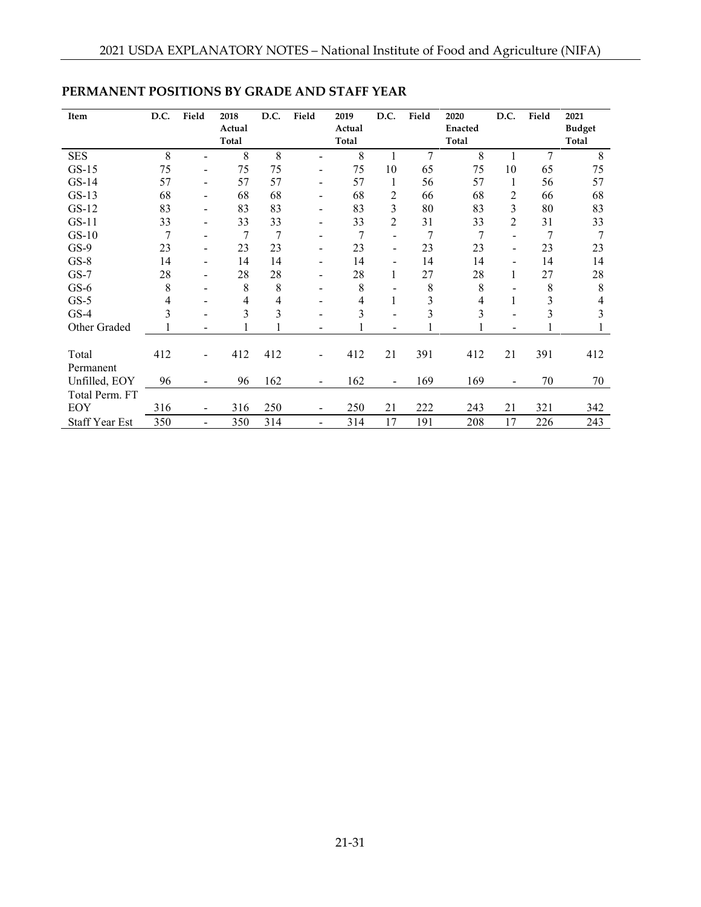| Item                  | D.C. | Field                    | 2018   | D.C. | Field                    | 2019   | D.C.                     | Field | 2020    | D.C.                     | Field | 2021          |
|-----------------------|------|--------------------------|--------|------|--------------------------|--------|--------------------------|-------|---------|--------------------------|-------|---------------|
|                       |      |                          | Actual |      |                          | Actual |                          |       | Enacted |                          |       | <b>Budget</b> |
|                       |      |                          | Total  |      |                          | Total  |                          |       | Total   |                          |       | Total         |
| <b>SES</b>            | 8    |                          | 8      | 8    |                          | 8      |                          | 7     | 8       |                          | 7     | 8             |
| $GS-15$               | 75   | ۰                        | 75     | 75   | $\overline{\phantom{a}}$ | 75     | 10                       | 65    | 75      | 10                       | 65    | 75            |
| $GS-14$               | 57   |                          | 57     | 57   | $\overline{\phantom{a}}$ | 57     | 1                        | 56    | 57      | 1                        | 56    | 57            |
| $GS-13$               | 68   | -                        | 68     | 68   | $\overline{\phantom{a}}$ | 68     | 2                        | 66    | 68      | $\overline{c}$           | 66    | 68            |
| $GS-12$               | 83   |                          | 83     | 83   | $\overline{\phantom{a}}$ | 83     | 3                        | 80    | 83      | 3                        | 80    | 83            |
| $GS-11$               | 33   |                          | 33     | 33   | $\overline{\phantom{a}}$ | 33     | $\overline{2}$           | 31    | 33      | $\overline{2}$           | 31    | 33            |
| $GS-10$               | 7    |                          | 7      | 7    | ÷                        | 7      |                          | 7     | 7       |                          | 7     | 7             |
| $GS-9$                | 23   | $\overline{\phantom{a}}$ | 23     | 23   | $\overline{\phantom{a}}$ | 23     | $\overline{\phantom{a}}$ | 23    | 23      | $\overline{\phantom{a}}$ | 23    | 23            |
| $GS-8$                | 14   | -                        | 14     | 14   | $\overline{\phantom{a}}$ | 14     | ۰                        | 14    | 14      | $\overline{\phantom{a}}$ | 14    | 14            |
| $GS-7$                | 28   |                          | 28     | 28   | $\overline{\phantom{a}}$ | 28     | 1                        | 27    | 28      | 1                        | 27    | 28            |
| $GS-6$                | 8    |                          | 8      | 8    |                          | 8      |                          | 8     | 8       |                          | 8     | 8             |
| $GS-5$                | 4    |                          | 4      | 4    |                          | 4      |                          | 3     | 4       |                          | 3     | 4             |
| $GS-4$                | 3    |                          | 3      | 3    |                          | 3      |                          | 3     | 3       |                          | 3     | 3             |
| Other Graded          |      |                          |        |      |                          |        |                          |       |         |                          |       |               |
|                       |      |                          |        |      |                          |        |                          |       |         |                          |       |               |
| Total                 | 412  |                          | 412    | 412  | $\blacksquare$           | 412    | 21                       | 391   | 412     | 21                       | 391   | 412           |
| Permanent             |      |                          |        |      |                          |        |                          |       |         |                          |       |               |
| Unfilled, EOY         | 96   |                          | 96     | 162  | $\blacksquare$           | 162    | $\blacksquare$           | 169   | 169     |                          | 70    | 70            |
| Total Perm. FT        |      |                          |        |      |                          |        |                          |       |         |                          |       |               |
| EOY                   | 316  |                          | 316    | 250  |                          | 250    | 21                       | 222   | 243     | 21                       | 321   | 342           |
| <b>Staff Year Est</b> | 350  | ÷                        | 350    | 314  | $\overline{a}$           | 314    | 17                       | 191   | 208     | 17                       | 226   | 243           |

# **PERMANENT POSITIONS BY GRADE AND STAFF YEAR**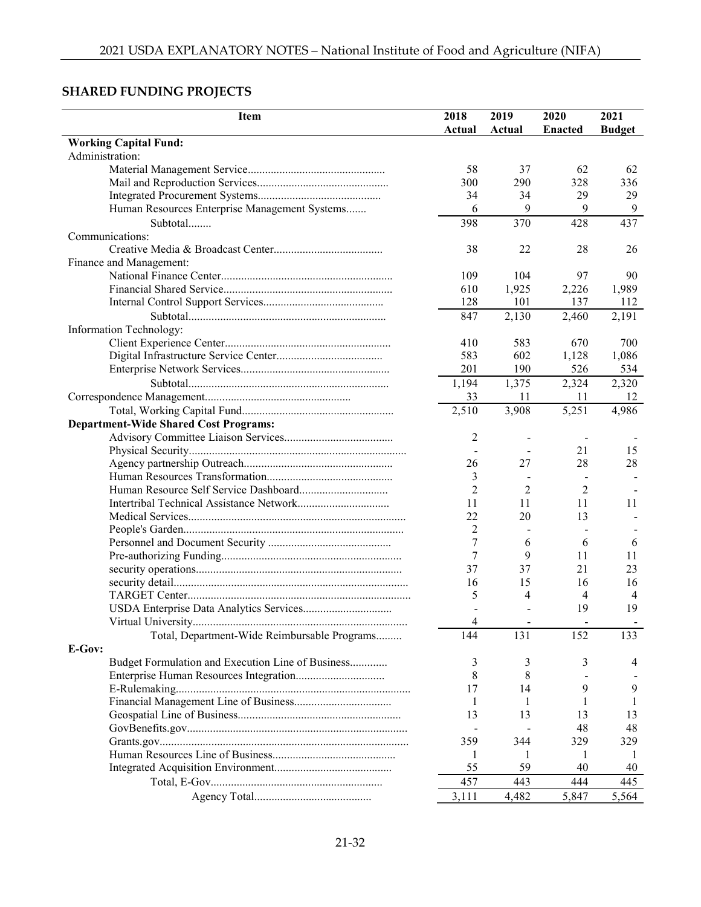# **SHARED FUNDING PROJECTS**

| <b>Item</b>                                       | 2018           | 2019   | 2020                     | 2021           |
|---------------------------------------------------|----------------|--------|--------------------------|----------------|
|                                                   | Actual         | Actual | <b>Enacted</b>           | <b>Budget</b>  |
| <b>Working Capital Fund:</b>                      |                |        |                          |                |
| Administration:                                   |                |        |                          |                |
|                                                   | 58             | 37     | 62                       | 62             |
|                                                   | 300            | 290    | 328                      | 336            |
|                                                   | 34             | 34     | 29                       | 29             |
| Human Resources Enterprise Management Systems     | 6              | 9      | 9                        | 9              |
| Subtotal                                          | 398            | 370    | 428                      | 437            |
| Communications:                                   |                |        |                          |                |
|                                                   | 38             | 22     | 28                       | 26             |
| Finance and Management:                           |                |        |                          |                |
|                                                   | 109            | 104    | 97                       | 90             |
|                                                   | 610            | 1,925  | 2,226                    | 1,989          |
|                                                   | 128            | 101    | 137                      | 112            |
|                                                   | 847            | 2,130  | 2,460                    | 2,191          |
| Information Technology:                           |                |        |                          |                |
|                                                   | 410            | 583    | 670                      | 700            |
|                                                   | 583            | 602    | 1,128                    | 1,086          |
|                                                   | 201            | 190    | 526                      | 534            |
|                                                   |                |        |                          |                |
|                                                   | 1,194          | 1,375  | 2,324                    | 2,320          |
|                                                   | 33             | 11     | 11                       | 12             |
|                                                   | 2,510          | 3,908  | 5,251                    | 4,986          |
| <b>Department-Wide Shared Cost Programs:</b>      |                |        |                          |                |
|                                                   | 2              |        | $\overline{\phantom{a}}$ |                |
|                                                   |                |        | 21                       | 15             |
|                                                   | 26             | 27     | 28                       | 28             |
|                                                   | 3              |        |                          |                |
|                                                   | $\overline{2}$ | 2      | 2                        |                |
|                                                   | 11             | 11     | 11                       | 11             |
|                                                   | 22             | 20     | 13                       |                |
|                                                   | 2              |        |                          |                |
|                                                   | 7              | 6      | 6                        | 6              |
|                                                   | 7              | 9      | 11                       | 11             |
|                                                   | 37             | 37     | 21                       | 23             |
|                                                   | 16             | 15     | 16                       | 16             |
|                                                   | 5              | 4      | 4                        | $\overline{4}$ |
|                                                   |                |        | 19                       | 19             |
|                                                   | 4              |        |                          |                |
| Total, Department-Wide Reimbursable Programs      | 144            | 131    | 152                      | 133            |
| E-Gov:                                            |                |        |                          |                |
| Budget Formulation and Execution Line of Business | 3              | 3      | 3                        | 4              |
|                                                   | 8              | 8      |                          |                |
|                                                   | 17             | 14     | 9                        | 9              |
|                                                   |                |        | 1                        |                |
|                                                   | 13             | 13     | 13                       | 13             |
|                                                   |                |        | 48                       | 48             |
|                                                   | 359            | 344    | 329                      | 329            |
|                                                   | 1              |        | 1                        |                |
|                                                   | 55             | 59     | 40                       | 40             |
|                                                   | 457            | 443    | 444                      | 445            |
|                                                   | 3,111          | 4,482  | 5,847                    | 5,564          |
|                                                   |                |        |                          |                |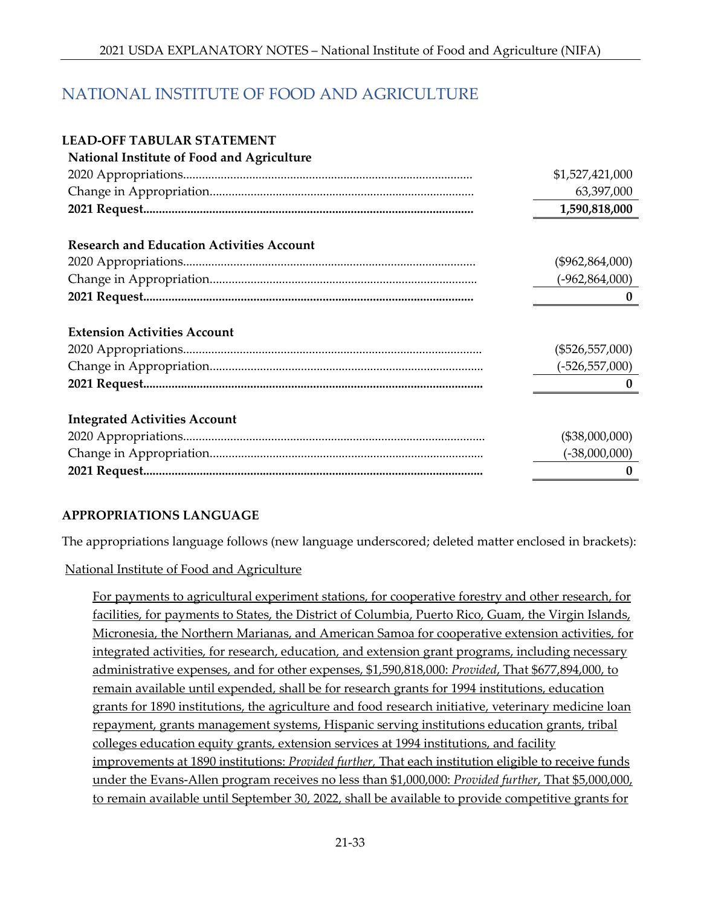# NATIONAL INSTITUTE OF FOOD AND AGRICULTURE

#### **LEAD-OFF TABULAR STATEMENT National Institute of Food and Agriculture**

| National Institute of Food and Agriculture       |                    |
|--------------------------------------------------|--------------------|
|                                                  | \$1,527,421,000    |
|                                                  | 63,397,000         |
|                                                  | 1,590,818,000      |
|                                                  |                    |
| <b>Research and Education Activities Account</b> |                    |
|                                                  | $(\$962,864,000)$  |
|                                                  | $(-962, 864, 000)$ |
|                                                  | $\mathbf{0}$       |
|                                                  |                    |
| <b>Extension Activities Account</b>              |                    |
|                                                  | $(\$526,557,000)$  |
|                                                  | $(-526, 557, 000)$ |
|                                                  | $\mathbf{0}$       |
|                                                  |                    |
| <b>Integrated Activities Account</b>             |                    |
|                                                  | (\$38,000,000)     |
|                                                  | $(-38,000,000)$    |
|                                                  | $\mathbf{0}$       |
|                                                  |                    |

#### **APPROPRIATIONS LANGUAGE**

The appropriations language follows (new language underscored; deleted matter enclosed in brackets):

National Institute of Food and Agriculture

For payments to agricultural experiment stations, for cooperative forestry and other research, for facilities, for payments to States, the District of Columbia, Puerto Rico, Guam, the Virgin Islands, Micronesia, the Northern Marianas, and American Samoa for cooperative extension activities, for integrated activities, for research, education, and extension grant programs, including necessary administrative expenses, and for other expenses, \$1,590,818,000: *Provided*, That \$677,894,000, to remain available until expended, shall be for research grants for 1994 institutions, education grants for 1890 institutions, the agriculture and food research initiative, veterinary medicine loan repayment, grants management systems, Hispanic serving institutions education grants, tribal colleges education equity grants, extension services at 1994 institutions, and facility improvements at 1890 institutions: *Provided further,* That each institution eligible to receive funds under the Evans-Allen program receives no less than \$1,000,000: *Provided further*, That \$5,000,000, to remain available until September 30, 2022, shall be available to provide competitive grants for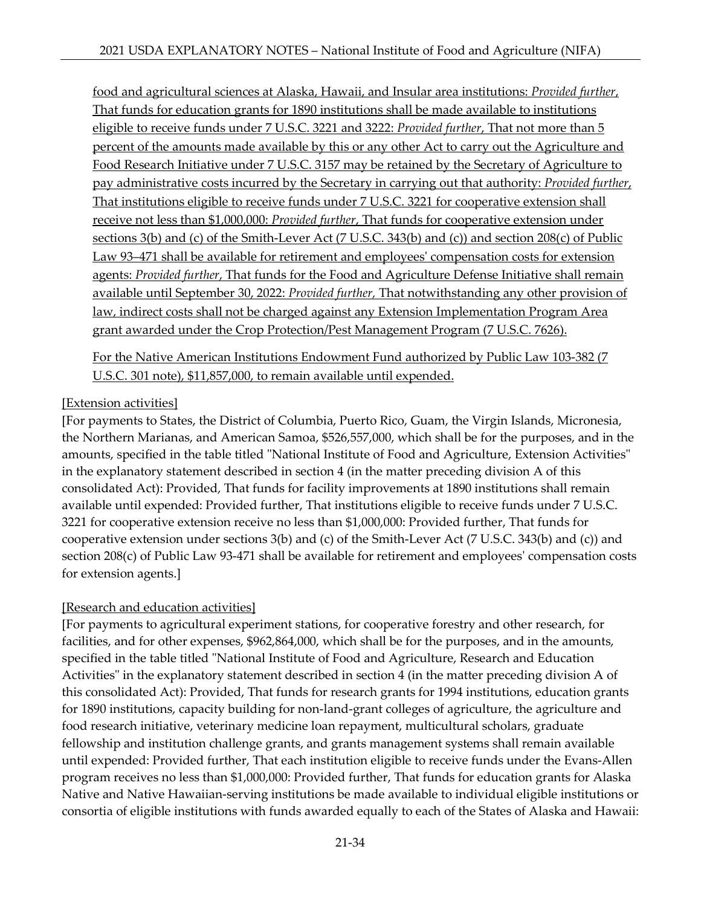food and agricultural sciences at Alaska, Hawaii, and Insular area institutions: *Provided further*, That funds for education grants for 1890 institutions shall be made available to institutions eligible to receive funds under 7 U.S.C. 3221 and 3222: *Provided further*, That not more than 5 percent of the amounts made available by this or any other Act to carry out the Agriculture and Food Research Initiative under 7 U.S.C. 3157 may be retained by the Secretary of Agriculture to pay administrative costs incurred by the Secretary in carrying out that authority: *Provided further*, That institutions eligible to receive funds under 7 U.S.C. 3221 for cooperative extension shall receive not less than \$1,000,000: *Provided further*, That funds for cooperative extension under sections 3(b) and (c) of the Smith-Lever Act (7 U.S.C. 343(b) and (c)) and section 208(c) of Public Law 93–471 shall be available for retirement and employees' compensation costs for extension agents: *Provided further*, That funds for the Food and Agriculture Defense Initiative shall remain available until September 30, 2022: *Provided further,* That notwithstanding any other provision of law, indirect costs shall not be charged against any Extension Implementation Program Area grant awarded under the Crop Protection/Pest Management Program (7 U.S.C. 7626).

For the Native American Institutions Endowment Fund authorized by Public Law 103-382 (7 U.S.C. 301 note), \$11,857,000, to remain available until expended.

#### [Extension activities]

[For payments to States, the District of Columbia, Puerto Rico, Guam, the Virgin Islands, Micronesia, the Northern Marianas, and American Samoa, \$526,557,000, which shall be for the purposes, and in the amounts, specified in the table titled "National Institute of Food and Agriculture, Extension Activities" in the explanatory statement described in section 4 (in the matter preceding division A of this consolidated Act): Provided, That funds for facility improvements at 1890 institutions shall remain available until expended: Provided further, That institutions eligible to receive funds under 7 U.S.C. 3221 for cooperative extension receive no less than \$1,000,000: Provided further, That funds for cooperative extension under sections 3(b) and (c) of the Smith-Lever Act (7 U.S.C. 343(b) and (c)) and section 208(c) of Public Law 93-471 shall be available for retirement and employees' compensation costs for extension agents.]

#### [Research and education activities]

[For payments to agricultural experiment stations, for cooperative forestry and other research, for facilities, and for other expenses, \$962,864,000, which shall be for the purposes, and in the amounts, specified in the table titled "National Institute of Food and Agriculture, Research and Education Activities" in the explanatory statement described in section 4 (in the matter preceding division A of this consolidated Act): Provided, That funds for research grants for 1994 institutions, education grants for 1890 institutions, capacity building for non-land-grant colleges of agriculture, the agriculture and food research initiative, veterinary medicine loan repayment, multicultural scholars, graduate fellowship and institution challenge grants, and grants management systems shall remain available until expended: Provided further, That each institution eligible to receive funds under the Evans-Allen program receives no less than \$1,000,000: Provided further, That funds for education grants for Alaska Native and Native Hawaiian-serving institutions be made available to individual eligible institutions or consortia of eligible institutions with funds awarded equally to each of the States of Alaska and Hawaii: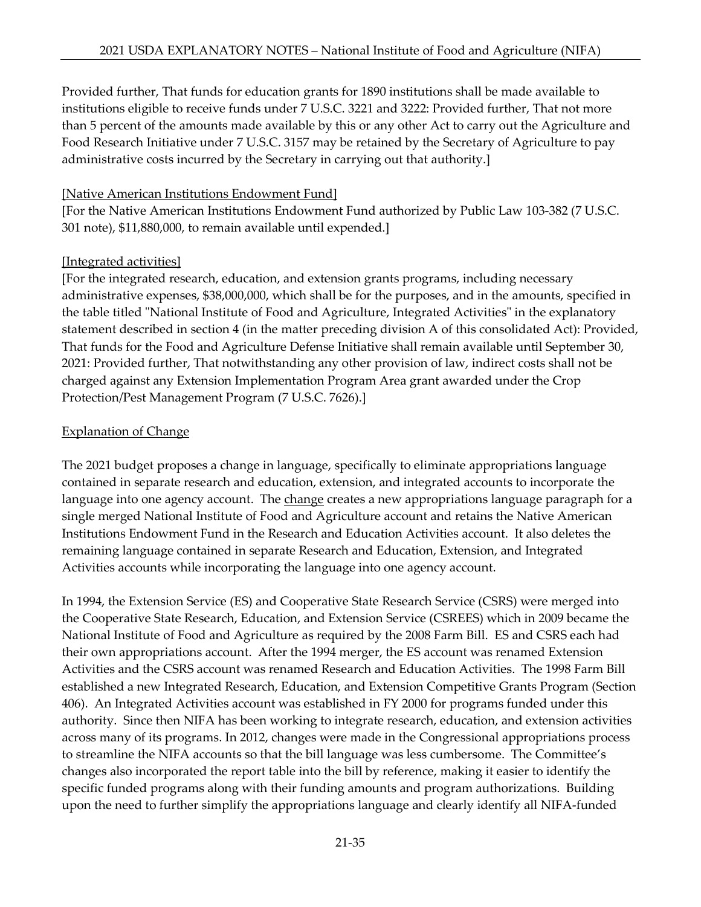Provided further, That funds for education grants for 1890 institutions shall be made available to institutions eligible to receive funds under 7 U.S.C. 3221 and 3222: Provided further, That not more than 5 percent of the amounts made available by this or any other Act to carry out the Agriculture and Food Research Initiative under 7 U.S.C. 3157 may be retained by the Secretary of Agriculture to pay administrative costs incurred by the Secretary in carrying out that authority.]

#### [Native American Institutions Endowment Fund]

[For the Native American Institutions Endowment Fund authorized by Public Law 103-382 (7 U.S.C. 301 note), \$11,880,000, to remain available until expended.]

### [Integrated activities]

[For the integrated research, education, and extension grants programs, including necessary administrative expenses, \$38,000,000, which shall be for the purposes, and in the amounts, specified in the table titled "National Institute of Food and Agriculture, Integrated Activities" in the explanatory statement described in section 4 (in the matter preceding division A of this consolidated Act): Provided, That funds for the Food and Agriculture Defense Initiative shall remain available until September 30, 2021: Provided further, That notwithstanding any other provision of law, indirect costs shall not be charged against any Extension Implementation Program Area grant awarded under the Crop Protection/Pest Management Program (7 U.S.C. 7626).]

#### Explanation of Change

The 2021 budget proposes a change in language, specifically to eliminate appropriations language contained in separate research and education, extension, and integrated accounts to incorporate the language into one agency account. The change creates a new appropriations language paragraph for a single merged National Institute of Food and Agriculture account and retains the Native American Institutions Endowment Fund in the Research and Education Activities account. It also deletes the remaining language contained in separate Research and Education, Extension, and Integrated Activities accounts while incorporating the language into one agency account.

In 1994, the Extension Service (ES) and Cooperative State Research Service (CSRS) were merged into the Cooperative State Research, Education, and Extension Service (CSREES) which in 2009 became the National Institute of Food and Agriculture as required by the 2008 Farm Bill. ES and CSRS each had their own appropriations account. After the 1994 merger, the ES account was renamed Extension Activities and the CSRS account was renamed Research and Education Activities. The 1998 Farm Bill established a new Integrated Research, Education, and Extension Competitive Grants Program (Section 406). An Integrated Activities account was established in FY 2000 for programs funded under this authority. Since then NIFA has been working to integrate research, education, and extension activities across many of its programs. In 2012, changes were made in the Congressional appropriations process to streamline the NIFA accounts so that the bill language was less cumbersome. The Committee's changes also incorporated the report table into the bill by reference, making it easier to identify the specific funded programs along with their funding amounts and program authorizations. Building upon the need to further simplify the appropriations language and clearly identify all NIFA-funded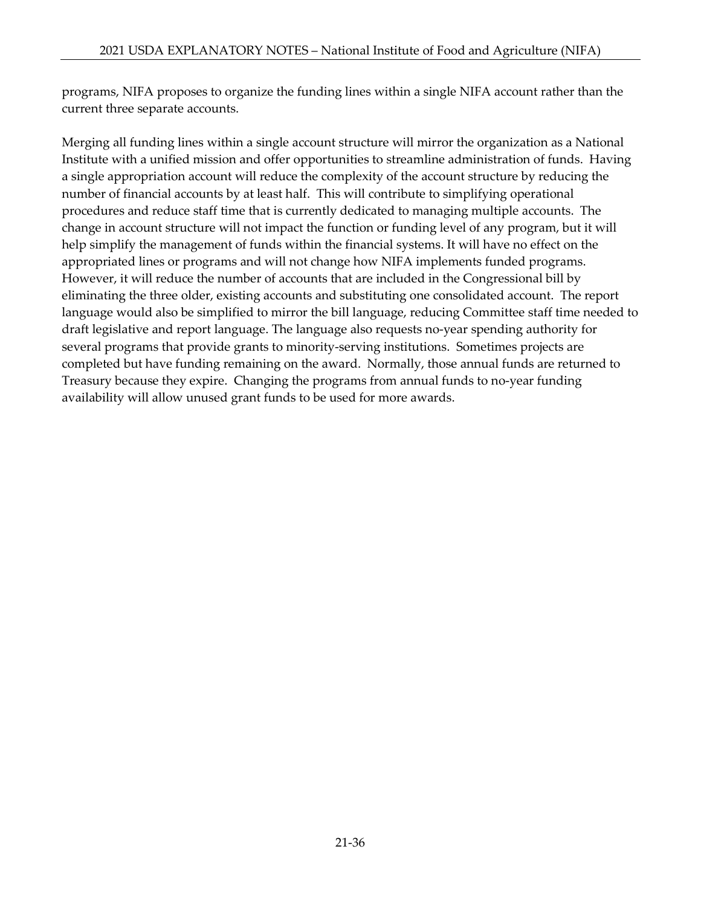programs, NIFA proposes to organize the funding lines within a single NIFA account rather than the current three separate accounts.

Merging all funding lines within a single account structure will mirror the organization as a National Institute with a unified mission and offer opportunities to streamline administration of funds. Having a single appropriation account will reduce the complexity of the account structure by reducing the number of financial accounts by at least half. This will contribute to simplifying operational procedures and reduce staff time that is currently dedicated to managing multiple accounts. The change in account structure will not impact the function or funding level of any program, but it will help simplify the management of funds within the financial systems. It will have no effect on the appropriated lines or programs and will not change how NIFA implements funded programs. However, it will reduce the number of accounts that are included in the Congressional bill by eliminating the three older, existing accounts and substituting one consolidated account. The report language would also be simplified to mirror the bill language, reducing Committee staff time needed to draft legislative and report language. The language also requests no-year spending authority for several programs that provide grants to minority-serving institutions. Sometimes projects are completed but have funding remaining on the award. Normally, those annual funds are returned to Treasury because they expire. Changing the programs from annual funds to no-year funding availability will allow unused grant funds to be used for more awards.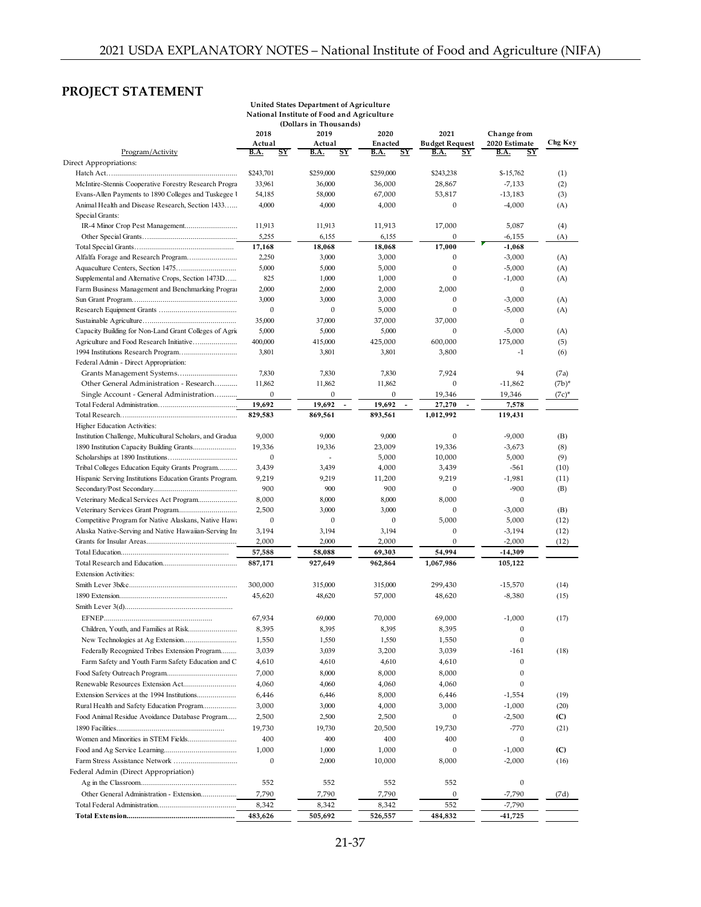# **PROJECT STATEMENT**

|                                                                     |                          | United States Department of Agriculture    |                          |                                    |                          |          |
|---------------------------------------------------------------------|--------------------------|--------------------------------------------|--------------------------|------------------------------------|--------------------------|----------|
|                                                                     |                          | National Institute of Food and Agriculture |                          |                                    |                          |          |
|                                                                     |                          | (Dollars in Thousands)                     |                          |                                    |                          |          |
|                                                                     | 2018                     | 2019                                       | 2020                     | 2021                               | Change from              |          |
|                                                                     | Actual                   | Actual                                     | Enacted                  | <b>Budget Request</b>              | 2020 Estimate            | Chg Key  |
| Program/Activity                                                    | <b>B.A.</b><br><u>SY</u> | <b>B.A.</b><br><u>sy</u>                   | <b>B.A.</b><br><u>SY</u> | <u>sy</u><br><b>B.A.</b>           | <b>B.A.</b><br><u>SY</u> |          |
| Direct Appropriations:                                              | \$243,701                |                                            |                          |                                    |                          |          |
|                                                                     |                          | \$259,000                                  | \$259,000                | \$243,238                          | $$-15,762$               | (1)      |
| McIntire-Stennis Cooperative Forestry Research Progra               | 33.961                   | 36,000                                     | 36,000                   | 28,867                             | $-7,133$                 | (2)      |
| Evans-Allen Payments to 1890 Colleges and Tuskegee I                | 54,185                   | 58,000                                     | 67,000                   | 53,817<br>$\mathbf{0}$             | $-13,183$                | (3)      |
| Animal Health and Disease Research, Section 1433<br>Special Grants: | 4,000                    | 4,000                                      | 4,000                    |                                    | $-4,000$                 | (A)      |
|                                                                     | 11,913                   | 11,913                                     | 11,913                   | 17,000                             | 5,087                    | (4)      |
|                                                                     | 5,255                    | 6,155                                      | 6,155                    | 0                                  | $-6,155$                 | (A)      |
|                                                                     | 17,168                   | 18,068                                     | 18,068                   | 17,000                             | $-1,068$                 |          |
| Alfalfa Forage and Research Program                                 | 2,250                    | 3,000                                      | 3,000                    | 0                                  | $-3,000$                 | (A)      |
|                                                                     | 5,000                    | 5,000                                      | 5,000                    | $\theta$                           | $-5,000$                 | (A)      |
| Supplemental and Alternative Crops, Section 1473D                   | 825                      | 1,000                                      | 1,000                    | $\mathbf{0}$                       | $-1,000$                 | (A)      |
| Farm Business Management and Benchmarking Program                   | 2,000                    | 2,000                                      | 2,000                    | 2,000                              | $\mathbf{0}$             |          |
|                                                                     | 3,000                    | 3,000                                      | 3,000                    | $\mathbf{0}$                       | $-3,000$                 | (A)      |
|                                                                     | $\boldsymbol{0}$         | $\boldsymbol{0}$                           | 5,000                    | $\boldsymbol{0}$                   | $-5,000$                 | (A)      |
|                                                                     | 35,000                   | 37,000                                     | 37,000                   | 37,000                             | $\boldsymbol{0}$         |          |
| Capacity Building for Non-Land Grant Colleges of Agric              | 5,000                    | 5,000                                      | 5,000                    | $\mathbf{0}$                       | $-5,000$                 | (A)      |
| Agriculture and Food Research Initiative                            | 400,000                  | 415,000                                    | 425,000                  | 600,000                            | 175,000                  | (5)      |
| 1994 Institutions Research Program                                  | 3,801                    | 3,801                                      | 3,801                    | 3,800                              | $-1$                     | (6)      |
| Federal Admin - Direct Appropriation:                               |                          |                                            |                          |                                    |                          |          |
|                                                                     | 7,830                    | 7,830                                      | 7,830                    | 7,924                              | 94                       | (7a)     |
| Other General Administration - Research                             | 11,862                   | 11,862                                     | 11,862                   | $\mathbf{0}$                       | $-11,862$                | $(7b)^*$ |
| Single Account - General Administration                             | $\boldsymbol{0}$         | $\boldsymbol{0}$                           | $\boldsymbol{0}$         | 19,346                             | 19,346                   | $(7c)^*$ |
|                                                                     | 19,692                   | 19,692<br>$\overline{\phantom{a}}$         | 19,692<br>$\sim$         | 27,270<br>$\overline{\phantom{a}}$ | 7,578                    |          |
|                                                                     | 829,583                  | 869,561                                    | 893,561                  | 1,012,992                          | 119,431                  |          |
| Higher Education Activities:                                        |                          |                                            |                          |                                    |                          |          |
| Institution Challenge, Multicultural Scholars, and Gradua           | 9,000                    | 9,000                                      | 9,000                    | $\mathbf{0}$                       | $-9,000$                 | (B)      |
|                                                                     | 19,336                   | 19,336                                     | 23,009                   | 19,336                             | $-3,673$                 | (8)      |
|                                                                     | $\boldsymbol{0}$         | ÷,                                         | 5,000                    | 10,000                             | 5,000                    | (9)      |
| Tribal Colleges Education Equity Grants Program                     | 3,439                    | 3,439                                      | 4,000                    | 3,439                              | $-561$                   | (10)     |
| Hispanic Serving Institutions Education Grants Program.             | 9,219                    | 9,219                                      | 11,200                   | 9,219                              | $-1,981$                 | (11)     |
|                                                                     | 900                      | 900                                        | 900                      | $\boldsymbol{0}$                   | $-900$                   | (B)      |
| Veterinary Medical Services Act Program                             | 8,000                    | 8,000                                      | 8,000                    | 8,000                              | $\mathbf{0}$             |          |
| Veterinary Services Grant Program                                   | 2,500                    | 3,000                                      | 3,000                    | $\mathbf{0}$                       | $-3,000$                 | (B)      |
| Competitive Program for Native Alaskans, Native Hawa                | $\mathbf{0}$             | $\mathbf{0}$                               | $\mathbf{0}$             | 5,000                              | 5,000                    | (12)     |
| Alaska Native-Serving and Native Hawaiian-Serving Ins               | 3,194                    | 3,194                                      | 3,194                    | $\mathbf{0}$                       | $-3,194$                 | (12)     |
|                                                                     | 2,000                    | 2,000                                      | 2,000                    | $\mathbf{0}$                       | $-2,000$                 | (12)     |
|                                                                     | 57,588                   | 58,088                                     | 69,303                   | 54,994                             | $-14,309$                |          |
|                                                                     | 887,171                  | 927,649                                    | 962,864                  | 1,067,986                          | 105,122                  |          |
| <b>Extension Activities:</b>                                        |                          |                                            |                          |                                    |                          |          |
|                                                                     | 300,000                  | 315,000                                    | 315,000                  | 299,430                            | $-15,570$                | (14)     |
|                                                                     | 45,620                   | 48,620                                     | 57,000                   | 48,620                             | $-8,380$                 | (15)     |
|                                                                     |                          |                                            |                          |                                    |                          |          |
|                                                                     | 67,934                   | 69,000                                     | 70,000                   | 69,000                             | $-1,000$                 | (17)     |
|                                                                     | 8,395                    | 8,395                                      | 8,395                    | 8,395                              | $\mathbf{0}$             |          |
| New Technologies at Ag Extension                                    | 1,550                    | 1,550                                      | 1,550                    | 1,550                              | $\boldsymbol{0}$         |          |
| Federally Recognized Tribes Extension Program                       | 3,039                    | 3,039                                      | 3,200                    | 3,039                              | $-161$                   | (18)     |
| Farm Safety and Youth Farm Safety Education and C                   | 4,610                    | 4,610                                      | 4,610                    | 4,610                              | $\mathbf{0}$             |          |
|                                                                     | 7,000                    | 8,000                                      | 8,000                    | 8,000                              | $\boldsymbol{0}$         |          |
| Renewable Resources Extension Act                                   | 4,060                    | 4,060                                      | 4,060                    | 4,060                              | $\boldsymbol{0}$         |          |
| Extension Services at the 1994 Institutions                         | 6,446                    | 6,446                                      | 8,000                    | 6,446                              | $-1,554$                 | (19)     |
| Rural Health and Safety Education Program                           | 3,000                    | 3,000                                      | 4,000                    | 3,000                              | $-1,000$                 | (20)     |
| Food Animal Residue Avoidance Database Program                      | 2,500                    | 2,500                                      | 2,500                    | $\boldsymbol{0}$                   | $-2,500$                 | (C)      |
|                                                                     | 19,730                   | 19,730                                     | 20,500                   | 19,730                             | $-770$                   | (21)     |
| Women and Minorities in STEM Fields                                 | 400                      | 400                                        | 400                      | 400                                | $\boldsymbol{0}$         |          |
|                                                                     | 1,000                    |                                            |                          | $\boldsymbol{0}$                   |                          |          |
|                                                                     |                          | 1,000                                      | 1,000                    |                                    | $-1,000$                 | (C)      |
|                                                                     | $\boldsymbol{0}$         | 2,000                                      | 10,000                   | 8,000                              | $-2,000$                 | (16)     |
| Federal Admin (Direct Appropriation)                                |                          |                                            |                          |                                    |                          |          |
|                                                                     | 552                      | 552                                        | 552                      | 552                                | $\boldsymbol{0}$         |          |
|                                                                     | 7,790                    | 7,790                                      | 7,790                    | $\boldsymbol{0}$                   | $-7,790$                 | (7d)     |
|                                                                     | 8,342                    | 8,342                                      | 8,342                    | 552                                | $-7,790$                 |          |
|                                                                     | 483,626                  | 505,692                                    | 526,557                  | 484,832                            | -41,725                  |          |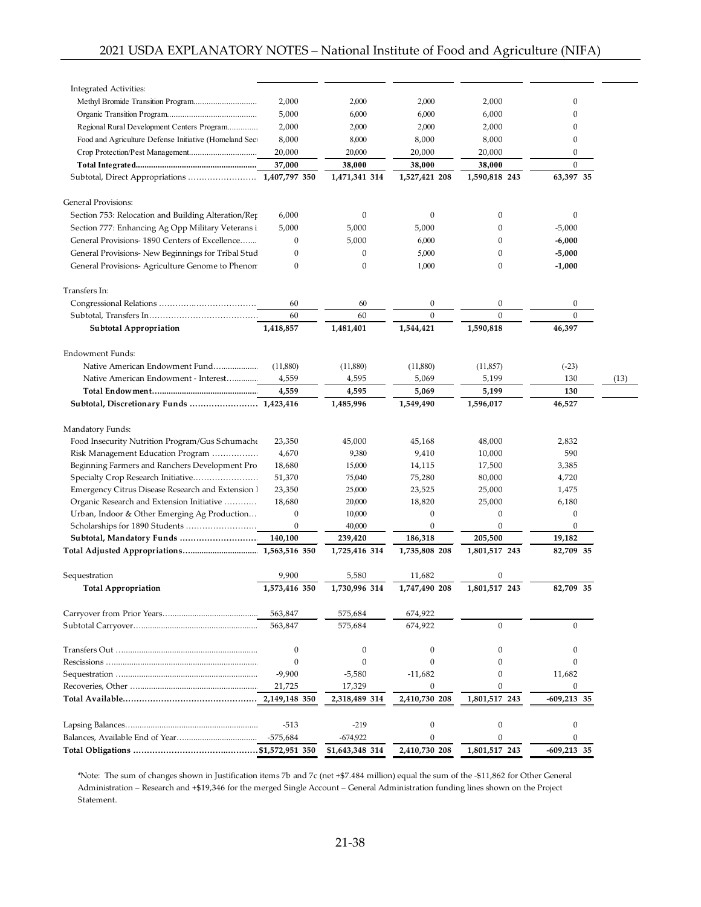| Integrated Activities:                                |                  |                  |                  |                  |                  |      |
|-------------------------------------------------------|------------------|------------------|------------------|------------------|------------------|------|
|                                                       | 2,000            | 2,000            | 2,000            | 2,000            | $\boldsymbol{0}$ |      |
|                                                       | 5,000            | 6,000            | 6,000            | 6,000            | $\boldsymbol{0}$ |      |
| Regional Rural Development Centers Program            | 2,000            | 2,000            | 2,000            | 2,000            | $\mathbf{0}$     |      |
| Food and Agriculture Defense Initiative (Homeland Sec | 8,000            | 8,000            | 8,000            | 8,000            | $\boldsymbol{0}$ |      |
|                                                       | 20,000           | 20,000           | 20,000           | 20,000           | 0                |      |
|                                                       | 37,000           | 38,000           | 38,000           | 38,000           | $\mathbf{0}$     |      |
|                                                       |                  | 1,471,341 314    | 1,527,421 208    | 1,590,818 243    | 63,397 35        |      |
| <b>General Provisions:</b>                            |                  |                  |                  |                  |                  |      |
| Section 753: Relocation and Building Alteration/Rep   | 6,000            | $\boldsymbol{0}$ | $\boldsymbol{0}$ | $\boldsymbol{0}$ | $\mathbf{0}$     |      |
| Section 777: Enhancing Ag Opp Military Veterans i     | 5,000            | 5,000            | 5,000            | 0                | $-5,000$         |      |
| General Provisions-1890 Centers of Excellence         | 0                | 5,000            | 6,000            | $\Omega$         | $-6,000$         |      |
| General Provisions- New Beginnings for Tribal Stud    | $\boldsymbol{0}$ | $\boldsymbol{0}$ | 5,000            | $\mathbf{0}$     | $-5,000$         |      |
| General Provisions- Agriculture Genome to Phenon      | $\boldsymbol{0}$ | $\boldsymbol{0}$ | 1,000            | 0                | $-1,000$         |      |
| Transfers In:                                         |                  |                  |                  |                  |                  |      |
|                                                       | 60               | 60               | $\boldsymbol{0}$ | 0                | $\mathbf{0}$     |      |
|                                                       | 60               | 60               | $\mathbf{0}$     | $\mathbf{0}$     | $\mathbf{0}$     |      |
| <b>Subtotal Appropriation</b>                         | 1,418,857        | 1,481,401        | 1,544,421        | 1,590,818        | 46,397           |      |
| Endowment Funds:                                      |                  |                  |                  |                  |                  |      |
| Native American Endowment Fund                        | (11,880)         | (11,880)         | (11,880)         | (11, 857)        | $(-23)$          |      |
| Native American Endowment - Interest                  | 4,559            | 4,595            | 5,069            | 5,199            | 130              | (13) |
|                                                       | 4,559            | 4,595            | 5,069            | 5,199            | 130              |      |
|                                                       |                  | 1,485,996        | 1,549,490        | 1,596,017        | 46,527           |      |
|                                                       |                  |                  |                  |                  |                  |      |
| Mandatory Funds:                                      |                  |                  |                  |                  |                  |      |
| Food Insecurity Nutrition Program/Gus Schumache       | 23,350           | 45,000           | 45,168           | 48,000           | 2,832            |      |
| Risk Management Education Program                     | 4,670            | 9,380            | 9,410            | 10,000           | 590              |      |
| Beginning Farmers and Ranchers Development Pro        | 18,680           | 15,000           | 14,115           | 17,500           | 3,385            |      |
| Specialty Crop Research Initiative                    | 51,370           | 75,040           | 75,280           | 80,000           | 4,720            |      |
| Emergency Citrus Disease Research and Extension I     | 23,350           | 25,000           | 23,525           | 25,000           | 1,475            |      |
| Organic Research and Extension Initiative             | 18,680           | 20,000           | 18,820           | 25,000           | 6,180            |      |
| Urban, Indoor & Other Emerging Ag Production          | $\boldsymbol{0}$ | 10,000           | $\boldsymbol{0}$ | $\boldsymbol{0}$ | $\boldsymbol{0}$ |      |
| Scholarships for 1890 Students                        | $\mathbf{0}$     | 40,000           | $\mathbf{0}$     | $\boldsymbol{0}$ | $\mathbf{0}$     |      |
| Subtotal, Mandatory Funds                             | 140,100          | 239,420          | 186,318          | 205,500          | 19,182           |      |
|                                                       | 1,563,516 350    | 1,725,416 314    | 1,735,808 208    | 1,801,517 243    | 82,709 35        |      |
| Sequestration                                         | 9,900            | 5,580            | 11,682           | $\boldsymbol{0}$ |                  |      |
| <b>Total Appropriation</b>                            | 1,573,416 350    | 1,730,996 314    | 1,747,490 208    | 1,801,517 243    | 82,709 35        |      |
|                                                       | 563,847          | 575,684          | 674,922          |                  |                  |      |
|                                                       | 563,847          | 575,684          | 674,922          | $\Omega$         | $\Omega$         |      |
|                                                       | $\mathbf{0}$     | $\boldsymbol{0}$ | $\boldsymbol{0}$ | $\Omega$         | $\theta$         |      |
|                                                       | $\boldsymbol{0}$ | $\mathbf{0}$     | $\boldsymbol{0}$ |                  | $\Omega$         |      |
|                                                       | $-9,900$         | $-5,580$         | $-11,682$        | O                | 11,682           |      |
|                                                       | 21,725           | 17,329           | 0                | $\Omega$         | $\boldsymbol{0}$ |      |
|                                                       |                  | 2,318,489 314    | 2,410,730 208    | 1,801,517 243    | -609,213 35      |      |
|                                                       | $-513$           | $-219$           | $\boldsymbol{0}$ | $\boldsymbol{0}$ | $\boldsymbol{0}$ |      |
|                                                       | $-575,684$       | $-674,922$       | $\boldsymbol{0}$ | $\mathbf{0}$     | $\boldsymbol{0}$ |      |
|                                                       |                  | \$1,643,348 314  | 2,410,730 208    | 1,801,517 243    | $-609,213$ 35    |      |

\*Note: The sum of changes shown in Justification items 7b and 7c (net +\$7.484 million) equal the sum of the -\$11,862 for Other General Administration – Research and +\$19,346 for the merged Single Account – General Administration funding lines shown on the Project Statement.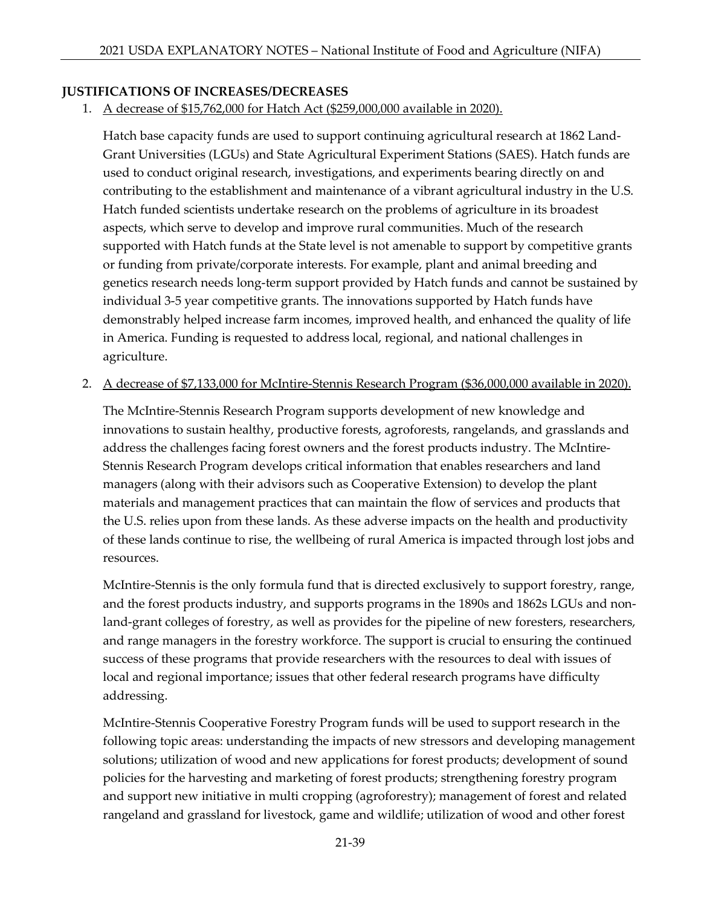## **JUSTIFICATIONS OF INCREASES/DECREASES**

1. A decrease of \$15,762,000 for Hatch Act (\$259,000,000 available in 2020).

Hatch base capacity funds are used to support continuing agricultural research at 1862 Land-Grant Universities (LGUs) and State Agricultural Experiment Stations (SAES). Hatch funds are used to conduct original research, investigations, and experiments bearing directly on and contributing to the establishment and maintenance of a vibrant agricultural industry in the U.S. Hatch funded scientists undertake research on the problems of agriculture in its broadest aspects, which serve to develop and improve rural communities. Much of the research supported with Hatch funds at the State level is not amenable to support by competitive grants or funding from private/corporate interests. For example, plant and animal breeding and genetics research needs long-term support provided by Hatch funds and cannot be sustained by individual 3-5 year competitive grants. The innovations supported by Hatch funds have demonstrably helped increase farm incomes, improved health, and enhanced the quality of life in America. Funding is requested to address local, regional, and national challenges in agriculture.

## 2. A decrease of \$7,133,000 for McIntire-Stennis Research Program (\$36,000,000 available in 2020).

The McIntire-Stennis Research Program supports development of new knowledge and innovations to sustain healthy, productive forests, agroforests, rangelands, and grasslands and address the challenges facing forest owners and the forest products industry. The McIntire-Stennis Research Program develops critical information that enables researchers and land managers (along with their advisors such as Cooperative Extension) to develop the plant materials and management practices that can maintain the flow of services and products that the U.S. relies upon from these lands. As these adverse impacts on the health and productivity of these lands continue to rise, the wellbeing of rural America is impacted through lost jobs and resources.

McIntire-Stennis is the only formula fund that is directed exclusively to support forestry, range, and the forest products industry, and supports programs in the 1890s and 1862s LGUs and nonland-grant colleges of forestry, as well as provides for the pipeline of new foresters, researchers, and range managers in the forestry workforce. The support is crucial to ensuring the continued success of these programs that provide researchers with the resources to deal with issues of local and regional importance; issues that other federal research programs have difficulty addressing.

McIntire-Stennis Cooperative Forestry Program funds will be used to support research in the following topic areas: understanding the impacts of new stressors and developing management solutions; utilization of wood and new applications for forest products; development of sound policies for the harvesting and marketing of forest products; strengthening forestry program and support new initiative in multi cropping (agroforestry); management of forest and related rangeland and grassland for livestock, game and wildlife; utilization of wood and other forest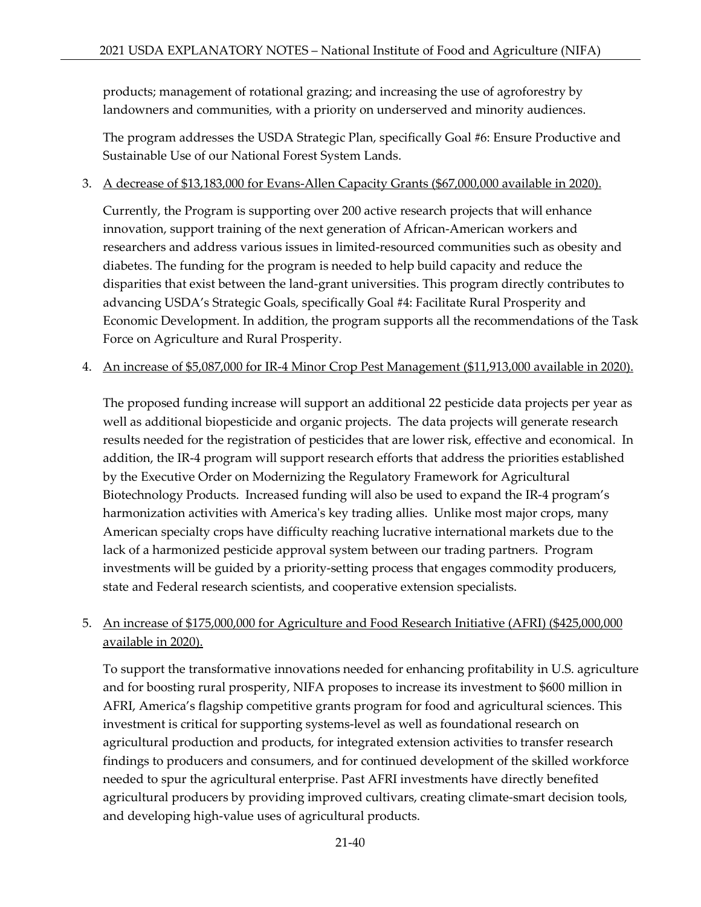products; management of rotational grazing; and increasing the use of agroforestry by landowners and communities, with a priority on underserved and minority audiences.

The program addresses the USDA Strategic Plan, specifically Goal #6: Ensure Productive and Sustainable Use of our National Forest System Lands.

## 3. A decrease of \$13,183,000 for Evans-Allen Capacity Grants (\$67,000,000 available in 2020).

Currently, the Program is supporting over 200 active research projects that will enhance innovation, support training of the next generation of African-American workers and researchers and address various issues in limited-resourced communities such as obesity and diabetes. The funding for the program is needed to help build capacity and reduce the disparities that exist between the land-grant universities. This program directly contributes to advancing USDA's Strategic Goals, specifically Goal #4: Facilitate Rural Prosperity and Economic Development. In addition, the program supports all the recommendations of the Task Force on Agriculture and Rural Prosperity.

4. An increase of \$5,087,000 for IR-4 Minor Crop Pest Management (\$11,913,000 available in 2020).

The proposed funding increase will support an additional 22 pesticide data projects per year as well as additional biopesticide and organic projects. The data projects will generate research results needed for the registration of pesticides that are lower risk, effective and economical. In addition, the IR-4 program will support research efforts that address the priorities established by the Executive Order on Modernizing the Regulatory Framework for Agricultural Biotechnology Products. Increased funding will also be used to expand the IR-4 program's harmonization activities with America's key trading allies. Unlike most major crops, many American specialty crops have difficulty reaching lucrative international markets due to the lack of a harmonized pesticide approval system between our trading partners. Program investments will be guided by a priority-setting process that engages commodity producers, state and Federal research scientists, and cooperative extension specialists.

# 5. An increase of \$175,000,000 for Agriculture and Food Research Initiative (AFRI) (\$425,000,000 available in 2020).

To support the transformative innovations needed for enhancing profitability in U.S. agriculture and for boosting rural prosperity, NIFA proposes to increase its investment to \$600 million in AFRI, America's flagship competitive grants program for food and agricultural sciences. This investment is critical for supporting systems-level as well as foundational research on agricultural production and products, for integrated extension activities to transfer research findings to producers and consumers, and for continued development of the skilled workforce needed to spur the agricultural enterprise. Past AFRI investments have directly benefited agricultural producers by providing improved cultivars, creating climate-smart decision tools, and developing high-value uses of agricultural products.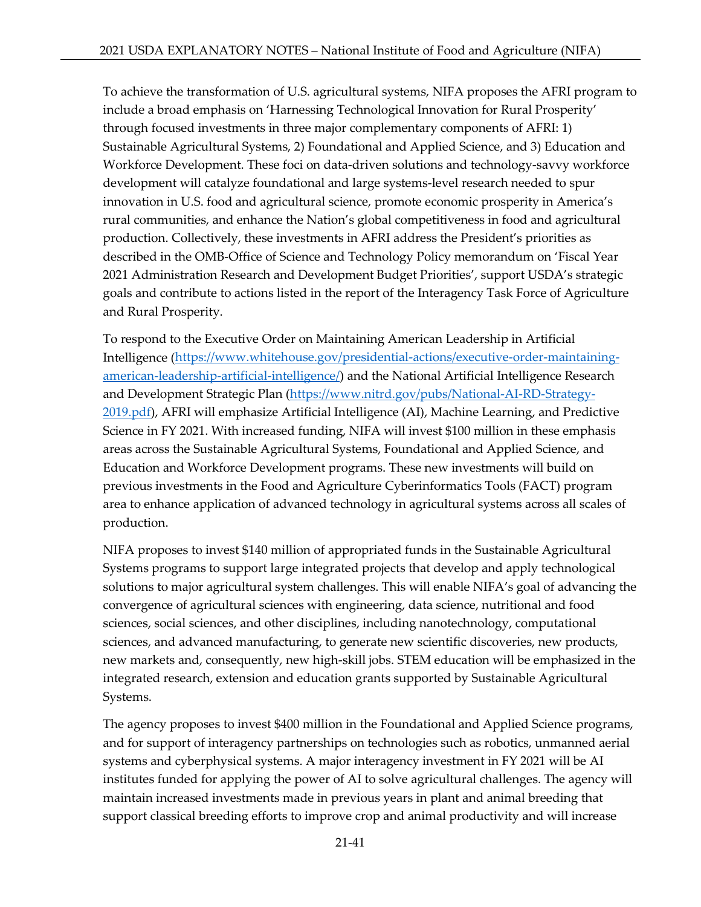To achieve the transformation of U.S. agricultural systems, NIFA proposes the AFRI program to include a broad emphasis on 'Harnessing Technological Innovation for Rural Prosperity' through focused investments in three major complementary components of AFRI: 1) Sustainable Agricultural Systems, 2) Foundational and Applied Science, and 3) Education and Workforce Development. These foci on data-driven solutions and technology-savvy workforce development will catalyze foundational and large systems-level research needed to spur innovation in U.S. food and agricultural science, promote economic prosperity in America's rural communities, and enhance the Nation's global competitiveness in food and agricultural production. Collectively, these investments in AFRI address the President's priorities as described in the OMB-Office of Science and Technology Policy memorandum on 'Fiscal Year 2021 Administration Research and Development Budget Priorities', support USDA's strategic goals and contribute to actions listed in the report of the Interagency Task Force of Agriculture and Rural Prosperity.

To respond to the Executive Order on Maintaining American Leadership in Artificial Intelligence [\(https://www.whitehouse.gov/presidential-actions/executive-order-maintaining](https://www.whitehouse.gov/presidential-actions/executive-order-maintaining-american-leadership-artificial-intelligence/)[american-leadership-artificial-intelligence/\)](https://www.whitehouse.gov/presidential-actions/executive-order-maintaining-american-leadership-artificial-intelligence/) and the National Artificial Intelligence Research and Development Strategic Plan [\(https://www.nitrd.gov/pubs/National-AI-RD-Strategy-](https://www.nitrd.gov/pubs/National-AI-RD-Strategy-2019.pdf)[2019.pdf\)](https://www.nitrd.gov/pubs/National-AI-RD-Strategy-2019.pdf), AFRI will emphasize Artificial Intelligence (AI), Machine Learning, and Predictive Science in FY 2021. With increased funding, NIFA will invest \$100 million in these emphasis areas across the Sustainable Agricultural Systems, Foundational and Applied Science, and Education and Workforce Development programs. These new investments will build on previous investments in the Food and Agriculture Cyberinformatics Tools (FACT) program area to enhance application of advanced technology in agricultural systems across all scales of production.

NIFA proposes to invest \$140 million of appropriated funds in the Sustainable Agricultural Systems programs to support large integrated projects that develop and apply technological solutions to major agricultural system challenges. This will enable NIFA's goal of advancing the convergence of agricultural sciences with engineering, data science, nutritional and food sciences, social sciences, and other disciplines, including nanotechnology, computational sciences, and advanced manufacturing, to generate new scientific discoveries, new products, new markets and, consequently, new high-skill jobs. STEM education will be emphasized in the integrated research, extension and education grants supported by Sustainable Agricultural Systems.

The agency proposes to invest \$400 million in the Foundational and Applied Science programs, and for support of interagency partnerships on technologies such as robotics, unmanned aerial systems and cyberphysical systems. A major interagency investment in FY 2021 will be AI institutes funded for applying the power of AI to solve agricultural challenges. The agency will maintain increased investments made in previous years in plant and animal breeding that support classical breeding efforts to improve crop and animal productivity and will increase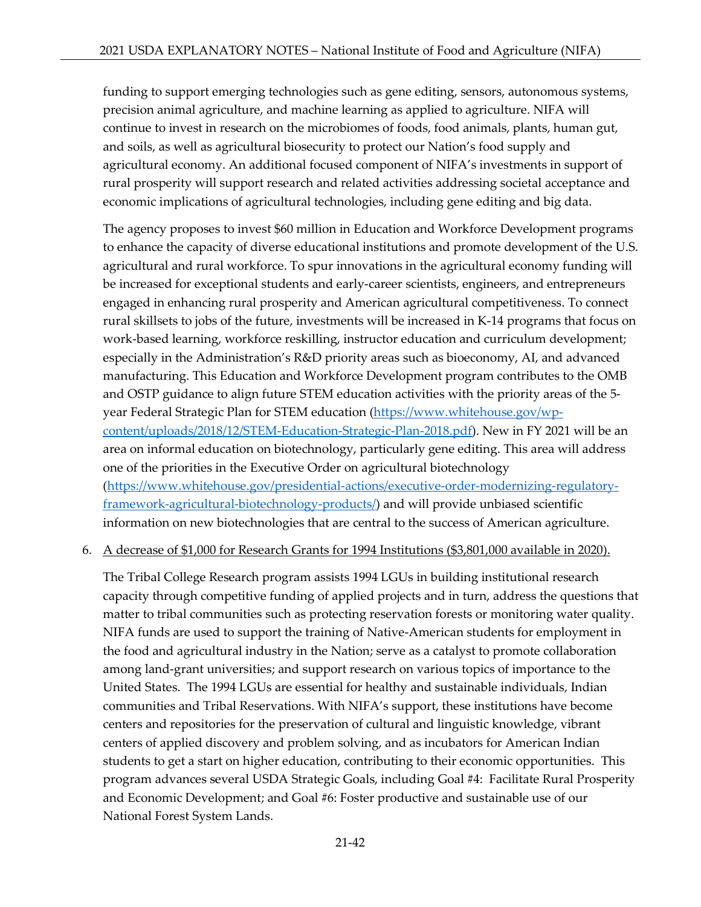funding to support emerging technologies such as gene editing, sensors, autonomous systems, precision animal agriculture, and machine learning as applied to agriculture. NIFA will continue to invest in research on the microbiomes of foods, food animals, plants, human gut, and soils, as well as agricultural biosecurity to protect our Nation's food supply and agricultural economy. An additional focused component of NIFA's investments in support of rural prosperity will support research and related activities addressing societal acceptance and economic implications of agricultural technologies, including gene editing and big data.

The agency proposes to invest \$60 million in Education and Workforce Development programs to enhance the capacity of diverse educational institutions and promote development of the U.S. agricultural and rural workforce. To spur innovations in the agricultural economy funding will be increased for exceptional students and early-career scientists, engineers, and entrepreneurs engaged in enhancing rural prosperity and American agricultural competitiveness. To connect rural skillsets to jobs of the future, investments will be increased in K-14 programs that focus on work-based learning, workforce reskilling, instructor education and curriculum development; especially in the Administration's R&D priority areas such as bioeconomy, AI, and advanced manufacturing. This Education and Workforce Development program contributes to the OMB and OSTP guidance to align future STEM education activities with the priority areas of the 5 year Federal Strategic Plan for STEM education [\(https://www.whitehouse.gov/wp](https://www.whitehouse.gov/wp-content/uploads/2018/12/STEM-Education-Strategic-Plan-2018.pdf)[content/uploads/2018/12/STEM-Education-Strategic-Plan-2018.pdf\)](https://www.whitehouse.gov/wp-content/uploads/2018/12/STEM-Education-Strategic-Plan-2018.pdf). New in FY 2021 will be an area on informal education on biotechnology, particularly gene editing. This area will address one of the priorities in the Executive Order on agricultural biotechnology [\(https://www.whitehouse.gov/presidential-actions/executive-order-modernizing-regulatory](https://www.whitehouse.gov/presidential-actions/executive-order-modernizing-regulatory-framework-agricultural-biotechnology-products/)[framework-agricultural-biotechnology-products/\)](https://www.whitehouse.gov/presidential-actions/executive-order-modernizing-regulatory-framework-agricultural-biotechnology-products/) and will provide unbiased scientific information on new biotechnologies that are central to the success of American agriculture.

### 6. A decrease of \$1,000 for Research Grants for 1994 Institutions (\$3,801,000 available in 2020).

The Tribal College Research program assists 1994 LGUs in building institutional research capacity through competitive funding of applied projects and in turn, address the questions that matter to tribal communities such as protecting reservation forests or monitoring water quality. NIFA funds are used to support the training of Native-American students for employment in the food and agricultural industry in the Nation; serve as a catalyst to promote collaboration among land-grant universities; and support research on various topics of importance to the United States. The 1994 LGUs are essential for healthy and sustainable individuals, Indian communities and Tribal Reservations. With NIFA's support, these institutions have become centers and repositories for the preservation of cultural and linguistic knowledge, vibrant centers of applied discovery and problem solving, and as incubators for American Indian students to get a start on higher education, contributing to their economic opportunities. This program advances several USDA Strategic Goals, including Goal #4: Facilitate Rural Prosperity and Economic Development; and Goal #6: Foster productive and sustainable use of our National Forest System Lands.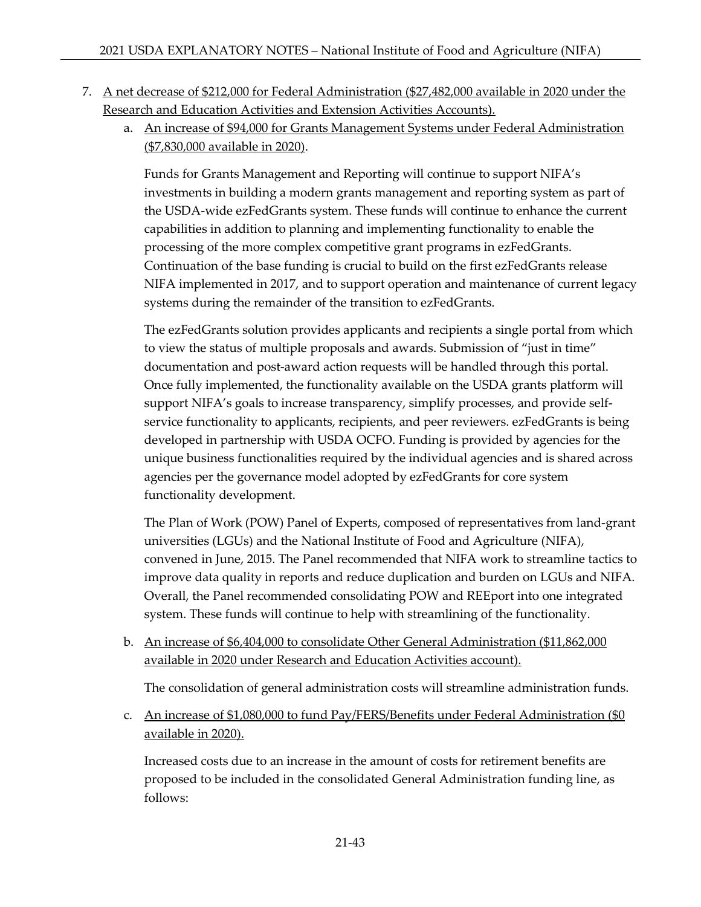# 7. A net decrease of \$212,000 for Federal Administration (\$27,482,000 available in 2020 under the Research and Education Activities and Extension Activities Accounts).

a. An increase of \$94,000 for Grants Management Systems under Federal Administration (\$7,830,000 available in 2020).

Funds for Grants Management and Reporting will continue to support NIFA's investments in building a modern grants management and reporting system as part of the USDA-wide ezFedGrants system. These funds will continue to enhance the current capabilities in addition to planning and implementing functionality to enable the processing of the more complex competitive grant programs in ezFedGrants. Continuation of the base funding is crucial to build on the first ezFedGrants release NIFA implemented in 2017, and to support operation and maintenance of current legacy systems during the remainder of the transition to ezFedGrants.

The ezFedGrants solution provides applicants and recipients a single portal from which to view the status of multiple proposals and awards. Submission of "just in time" documentation and post-award action requests will be handled through this portal. Once fully implemented, the functionality available on the USDA grants platform will support NIFA's goals to increase transparency, simplify processes, and provide selfservice functionality to applicants, recipients, and peer reviewers. ezFedGrants is being developed in partnership with USDA OCFO. Funding is provided by agencies for the unique business functionalities required by the individual agencies and is shared across agencies per the governance model adopted by ezFedGrants for core system functionality development.

The Plan of Work (POW) Panel of Experts, composed of representatives from land-grant universities (LGUs) and the National Institute of Food and Agriculture (NIFA), convened in June, 2015. The Panel recommended that NIFA work to streamline tactics to improve data quality in reports and reduce duplication and burden on LGUs and NIFA. Overall, the Panel recommended consolidating POW and REEport into one integrated system. These funds will continue to help with streamlining of the functionality.

b. An increase of \$6,404,000 to consolidate Other General Administration (\$11,862,000 available in 2020 under Research and Education Activities account).

The consolidation of general administration costs will streamline administration funds.

c. An increase of \$1,080,000 to fund Pay/FERS/Benefits under Federal Administration (\$0 available in 2020).

Increased costs due to an increase in the amount of costs for retirement benefits are proposed to be included in the consolidated General Administration funding line, as follows: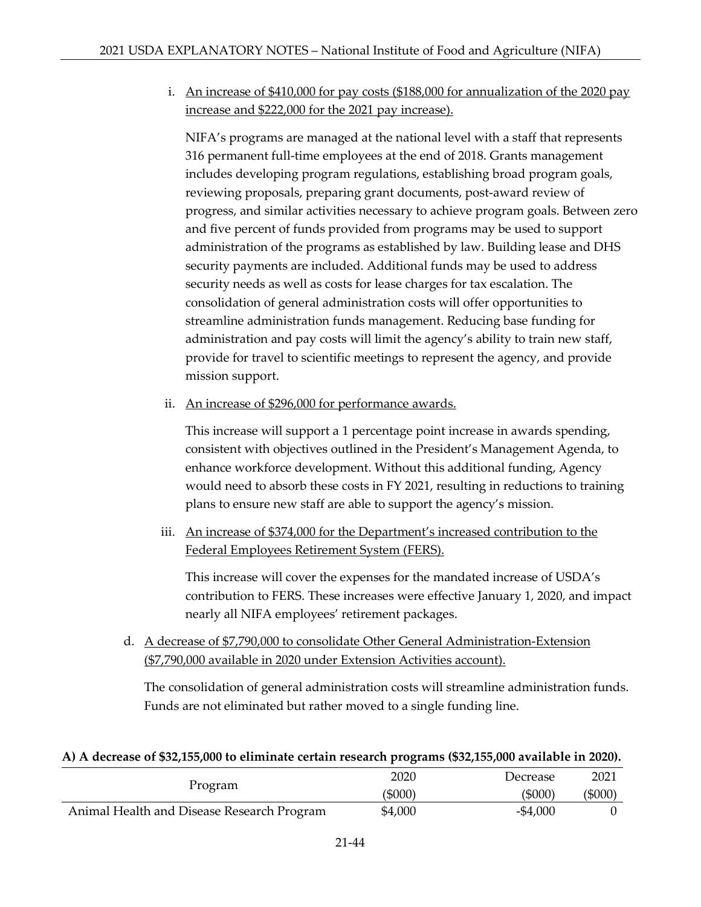i. An increase of \$410,000 for pay costs (\$188,000 for annualization of the 2020 pay increase and \$222,000 for the 2021 pay increase).

NIFA's programs are managed at the national level with a staff that represents 316 permanent full-time employees at the end of 2018. Grants management includes developing program regulations, establishing broad program goals, reviewing proposals, preparing grant documents, post-award review of progress, and similar activities necessary to achieve program goals. Between zero and five percent of funds provided from programs may be used to support administration of the programs as established by law. Building lease and DHS security payments are included. Additional funds may be used to address security needs as well as costs for lease charges for tax escalation. The consolidation of general administration costs will offer opportunities to streamline administration funds management. Reducing base funding for administration and pay costs will limit the agency's ability to train new staff, provide for travel to scientific meetings to represent the agency, and provide mission support.

ii. An increase of \$296,000 for performance awards.

This increase will support a 1 percentage point increase in awards spending, consistent with objectives outlined in the President's Management Agenda, to enhance workforce development. Without this additional funding, Agency would need to absorb these costs in FY 2021, resulting in reductions to training plans to ensure new staff are able to support the agency's mission.

iii. An increase of \$374,000 for the Department's increased contribution to the Federal Employees Retirement System (FERS).

This increase will cover the expenses for the mandated increase of USDA's contribution to FERS. These increases were effective January 1, 2020, and impact nearly all NIFA employees' retirement packages.

d. A decrease of \$7,790,000 to consolidate Other General Administration-Extension (\$7,790,000 available in 2020 under Extension Activities account).

The consolidation of general administration costs will streamline administration funds. Funds are not eliminated but rather moved to a single funding line.

### **A) A decrease of \$32,155,000 to eliminate certain research programs (\$32,155,000 available in 2020).**

|                                            | 2020    | Decrease    | 2021    |
|--------------------------------------------|---------|-------------|---------|
| Program                                    | (5000)  | (5000)      | (\$000) |
| Animal Health and Disease Research Program | \$4,000 | $-$ \$4,000 |         |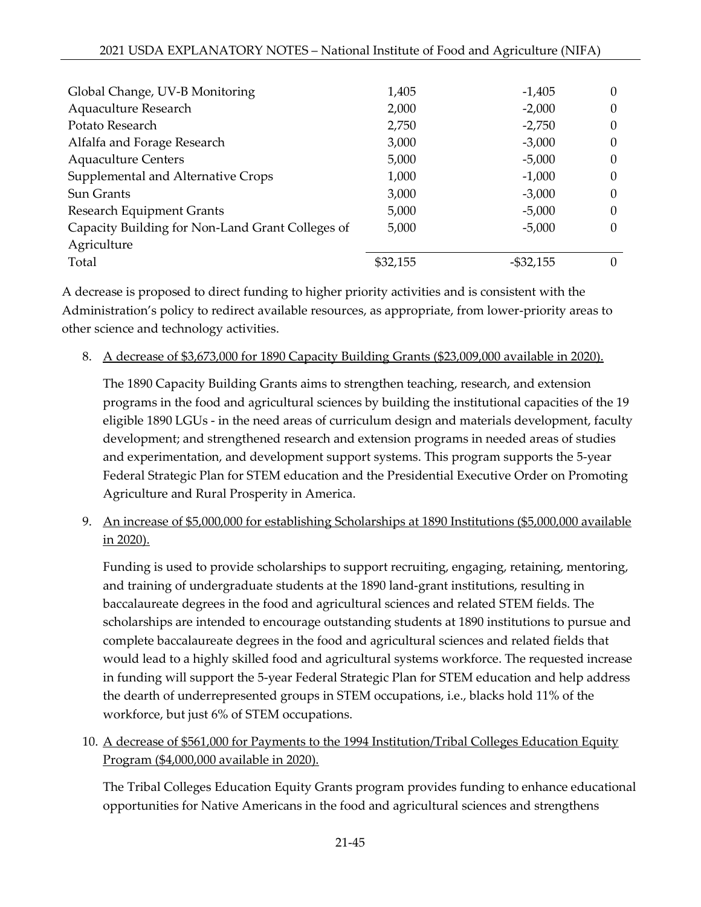| 1,405    | $-1,405$     | $\theta$         |
|----------|--------------|------------------|
| 2,000    | $-2,000$     |                  |
| 2,750    | $-2,750$     | $\theta$         |
| 3,000    | $-3,000$     |                  |
| 5,000    | $-5,000$     | $\theta$         |
| 1,000    | $-1,000$     | $\theta$         |
| 3,000    | $-3,000$     | 0                |
| 5,000    | $-5,000$     | $\theta$         |
| 5,000    | $-5,000$     | 0                |
|          |              |                  |
| \$32,155 | $-$ \$32,155 | $\left( \right)$ |
|          |              |                  |

A decrease is proposed to direct funding to higher priority activities and is consistent with the Administration's policy to redirect available resources, as appropriate, from lower-priority areas to other science and technology activities.

8. A decrease of \$3,673,000 for 1890 Capacity Building Grants (\$23,009,000 available in 2020).

The 1890 Capacity Building Grants aims to strengthen teaching, research, and extension programs in the food and agricultural sciences by building the institutional capacities of the 19 eligible 1890 LGUs - in the need areas of curriculum design and materials development, faculty development; and strengthened research and extension programs in needed areas of studies and experimentation, and development support systems. This program supports the 5-year Federal Strategic Plan for STEM education and the Presidential Executive Order on Promoting Agriculture and Rural Prosperity in America.

9. An increase of \$5,000,000 for establishing Scholarships at 1890 Institutions (\$5,000,000 available in 2020).

Funding is used to provide scholarships to support recruiting, engaging, retaining, mentoring, and training of undergraduate students at the 1890 land-grant institutions, resulting in baccalaureate degrees in the food and agricultural sciences and related STEM fields. The scholarships are intended to encourage outstanding students at 1890 institutions to pursue and complete baccalaureate degrees in the food and agricultural sciences and related fields that would lead to a highly skilled food and agricultural systems workforce. The requested increase in funding will support the 5-year Federal Strategic Plan for STEM education and help address the dearth of underrepresented groups in STEM occupations, i.e., blacks hold 11% of the workforce, but just 6% of STEM occupations.

10. A decrease of \$561,000 for Payments to the 1994 Institution/Tribal Colleges Education Equity Program (\$4,000,000 available in 2020).

The Tribal Colleges Education Equity Grants program provides funding to enhance educational opportunities for Native Americans in the food and agricultural sciences and strengthens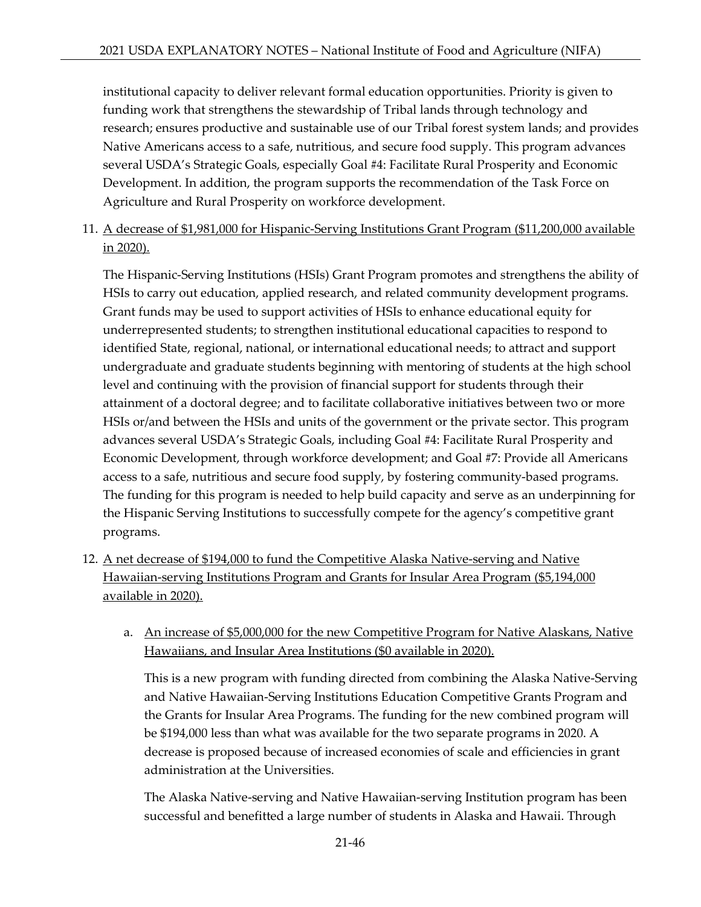institutional capacity to deliver relevant formal education opportunities. Priority is given to funding work that strengthens the stewardship of Tribal lands through technology and research; ensures productive and sustainable use of our Tribal forest system lands; and provides Native Americans access to a safe, nutritious, and secure food supply. This program advances several USDA's Strategic Goals, especially Goal #4: Facilitate Rural Prosperity and Economic Development. In addition, the program supports the recommendation of the Task Force on Agriculture and Rural Prosperity on workforce development.

11. A decrease of \$1,981,000 for Hispanic-Serving Institutions Grant Program (\$11,200,000 available in 2020).

The Hispanic-Serving Institutions (HSIs) Grant Program promotes and strengthens the ability of HSIs to carry out education, applied research, and related community development programs. Grant funds may be used to support activities of HSIs to enhance educational equity for underrepresented students; to strengthen institutional educational capacities to respond to identified State, regional, national, or international educational needs; to attract and support undergraduate and graduate students beginning with mentoring of students at the high school level and continuing with the provision of financial support for students through their attainment of a doctoral degree; and to facilitate collaborative initiatives between two or more HSIs or/and between the HSIs and units of the government or the private sector. This program advances several USDA's Strategic Goals, including Goal #4: Facilitate Rural Prosperity and Economic Development, through workforce development; and Goal #7: Provide all Americans access to a safe, nutritious and secure food supply, by fostering community-based programs. The funding for this program is needed to help build capacity and serve as an underpinning for the Hispanic Serving Institutions to successfully compete for the agency's competitive grant programs.

- 12. A net decrease of \$194,000 to fund the Competitive Alaska Native-serving and Native Hawaiian-serving Institutions Program and Grants for Insular Area Program (\$5,194,000 available in 2020).
	- a. An increase of \$5,000,000 for the new Competitive Program for Native Alaskans, Native Hawaiians, and Insular Area Institutions (\$0 available in 2020).

This is a new program with funding directed from combining the Alaska Native-Serving and Native Hawaiian-Serving Institutions Education Competitive Grants Program and the Grants for Insular Area Programs. The funding for the new combined program will be \$194,000 less than what was available for the two separate programs in 2020. A decrease is proposed because of increased economies of scale and efficiencies in grant administration at the Universities.

The Alaska Native-serving and Native Hawaiian-serving Institution program has been successful and benefitted a large number of students in Alaska and Hawaii. Through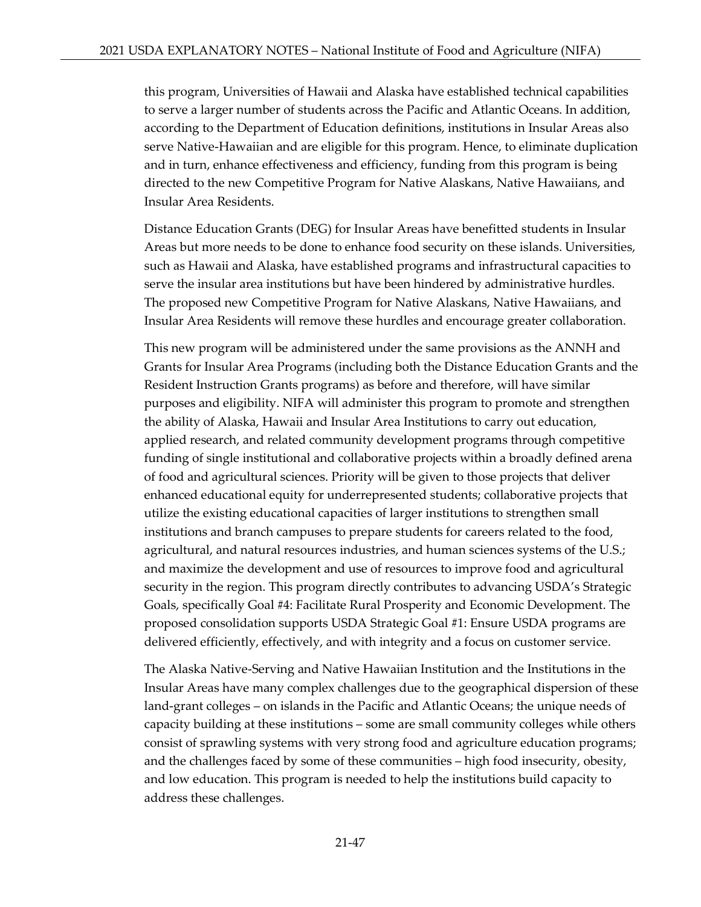this program, Universities of Hawaii and Alaska have established technical capabilities to serve a larger number of students across the Pacific and Atlantic Oceans. In addition, according to the Department of Education definitions, institutions in Insular Areas also serve Native-Hawaiian and are eligible for this program. Hence, to eliminate duplication and in turn, enhance effectiveness and efficiency, funding from this program is being directed to the new Competitive Program for Native Alaskans, Native Hawaiians, and Insular Area Residents.

Distance Education Grants (DEG) for Insular Areas have benefitted students in Insular Areas but more needs to be done to enhance food security on these islands. Universities, such as Hawaii and Alaska, have established programs and infrastructural capacities to serve the insular area institutions but have been hindered by administrative hurdles. The proposed new Competitive Program for Native Alaskans, Native Hawaiians, and Insular Area Residents will remove these hurdles and encourage greater collaboration.

This new program will be administered under the same provisions as the ANNH and Grants for Insular Area Programs (including both the Distance Education Grants and the Resident Instruction Grants programs) as before and therefore, will have similar purposes and eligibility. NIFA will administer this program to promote and strengthen the ability of Alaska, Hawaii and Insular Area Institutions to carry out education, applied research, and related community development programs through competitive funding of single institutional and collaborative projects within a broadly defined arena of food and agricultural sciences. Priority will be given to those projects that deliver enhanced educational equity for underrepresented students; collaborative projects that utilize the existing educational capacities of larger institutions to strengthen small institutions and branch campuses to prepare students for careers related to the food, agricultural, and natural resources industries, and human sciences systems of the U.S.; and maximize the development and use of resources to improve food and agricultural security in the region. This program directly contributes to advancing USDA's Strategic Goals, specifically Goal #4: Facilitate Rural Prosperity and Economic Development. The proposed consolidation supports USDA Strategic Goal #1: Ensure USDA programs are delivered efficiently, effectively, and with integrity and a focus on customer service.

The Alaska Native-Serving and Native Hawaiian Institution and the Institutions in the Insular Areas have many complex challenges due to the geographical dispersion of these land-grant colleges – on islands in the Pacific and Atlantic Oceans; the unique needs of capacity building at these institutions – some are small community colleges while others consist of sprawling systems with very strong food and agriculture education programs; and the challenges faced by some of these communities – high food insecurity, obesity, and low education. This program is needed to help the institutions build capacity to address these challenges.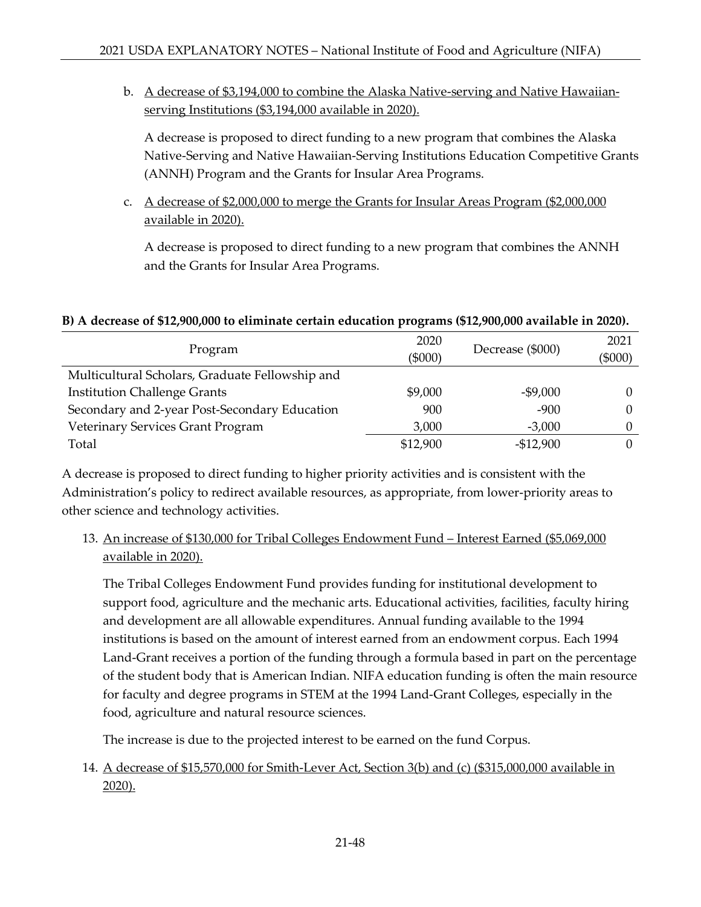b. A decrease of \$3,194,000 to combine the Alaska Native-serving and Native Hawaiianserving Institutions (\$3,194,000 available in 2020).

A decrease is proposed to direct funding to a new program that combines the Alaska Native-Serving and Native Hawaiian-Serving Institutions Education Competitive Grants (ANNH) Program and the Grants for Insular Area Programs.

c. A decrease of \$2,000,000 to merge the Grants for Insular Areas Program (\$2,000,000 available in 2020).

A decrease is proposed to direct funding to a new program that combines the ANNH and the Grants for Insular Area Programs.

## **B) A decrease of \$12,900,000 to eliminate certain education programs (\$12,900,000 available in 2020).**

| Program                                         | 2020<br>$(\$000)$ | Decrease (\$000) | 2021<br>$(\$000)$ |
|-------------------------------------------------|-------------------|------------------|-------------------|
| Multicultural Scholars, Graduate Fellowship and |                   |                  |                   |
| <b>Institution Challenge Grants</b>             | \$9,000           | $-$9,000$        | 0                 |
| Secondary and 2-year Post-Secondary Education   | 900               | $-900$           | 0                 |
| Veterinary Services Grant Program               | 3,000             | $-3,000$         | 0                 |
| Total                                           | \$12,900          | $-$12,900$       | $\Omega$          |

A decrease is proposed to direct funding to higher priority activities and is consistent with the Administration's policy to redirect available resources, as appropriate, from lower-priority areas to other science and technology activities.

13. An increase of \$130,000 for Tribal Colleges Endowment Fund – Interest Earned (\$5,069,000 available in 2020).

The Tribal Colleges Endowment Fund provides funding for institutional development to support food, agriculture and the mechanic arts. Educational activities, facilities, faculty hiring and development are all allowable expenditures. Annual funding available to the 1994 institutions is based on the amount of interest earned from an endowment corpus. Each 1994 Land-Grant receives a portion of the funding through a formula based in part on the percentage of the student body that is American Indian. NIFA education funding is often the main resource for faculty and degree programs in STEM at the 1994 Land-Grant Colleges, especially in the food, agriculture and natural resource sciences.

The increase is due to the projected interest to be earned on the fund Corpus.

# 14. A decrease of \$15,570,000 for Smith-Lever Act, Section 3(b) and (c) (\$315,000,000 available in 2020).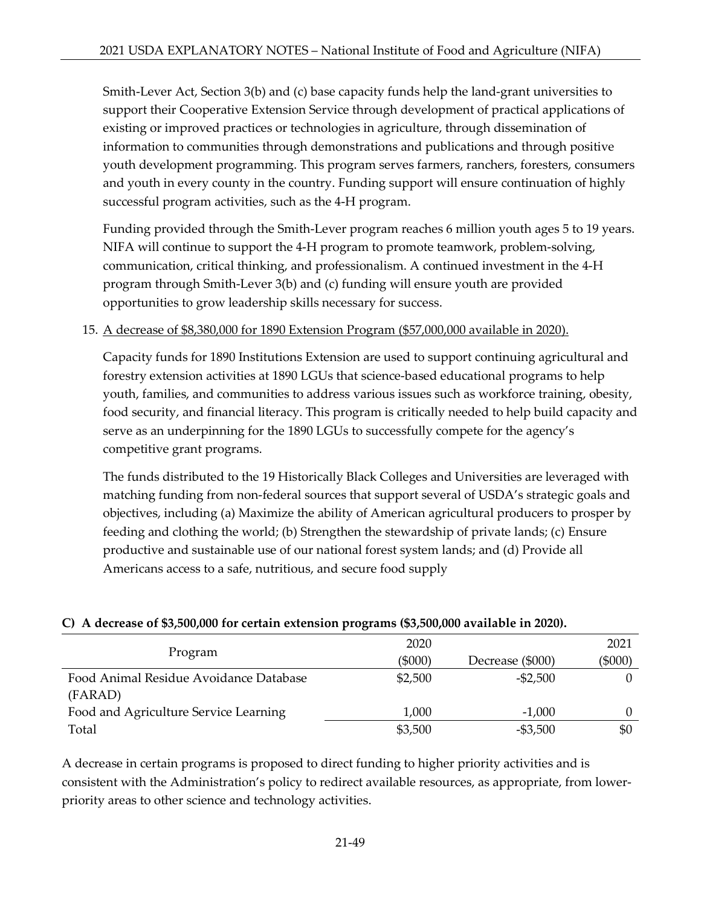Smith-Lever Act, Section 3(b) and (c) base capacity funds help the land-grant universities to support their Cooperative Extension Service through development of practical applications of existing or improved practices or technologies in agriculture, through dissemination of information to communities through demonstrations and publications and through positive youth development programming. This program serves farmers, ranchers, foresters, consumers and youth in every county in the country. Funding support will ensure continuation of highly successful program activities, such as the 4-H program.

Funding provided through the Smith-Lever program reaches 6 million youth ages 5 to 19 years. NIFA will continue to support the 4-H program to promote teamwork, problem-solving, communication, critical thinking, and professionalism. A continued investment in the 4-H program through Smith-Lever 3(b) and (c) funding will ensure youth are provided opportunities to grow leadership skills necessary for success.

## 15. A decrease of \$8,380,000 for 1890 Extension Program (\$57,000,000 available in 2020).

Capacity funds for 1890 Institutions Extension are used to support continuing agricultural and forestry extension activities at 1890 LGUs that science-based educational programs to help youth, families, and communities to address various issues such as workforce training, obesity, food security, and financial literacy. This program is critically needed to help build capacity and serve as an underpinning for the 1890 LGUs to successfully compete for the agency's competitive grant programs.

The funds distributed to the 19 Historically Black Colleges and Universities are leveraged with matching funding from non-federal sources that support several of USDA's strategic goals and objectives, including (a) Maximize the ability of American agricultural producers to prosper by feeding and clothing the world; (b) Strengthen the stewardship of private lands; (c) Ensure productive and sustainable use of our national forest system lands; and (d) Provide all Americans access to a safe, nutritious, and secure food supply

|                                        | 2020      |                  | 2021      |
|----------------------------------------|-----------|------------------|-----------|
| Program                                | $(\$000)$ | Decrease (\$000) | $(\$000)$ |
| Food Animal Residue Avoidance Database | \$2,500   | $-$ \$2,500      |           |
| (FARAD)                                |           |                  |           |
| Food and Agriculture Service Learning  | 1,000     | $-1,000$         |           |
| Total                                  | \$3,500   | $-$ \$3,500      | \$0       |

## **C) A decrease of \$3,500,000 for certain extension programs (\$3,500,000 available in 2020).**

A decrease in certain programs is proposed to direct funding to higher priority activities and is consistent with the Administration's policy to redirect available resources, as appropriate, from lowerpriority areas to other science and technology activities.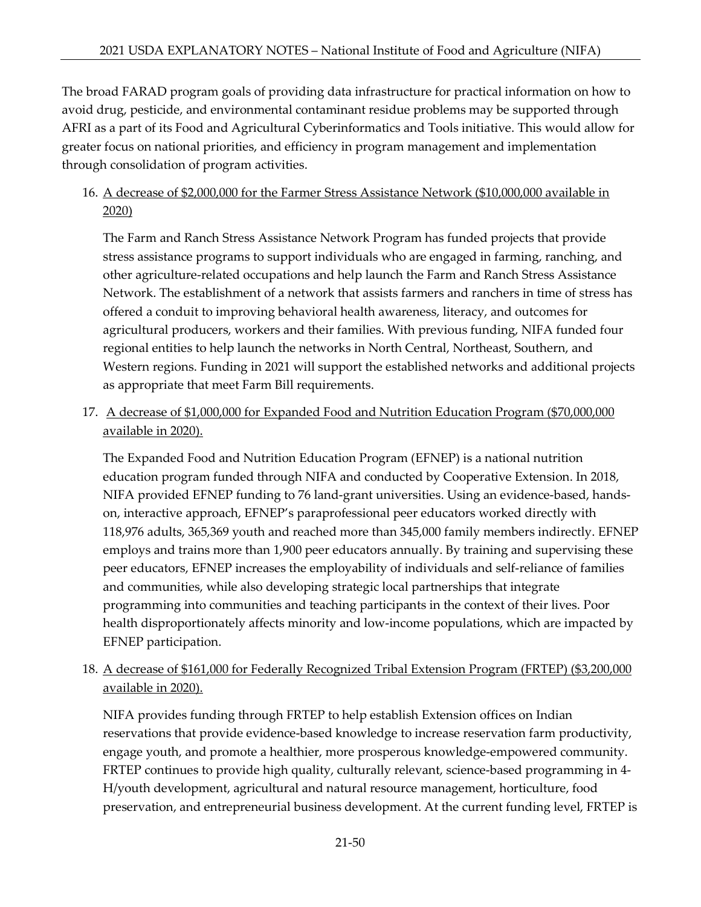The broad FARAD program goals of providing data infrastructure for practical information on how to avoid drug, pesticide, and environmental contaminant residue problems may be supported through AFRI as a part of its Food and Agricultural Cyberinformatics and Tools initiative. This would allow for greater focus on national priorities, and efficiency in program management and implementation through consolidation of program activities.

## 16. A decrease of \$2,000,000 for the Farmer Stress Assistance Network (\$10,000,000 available in 2020)

The Farm and Ranch Stress Assistance Network Program has funded projects that provide stress assistance programs to support individuals who are engaged in farming, ranching, and other agriculture-related occupations and help launch the Farm and Ranch Stress Assistance Network. The establishment of a network that assists farmers and ranchers in time of stress has offered a conduit to improving behavioral health awareness, literacy, and outcomes for agricultural producers, workers and their families. With previous funding, NIFA funded four regional entities to help launch the networks in North Central, Northeast, Southern, and Western regions. Funding in 2021 will support the established networks and additional projects as appropriate that meet Farm Bill requirements.

# 17. A decrease of \$1,000,000 for Expanded Food and Nutrition Education Program (\$70,000,000 available in 2020).

The Expanded Food and Nutrition Education Program (EFNEP) is a national nutrition education program funded through NIFA and conducted by Cooperative Extension. In 2018, NIFA provided EFNEP funding to 76 land-grant universities. Using an evidence-based, handson, interactive approach, EFNEP's paraprofessional peer educators worked directly with 118,976 adults, 365,369 youth and reached more than 345,000 family members indirectly. EFNEP employs and trains more than 1,900 peer educators annually. By training and supervising these peer educators, EFNEP increases the employability of individuals and self-reliance of families and communities, while also developing strategic local partnerships that integrate programming into communities and teaching participants in the context of their lives. Poor health disproportionately affects minority and low-income populations, which are impacted by EFNEP participation.

## 18. A decrease of \$161,000 for Federally Recognized Tribal Extension Program (FRTEP) (\$3,200,000 available in 2020).

NIFA provides funding through FRTEP to help establish Extension offices on Indian reservations that provide evidence-based knowledge to increase reservation farm productivity, engage youth, and promote a healthier, more prosperous knowledge-empowered community. FRTEP continues to provide high quality, culturally relevant, science-based programming in 4- H/youth development, agricultural and natural resource management, horticulture, food preservation, and entrepreneurial business development. At the current funding level, FRTEP is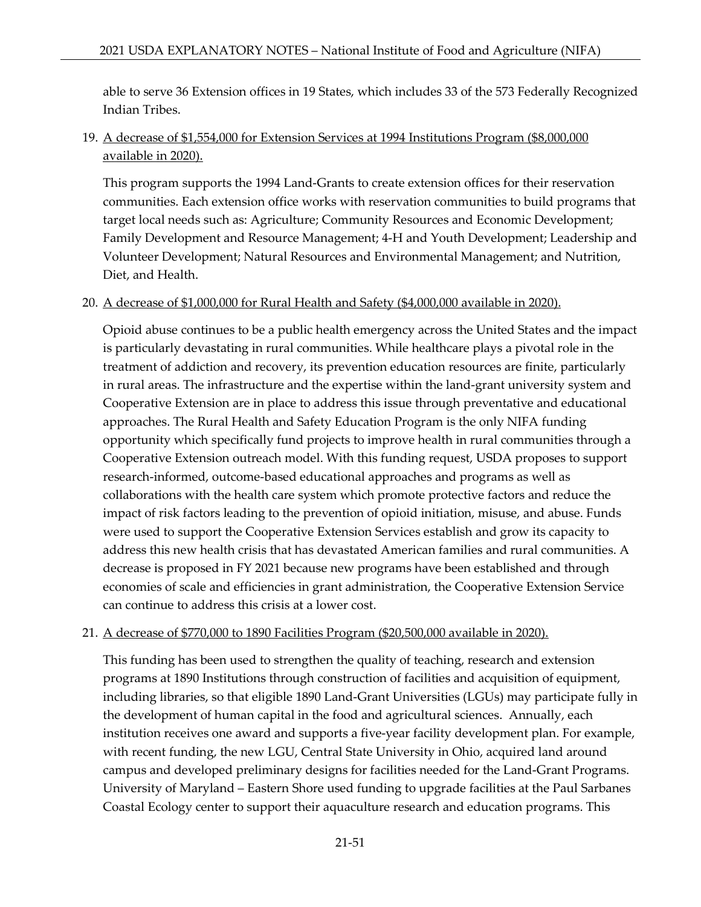able to serve 36 Extension offices in 19 States, which includes 33 of the 573 Federally Recognized Indian Tribes.

## 19. A decrease of \$1,554,000 for Extension Services at 1994 Institutions Program (\$8,000,000 available in 2020).

This program supports the 1994 Land-Grants to create extension offices for their reservation communities. Each extension office works with reservation communities to build programs that target local needs such as: Agriculture; Community Resources and Economic Development; Family Development and Resource Management; 4-H and Youth Development; Leadership and Volunteer Development; Natural Resources and Environmental Management; and Nutrition, Diet, and Health.

## 20. A decrease of \$1,000,000 for Rural Health and Safety (\$4,000,000 available in 2020).

Opioid abuse continues to be a public health emergency across the United States and the impact is particularly devastating in rural communities. While healthcare plays a pivotal role in the treatment of addiction and recovery, its prevention education resources are finite, particularly in rural areas. The infrastructure and the expertise within the land-grant university system and Cooperative Extension are in place to address this issue through preventative and educational approaches. The Rural Health and Safety Education Program is the only NIFA funding opportunity which specifically fund projects to improve health in rural communities through a Cooperative Extension outreach model. With this funding request, USDA proposes to support research-informed, outcome-based educational approaches and programs as well as collaborations with the health care system which promote protective factors and reduce the impact of risk factors leading to the prevention of opioid initiation, misuse, and abuse. Funds were used to support the Cooperative Extension Services establish and grow its capacity to address this new health crisis that has devastated American families and rural communities. A decrease is proposed in FY 2021 because new programs have been established and through economies of scale and efficiencies in grant administration, the Cooperative Extension Service can continue to address this crisis at a lower cost.

### 21. A decrease of \$770,000 to 1890 Facilities Program (\$20,500,000 available in 2020).

This funding has been used to strengthen the quality of teaching, research and extension programs at 1890 Institutions through construction of facilities and acquisition of equipment, including libraries, so that eligible 1890 Land-Grant Universities (LGUs) may participate fully in the development of human capital in the food and agricultural sciences. Annually, each institution receives one award and supports a five-year facility development plan. For example, with recent funding, the new LGU, Central State University in Ohio, acquired land around campus and developed preliminary designs for facilities needed for the Land-Grant Programs. University of Maryland – Eastern Shore used funding to upgrade facilities at the Paul Sarbanes Coastal Ecology center to support their aquaculture research and education programs. This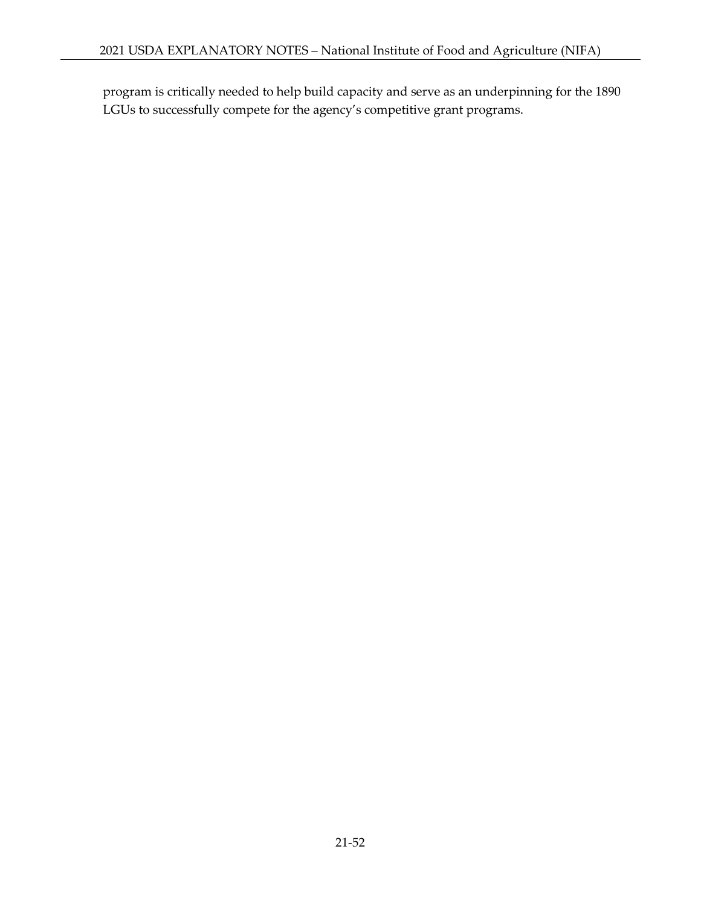program is critically needed to help build capacity and serve as an underpinning for the 1890 LGUs to successfully compete for the agency's competitive grant programs.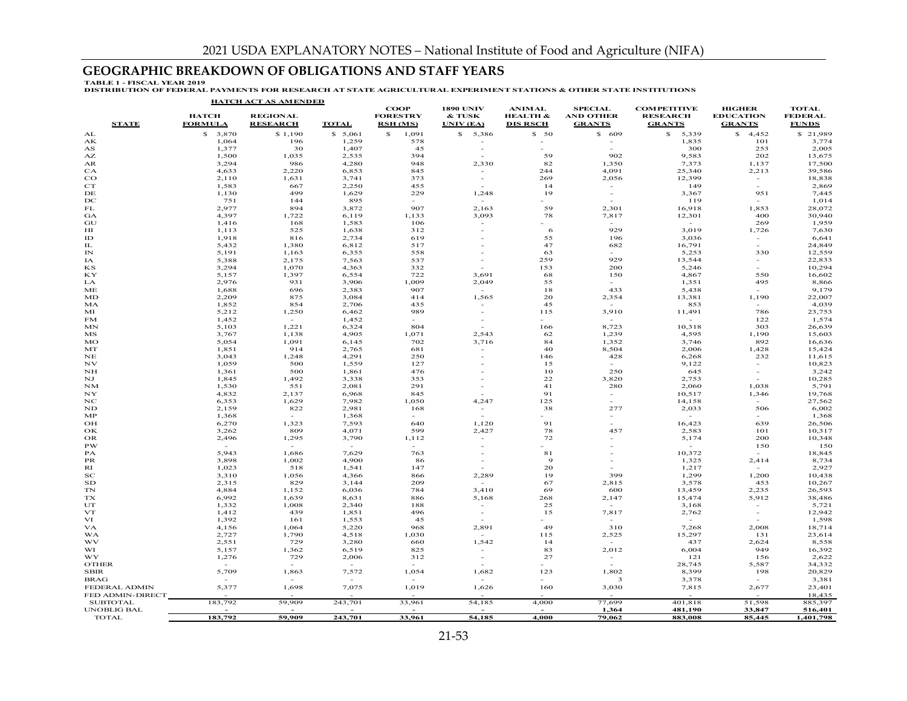## **GEOGRAPHIC BREAKDOWN OF OBLIGATIONS AND STAFF YEARS**

TABLE 1 - FISCAL YEAR 2019<br>DISTRIBUTION OF FEDERAL PAYMENTS FOR RESEARCH AT STATE AGRICULTURAL EXPERIMENT STATIONS & OTHER STATE INSTITUTIONS

|                    |                                | <b>HATCH ACT AS AMENDED</b>        |                 |                                                   |                                         |                                                         |                                                     |                                                        |                                                    |                                                |
|--------------------|--------------------------------|------------------------------------|-----------------|---------------------------------------------------|-----------------------------------------|---------------------------------------------------------|-----------------------------------------------------|--------------------------------------------------------|----------------------------------------------------|------------------------------------------------|
| <b>STATE</b>       | <b>HATCH</b><br><b>FORMULA</b> | <b>REGIONAL</b><br><b>RESEARCH</b> | <b>TOTAL</b>    | <b>COOP</b><br><b>FORESTRY</b><br><b>RSH</b> (MS) | <b>1890 UNIV</b><br>& TUSK<br>UNIV (EA) | <b>ANIMAL</b><br><b>HEALTH &amp;</b><br><b>DIS RSCH</b> | <b>SPECIAL</b><br><b>AND OTHER</b><br><b>GRANTS</b> | <b>COMPETITIVE</b><br><b>RESEARCH</b><br><b>GRANTS</b> | <b>HIGHER</b><br><b>EDUCATION</b><br><b>GRANTS</b> | <b>TOTAL</b><br><b>FEDERAL</b><br><b>FUNDS</b> |
| AL                 | \$3,870                        | \$1,190                            | \$5,061         | $\mathbf{s}$<br>1,091                             | \$5,386                                 | \$50                                                    | \$609                                               | \$5,339                                                | \$4,452                                            | \$21,989                                       |
| AК                 | 1,064                          | 196                                | 1,259           | 578                                               | $\sim$                                  | $\sim$                                                  |                                                     | 1,835                                                  | 101                                                | 3,774                                          |
| AS                 | 1,377                          | 30                                 | 1,407           | 45                                                |                                         | ÷.                                                      |                                                     | 300                                                    | 253                                                | 2,005                                          |
| AZ                 | 1,500                          | 1,035                              | 2,535           | 394                                               |                                         | 59                                                      | 902                                                 | 9,583                                                  | 202                                                | 13,675                                         |
| AR<br>CA           | 3,294<br>4,633                 | 986<br>2,220                       | 4,280<br>6,853  | 948<br>845                                        | 2,330                                   | 82<br>244                                               | 1,350<br>4,091                                      | 7,373<br>25,340                                        | 1,137<br>2,213                                     | 17,500<br>39,586                               |
| $_{\rm CO}$        | 2,110                          | 1,631                              | 3,741           | 373                                               |                                         | 269                                                     | 2,056                                               | 12,399                                                 | $\sim$                                             | 18,838                                         |
| CT                 | 1,583                          | 667                                | 2,250           | 455                                               |                                         | 14                                                      |                                                     | 149                                                    | $\sim$                                             | 2,869                                          |
| DE                 | 1,130                          | 499                                | 1,629           | 229                                               | 1,248                                   | 19                                                      | $\sim$                                              | 3,367                                                  | 951                                                | 7,445                                          |
| DC                 | 751                            | 144                                | 895             | $\sim$                                            | $\sim$                                  |                                                         | $\sim$                                              | 119                                                    | $\sim$                                             | 1,014                                          |
| FL                 | 2,977                          | 894                                | 3,872           | 907                                               | 2,163                                   | 59                                                      | 2,301                                               | 16,918                                                 | 1,853                                              | 28,072                                         |
| GA                 | 4,397                          | 1,722                              | 6,119           | 1,133                                             | 3,093                                   | 78                                                      | 7,817                                               | 12,301                                                 | 400                                                | 30,940                                         |
| GU                 | 1,416                          | 168                                | 1,583           | 106                                               |                                         |                                                         |                                                     |                                                        | 269                                                | 1,959                                          |
| HІ                 | 1,113                          | 525                                | 1,638           | 312                                               |                                         | 6                                                       | 929                                                 | 3,019                                                  | 1,726                                              | 7,630                                          |
| ID<br>IL           | 1,918<br>5,432                 | 816<br>1,380                       | 2,734<br>6,812  | 619<br>517                                        |                                         | 55<br>47                                                | 196<br>682                                          | 3,036<br>16,791                                        | $\sim$<br>$\sim$                                   | 6,641<br>24,849                                |
| IN                 | 5,191                          | 1,163                              | 6,355           | 558                                               |                                         | 63                                                      |                                                     | 5,253                                                  | 330                                                | 12,559                                         |
| IA                 | 5,388                          | 2,175                              | 7,563           | 537                                               |                                         | 259                                                     | 929                                                 | 13,544                                                 | $\sim$                                             | 22,833                                         |
| ΚS                 | 3,294                          | 1,070                              | 4,363           | 332                                               |                                         | 153                                                     | 200                                                 | 5,246                                                  | $\sim$                                             | 10,294                                         |
| КY                 | 5,157                          | 1,397                              | 6,554           | 722                                               | 3,691                                   | 68                                                      | 150                                                 | 4,867                                                  | 550                                                | 16,602                                         |
| LA                 | 2,976                          | 931                                | 3,906           | 1,009                                             | 2,049                                   | 55                                                      | $\sim$                                              | 1,351                                                  | 495                                                | 8,866                                          |
| ME                 | 1,688                          | 696                                | 2,383           | 907                                               |                                         | 18                                                      | 433                                                 | 5,438                                                  |                                                    | 9,179                                          |
| MD                 | 2,209                          | 875                                | 3,084           | 414                                               | 1,565                                   | 20                                                      | 2,354                                               | 13,381                                                 | 1,190                                              | 22,007                                         |
| MA                 | 1,852                          | 854                                | 2,706           | 435                                               |                                         | 45                                                      |                                                     | 853                                                    | <b>COL</b>                                         | 4,039                                          |
| МI                 | 5,212                          | 1,250                              | 6,462           | 989                                               |                                         | 115                                                     | 3,910                                               | 11,491                                                 | 786                                                | 23,753                                         |
| FM                 | 1,452                          |                                    | 1,452           | 804                                               | $\sim$                                  |                                                         |                                                     | 10,318                                                 | 122<br>303                                         | 1,574                                          |
| MN<br>MS           | 5,103<br>3,767                 | 1,221<br>1,138                     | 6,324<br>4,905  | 1,071                                             | 2,543                                   | 166<br>62                                               | 8,723<br>1,239                                      | 4,595                                                  | 1,190                                              | 26,639<br>15,603                               |
| MO                 | 5,054                          | 1,091                              | 6,145           | 702                                               | 3,716                                   | 84                                                      | 1,352                                               | 3,746                                                  | 892                                                | 16,636                                         |
| MT                 | 1,851                          | 914                                | 2,765           | 681                                               |                                         | 40                                                      | 8,504                                               | 2,006                                                  | 1,428                                              | 15,424                                         |
| NE                 | 3,043                          | 1,248                              | 4,291           | 250                                               |                                         | 146                                                     | 428                                                 | 6,268                                                  | 232                                                | 11,615                                         |
| NV                 | 1,059                          | 500                                | 1,559           | 127                                               |                                         | 15                                                      | $\sim$                                              | 9,122                                                  | $\overline{\phantom{a}}$                           | 10,823                                         |
| NH                 | 1,361                          | 500                                | 1,861           | 476                                               |                                         | 10                                                      | 250                                                 | 645                                                    | $\overline{\phantom{a}}$                           | 3,242                                          |
| ΝJ                 | 1,845                          | 1,492                              | 3,338           | 353                                               |                                         | 22                                                      | 3,820                                               | 2,753                                                  | $\sim$                                             | 10,285                                         |
| <b>NM</b>          | 1,530                          | 551                                | 2,081           | 291                                               |                                         | 41                                                      | 280                                                 | 2,060                                                  | 1,038                                              | 5,791                                          |
| NY                 | 4,832                          | 2,137                              | 6,968           | 845                                               |                                         | 91                                                      | $\sim$                                              | 10,517                                                 | 1,346<br>$\sim$                                    | 19,768                                         |
| NC<br>ND           | 6,353<br>2,159                 | 1,629<br>822                       | 7,982<br>2,981  | 1,050<br>168                                      | 4,247                                   | 125<br>38                                               | 277                                                 | 14,158<br>2,033                                        | 506                                                | 27,562<br>6,002                                |
| MP                 | 1,368                          | $\sim$                             | 1,368           | $\sim$                                            |                                         |                                                         |                                                     |                                                        | $\sim$                                             | 1,368                                          |
| OH                 | 6,270                          | 1,323                              | 7,593           | 640                                               | 1,120                                   | 91                                                      |                                                     | 16,423                                                 | 639                                                | 26,506                                         |
| ΟК                 | 3,262                          | 809                                | 4,071           | 599                                               | 2,427                                   | 78                                                      | 457                                                 | 2,583                                                  | 101                                                | 10,317                                         |
| OR                 | 2,496                          | 1,295                              | 3,790           | 1,112                                             | $\sim$                                  | 72                                                      |                                                     | 5,174                                                  | 200                                                | 10,348                                         |
| PW                 | $\overline{\phantom{a}}$       | $\sim$                             | $\sim$          | $\sim$                                            |                                         |                                                         |                                                     | $\sim$                                                 | 150                                                | 150                                            |
| РA                 | 5,943                          | 1,686                              | 7,629           | 763                                               |                                         | 81                                                      |                                                     | 10,372                                                 | $\sim$                                             | 18,845                                         |
| <b>PR</b>          | 3,898                          | 1,002                              | 4,900           | 86                                                |                                         | $\overline{9}$                                          |                                                     | 1,325                                                  | 2,414                                              | 8,734                                          |
| RI                 | 1,023                          | 518                                | 1,541           | 147                                               | $\sim$                                  | 20                                                      |                                                     | 1,217                                                  | $\overline{a}$                                     | 2,927                                          |
| $_{\rm sc}$<br>SD  | 3,310<br>2,315                 | 1,056<br>829                       | 4,366<br>3,144  | 866<br>209                                        | 2,289<br>$\sim$                         | 19<br>67                                                | 399<br>2,815                                        | 1,299<br>3,578                                         | 1,200<br>453                                       | 10,438<br>10,267                               |
| TN                 | 4,884                          | 1,152                              | 6,036           | 784                                               | 3,410                                   | 69                                                      | 600                                                 | 13,459                                                 | 2,235                                              | 26,593                                         |
| <b>TX</b>          | 6,992                          | 1,639                              | 8,631           | 886                                               | 5,168                                   | 268                                                     | 2,147                                               | 15,474                                                 | 5,912                                              | 38,486                                         |
| UT                 | 1,332                          | 1,008                              | 2,340           | 188                                               | $\sim$                                  | 25                                                      | $\sim$                                              | 3,168                                                  | $\sim$                                             | 5,721                                          |
| VT                 | 1,412                          | 439                                | 1,851           | 496                                               |                                         | 15                                                      | 7,817                                               | 2,762                                                  | $\overline{\phantom{a}}$                           | 12,942                                         |
| VI                 | 1,392                          | 161                                | 1,553           | 45                                                |                                         |                                                         | $\sim$                                              | $\sim$                                                 | $\sim$                                             | 1,598                                          |
| VA                 | 4,156                          | 1,064                              | 5,220           | 968                                               | 2,891                                   | 49                                                      | 310                                                 | 7,268                                                  | 2,008                                              | 18,714                                         |
| WA                 | 2,727                          | 1,790                              | 4,518           | 1,030                                             | $\sim$                                  | 115                                                     | 2,525                                               | 15,297                                                 | 131                                                | 23,614                                         |
| WV                 | 2,551                          | 729                                | 3,280           | 660                                               | 1,542                                   | 14                                                      | $\sim$                                              | 437                                                    | 2,624                                              | 8,558                                          |
| WI                 | 5,157                          | 1,362                              | 6,519           | 825                                               |                                         | 83                                                      | 2,012                                               | 6,004                                                  | 949                                                | 16,392                                         |
| WY<br><b>OTHER</b> | 1,276<br>$\sim$                | 729<br>$\sim$                      | 2,006<br>$\sim$ | 312                                               |                                         | 27                                                      | $\sim$                                              | 121<br>28,745                                          | 156<br>5,587                                       | 2,622<br>34,332                                |
| <b>SBIR</b>        | 5,709                          | 1,863                              | 7,572           | 1,054                                             | 1,682                                   | 123                                                     | 1,802                                               | 8,399                                                  | 198                                                | 20,829                                         |
| <b>BRAG</b>        | $\overline{a}$                 |                                    | $\sim$          |                                                   | $\sim$                                  |                                                         | $\overline{\mathbf{3}}$                             | 3,378                                                  | $\sim$                                             | 3,381                                          |
| FEDERAL ADMIN      | 5,377                          | 1,698                              | 7,075           | 1,019                                             | 1,626                                   | 160                                                     | 3,030                                               | 7,815                                                  | 2,677                                              | 23,401                                         |
| FED ADMIN-DIRECT   |                                |                                    |                 |                                                   |                                         |                                                         |                                                     |                                                        |                                                    | 18,435                                         |
| <b>SUBTOTAL</b>    | 183,792                        | 59,909                             | 243,701         | 33,961                                            | 54,185                                  | 4,000                                                   | 77,699                                              | 401,818                                                | 51,598                                             | 885,397                                        |
| <b>UNOBLIG BAL</b> |                                |                                    |                 |                                                   |                                         |                                                         | 1,364                                               | 481,190                                                | 33,847                                             | 516,401                                        |
| <b>TOTAL</b>       | 183,792                        | 59,909                             | 243,701         | 33,961                                            | 54,185                                  | 4,000                                                   | 79,062                                              | 883,008                                                | 85,445                                             | 1,401,798                                      |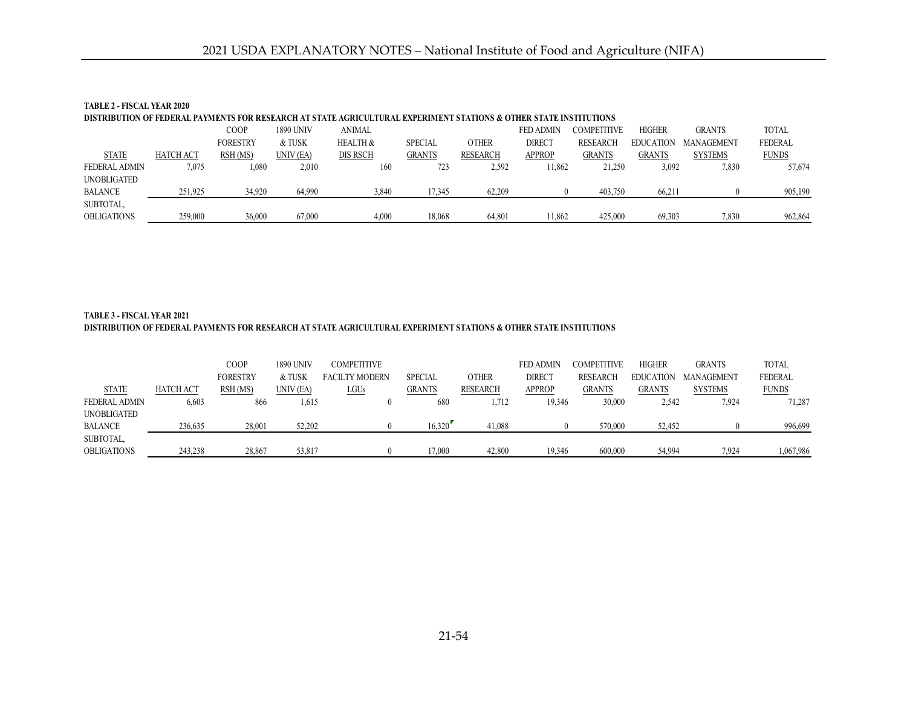| TABLE 2 - FISCAL YEAR 2020 |                  |                 |           |                                                                                                                    |                |              |                  |                 |                  |                   |                |
|----------------------------|------------------|-----------------|-----------|--------------------------------------------------------------------------------------------------------------------|----------------|--------------|------------------|-----------------|------------------|-------------------|----------------|
|                            |                  |                 |           | DISTRIBUTION OF FEDERAL PAYMENTS FOR RESEARCH AT STATE AGRICULTURAL EXPERIMENT STATIONS & OTHER STATE INSTITUTIONS |                |              |                  |                 |                  |                   |                |
|                            |                  | COOP            | 1890 UNIV | <b>ANIMAL</b>                                                                                                      |                |              | <b>FED ADMIN</b> | COMPETITIVE     | <b>HIGHER</b>    | <b>GRANTS</b>     | <b>TOTAL</b>   |
|                            |                  | <b>FORESTRY</b> | & TUSK    | <b>HEALTH &amp;</b>                                                                                                | <b>SPECIAL</b> | <b>OTHER</b> | <b>DIRECT</b>    | <b>RESEARCH</b> | <b>EDUCATION</b> | <b>MANAGEMENT</b> | <b>FEDERAL</b> |
| <b>STATE</b>               | <b>HATCH ACT</b> | RSH (MS)        | UNIV (EA) | DIS RSCH                                                                                                           | <b>GRANTS</b>  | RESEARCH     | <b>APPROP</b>    | <b>GRANTS</b>   | <b>GRANTS</b>    | <b>SYSTEMS</b>    | <b>FUNDS</b>   |
| FEDERAL ADMIN              | 7.075            | $1.080\,$       | 2,010     | 160                                                                                                                | 723            | 2,592        | 11.862           | 21,250          | 3,092            | 7,830             | 57,674         |
| UNOBLIGATED                |                  |                 |           |                                                                                                                    |                |              |                  |                 |                  |                   |                |
| <b>BALANCE</b>             | 251,925          | 34,920          | 64,990    | 3,840                                                                                                              | 17,345         | 62,209       |                  | 403,750         | 66,211           |                   | 905,190        |
| SUBTOTAL,                  |                  |                 |           |                                                                                                                    |                |              |                  |                 |                  |                   |                |
| <b>OBLIGATIONS</b>         | 259,000          | 36,000          | 67,000    | 4.000                                                                                                              | 18.068         | 64.801       | 11.862           | 425,000         | 69.303           | 7.830             | 962,864        |

### **DISTRIBUTION OF FEDERAL PAYMENTS FOR RESEARCH AT STATE AGRICULTURAL EXPERIMENT STATIONS & OTHER STATE INSTITUTIONS TABLE 3 - FISCAL YEAR 2021**

|                      |                  | COOP            | 1890 UNIV | <b>COMPETITIVE</b>    |                |              | <b>FED ADMIN</b> | COMPETITIVE     | <b>HIGHER</b>    | <b>GRANTS</b>     | <b>TOTAL</b>   |
|----------------------|------------------|-----------------|-----------|-----------------------|----------------|--------------|------------------|-----------------|------------------|-------------------|----------------|
|                      |                  | <b>FORESTRY</b> | & TUSK    | <b>FACILTY MODERN</b> | <b>SPECIAL</b> | <b>OTHER</b> | <b>DIRECT</b>    | <b>RESEARCH</b> | <b>EDUCATION</b> | <b>MANAGEMENT</b> | <b>FEDERAL</b> |
| <b>STATE</b>         | <b>HATCH ACT</b> | RSH (MS)        | UNIV (EA) | <u>LGUs</u>           | <b>GRANTS</b>  | RESEARCH     | <b>APPROP</b>    | <b>GRANTS</b>   | <b>GRANTS</b>    | <b>SYSTEMS</b>    | <b>FUNDS</b>   |
| <b>FEDERAL ADMIN</b> | 6,603            | 866             | 1,615     |                       | 680            | 1,712        | 19,346           | 30,000          | 2,542            | 7,924             | 71,287         |
| UNOBLIGATED          |                  |                 |           |                       |                |              |                  |                 |                  |                   |                |
| <b>BALANCE</b>       | 236,635          | 28,001          | 52.202    |                       | 16.320         | 41.088       |                  | 570,000         | 52.452           |                   | 996,699        |
| SUBTOTAL,            |                  |                 |           |                       |                |              |                  |                 |                  |                   |                |
| <b>OBLIGATIONS</b>   | 243.238          | 28,867          | 53.817    |                       | !7.000         | 42,800       | 19.346           | 600,000         | 54.994           | 7.924             | 1,067,986      |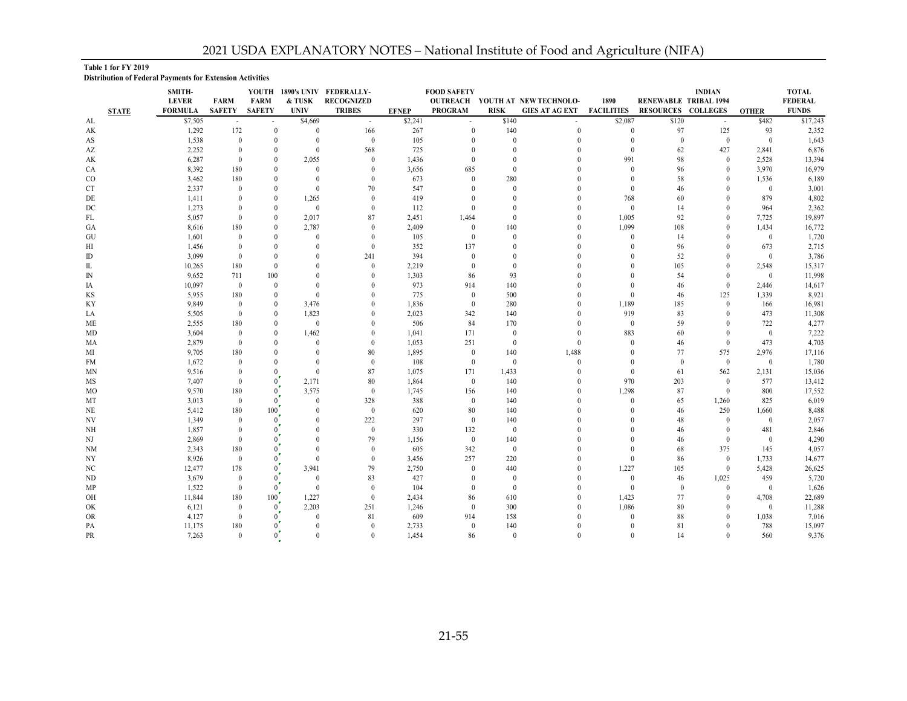#### **Table 1 for FY 2019**

**Distribution of Federal Payments for Extension Activities**

|                 |              | SMITH-         |                      |                      |                   | YOUTH 1890's UNIV FEDERALLY- |              | <b>FOOD SAFETY</b> |                  |                                 |                      |                              | <b>INDIAN</b>        |                       | <b>TOTAL</b>   |
|-----------------|--------------|----------------|----------------------|----------------------|-------------------|------------------------------|--------------|--------------------|------------------|---------------------------------|----------------------|------------------------------|----------------------|-----------------------|----------------|
|                 |              | <b>LEVER</b>   | <b>FARM</b>          | <b>FARM</b>          | & TUSK            | <b>RECOGNIZED</b>            |              |                    |                  | OUTREACH YOUTH AT NEW TECHNOLO- | 1890                 | <b>RENEWABLE TRIBAL 1994</b> |                      |                       | <b>FEDERAL</b> |
|                 | <b>STATE</b> | <b>FORMULA</b> | <b>SAFETY</b>        | <b>SAFETY</b>        | <b>UNIV</b>       | <b>TRIBES</b>                | <b>EFNEP</b> | <b>PROGRAM</b>     | <b>RISK</b>      | GIES AT AG EXT                  | <b>FACILITIES</b>    | <b>RESOURCES COLLEGES</b>    |                      | <b>OTHER</b>          | <b>FUNDS</b>   |
| AL              |              | \$7,505        |                      |                      | \$4,669           | $\sim$                       | \$2,241      |                    | \$140            |                                 | \$2,087              | \$120                        |                      | \$482                 | \$17,243       |
| AK              |              | 1,292          | 172                  | $\mathbf{0}$         | $\mathbf{0}$      | 166                          | 267          | $\mathbf{0}$       | 140              | $\theta$                        | $\mathbf{0}$         | 97                           | 125                  | 93                    | 2,352          |
| AS              |              | 1,538          | $\overline{0}$       | $\Omega$             | $\bf{0}$          | $\mathbf{0}$                 | 105          | $\theta$           | $\mathbf{0}$     |                                 | $\mathbf{0}$         | $\mathbf{0}$                 | $\mathbf{0}$         | $\overline{0}$        | 1,643          |
| AZ              |              | 2,252          | $\mathbf{0}$         | $\theta$<br>$\Omega$ | $\bf{0}$          | 568<br>$\Omega$              | 725          | $\theta$           | $\Omega$         |                                 | $\theta$             | 62                           | 427                  | 2,841                 | 6,876          |
| AK              |              | 6,287          | $\mathbf{0}$         |                      | 2,055<br>$\Omega$ |                              | 1,436        |                    | $\Omega$         |                                 | 991                  | 98                           | $\mathbf{0}$         | 2,528                 | 13,394         |
| CA              |              | 8,392          | 180                  | $\theta$             | $\Omega$          | $\Omega$<br>$\Omega$         | 3,656        | 685<br>$\theta$    | $\mathbf{0}$     |                                 | $\theta$<br>$\theta$ | 96                           | $\theta$<br>$\theta$ | 3,970                 | 16,979         |
| $_{\rm CO}$     |              | 3,462          | 180                  | $\Omega$             | $\mathbf{0}$      | 70                           | 673          |                    | 280<br>$\theta$  |                                 | $\Omega$             | 58                           | $\Omega$             | 1,536<br>$\mathbf{0}$ | 6,189          |
| <b>CT</b><br>DE |              | 2,337<br>1,411 | $\theta$<br>$\Omega$ | $\theta$             | 1,265             | $\theta$                     | 547<br>419   |                    |                  |                                 | 768                  | 46<br>60                     | $\Omega$             | 879                   | 3,001<br>4,802 |
| DC              |              | 1,273          |                      | $\theta$             | $\mathbf{0}$      | $\theta$                     | 112          | $\theta$           |                  |                                 | $\mathbf{0}$         | 14                           | $\Omega$             | 964                   | 2,362          |
| FL              |              | 5,057          | $\mathbf{0}$         | $\theta$             | 2,017             | 87                           | 2,451        | 1,464              | $\theta$         |                                 | 1,005                | 92                           | $\mathbf{0}$         | 7,725                 | 19,897         |
| GA              |              | 8,616          | 180                  | $\theta$             | 2,787             | $\Omega$                     | 2,409        | $\mathbf{0}$       | 140              |                                 | 1,099                | 108                          | $\theta$             | 1,434                 | 16,772         |
| GU              |              | 1,601          | $\theta$             |                      | $\mathbf{0}$      | $\Omega$                     | 105          | $\mathbf{0}$       | $\mathbf{0}$     |                                 | $\theta$             | 14                           | $\Omega$             | $\bf{0}$              | 1,720          |
| НI              |              | 1,456          | $\theta$             |                      | $\theta$          | $\Omega$                     | 352          | 137                | $\Omega$         |                                 | $\Omega$             | 96                           | $\Omega$             | 673                   | 2,715          |
| ID              |              | 3,099          | $\theta$             |                      | $\theta$          | 241                          | 394          | $\Omega$           |                  |                                 | $\Omega$             | 52                           |                      | $\mathbf{0}$          | 3,786          |
| IL              |              | 10,265         | 180                  | $\Omega$             | $\Omega$          | $\Omega$                     | 2,219        | $\Omega$           | $\Omega$         |                                 | $\Omega$             | 105                          | $\theta$             | 2,548                 | 15,317         |
| IN              |              | 9,652          | 711                  | 100                  | $\theta$          |                              | 1,303        | 86                 | 93               |                                 | $\Omega$             | 54                           | $\Omega$             | $\mathbf{0}$          | 11,998         |
| IΑ              |              | 10,097         | $\overline{0}$       | $\theta$             | $\theta$          |                              | 973          | 914                | 140              |                                 | $\theta$             | 46                           | $\theta$             | 2,446                 | 14,617         |
| KS              |              | 5,955          | 180                  | $\theta$             | $\theta$          |                              | 775          | $\mathbf{0}$       | 500              |                                 | $\theta$             | 46                           | 125                  | 1,339                 | 8,921          |
| <b>KY</b>       |              | 9.849          | $\overline{0}$       | $\theta$             | 3,476             |                              | 1,836        | $\mathbf{0}$       | 280              |                                 | 1,189                | 185                          | $\theta$             | 166                   | 16,981         |
| LA              |              | 5,505          | $\overline{0}$       | $\theta$             | 1,823             |                              | 2,023        | 342                | 140              |                                 | 919                  | 83                           | $\Omega$             | 473                   | 11,308         |
| ME              |              | 2,555          | 180                  | $\theta$             | $\mathbf{0}$      |                              | 506          | 84                 | 170              |                                 | $\mathbf{0}$         | 59                           | $\Omega$             | 722                   | 4,277          |
| MD              |              | 3,604          | $\overline{0}$       |                      | 1,462             |                              | 1,041        | 171                | $\boldsymbol{0}$ |                                 | 883                  | 60                           | $\Omega$             | $\mathbf{0}$          | 7,222          |
| MА              |              | 2,879          | $\theta$             |                      | $\Omega$          |                              | 1,053        | 251                | $\mathbf{0}$     |                                 | $\theta$             | 46                           | $\Omega$             | 473                   | 4,703          |
| MI              |              | 9,705          | 180                  |                      | $\theta$          | 80                           | 1,895        | $\mathbf{0}$       | 140              | 1,488                           | $\Omega$             | 77                           | 575                  | 2,976                 | 17,116         |
| FM              |              | 1,672          | $\theta$             |                      | $\Omega$          | $\theta$                     | 108          | $\mathbf{0}$       | $\mathbf{0}$     | $\theta$                        | $\Omega$             | $\mathbf{0}$                 | $\theta$             | $\mathbf{0}$          | 1,780          |
| ΜN              |              | 9,516          | $\Omega$             | $\Omega$             | $\mathbf{0}$      | 87                           | 1,075        | 171                | 1,433            |                                 | $\mathbf{0}$         | 61                           | 562                  | 2,131                 | 15,036         |
| MS              |              | 7,407          | $\overline{0}$       |                      | 2,171             | 80                           | 1,864        | $\mathbf{0}$       | 140              |                                 | 970                  | 203                          | $\theta$             | 577                   | 13,412         |
| M <sub>O</sub>  |              | 9,570          | 180                  |                      | 3,575             | $\theta$                     | 1,745        | 156                | 140              | $\Omega$                        | 1,298                | 87                           | $\theta$             | 800                   | 17,552         |
| MT              |              | 3,013          | $\overline{0}$       |                      | $\mathbf{0}$      | 328                          | 388          | $\mathbf{0}$       | 140              |                                 | $\mathbf{0}$         | 65                           | 1,260                | 825                   | 6,019          |
| NE              |              | 5,412          | 180                  | 100                  | $\theta$          | $\mathbf{0}$                 | 620          | 80                 | 140              |                                 | $\Omega$             | 46                           | 250                  | 1,660                 | 8,488          |
| NV              |              | 1,349          | $\overline{0}$       | $\theta$             | $\mathbf{0}$      | 222                          | 297          | $\mathbf{0}$       | 140              |                                 | $\Omega$             | 48                           | $\Omega$             | $\mathbf{0}$          | 2,057          |
| NH              |              | 1,857          | $\overline{0}$       |                      | $\Omega$          | $\theta$                     | 330          | 132                | $\mathbf{0}$     |                                 | $\Omega$             | 46                           | $\Omega$             | 481                   | 2,846          |
| NJ              |              | 2,869          | $\theta$             |                      | $\Omega$          | 79                           | 1,156        | $\mathbf{0}$       | 140              |                                 | $\Omega$             | 46                           | $\Omega$             | $\mathbf{0}$          | 4,290          |
| NM              |              | 2,343          | 180                  |                      | $\Omega$          | $\Omega$                     | 605          | 342                | $\mathbf{0}$     |                                 | $\Omega$             | 68                           | 375                  | 145                   | 4,057          |
| NY              |              | 8,926          | $\overline{0}$       |                      | $\Omega$          | $\Omega$                     | 3,456        | 257                | 220              |                                 | $\theta$             | 86                           | $\theta$             | 1,733                 | 14,677         |
| NC              |              | 12,477         | 178                  |                      | 3,941             | 79                           | 2,750        | $\theta$           | 440              |                                 | 1,227                | 105                          | $\theta$             | 5,428                 | 26,625         |
| ND              |              | 3,679          | $\overline{0}$       |                      | $\mathbf{0}$      | 83                           | 427          | $\Omega$           | $\mathbf{0}$     |                                 | $\theta$             | 46                           | 1,025                | 459                   | 5,720          |
| MP              |              | 1,522          | $\overline{0}$       | $\theta$             | $\mathbf{0}$      | $\Omega$                     | 104          | $\theta$           | $\mathbf{0}$     |                                 | $\mathbf{0}$         | $\theta$                     | $\Omega$             | $\mathbf{0}$          | 1,626          |
| OH              |              | 11,844         | 180                  | 100                  | 1,227             | $\theta$                     | 2,434        | 86                 | 610              |                                 | 1,423                | 77                           | $\mathbf{0}$         | 4,708                 | 22,689         |
| OK              |              | 6,121          | $\overline{0}$       | $\theta$             | 2,203             | 251                          | 1,246        | $\mathbf{0}$       | 300              |                                 | 1,086                | 80                           | $\Omega$             | $\mathbf{0}$          | 11,288         |
| <b>OR</b>       |              | 4,127          | $\overline{0}$       |                      | $\mathbf{0}$      | 81                           | 609          | 914                | 158              |                                 | $\theta$             | 88                           |                      | 1,038                 | 7,016          |
| PA              |              | 11,175         | 180                  |                      | $\theta$          | $\Omega$                     | 2,733        | $\mathbf{0}$       | 140              |                                 | $\theta$             | 81                           | $\Omega$             | 788                   | 15,097         |
| PR              |              | 7,263          | $\theta$             | $0^{\prime}$         | $\theta$          | $\theta$                     | 1,454        | 86                 | $\overline{0}$   | $\Omega$                        | $\theta$             | 14                           | $\Omega$             | 560                   | 9,376          |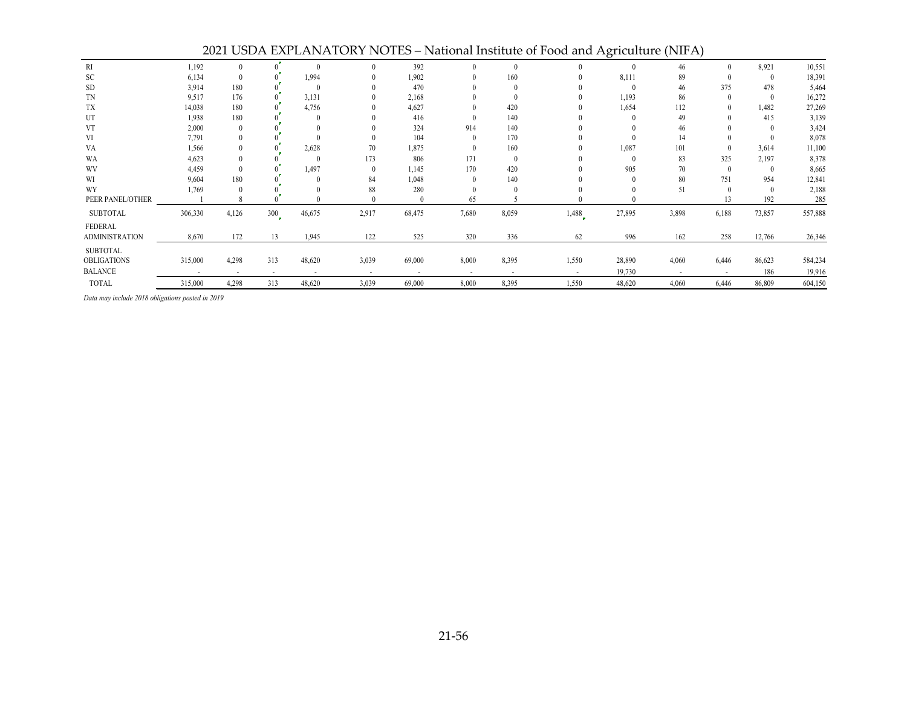|                       |                |                |                          |                |                          |                          |                          |                |        | -0-    | . - . - - - - <i>-</i>   |                |          |         |
|-----------------------|----------------|----------------|--------------------------|----------------|--------------------------|--------------------------|--------------------------|----------------|--------|--------|--------------------------|----------------|----------|---------|
| RI                    | 1,192          | $\theta$       |                          |                |                          | 392                      |                          | $\Omega$       |        |        | 46                       | $\Omega$       | 8,921    | 10,551  |
| SC                    | 6,134          | $\theta$       |                          | 1,994          |                          | 1,902                    |                          | 160            |        | 8,111  | 89                       | $\theta$       | $\theta$ | 18,391  |
| <b>SD</b>             | 3,914          | 180            |                          |                |                          | 470                      |                          |                |        |        | 46                       | 375            | 478      | 5,464   |
| TN                    | 9,517          | 176            |                          | 3,131          |                          | 2,168                    |                          |                |        | 1,193  | 86                       | $\theta$       | $\theta$ | 16,272  |
| TX                    | 14,038         | 180            |                          | 4,756          |                          | 4,627                    |                          | 420            |        | 1,654  | 112                      | $\theta$       | 1,482    | 27,269  |
| UT                    | 1,938          | 180            |                          |                |                          | 416                      |                          | 140            |        |        | 49                       |                | 415      | 3,139   |
| <b>VT</b>             | 2,000          | $\theta$       |                          |                |                          | 324                      | 914                      | 140            |        |        | 46                       |                |          | 3,424   |
| VI                    | 7,791          | $\theta$       |                          |                |                          | 104                      |                          | 170            |        |        | 14                       |                |          | 8,078   |
| VA                    | 1,566          | $\theta$       |                          | 2,628          | 70                       | 1,875                    |                          | 160            |        | 1,087  | 101                      | $\theta$       | 3,614    | 11,100  |
| WA                    | 4,623          | $\theta$       |                          |                | 173                      | 806                      | 171                      | $\theta$       |        |        | 83                       | 325            | 2,197    | 8,378   |
| WV                    | 4,459          | $\theta$       |                          | 1.497          |                          | 1,145                    | 170                      | 420            |        | 905    | 70                       | $\theta$       | $\theta$ | 8,665   |
| WI                    | 9,604          | 180            |                          |                | 84                       | 1,048                    |                          | 140            |        |        | 80                       | 751            | 954      | 12,841  |
| WY                    | 1,769          | $\theta$       |                          |                | 88                       | 280                      |                          |                |        |        | 51                       | $\theta$       | $\Omega$ | 2,188   |
| PEER PANEL/OTHER      |                | 8              |                          |                |                          | $\left($                 | 65                       |                |        |        |                          | 13             | 192      | 285     |
| <b>SUBTOTAL</b>       | 306,330        | 4,126          | 300                      | 46,675         | 2,917                    | 68,475                   | 7,680                    | 8,059          | 1,488  | 27,895 | 3,898                    | 6,188          | 73,857   | 557,888 |
| <b>FEDERAL</b>        |                |                |                          |                |                          |                          |                          |                |        |        |                          |                |          |         |
| <b>ADMINISTRATION</b> | 8,670          | 172            | 13                       | 1,945          | 122                      | 525                      | 320                      | 336            | 62     | 996    | 162                      | 258            | 12,766   | 26,346  |
| <b>SUBTOTAL</b>       |                |                |                          |                |                          |                          |                          |                |        |        |                          |                |          |         |
| <b>OBLIGATIONS</b>    | 315,000        | 4,298          | 313                      | 48,620         | 3,039                    | 69,000                   | 8,000                    | 8,395          | 1,550  | 28,890 | 4,060                    | 6,446          | 86,623   | 584,234 |
| <b>BALANCE</b>        | $\overline{a}$ | $\overline{a}$ | $\overline{\phantom{a}}$ | $\overline{a}$ | $\overline{\phantom{a}}$ | $\overline{\phantom{a}}$ | $\overline{\phantom{a}}$ | $\overline{a}$ | $\sim$ | 19,730 | $\overline{\phantom{a}}$ | $\overline{a}$ | 186      | 19,916  |
| TOTAL                 | 315,000        | 4,298          | 313                      | 48,620         | 3,039                    | 69,000                   | 8,000                    | 8,395          | 1,550  | 48,620 | 4,060                    | 6,446          | 86,809   | 604,150 |

2021 USDA EXPLANATORY NOTES – National Institute of Food and Agriculture (NIFA)

*Data may include 2018 obligations posted in 2019*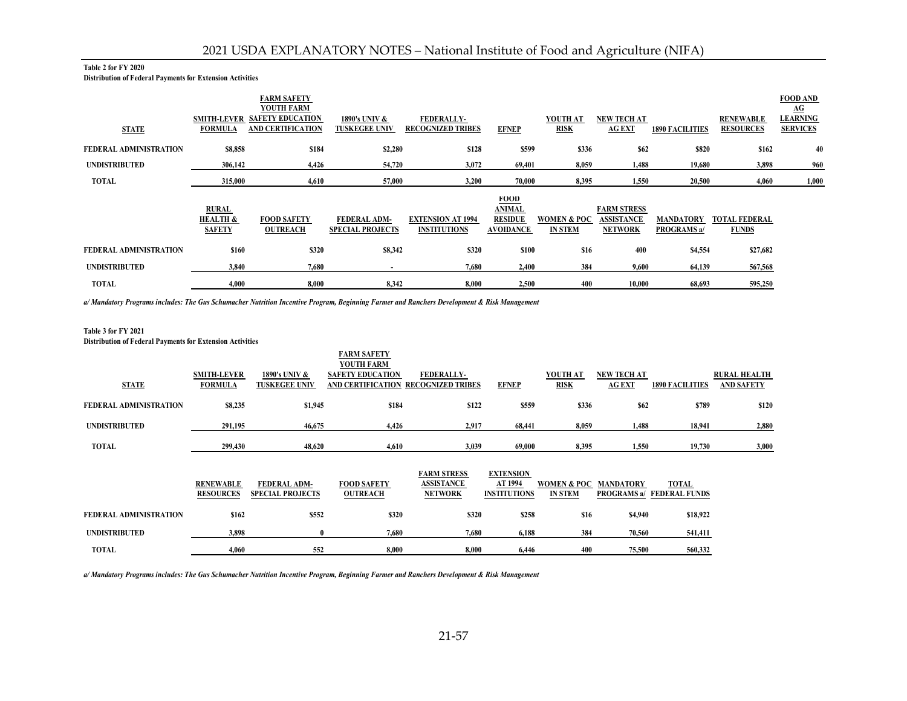#### **Table 2 for FY 2020**

**Distribution of Federal Payments for Extension Activities**

|                        |                                                      | <b>FARM SAFETY</b><br><b>YOUTH FARM</b>             |                                         |                                                 |                                                                    |                               |                                                           |                                        |                                      | <b>FOOD AND</b><br>$\underline{AG}$ |
|------------------------|------------------------------------------------------|-----------------------------------------------------|-----------------------------------------|-------------------------------------------------|--------------------------------------------------------------------|-------------------------------|-----------------------------------------------------------|----------------------------------------|--------------------------------------|-------------------------------------|
| <b>STATE</b>           | <b>SMITH-LEVER</b><br><b>FORMULA</b>                 | <b>SAFETY EDUCATION</b><br><b>AND CERTIFICATION</b> | 1890's UNIV &<br><b>TUSKEGEE UNIV</b>   | <b>FEDERALLY-</b><br><b>RECOGNIZED TRIBES</b>   | <b>EFNEP</b>                                                       | YOUTH AT<br>RISK              | <b>NEW TECH AT</b><br><b>AG EXT</b>                       | <b>1890 FACILITIES</b>                 | <b>RENEWABLE</b><br><b>RESOURCES</b> | <b>LEARNING</b><br><b>SERVICES</b>  |
| FEDERAL ADMINISTRATION | \$8,858                                              | \$184                                               | \$2,280                                 | \$128                                           | \$599                                                              | \$336                         | \$62                                                      | \$820                                  | \$162                                | 40                                  |
| <b>UNDISTRIBUTED</b>   | 306,142                                              | 4,426                                               | 54,720                                  | 3,072                                           | 69,401                                                             | 8,059                         | 1,488                                                     | 19,680                                 | 3,898                                | 960                                 |
| TOTAL                  | 315,000                                              | 4,610                                               | 57,000                                  | 3,200                                           | 70,000                                                             | 8,395                         | 1,550                                                     | 20,500                                 | 4,060                                | 1,000                               |
|                        | <b>RURAL</b><br><b>HEALTH &amp;</b><br><b>SAFETY</b> | <b>FOOD SAFETY</b><br><b>OUTREACH</b>               | FEDERAL ADM-<br><b>SPECIAL PROJECTS</b> | <b>EXTENSION AT 1994</b><br><b>INSTITUTIONS</b> | <b>FOOD</b><br><b>ANIMAL</b><br><b>RESIDUE</b><br><b>AVOIDANCE</b> | WOMEN & POC<br><b>IN STEM</b> | <b>FARM STRESS</b><br><b>ASSISTANCE</b><br><b>NETWORK</b> | <b>MANDATORY</b><br><b>PROGRAMS a/</b> | <b>TOTAL FEDERAL</b><br><b>FUNDS</b> |                                     |
| FEDERAL ADMINISTRATION | \$160                                                | \$320                                               | \$8,342                                 | \$320                                           | \$100                                                              | \$16                          | 400                                                       | \$4,554                                | \$27,682                             |                                     |
| <b>UNDISTRIBUTED</b>   | 3.840                                                | 7.680                                               |                                         | 7,680                                           | 2,400                                                              | 384                           | 9,600                                                     | 64,139                                 | 567,568                              |                                     |
| TOTAL                  | 4,000                                                | 8,000                                               | 8,342                                   | 8,000                                           | 2,500                                                              | 400                           | 10,000                                                    | 68,693                                 | 595,250                              |                                     |

*a/ Mandatory Programs includes: The Gus Schumacher Nutrition Incentive Program, Beginning Farmer and Ranchers Development & Risk Management*

#### **Table 3 for FY 2021**

**Distribution of Federal Payments for Extension Activities**

|                        |                                      |                                         | <b>FARM SAFETY</b><br><b>YOUTH FARM</b>      |                                                           |                                                    |                                          |                                        |                               |                                          |
|------------------------|--------------------------------------|-----------------------------------------|----------------------------------------------|-----------------------------------------------------------|----------------------------------------------------|------------------------------------------|----------------------------------------|-------------------------------|------------------------------------------|
| <b>STATE</b>           | <b>SMITH-LEVER</b><br><b>FORMULA</b> | 1890's UNIV &<br><b>TUSKEGEE UNIV</b>   | <b>SAFETY EDUCATION</b><br>AND CERTIFICATION | <b>FEDERALLY-</b><br><b>RECOGNIZED TRIBES</b>             | <b>EFNEP</b>                                       | YOUTH AT<br><b>RISK</b>                  | <b>NEW TECH AT</b><br><b>AG EXT</b>    | <b>1890 FACILITIES</b>        | <b>RURAL HEALTH</b><br><b>AND SAFETY</b> |
| FEDERAL ADMINISTRATION | \$8,235                              | \$1,945                                 | \$184                                        | \$122                                                     | \$559                                              | \$336                                    | \$62                                   | \$789                         | \$120                                    |
| <b>UNDISTRIBUTED</b>   | 291,195                              | 46,675                                  | 4,426                                        | 2,917                                                     | 68,441                                             | 8,059                                    | 1,488                                  | 18,941                        | 2,880                                    |
| <b>TOTAL</b>           | 299,430                              | 48,620                                  | 4,610                                        | 3,039                                                     | 69,000                                             | 8,395                                    | 1,550                                  | 19,730                        | 3,000                                    |
|                        | <b>RENEWABLE</b><br><b>RESOURCES</b> | FEDERAL ADM-<br><b>SPECIAL PROJECTS</b> | <b>FOOD SAFETY</b><br><b>OUTREACH</b>        | <b>FARM STRESS</b><br><b>ASSISTANCE</b><br><b>NETWORK</b> | <b>EXTENSION</b><br>AT 1994<br><b>INSTITUTIONS</b> | <b>WOMEN &amp; POC</b><br><b>IN STEM</b> | <b>MANDATORY</b><br><b>PROGRAMS</b> a/ | TOTAL<br><b>FEDERAL FUNDS</b> |                                          |
| FEDERAL ADMINISTRATION | \$162                                | \$552                                   | \$320                                        | \$320                                                     | \$258                                              | \$16                                     | \$4,940                                | \$18,922                      |                                          |
| <b>UNDISTRIBUTED</b>   | 3,898                                |                                         | 7,680                                        | 7,680                                                     | 6,188                                              | 384                                      | 70,560                                 | 541,411                       |                                          |
| <b>TOTAL</b>           | 4,060                                | 552                                     | 8.000                                        | 8,000                                                     | 6,446                                              | 400                                      | 75,500                                 | 560,332                       |                                          |

*a/ Mandatory Programs includes: The Gus Schumacher Nutrition Incentive Program, Beginning Farmer and Ranchers Development & Risk Management*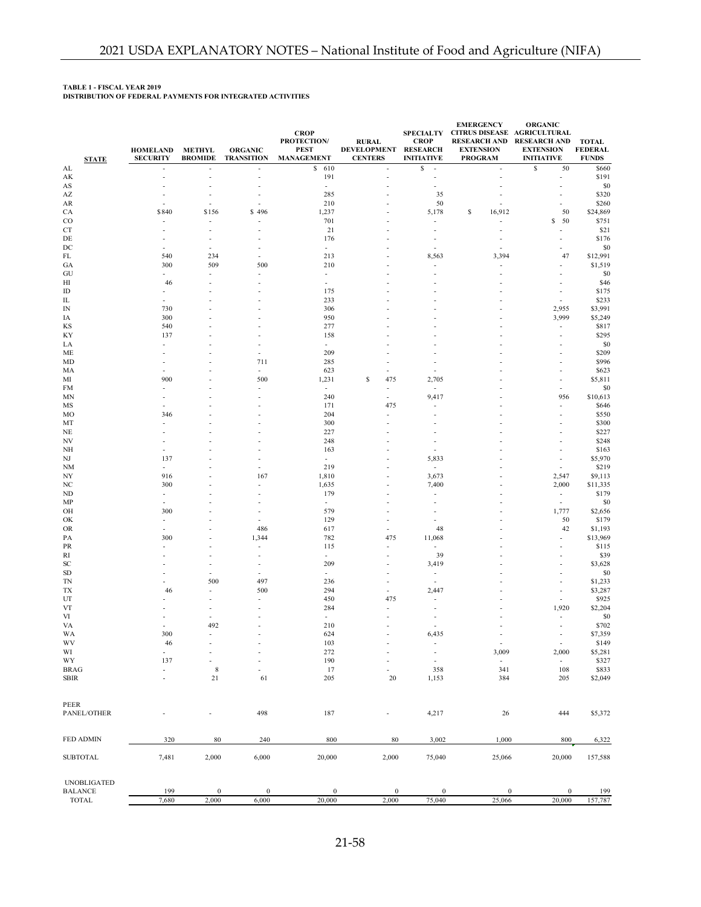#### **TABLE 1 - FISCAL YEAR 2019**

**DISTRIBUTION OF FEDERAL PAYMENTS FOR INTEGRATED ACTIVITIES**

| <b>STATE</b>                         | <b>HOMELAND</b><br><b>SECURITY</b> | <b>METHYL</b><br><b>BROMIDE</b>   | <b>ORGANIC</b><br><b>TRANSITION</b> | <b>CROP</b><br><b>PROTECTION/</b><br><b>PEST</b><br><b>MANAGEMENT</b> | <b>RURAL</b><br>DEVELOPMENT RESEARCH<br><b>CENTERS</b> | <b>CROP</b><br><b>INITIATIVE</b>  | <b>EMERGENCY</b><br>SPECIALTY CITRUS DISEASE AGRICULTURAL<br><b>EXTENSION</b><br><b>PROGRAM</b> | <b>ORGANIC</b><br>RESEARCH AND RESEARCH AND<br><b>EXTENSION</b><br><b>INITIATIVE</b> | <b>TOTAL</b><br><b>FEDERAL</b><br><b>FUNDS</b> |
|--------------------------------------|------------------------------------|-----------------------------------|-------------------------------------|-----------------------------------------------------------------------|--------------------------------------------------------|-----------------------------------|-------------------------------------------------------------------------------------------------|--------------------------------------------------------------------------------------|------------------------------------------------|
| AL                                   |                                    | $\overline{a}$                    | ÷                                   | 610<br>\$                                                             | $\sim$                                                 | s<br>$\overline{\phantom{a}}$     | $\sim$                                                                                          | \$<br>50                                                                             | \$660                                          |
| AK                                   | $\overline{a}$                     | $\overline{a}$                    | ÷                                   | 191                                                                   | ÷                                                      |                                   | ÷                                                                                               | $\overline{a}$                                                                       | \$191                                          |
| AS                                   |                                    |                                   |                                     | $\overline{a}$                                                        |                                                        |                                   |                                                                                                 |                                                                                      | \$0                                            |
| $\mathsf{A}\mathsf{Z}$               |                                    |                                   |                                     | 285                                                                   |                                                        | 35                                |                                                                                                 | Ĭ.                                                                                   | \$320                                          |
| AR                                   |                                    |                                   |                                     | 210                                                                   |                                                        | 50                                |                                                                                                 | L,                                                                                   | \$260                                          |
| CA                                   | \$840                              | \$156<br>$\overline{\phantom{a}}$ | \$496                               | 1,237<br>701                                                          |                                                        | 5,178                             | \$<br>16,912<br>$\overline{\phantom{a}}$                                                        | 50<br>50<br>s                                                                        | \$24,869<br>\$751                              |
| $_{\rm CO}$<br>CT                    |                                    |                                   |                                     | 21                                                                    |                                                        |                                   |                                                                                                 |                                                                                      | \$21                                           |
| DE                                   |                                    |                                   |                                     | 176                                                                   |                                                        |                                   |                                                                                                 | $\overline{a}$                                                                       | \$176                                          |
| DC                                   |                                    | $\sim$                            |                                     | $\sim$                                                                |                                                        | $\overline{a}$                    |                                                                                                 |                                                                                      | \$0                                            |
| FL                                   | 540                                | 234                               |                                     | 213                                                                   |                                                        | 8,563                             | 3,394                                                                                           | 47                                                                                   | \$12,991                                       |
| GA                                   | 300                                | 509                               | 500                                 | 210                                                                   |                                                        |                                   |                                                                                                 | ÷,                                                                                   | \$1,519                                        |
| GU                                   | $\overline{\phantom{a}}$           | $\sim$                            |                                     | $\sim$                                                                |                                                        |                                   | $\overline{a}$                                                                                  | ÷,                                                                                   | \$0                                            |
| HI                                   | 46                                 |                                   |                                     | $\overline{\phantom{a}}$                                              |                                                        |                                   |                                                                                                 |                                                                                      | \$46                                           |
| ID                                   | $\overline{a}$                     |                                   |                                     | 175                                                                   |                                                        |                                   |                                                                                                 | $\overline{a}$                                                                       | \$175                                          |
| IL                                   |                                    |                                   |                                     | 233                                                                   |                                                        |                                   |                                                                                                 |                                                                                      | \$233                                          |
| IN                                   | 730                                |                                   |                                     | 306                                                                   |                                                        |                                   |                                                                                                 | 2,955                                                                                | \$3,991                                        |
| IΑ                                   | 300                                |                                   |                                     | 950                                                                   |                                                        |                                   |                                                                                                 | 3,999                                                                                | \$5,249                                        |
| KS                                   | 540                                |                                   |                                     | 277                                                                   |                                                        |                                   |                                                                                                 | $\overline{a}$                                                                       | \$817                                          |
| KY                                   | 137<br>$\overline{a}$              |                                   |                                     | 158<br>$\sim$                                                         |                                                        |                                   |                                                                                                 | $\overline{a}$                                                                       | \$295                                          |
| LA<br>ME                             |                                    |                                   |                                     | 209                                                                   |                                                        |                                   |                                                                                                 | $\overline{\phantom{a}}$<br>٠                                                        | \$0<br>\$209                                   |
| MD                                   |                                    |                                   | 711                                 | 285                                                                   |                                                        |                                   |                                                                                                 | $\overline{a}$                                                                       | \$996                                          |
| MА                                   |                                    |                                   |                                     | 623                                                                   | $\overline{\phantom{a}}$                               |                                   |                                                                                                 |                                                                                      | \$623                                          |
| МІ                                   | 900                                |                                   | 500                                 | 1,231                                                                 | \$<br>475                                              | 2,705                             |                                                                                                 |                                                                                      | \$5,811                                        |
| FM                                   |                                    |                                   |                                     | $\sim$                                                                | $\overline{\phantom{a}}$                               | $\overline{\phantom{a}}$          |                                                                                                 | ÷                                                                                    | \$0                                            |
| MN                                   |                                    |                                   |                                     | 240                                                                   | $\sim$                                                 | 9,417                             |                                                                                                 | 956                                                                                  | \$10,613                                       |
| MS                                   |                                    |                                   |                                     | 171                                                                   | 475                                                    |                                   |                                                                                                 | $\overline{a}$                                                                       | \$646                                          |
| MO                                   | 346                                |                                   |                                     | 204                                                                   |                                                        |                                   |                                                                                                 | ÷,                                                                                   | \$550                                          |
| MT                                   |                                    |                                   |                                     | 300                                                                   |                                                        |                                   |                                                                                                 |                                                                                      | \$300                                          |
| NE                                   |                                    |                                   |                                     | 227                                                                   |                                                        |                                   |                                                                                                 |                                                                                      | \$227                                          |
| NV                                   |                                    |                                   |                                     | 248                                                                   |                                                        |                                   |                                                                                                 | ÷,                                                                                   | \$248                                          |
| NH                                   |                                    |                                   |                                     | 163                                                                   |                                                        |                                   |                                                                                                 |                                                                                      | \$163                                          |
| NJ                                   | 137                                |                                   |                                     | $\blacksquare$                                                        |                                                        | 5,833                             |                                                                                                 |                                                                                      | \$5,970                                        |
| NM                                   | $\overline{a}$                     |                                   |                                     | 219                                                                   |                                                        | $\overline{a}$                    |                                                                                                 |                                                                                      | \$219                                          |
| NY                                   | 916                                |                                   | 167                                 | 1,810                                                                 |                                                        | 3,673                             |                                                                                                 | 2,547                                                                                | \$9,113                                        |
| NC<br>ND                             | 300<br>$\sim$                      |                                   |                                     | 1,635<br>179                                                          |                                                        | 7,400<br>$\overline{a}$           |                                                                                                 | 2,000<br>$\sim$                                                                      | \$11,335<br>\$179                              |
| MP                                   |                                    |                                   |                                     | $\sim$                                                                |                                                        |                                   |                                                                                                 | $\sim$                                                                               | \$0                                            |
| OH                                   | 300                                |                                   |                                     | 579                                                                   |                                                        |                                   |                                                                                                 | 1,777                                                                                | \$2,656                                        |
| OK                                   | $\overline{a}$                     |                                   | L.                                  | 129                                                                   | $\overline{a}$                                         |                                   |                                                                                                 | 50                                                                                   | \$179                                          |
| OR                                   |                                    |                                   | 486                                 | 617                                                                   |                                                        | 48                                |                                                                                                 | 42                                                                                   | \$1,193                                        |
| PA                                   | 300                                |                                   | 1,344                               | 782                                                                   | 475                                                    | 11,068                            |                                                                                                 | $\overline{a}$                                                                       | \$13,969                                       |
| PR                                   |                                    |                                   |                                     | 115                                                                   |                                                        | $\overline{\phantom{a}}$          |                                                                                                 |                                                                                      | \$115                                          |
| RI                                   |                                    |                                   |                                     | $\sim$                                                                | $\overline{\phantom{a}}$                               | 39                                |                                                                                                 |                                                                                      | \$39                                           |
| SC                                   |                                    |                                   |                                     | 209                                                                   |                                                        | 3,419                             |                                                                                                 | $\overline{a}$                                                                       | \$3,628                                        |
| SD                                   |                                    |                                   |                                     | $\sim$                                                                |                                                        | $\overline{\phantom{a}}$          |                                                                                                 | Ĭ.                                                                                   | \$0                                            |
| <b>TN</b>                            |                                    | 500                               | 497                                 | 236                                                                   | $\overline{a}$                                         | $\overline{a}$                    |                                                                                                 | $\overline{a}$                                                                       | \$1,233                                        |
| ТX                                   | 46                                 | $\overline{\phantom{a}}$          | 500                                 | 294                                                                   | $\overline{a}$                                         | 2,447                             |                                                                                                 | Ĩ.                                                                                   | \$3,287                                        |
| UT                                   |                                    |                                   |                                     | 450                                                                   | 475                                                    |                                   |                                                                                                 |                                                                                      | \$925                                          |
| VT                                   |                                    |                                   |                                     | 284                                                                   |                                                        |                                   |                                                                                                 | 1,920                                                                                | \$2,204                                        |
| VI                                   |                                    |                                   |                                     | $\sim$                                                                |                                                        |                                   |                                                                                                 | $\overline{a}$<br>$\overline{a}$                                                     | \$0                                            |
| VA                                   |                                    | 492                               |                                     | 210                                                                   |                                                        |                                   |                                                                                                 |                                                                                      | \$702                                          |
| WA<br>$\mathbf{W}\mathbf{V}$         | 300<br>46                          |                                   |                                     | 624<br>103                                                            |                                                        | 6,435<br>$\overline{\phantom{a}}$ | $\overline{\phantom{a}}$<br>$\overline{\phantom{a}}$                                            | $\sim$<br>$\blacksquare$                                                             | \$7,359<br>\$149                               |
| WI                                   | $\blacksquare$                     |                                   |                                     | 272                                                                   |                                                        | $\overline{\phantom{a}}$          | 3,009                                                                                           | 2,000                                                                                | \$5,281                                        |
| WY                                   | 137                                |                                   |                                     | 190                                                                   |                                                        | $\overline{\phantom{a}}$          | $\overline{\phantom{a}}$                                                                        | $\blacksquare$                                                                       | \$327                                          |
| <b>BRAG</b>                          | $\overline{a}$                     | $\,$ 8 $\,$                       |                                     | 17                                                                    |                                                        | 358                               | 341                                                                                             | 108                                                                                  | \$833                                          |
| <b>SBIR</b>                          |                                    | $21\,$                            | 61                                  | 205                                                                   | 20                                                     | 1,153                             | 384                                                                                             | 205                                                                                  | \$2,049                                        |
| PEER                                 |                                    |                                   |                                     |                                                                       |                                                        |                                   |                                                                                                 |                                                                                      |                                                |
| PANEL/OTHER                          |                                    |                                   | 498                                 | 187                                                                   | $\overline{\phantom{a}}$                               | 4,217                             | 26                                                                                              | 444                                                                                  | \$5,372                                        |
| FED ADMIN                            | 320                                | 80                                | 240                                 | 800                                                                   | 80                                                     | 3,002                             | 1,000                                                                                           | 800                                                                                  | 6,322                                          |
| <b>SUBTOTAL</b>                      | 7,481                              | 2,000                             | 6,000                               | 20,000                                                                | 2,000                                                  | 75,040                            | 25,066                                                                                          | 20,000                                                                               | 157,588                                        |
| <b>UNOBLIGATED</b><br><b>BALANCE</b> | 199                                | $\boldsymbol{0}$                  | $\boldsymbol{0}$                    | $\boldsymbol{0}$                                                      | $\bf{0}$                                               | $\boldsymbol{0}$                  | $\bf{0}$                                                                                        |                                                                                      |                                                |
| TOTAL                                | 7,680                              | 2,000                             | 6,000                               | 20,000                                                                | 2,000                                                  | 75,040                            | 25,066                                                                                          | $\boldsymbol{0}$<br>20,000                                                           | 199<br>157,787                                 |
|                                      |                                    |                                   |                                     |                                                                       |                                                        |                                   |                                                                                                 |                                                                                      |                                                |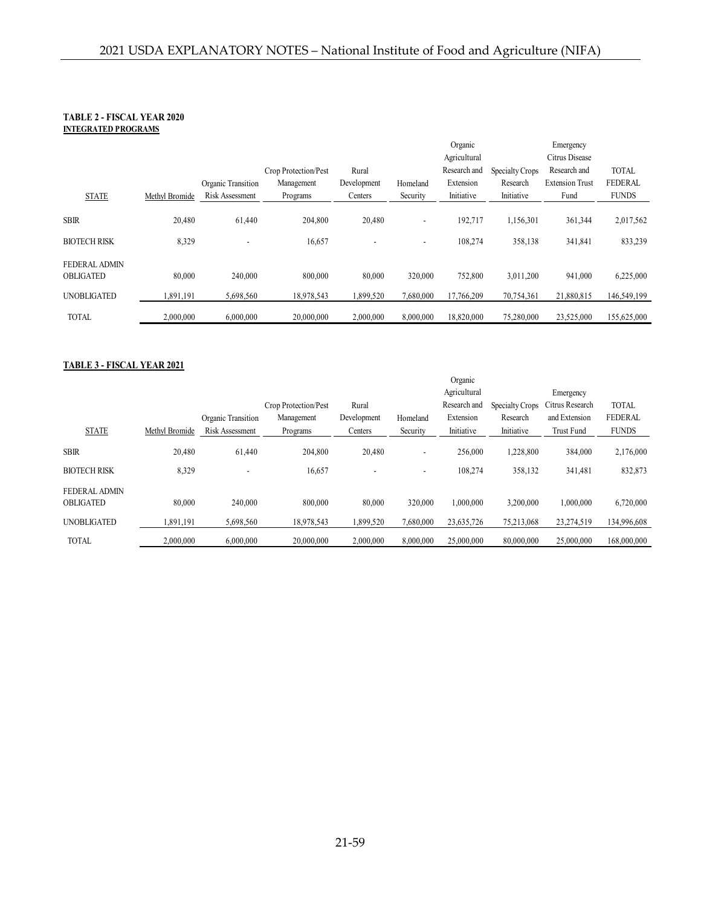### **TABLE 2 - FISCAL YEAR 2020 INTEGRATED PROGRAMS**

|                     |                |                        |                      |                          |           | Organic      |                 | Emergency              |                |
|---------------------|----------------|------------------------|----------------------|--------------------------|-----------|--------------|-----------------|------------------------|----------------|
|                     |                |                        |                      |                          |           | Agricultural |                 | Citrus Disease         |                |
|                     |                |                        | Crop Protection/Pest | Rural                    |           | Research and | Specialty Crops | Research and           | <b>TOTAL</b>   |
|                     |                | Organic Transition     | Management           | Development              | Homeland  | Extension    | Research        | <b>Extension Trust</b> | <b>FEDERAL</b> |
| <b>STATE</b>        | Methyl Bromide | <b>Risk Assessment</b> | Programs             | Centers                  | Security  | Initiative   | Initiative      | Fund                   | <b>FUNDS</b>   |
|                     |                |                        |                      |                          |           |              |                 |                        |                |
| <b>SBIR</b>         | 20,480         | 61,440                 | 204,800              | 20,480                   | ۰         | 192.717      | 1,156,301       | 361,344                | 2,017,562      |
| <b>BIOTECH RISK</b> | 8,329          |                        | 16,657               | $\overline{\phantom{a}}$ | ۰         | 108.274      | 358,138         | 341,841                | 833,239        |
| FEDERAL ADMIN       |                |                        |                      |                          |           |              |                 |                        |                |
| <b>OBLIGATED</b>    | 80,000         | 240,000                | 800,000              | 80,000                   | 320,000   | 752,800      | 3.011.200       | 941,000                | 6,225,000      |
| <b>UNOBLIGATED</b>  | 1,891,191      | 5,698,560              | 18,978,543           | 1,899,520                | 7,680,000 | 17,766,209   | 70,754,361      | 21,880,815             | 146,549,199    |
|                     |                |                        |                      |                          |           |              |                 |                        |                |
| <b>TOTAL</b>        | 2,000,000      | 6,000,000              | 20,000,000           | 2,000,000                | 8,000,000 | 18,820,000   | 75,280,000      | 23,525,000             | 155,625,000    |

### **TABLE 3 - FISCAL YEAR 2021**

|                                   |                |                          |                      |             |           | Organic      |                 |                   |                |
|-----------------------------------|----------------|--------------------------|----------------------|-------------|-----------|--------------|-----------------|-------------------|----------------|
|                                   |                |                          |                      |             |           | Agricultural |                 | Emergency         |                |
|                                   |                |                          | Crop Protection/Pest | Rural       |           | Research and | Specialty Crops | Citrus Research   | <b>TOTAL</b>   |
|                                   |                | Organic Transition       | Management           | Development | Homeland  | Extension    | Research        | and Extension     | <b>FEDERAL</b> |
| <b>STATE</b>                      | Methyl Bromide | Risk Assessment          | Programs             | Centers     | Security  | Initiative   | Initiative      | <b>Trust Fund</b> | <b>FUNDS</b>   |
| <b>SBIR</b>                       | 20,480         | 61,440                   | 204,800              | 20,480      | ۰         | 256,000      | 1,228,800       | 384,000           | 2,176,000      |
| <b>BIOTECH RISK</b>               | 8,329          | $\overline{\phantom{a}}$ | 16,657               |             | ۰         | 108.274      | 358,132         | 341,481           | 832,873        |
| FEDERAL ADMIN<br><b>OBLIGATED</b> | 80,000         | 240,000                  | 800,000              | 80,000      | 320,000   | 1.000.000    | 3.200.000       | 1,000,000         | 6,720,000      |
| <b>UNOBLIGATED</b>                | .891,191       | 5,698,560                | 18,978,543           | 1.899.520   | 7.680.000 | 23,635,726   | 75,213,068      | 23,274,519        | 134,996,608    |
| <b>TOTAL</b>                      | 2.000.000      | 6,000,000                | 20,000,000           | 2,000,000   | 8,000,000 | 25,000,000   | 80,000,000      | 25,000,000        | 168,000,000    |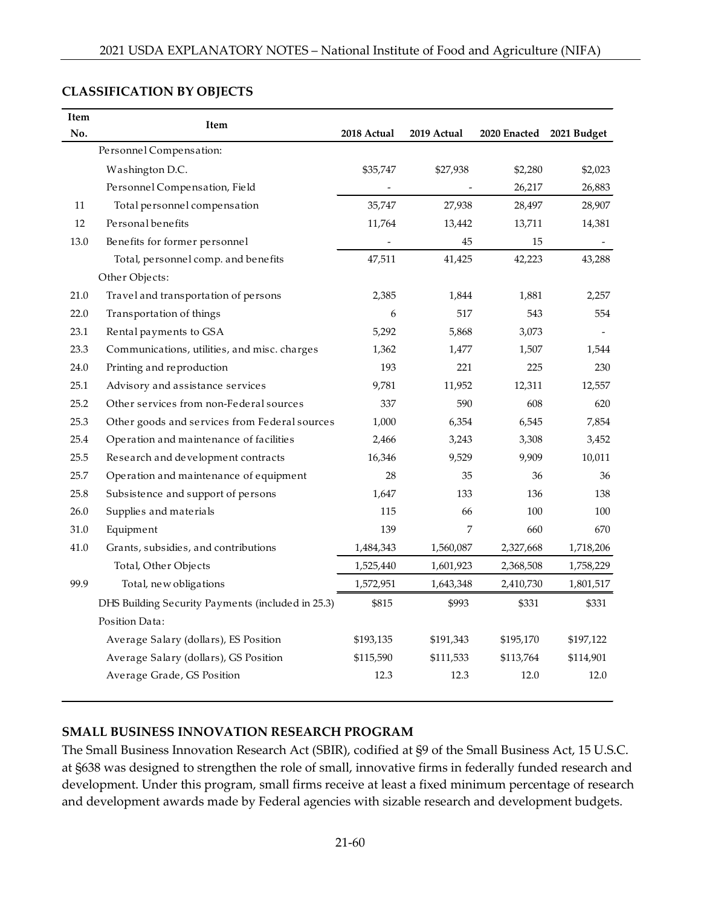| Item | <b>Item</b>                                       |             |             |                          |           |
|------|---------------------------------------------------|-------------|-------------|--------------------------|-----------|
| No.  |                                                   | 2018 Actual | 2019 Actual | 2020 Enacted 2021 Budget |           |
|      | Personnel Compensation:                           |             |             |                          |           |
|      | Washington D.C.                                   | \$35,747    | \$27,938    | \$2,280                  | \$2,023   |
|      | Personnel Compensation, Field                     |             |             | 26,217                   | 26,883    |
| 11   | Total personnel compensation                      | 35,747      | 27,938      | 28,497                   | 28,907    |
| 12   | Personal benefits                                 | 11,764      | 13,442      | 13,711                   | 14,381    |
| 13.0 | Benefits for former personnel                     |             | 45          | 15                       |           |
|      | Total, personnel comp. and benefits               | 47,511      | 41,425      | 42,223                   | 43,288    |
|      | Other Objects:                                    |             |             |                          |           |
| 21.0 | Travel and transportation of persons              | 2,385       | 1,844       | 1,881                    | 2,257     |
| 22.0 | Transportation of things                          | 6           | 517         | 543                      | 554       |
| 23.1 | Rental payments to GSA                            | 5,292       | 5,868       | 3,073                    |           |
| 23.3 | Communications, utilities, and misc. charges      | 1,362       | 1,477       | 1,507                    | 1,544     |
| 24.0 | Printing and reproduction                         | 193         | 221         | 225                      | 230       |
| 25.1 | Advisory and assistance services                  | 9,781       | 11,952      | 12,311                   | 12,557    |
| 25.2 | Other services from non-Federal sources           | 337         | 590         | 608                      | 620       |
| 25.3 | Other goods and services from Federal sources     | 1,000       | 6,354       | 6,545                    | 7,854     |
| 25.4 | Operation and maintenance of facilities           | 2,466       | 3,243       | 3,308                    | 3,452     |
| 25.5 | Research and development contracts                | 16,346      | 9,529       | 9,909                    | 10,011    |
| 25.7 | Operation and maintenance of equipment            | 28          | 35          | 36                       | 36        |
| 25.8 | Subsistence and support of persons                | 1,647       | 133         | 136                      | 138       |
| 26.0 | Supplies and materials                            | 115         | 66          | 100                      | 100       |
| 31.0 | Equipment                                         | 139         | 7           | 660                      | 670       |
| 41.0 | Grants, subsidies, and contributions              | 1,484,343   | 1,560,087   | 2,327,668                | 1,718,206 |
|      | Total, Other Objects                              | 1,525,440   | 1,601,923   | 2,368,508                | 1,758,229 |
| 99.9 | Total, new obligations                            | 1,572,951   | 1,643,348   | 2,410,730                | 1,801,517 |
|      | DHS Building Security Payments (included in 25.3) | \$815       | \$993       | \$331                    | \$331     |
|      | Position Data:                                    |             |             |                          |           |
|      | Average Salary (dollars), ES Position             | \$193,135   | \$191,343   | \$195,170                | \$197,122 |
|      | Average Salary (dollars), GS Position             | \$115,590   | \$111,533   | \$113,764                | \$114,901 |
|      | Average Grade, GS Position                        | 12.3        | 12.3        | 12.0                     | 12.0      |
|      |                                                   |             |             |                          |           |

## **CLASSIFICATION BY OBJECTS**

## **SMALL BUSINESS INNOVATION RESEARCH PROGRAM**

The Small Business Innovation Research Act (SBIR), codified at §9 of the Small Business Act, 15 U.S.C. at §638 was designed to strengthen the role of small, innovative firms in federally funded research and development. Under this program, small firms receive at least a fixed minimum percentage of research and development awards made by Federal agencies with sizable research and development budgets.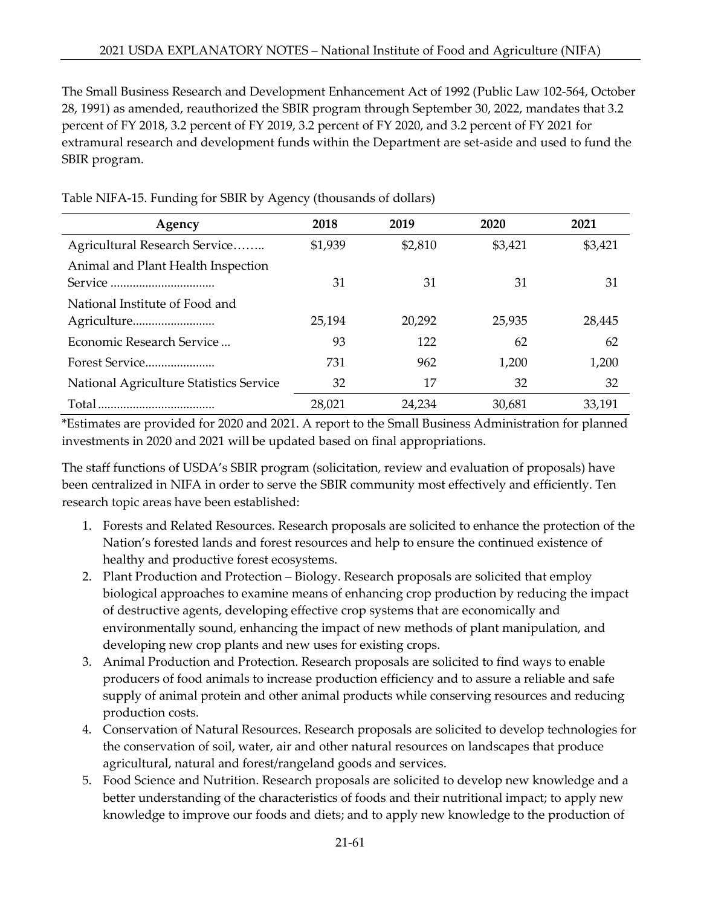The Small Business Research and Development Enhancement Act of 1992 (Public Law 102-564, October 28, 1991) as amended, reauthorized the SBIR program through September 30, 2022, mandates that 3.2 percent of FY 2018, 3.2 percent of FY 2019, 3.2 percent of FY 2020, and 3.2 percent of FY 2021 for extramural research and development funds within the Department are set-aside and used to fund the SBIR program.

| Agency                                  | 2018    | 2019    | 2020    | 2021    |
|-----------------------------------------|---------|---------|---------|---------|
| Agricultural Research Service           | \$1,939 | \$2,810 | \$3,421 | \$3,421 |
| Animal and Plant Health Inspection      |         |         |         |         |
|                                         | 31      | 31      | 31      | 31      |
| National Institute of Food and          |         |         |         |         |
|                                         | 25,194  | 20,292  | 25,935  | 28,445  |
| Economic Research Service               | 93      | 122     | 62      | 62      |
| Forest Service                          | 731     | 962     | 1,200   | 1,200   |
| National Agriculture Statistics Service | 32      | 17      | 32      | 32      |
|                                         | 28,021  | 24,234  | 30,681  | 33,191  |

Table NIFA-15. Funding for SBIR by Agency (thousands of dollars)

\*Estimates are provided for 2020 and 2021. A report to the Small Business Administration for planned investments in 2020 and 2021 will be updated based on final appropriations.

The staff functions of USDA's SBIR program (solicitation, review and evaluation of proposals) have been centralized in NIFA in order to serve the SBIR community most effectively and efficiently. Ten research topic areas have been established:

- 1. Forests and Related Resources. Research proposals are solicited to enhance the protection of the Nation's forested lands and forest resources and help to ensure the continued existence of healthy and productive forest ecosystems.
- 2. Plant Production and Protection Biology. Research proposals are solicited that employ biological approaches to examine means of enhancing crop production by reducing the impact of destructive agents, developing effective crop systems that are economically and environmentally sound, enhancing the impact of new methods of plant manipulation, and developing new crop plants and new uses for existing crops.
- 3. Animal Production and Protection. Research proposals are solicited to find ways to enable producers of food animals to increase production efficiency and to assure a reliable and safe supply of animal protein and other animal products while conserving resources and reducing production costs.
- 4. Conservation of Natural Resources. Research proposals are solicited to develop technologies for the conservation of soil, water, air and other natural resources on landscapes that produce agricultural, natural and forest/rangeland goods and services.
- 5. Food Science and Nutrition. Research proposals are solicited to develop new knowledge and a better understanding of the characteristics of foods and their nutritional impact; to apply new knowledge to improve our foods and diets; and to apply new knowledge to the production of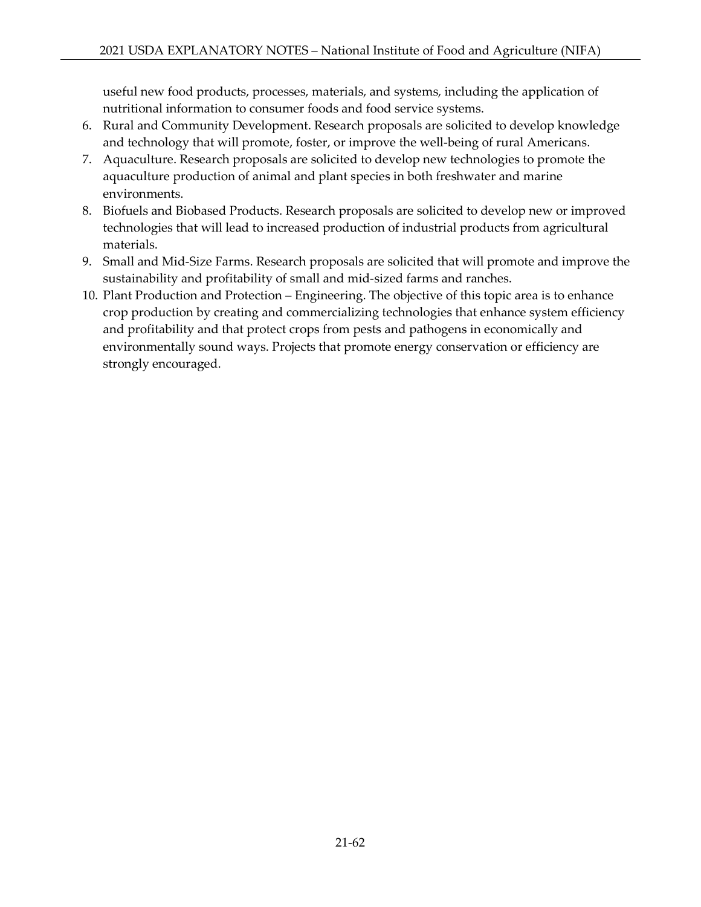useful new food products, processes, materials, and systems, including the application of nutritional information to consumer foods and food service systems.

- 6. Rural and Community Development. Research proposals are solicited to develop knowledge and technology that will promote, foster, or improve the well-being of rural Americans.
- 7. Aquaculture. Research proposals are solicited to develop new technologies to promote the aquaculture production of animal and plant species in both freshwater and marine environments.
- 8. Biofuels and Biobased Products. Research proposals are solicited to develop new or improved technologies that will lead to increased production of industrial products from agricultural materials.
- 9. Small and Mid-Size Farms. Research proposals are solicited that will promote and improve the sustainability and profitability of small and mid-sized farms and ranches.
- 10. Plant Production and Protection Engineering. The objective of this topic area is to enhance crop production by creating and commercializing technologies that enhance system efficiency and profitability and that protect crops from pests and pathogens in economically and environmentally sound ways. Projects that promote energy conservation or efficiency are strongly encouraged.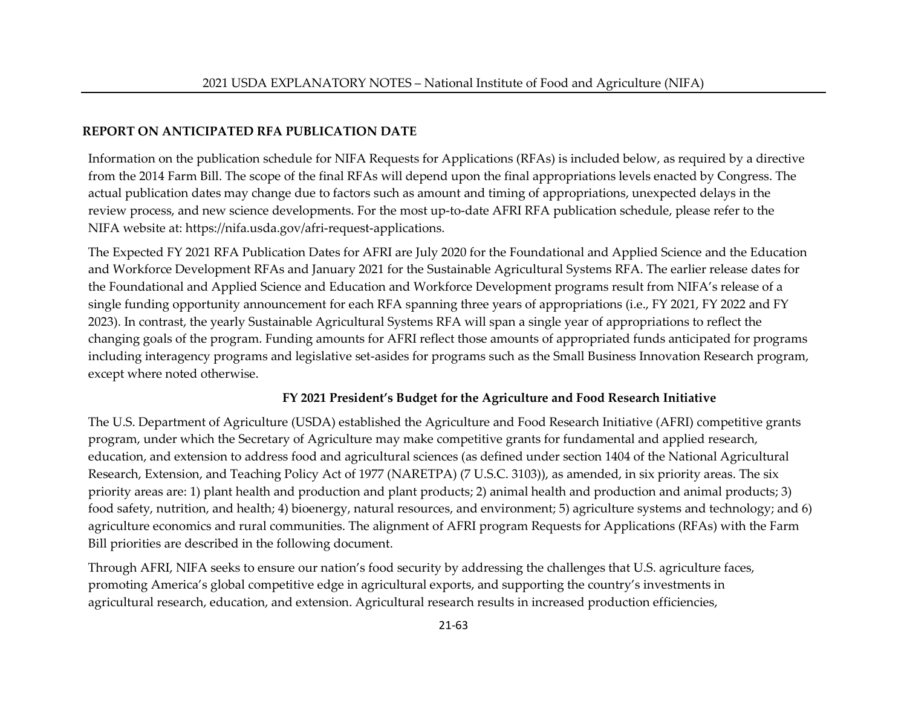## **REPORT ON ANTICIPATED RFA PUBLICATION DATE**

Information on the publication schedule for NIFA Requests for Applications (RFAs) is included below, as required by a directive from the 2014 Farm Bill. The scope of the final RFAs will depend upon the final appropriations levels enacted by Congress. The actual publication dates may change due to factors such as amount and timing of appropriations, unexpected delays in the review process, and new science developments. For the most up-to-date AFRI RFA publication schedule, please refer to the NIFA website at: https://nifa.usda.gov/afri-request-applications.

The Expected FY 2021 RFA Publication Dates for AFRI are July 2020 for the Foundational and Applied Science and the Education and Workforce Development RFAs and January 2021 for the Sustainable Agricultural Systems RFA. The earlier release dates for the Foundational and Applied Science and Education and Workforce Development programs result from NIFA's release of a single funding opportunity announcement for each RFA spanning three years of appropriations (i.e., FY 2021, FY 2022 and FY 2023). In contrast, the yearly Sustainable Agricultural Systems RFA will span a single year of appropriations to reflect the changing goals of the program. Funding amounts for AFRI reflect those amounts of appropriated funds anticipated for programs including interagency programs and legislative set-asides for programs such as the Small Business Innovation Research program, except where noted otherwise.

### **FY 2021 President's Budget for the Agriculture and Food Research Initiative**

The U.S. Department of Agriculture (USDA) established the Agriculture and Food Research Initiative (AFRI) competitive grants program, under which the Secretary of Agriculture may make competitive grants for fundamental and applied research, education, and extension to address food and agricultural sciences (as defined under section 1404 of the National Agricultural Research, Extension, and Teaching Policy Act of 1977 (NARETPA) (7 U.S.C. 3103)), as amended, in six priority areas. The six priority areas are: 1) plant health and production and plant products; 2) animal health and production and animal products; 3) food safety, nutrition, and health; 4) bioenergy, natural resources, and environment; 5) agriculture systems and technology; and 6) agriculture economics and rural communities. The alignment of AFRI program Requests for Applications (RFAs) with the Farm Bill priorities are described in the following document.

Through AFRI, NIFA seeks to ensure our nation's food security by addressing the challenges that U.S. agriculture faces, promoting America's global competitive edge in agricultural exports, and supporting the country's investments in agricultural research, education, and extension. Agricultural research results in increased production efficiencies,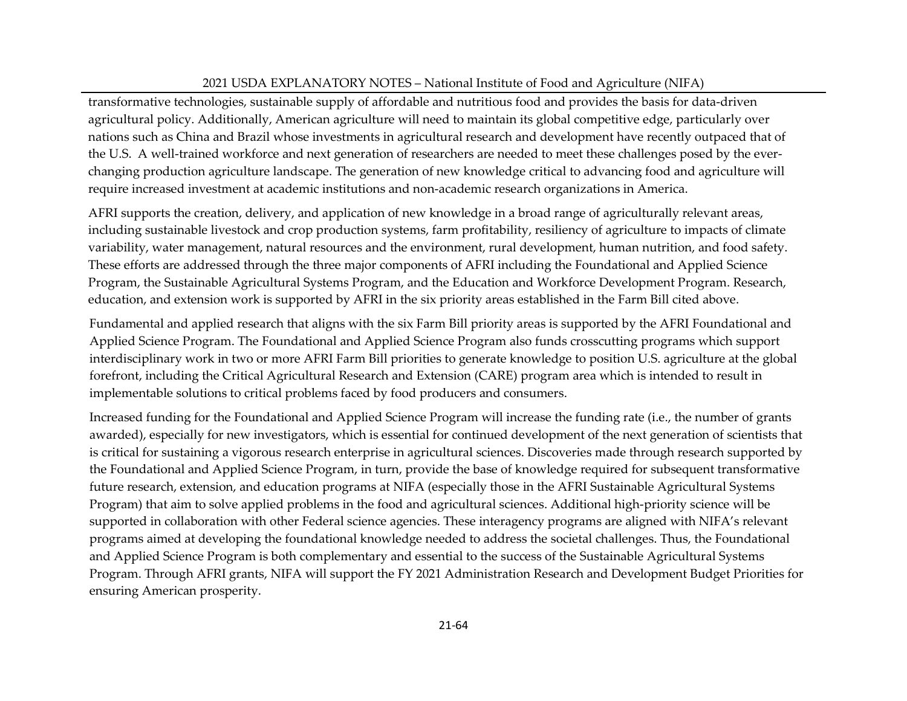transformative technologies, sustainable supply of affordable and nutritious food and provides the basis for data-driven agricultural policy. Additionally, American agriculture will need to maintain its global competitive edge, particularly over nations such as China and Brazil whose investments in agricultural research and development have recently outpaced that of the U.S. A well-trained workforce and next generation of researchers are needed to meet these challenges posed by the everchanging production agriculture landscape. The generation of new knowledge critical to advancing food and agriculture will require increased investment at academic institutions and non-academic research organizations in America.

AFRI supports the creation, delivery, and application of new knowledge in a broad range of agriculturally relevant areas, including sustainable livestock and crop production systems, farm profitability, resiliency of agriculture to impacts of climate variability, water management, natural resources and the environment, rural development, human nutrition, and food safety. These efforts are addressed through the three major components of AFRI including the Foundational and Applied Science Program, the Sustainable Agricultural Systems Program, and the Education and Workforce Development Program. Research, education, and extension work is supported by AFRI in the six priority areas established in the Farm Bill cited above.

Fundamental and applied research that aligns with the six Farm Bill priority areas is supported by the AFRI Foundational and Applied Science Program. The Foundational and Applied Science Program also funds crosscutting programs which support interdisciplinary work in two or more AFRI Farm Bill priorities to generate knowledge to position U.S. agriculture at the global forefront, including the Critical Agricultural Research and Extension (CARE) program area which is intended to result in implementable solutions to critical problems faced by food producers and consumers.

Increased funding for the Foundational and Applied Science Program will increase the funding rate (i.e., the number of grants awarded), especially for new investigators, which is essential for continued development of the next generation of scientists that is critical for sustaining a vigorous research enterprise in agricultural sciences. Discoveries made through research supported by the Foundational and Applied Science Program, in turn, provide the base of knowledge required for subsequent transformative future research, extension, and education programs at NIFA (especially those in the AFRI Sustainable Agricultural Systems Program) that aim to solve applied problems in the food and agricultural sciences. Additional high-priority science will be supported in collaboration with other Federal science agencies. These interagency programs are aligned with NIFA's relevant programs aimed at developing the foundational knowledge needed to address the societal challenges. Thus, the Foundational and Applied Science Program is both complementary and essential to the success of the Sustainable Agricultural Systems Program. Through AFRI grants, NIFA will support the FY 2021 Administration Research and Development Budget Priorities for ensuring American prosperity.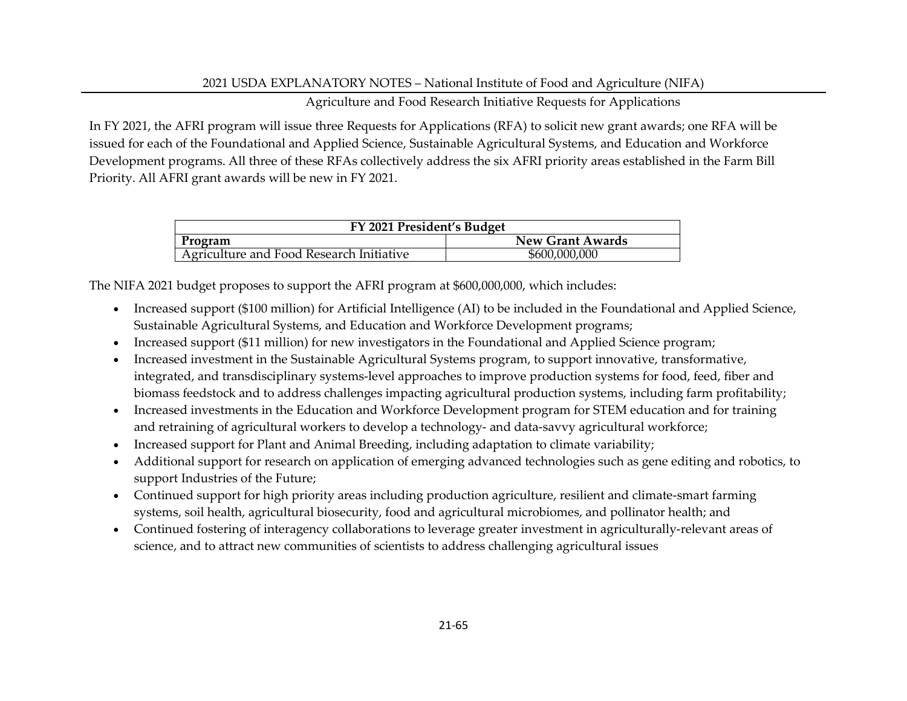### Agriculture and Food Research Initiative Requests for Applications

In FY 2021, the AFRI program will issue three Requests for Applications (RFA) to solicit new grant awards; one RFA will be issued for each of the Foundational and Applied Science, Sustainable Agricultural Systems, and Education and Workforce Development programs. All three of these RFAs collectively address the six AFRI priority areas established in the Farm Bill Priority. All AFRI grant awards will be new in FY 2021.

| FY 2021 President's Budget               |                         |  |  |  |  |
|------------------------------------------|-------------------------|--|--|--|--|
| Program                                  | <b>New Grant Awards</b> |  |  |  |  |
| Agriculture and Food Research Initiative | \$600,000,000           |  |  |  |  |

The NIFA 2021 budget proposes to support the AFRI program at \$600,000,000, which includes:

- Increased support (\$100 million) for Artificial Intelligence (AI) to be included in the Foundational and Applied Science, Sustainable Agricultural Systems, and Education and Workforce Development programs;
- Increased support (\$11 million) for new investigators in the Foundational and Applied Science program;
- Increased investment in the Sustainable Agricultural Systems program, to support innovative, transformative, integrated, and transdisciplinary systems-level approaches to improve production systems for food, feed, fiber and biomass feedstock and to address challenges impacting agricultural production systems, including farm profitability;
- Increased investments in the Education and Workforce Development program for STEM education and for training and retraining of agricultural workers to develop a technology- and data-savvy agricultural workforce;
- Increased support for Plant and Animal Breeding, including adaptation to climate variability;
- Additional support for research on application of emerging advanced technologies such as gene editing and robotics, to support Industries of the Future;
- Continued support for high priority areas including production agriculture, resilient and climate-smart farming systems, soil health, agricultural biosecurity, food and agricultural microbiomes, and pollinator health; and
- Continued fostering of interagency collaborations to leverage greater investment in agriculturally-relevant areas of science, and to attract new communities of scientists to address challenging agricultural issues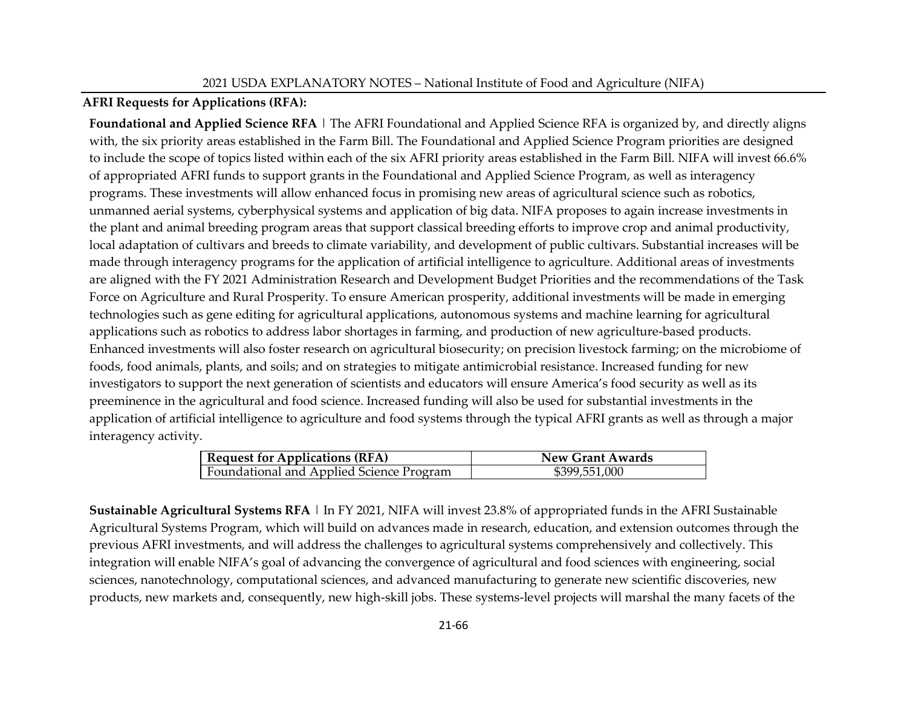### **AFRI Requests for Applications (RFA):**

**Foundational and Applied Science RFA** | The AFRI Foundational and Applied Science RFA is organized by, and directly aligns with, the six priority areas established in the Farm Bill. The Foundational and Applied Science Program priorities are designed to include the scope of topics listed within each of the six AFRI priority areas established in the Farm Bill. NIFA will invest 66.6% of appropriated AFRI funds to support grants in the Foundational and Applied Science Program, as well as interagency programs. These investments will allow enhanced focus in promising new areas of agricultural science such as robotics, unmanned aerial systems, cyberphysical systems and application of big data. NIFA proposes to again increase investments in the plant and animal breeding program areas that support classical breeding efforts to improve crop and animal productivity, local adaptation of cultivars and breeds to climate variability, and development of public cultivars. Substantial increases will be made through interagency programs for the application of artificial intelligence to agriculture. Additional areas of investments are aligned with the FY 2021 Administration Research and Development Budget Priorities and the recommendations of the Task Force on Agriculture and Rural Prosperity. To ensure American prosperity, additional investments will be made in emerging technologies such as gene editing for agricultural applications, autonomous systems and machine learning for agricultural applications such as robotics to address labor shortages in farming, and production of new agriculture-based products. Enhanced investments will also foster research on agricultural biosecurity; on precision livestock farming; on the microbiome of foods, food animals, plants, and soils; and on strategies to mitigate antimicrobial resistance. Increased funding for new investigators to support the next generation of scientists and educators will ensure America's food security as well as its preeminence in the agricultural and food science. Increased funding will also be used for substantial investments in the application of artificial intelligence to agriculture and food systems through the typical AFRI grants as well as through a major interagency activity.

| <b>Request for Applications (RFA)</b>    | <b>New Grant Awards</b> |
|------------------------------------------|-------------------------|
| Foundational and Applied Science Program | \$399,551,000           |

**Sustainable Agricultural Systems RFA** | In FY 2021, NIFA will invest 23.8% of appropriated funds in the AFRI Sustainable Agricultural Systems Program, which will build on advances made in research, education, and extension outcomes through the previous AFRI investments, and will address the challenges to agricultural systems comprehensively and collectively. This integration will enable NIFA's goal of advancing the convergence of agricultural and food sciences with engineering, social sciences, nanotechnology, computational sciences, and advanced manufacturing to generate new scientific discoveries, new products, new markets and, consequently, new high-skill jobs. These systems-level projects will marshal the many facets of the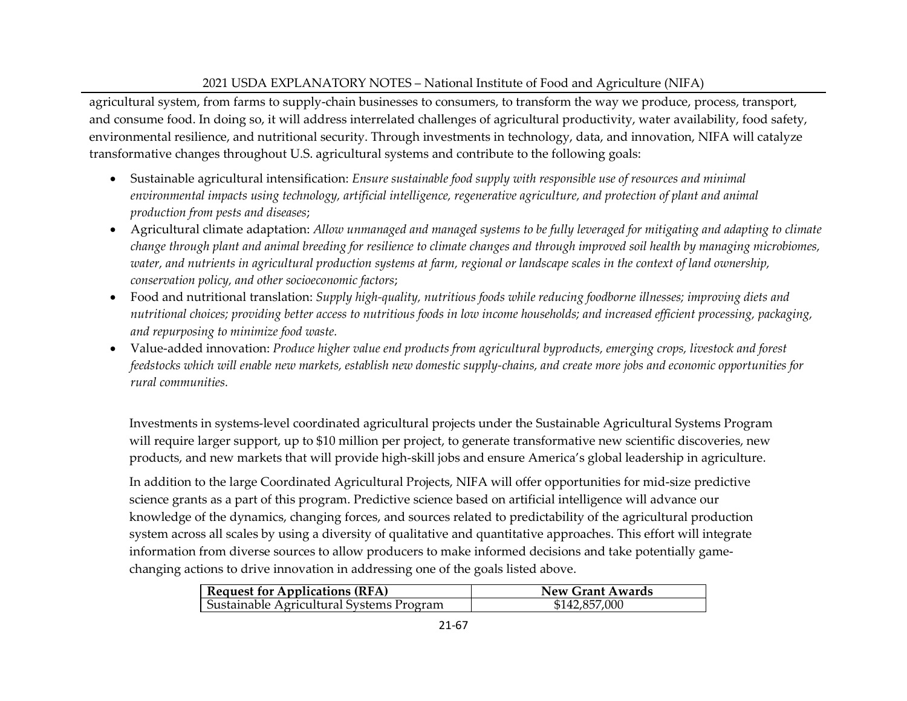agricultural system, from farms to supply-chain businesses to consumers, to transform the way we produce, process, transport, and consume food. In doing so, it will address interrelated challenges of agricultural productivity, water availability, food safety, environmental resilience, and nutritional security. Through investments in technology, data, and innovation, NIFA will catalyze transformative changes throughout U.S. agricultural systems and contribute to the following goals:

- Sustainable agricultural intensification: *Ensure sustainable food supply with responsible use of resources and minimal environmental impacts using technology, artificial intelligence, regenerative agriculture, and protection of plant and animal production from pests and diseases*;
- Agricultural climate adaptation: *Allow unmanaged and managed systems to be fully leveraged for mitigating and adapting to climate change through plant and animal breeding for resilience to climate changes and through improved soil health by managing microbiomes, water, and nutrients in agricultural production systems at farm, regional or landscape scales in the context of land ownership, conservation policy, and other socioeconomic factors*;
- Food and nutritional translation: *Supply high-quality, nutritious foods while reducing foodborne illnesses; improving diets and nutritional choices; providing better access to nutritious foods in low income households; and increased efficient processing, packaging, and repurposing to minimize food waste.*
- Value-added innovation: *Produce higher value end products from agricultural byproducts, emerging crops, livestock and forest feedstocks which will enable new markets, establish new domestic supply-chains, and create more jobs and economic opportunities for rural communities.*

Investments in systems-level coordinated agricultural projects under the Sustainable Agricultural Systems Program will require larger support, up to \$10 million per project, to generate transformative new scientific discoveries, new products, and new markets that will provide high-skill jobs and ensure America's global leadership in agriculture.

In addition to the large Coordinated Agricultural Projects, NIFA will offer opportunities for mid-size predictive science grants as a part of this program. Predictive science based on artificial intelligence will advance our knowledge of the dynamics, changing forces, and sources related to predictability of the agricultural production system across all scales by using a diversity of qualitative and quantitative approaches. This effort will integrate information from diverse sources to allow producers to make informed decisions and take potentially gamechanging actions to drive innovation in addressing one of the goals listed above.

| <b>Request for Applications (RFA)</b>    | <b>New Grant Awards</b> |
|------------------------------------------|-------------------------|
| Sustainable Agricultural Systems Program | \$142,857,000           |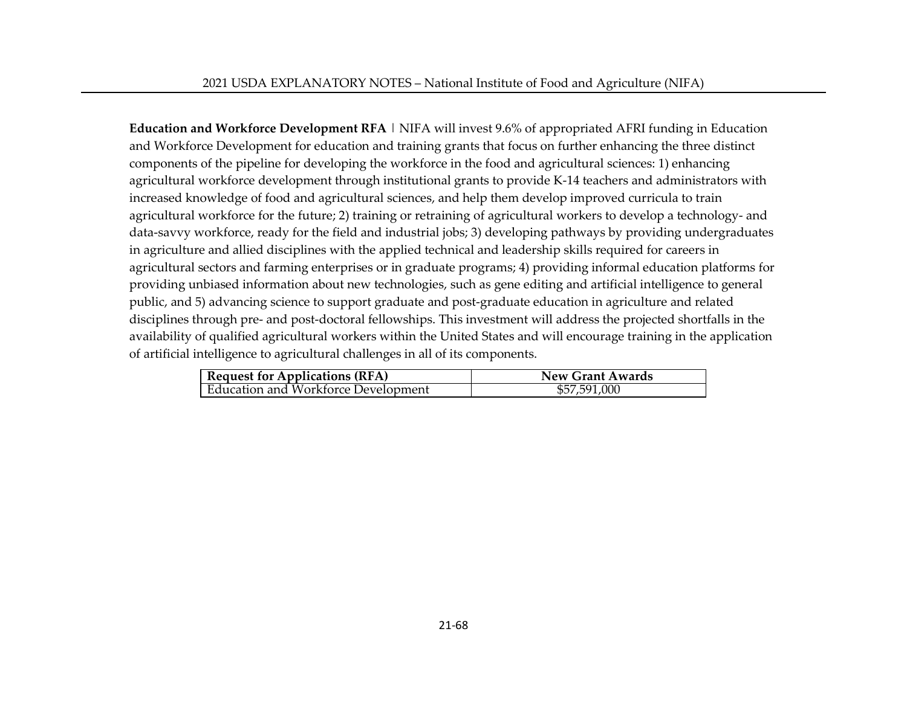**Education and Workforce Development RFA** | NIFA will invest 9.6% of appropriated AFRI funding in Education and Workforce Development for education and training grants that focus on further enhancing the three distinct components of the pipeline for developing the workforce in the food and agricultural sciences: 1) enhancing agricultural workforce development through institutional grants to provide K-14 teachers and administrators with increased knowledge of food and agricultural sciences, and help them develop improved curricula to train agricultural workforce for the future; 2) training or retraining of agricultural workers to develop a technology- and data-savvy workforce, ready for the field and industrial jobs; 3) developing pathways by providing undergraduates in agriculture and allied disciplines with the applied technical and leadership skills required for careers in agricultural sectors and farming enterprises or in graduate programs; 4) providing informal education platforms for providing unbiased information about new technologies, such as gene editing and artificial intelligence to general public, and 5) advancing science to support graduate and post-graduate education in agriculture and related disciplines through pre- and post-doctoral fellowships. This investment will address the projected shortfalls in the availability of qualified agricultural workers within the United States and will encourage training in the application of artificial intelligence to agricultural challenges in all of its components.

| <b>Request for Applications (RFA)</b> | <b>New Grant Awards</b> |
|---------------------------------------|-------------------------|
| Education and Workforce Development   | \$57,591,000            |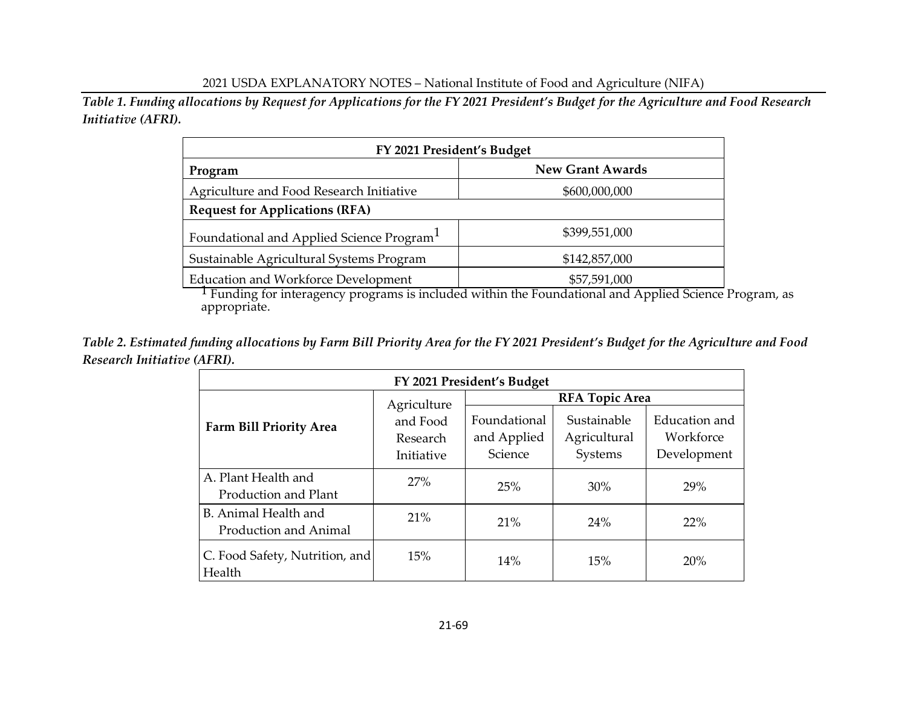*Table 1. Funding allocations by Request for Applications for the FY 2021 President's Budget for the Agriculture and Food Research Initiative (AFRI).*

| FY 2021 President's Budget                            |                         |  |  |  |  |
|-------------------------------------------------------|-------------------------|--|--|--|--|
| Program                                               | <b>New Grant Awards</b> |  |  |  |  |
| Agriculture and Food Research Initiative              | \$600,000,000           |  |  |  |  |
| <b>Request for Applications (RFA)</b>                 |                         |  |  |  |  |
| Foundational and Applied Science Program <sup>1</sup> | \$399,551,000           |  |  |  |  |
| Sustainable Agricultural Systems Program              | \$142,857,000           |  |  |  |  |
| <b>Education and Workforce Development</b>            | \$57,591,000            |  |  |  |  |

<sup>1</sup> Funding for interagency programs is included within the Foundational and Applied Science Program, as appropriate.

*Table 2. Estimated funding allocations by Farm Bill Priority Area for the FY 2021 President's Budget for the Agriculture and Food Research Initiative (AFRI).*

| FY 2021 President's Budget                    |                                    |                                        |                                        |                                           |  |  |  |
|-----------------------------------------------|------------------------------------|----------------------------------------|----------------------------------------|-------------------------------------------|--|--|--|
|                                               | Agriculture                        | <b>RFA Topic Area</b>                  |                                        |                                           |  |  |  |
| <b>Farm Bill Priority Area</b>                | and Food<br>Research<br>Initiative | Foundational<br>and Applied<br>Science | Sustainable<br>Agricultural<br>Systems | Education and<br>Workforce<br>Development |  |  |  |
| A. Plant Health and<br>Production and Plant   | 27%                                | 25%                                    | $30\%$                                 | 29%                                       |  |  |  |
| B. Animal Health and<br>Production and Animal | 21%                                | 21%                                    | 24%                                    | <b>22%</b>                                |  |  |  |
| C. Food Safety, Nutrition, and<br>Health      | 15%                                | 14%                                    | 15%                                    | <b>20%</b>                                |  |  |  |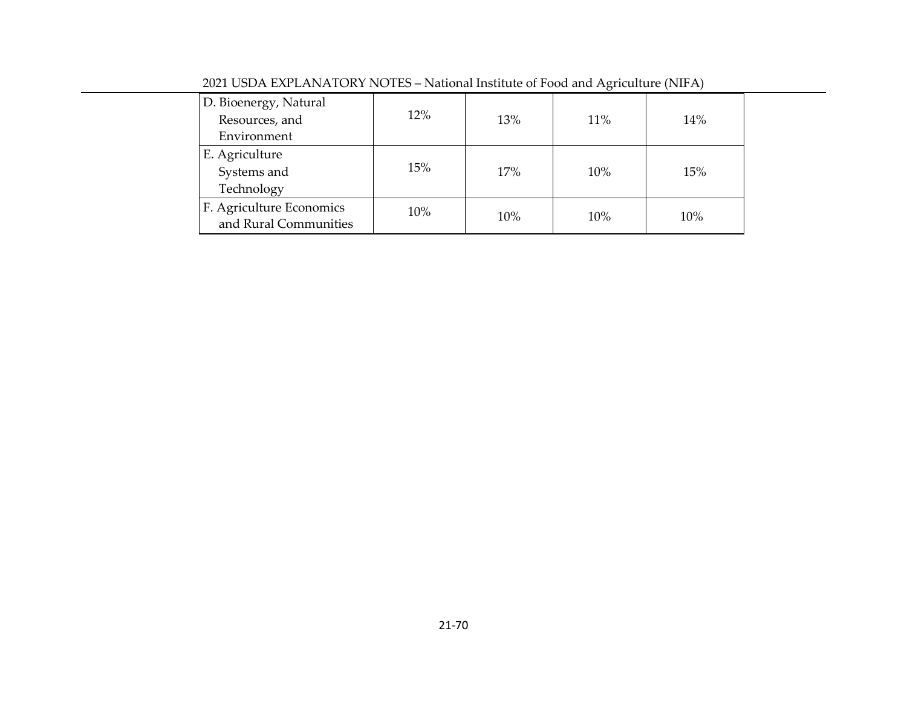| D. Bioenergy, Natural    |        |     |     |     |
|--------------------------|--------|-----|-----|-----|
| Resources, and           | 12%    | 13% | 11% | 14% |
| Environment              |        |     |     |     |
| E. Agriculture           |        |     |     |     |
| Systems and              | 15%    | 17% | 10% | 15% |
| Technology               |        |     |     |     |
| F. Agriculture Economics | $10\%$ |     |     |     |
| and Rural Communities    |        | 10% | 10% | 10% |

2021 USDA EXPLANATORY NOTES – National Institute of Food and Agriculture (NIFA)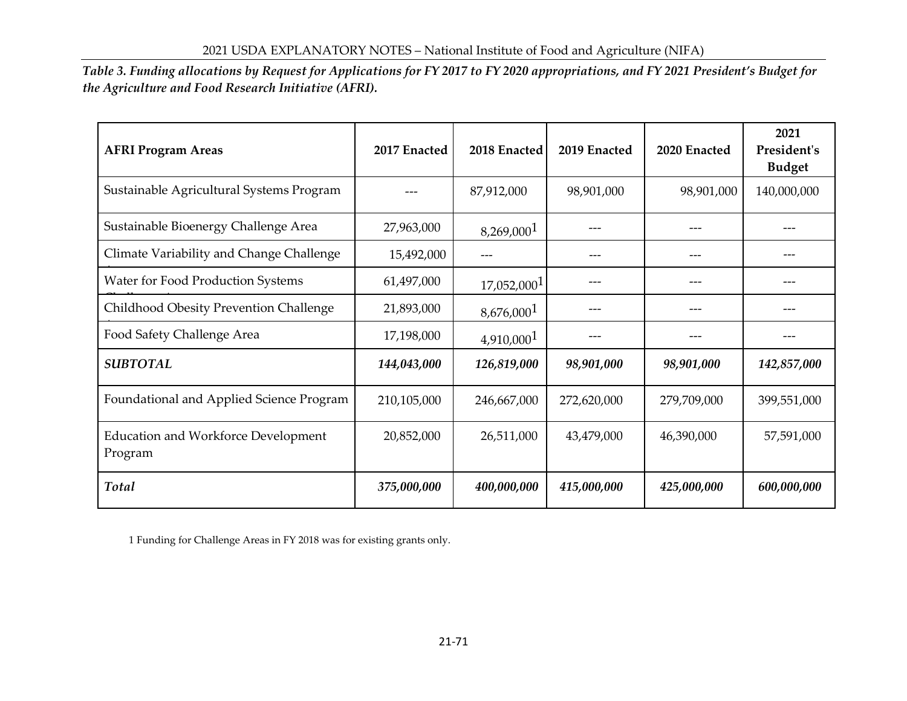*Table 3. Funding allocations by Request for Applications for FY 2017 to FY 2020 appropriations, and FY 2021 President's Budget for the Agriculture and Food Research Initiative (AFRI).*

| <b>AFRI Program Areas</b>                             | 2017 Enacted | 2018 Enacted            | 2019 Enacted | 2020 Enacted | 2021<br>President's<br><b>Budget</b> |
|-------------------------------------------------------|--------------|-------------------------|--------------|--------------|--------------------------------------|
| Sustainable Agricultural Systems Program              |              | 87,912,000              | 98,901,000   | 98,901,000   | 140,000,000                          |
| Sustainable Bioenergy Challenge Area                  | 27,963,000   | 8,269,000 <sup>1</sup>  |              |              |                                      |
| Climate Variability and Change Challenge              | 15,492,000   |                         | ---          |              |                                      |
| Water for Food Production Systems                     | 61,497,000   | 17,052,000 <sup>1</sup> |              |              |                                      |
| Childhood Obesity Prevention Challenge                | 21,893,000   | 8,676,000 <sup>1</sup>  | ---          | ---          |                                      |
| Food Safety Challenge Area                            | 17,198,000   | 4,910,000 <sup>1</sup>  |              |              |                                      |
| <b>SUBTOTAL</b>                                       | 144,043,000  | 126,819,000             | 98,901,000   | 98,901,000   | 142,857,000                          |
| Foundational and Applied Science Program              | 210,105,000  | 246,667,000             | 272,620,000  | 279,709,000  | 399,551,000                          |
| <b>Education and Workforce Development</b><br>Program | 20,852,000   | 26,511,000              | 43,479,000   | 46,390,000   | 57,591,000                           |
| Total                                                 | 375,000,000  | 400,000,000             | 415,000,000  | 425,000,000  | 600,000,000                          |

1 Funding for Challenge Areas in FY 2018 was for existing grants only.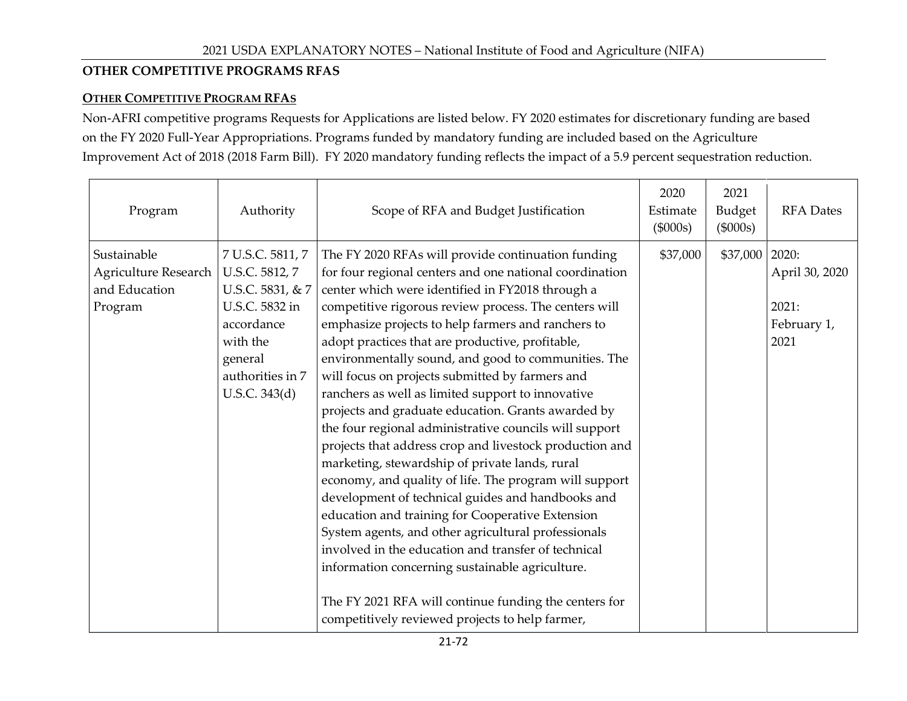### **OTHER COMPETITIVE PROGRAMS RFAS**

### **OTHER COMPETITIVE PROGRAM RFAS**

Non-AFRI competitive programs Requests for Applications are listed below. FY 2020 estimates for discretionary funding are based on the FY 2020 Full-Year Appropriations. Programs funded by mandatory funding are included based on the Agriculture Improvement Act of 2018 (2018 Farm Bill). FY 2020 mandatory funding reflects the impact of a 5.9 percent sequestration reduction.

| Program                                                         | Authority                                                                                                                                          | Scope of RFA and Budget Justification                                                                                                                                                                                                                                                                                                                                                                                                                                                                                                                                                                                                                                                                                                                                                                                                                                                                                                                                                                                                                                                                                                                                            | 2020<br>Estimate<br>$(\$000s)$ | 2021<br>Budget<br>$(\$000s)$ | <b>RFA</b> Dates                               |
|-----------------------------------------------------------------|----------------------------------------------------------------------------------------------------------------------------------------------------|----------------------------------------------------------------------------------------------------------------------------------------------------------------------------------------------------------------------------------------------------------------------------------------------------------------------------------------------------------------------------------------------------------------------------------------------------------------------------------------------------------------------------------------------------------------------------------------------------------------------------------------------------------------------------------------------------------------------------------------------------------------------------------------------------------------------------------------------------------------------------------------------------------------------------------------------------------------------------------------------------------------------------------------------------------------------------------------------------------------------------------------------------------------------------------|--------------------------------|------------------------------|------------------------------------------------|
| Sustainable<br>Agriculture Research<br>and Education<br>Program | 7 U.S.C. 5811, 7<br>U.S.C. 5812, 7<br>U.S.C. 5831, & 7<br>U.S.C. 5832 in<br>accordance<br>with the<br>general<br>authorities in 7<br>U.S.C. 343(d) | The FY 2020 RFAs will provide continuation funding<br>for four regional centers and one national coordination<br>center which were identified in FY2018 through a<br>competitive rigorous review process. The centers will<br>emphasize projects to help farmers and ranchers to<br>adopt practices that are productive, profitable,<br>environmentally sound, and good to communities. The<br>will focus on projects submitted by farmers and<br>ranchers as well as limited support to innovative<br>projects and graduate education. Grants awarded by<br>the four regional administrative councils will support<br>projects that address crop and livestock production and<br>marketing, stewardship of private lands, rural<br>economy, and quality of life. The program will support<br>development of technical guides and handbooks and<br>education and training for Cooperative Extension<br>System agents, and other agricultural professionals<br>involved in the education and transfer of technical<br>information concerning sustainable agriculture.<br>The FY 2021 RFA will continue funding the centers for<br>competitively reviewed projects to help farmer, | \$37,000                       | \$37,000   2020:             | April 30, 2020<br>2021:<br>February 1,<br>2021 |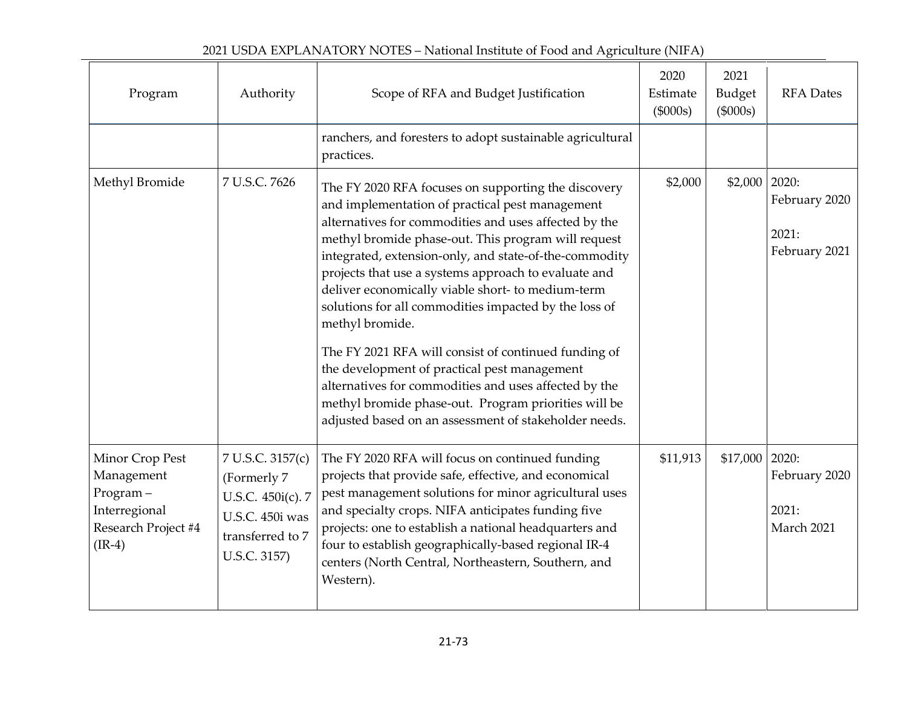| 2021 USDA EXPLANATORY NOTES – National Institute of Food and Agriculture (NIFA) |  |
|---------------------------------------------------------------------------------|--|
|---------------------------------------------------------------------------------|--|

| Program                                                                                       | Authority                                                                                                   | Scope of RFA and Budget Justification                                                                                                                                                                                                                                                                                                                                                                                                                                                                                                                                                                                                                                                                                                                       | 2020<br>Estimate<br>(\$000s) | 2021<br>Budget<br>(\$000s) | <b>RFA</b> Dates                                 |
|-----------------------------------------------------------------------------------------------|-------------------------------------------------------------------------------------------------------------|-------------------------------------------------------------------------------------------------------------------------------------------------------------------------------------------------------------------------------------------------------------------------------------------------------------------------------------------------------------------------------------------------------------------------------------------------------------------------------------------------------------------------------------------------------------------------------------------------------------------------------------------------------------------------------------------------------------------------------------------------------------|------------------------------|----------------------------|--------------------------------------------------|
|                                                                                               |                                                                                                             | ranchers, and foresters to adopt sustainable agricultural<br>practices.                                                                                                                                                                                                                                                                                                                                                                                                                                                                                                                                                                                                                                                                                     |                              |                            |                                                  |
| Methyl Bromide                                                                                | 7 U.S.C. 7626                                                                                               | The FY 2020 RFA focuses on supporting the discovery<br>and implementation of practical pest management<br>alternatives for commodities and uses affected by the<br>methyl bromide phase-out. This program will request<br>integrated, extension-only, and state-of-the-commodity<br>projects that use a systems approach to evaluate and<br>deliver economically viable short- to medium-term<br>solutions for all commodities impacted by the loss of<br>methyl bromide.<br>The FY 2021 RFA will consist of continued funding of<br>the development of practical pest management<br>alternatives for commodities and uses affected by the<br>methyl bromide phase-out. Program priorities will be<br>adjusted based on an assessment of stakeholder needs. | \$2,000                      | \$2,000                    | 2020:<br>February 2020<br>2021:<br>February 2021 |
| Minor Crop Pest<br>Management<br>Program-<br>Interregional<br>Research Project #4<br>$(IR-4)$ | 7 U.S.C. 3157(c)<br>(Formerly 7<br>U.S.C. 450i(c). 7<br>U.S.C. 450i was<br>transferred to 7<br>U.S.C. 3157) | The FY 2020 RFA will focus on continued funding<br>projects that provide safe, effective, and economical<br>pest management solutions for minor agricultural uses<br>and specialty crops. NIFA anticipates funding five<br>projects: one to establish a national headquarters and<br>four to establish geographically-based regional IR-4<br>centers (North Central, Northeastern, Southern, and<br>Western).                                                                                                                                                                                                                                                                                                                                               | \$11,913                     | \$17,000                   | 2020:<br>February 2020<br>2021:<br>March 2021    |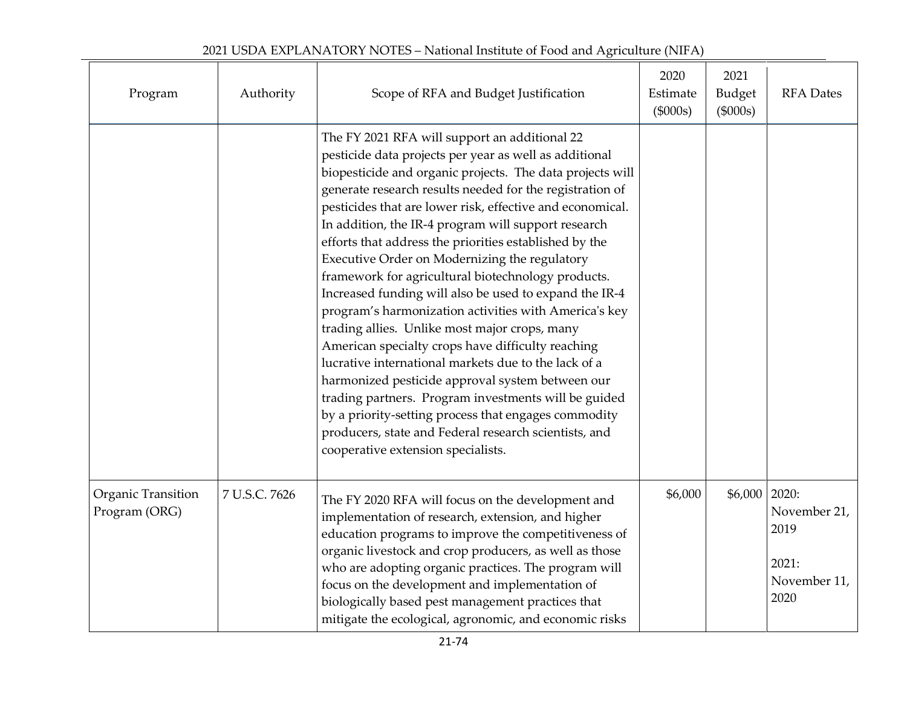| Program                             | Authority     | Scope of RFA and Budget Justification                                                                                                                                                                                                                                                                                                                                                                                                                                                                                                                                                                                                                                                                                                                                                                                                                                                                                                                                                                                                                                     | 2020<br>Estimate<br>(\$000s) | 2021<br><b>Budget</b><br>$(\$000s)$ | <b>RFA</b> Dates                                               |
|-------------------------------------|---------------|---------------------------------------------------------------------------------------------------------------------------------------------------------------------------------------------------------------------------------------------------------------------------------------------------------------------------------------------------------------------------------------------------------------------------------------------------------------------------------------------------------------------------------------------------------------------------------------------------------------------------------------------------------------------------------------------------------------------------------------------------------------------------------------------------------------------------------------------------------------------------------------------------------------------------------------------------------------------------------------------------------------------------------------------------------------------------|------------------------------|-------------------------------------|----------------------------------------------------------------|
|                                     |               | The FY 2021 RFA will support an additional 22<br>pesticide data projects per year as well as additional<br>biopesticide and organic projects. The data projects will<br>generate research results needed for the registration of<br>pesticides that are lower risk, effective and economical.<br>In addition, the IR-4 program will support research<br>efforts that address the priorities established by the<br>Executive Order on Modernizing the regulatory<br>framework for agricultural biotechnology products.<br>Increased funding will also be used to expand the IR-4<br>program's harmonization activities with America's key<br>trading allies. Unlike most major crops, many<br>American specialty crops have difficulty reaching<br>lucrative international markets due to the lack of a<br>harmonized pesticide approval system between our<br>trading partners. Program investments will be guided<br>by a priority-setting process that engages commodity<br>producers, state and Federal research scientists, and<br>cooperative extension specialists. |                              |                                     |                                                                |
| Organic Transition<br>Program (ORG) | 7 U.S.C. 7626 | The FY 2020 RFA will focus on the development and<br>implementation of research, extension, and higher<br>education programs to improve the competitiveness of<br>organic livestock and crop producers, as well as those<br>who are adopting organic practices. The program will<br>focus on the development and implementation of<br>biologically based pest management practices that<br>mitigate the ecological, agronomic, and economic risks                                                                                                                                                                                                                                                                                                                                                                                                                                                                                                                                                                                                                         | \$6,000                      | \$6,000                             | 2020:<br>November 21,<br>2019<br>2021:<br>November 11,<br>2020 |

# 2021 USDA EXPLANATORY NOTES – National Institute of Food and Agriculture (NIFA)

 $\overline{\phantom{0}}$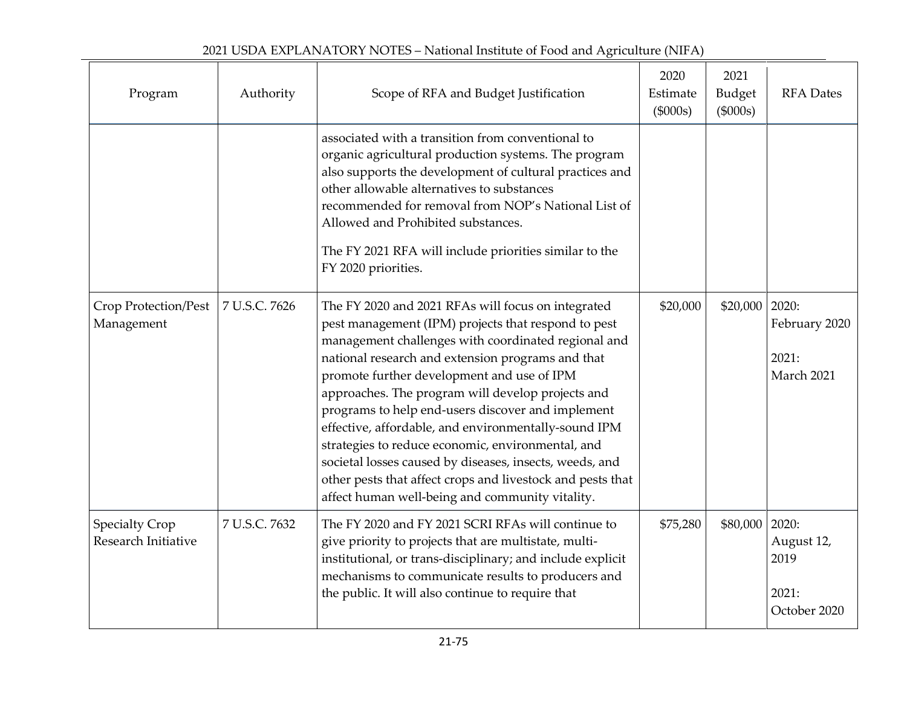| Program                                      | Authority     | Scope of RFA and Budget Justification                                                                                                                                                                                                                                                                                                                                                                                                                                                                                                                                                                                                                                  | 2020<br>Estimate<br>(\$000s) | 2021<br>Budget<br>(\$000s) | <b>RFA</b> Dates                                     |
|----------------------------------------------|---------------|------------------------------------------------------------------------------------------------------------------------------------------------------------------------------------------------------------------------------------------------------------------------------------------------------------------------------------------------------------------------------------------------------------------------------------------------------------------------------------------------------------------------------------------------------------------------------------------------------------------------------------------------------------------------|------------------------------|----------------------------|------------------------------------------------------|
|                                              |               | associated with a transition from conventional to<br>organic agricultural production systems. The program<br>also supports the development of cultural practices and<br>other allowable alternatives to substances<br>recommended for removal from NOP's National List of<br>Allowed and Prohibited substances.<br>The FY 2021 RFA will include priorities similar to the<br>FY 2020 priorities.                                                                                                                                                                                                                                                                       |                              |                            |                                                      |
| Crop Protection/Pest<br>Management           | 7 U.S.C. 7626 | The FY 2020 and 2021 RFAs will focus on integrated<br>pest management (IPM) projects that respond to pest<br>management challenges with coordinated regional and<br>national research and extension programs and that<br>promote further development and use of IPM<br>approaches. The program will develop projects and<br>programs to help end-users discover and implement<br>effective, affordable, and environmentally-sound IPM<br>strategies to reduce economic, environmental, and<br>societal losses caused by diseases, insects, weeds, and<br>other pests that affect crops and livestock and pests that<br>affect human well-being and community vitality. | \$20,000                     | \$20,000                   | 2020:<br>February 2020<br>2021:<br>March 2021        |
| <b>Specialty Crop</b><br>Research Initiative | 7 U.S.C. 7632 | The FY 2020 and FY 2021 SCRI RFAs will continue to<br>give priority to projects that are multistate, multi-<br>institutional, or trans-disciplinary; and include explicit<br>mechanisms to communicate results to producers and<br>the public. It will also continue to require that                                                                                                                                                                                                                                                                                                                                                                                   | \$75,280                     | \$80,000                   | 2020:<br>August 12,<br>2019<br>2021:<br>October 2020 |

| 2021 USDA EXPLANATORY NOTES – National Institute of Food and Agriculture (NIFA) |  |
|---------------------------------------------------------------------------------|--|
|                                                                                 |  |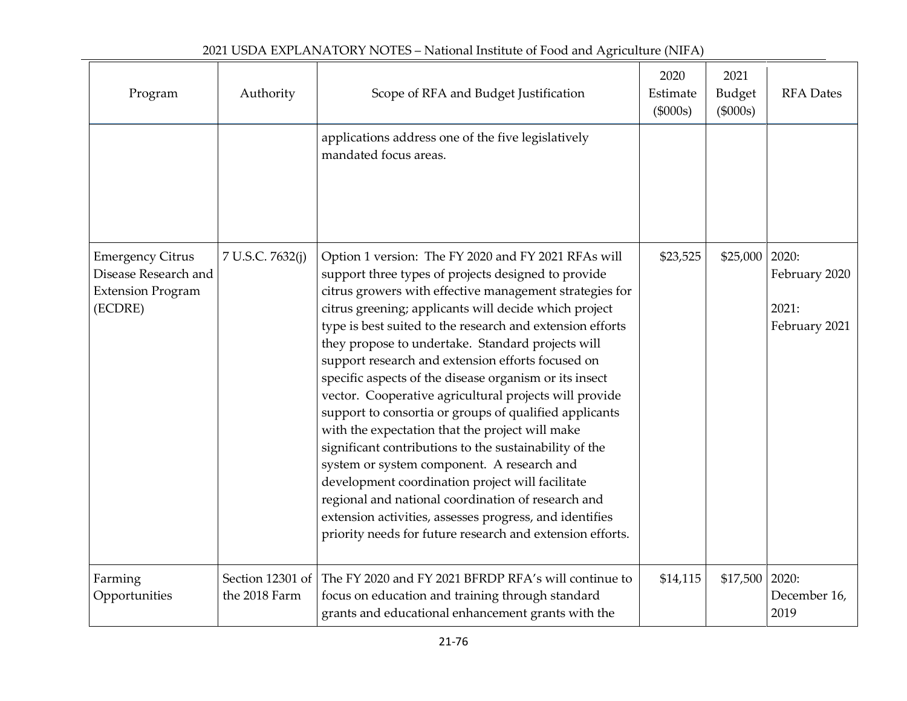| Program                                                                                | Authority                         | Scope of RFA and Budget Justification                                                                                                                                                                                                                                                                                                                                                                                                                                                                                                                                                                                                                                                                                                                                                                                                                                                                                                                                            | 2020<br>Estimate<br>(\$000s) | 2021<br>Budget<br>(\$000s) | <b>RFA</b> Dates                                 |
|----------------------------------------------------------------------------------------|-----------------------------------|----------------------------------------------------------------------------------------------------------------------------------------------------------------------------------------------------------------------------------------------------------------------------------------------------------------------------------------------------------------------------------------------------------------------------------------------------------------------------------------------------------------------------------------------------------------------------------------------------------------------------------------------------------------------------------------------------------------------------------------------------------------------------------------------------------------------------------------------------------------------------------------------------------------------------------------------------------------------------------|------------------------------|----------------------------|--------------------------------------------------|
|                                                                                        |                                   | applications address one of the five legislatively<br>mandated focus areas.                                                                                                                                                                                                                                                                                                                                                                                                                                                                                                                                                                                                                                                                                                                                                                                                                                                                                                      |                              |                            |                                                  |
| <b>Emergency Citrus</b><br>Disease Research and<br><b>Extension Program</b><br>(ECDRE) | 7 U.S.C. 7632(j)                  | Option 1 version: The FY 2020 and FY 2021 RFAs will<br>support three types of projects designed to provide<br>citrus growers with effective management strategies for<br>citrus greening; applicants will decide which project<br>type is best suited to the research and extension efforts<br>they propose to undertake. Standard projects will<br>support research and extension efforts focused on<br>specific aspects of the disease organism or its insect<br>vector. Cooperative agricultural projects will provide<br>support to consortia or groups of qualified applicants<br>with the expectation that the project will make<br>significant contributions to the sustainability of the<br>system or system component. A research and<br>development coordination project will facilitate<br>regional and national coordination of research and<br>extension activities, assesses progress, and identifies<br>priority needs for future research and extension efforts. | \$23,525                     | \$25,000                   | 2020:<br>February 2020<br>2021:<br>February 2021 |
| Farming<br>Opportunities                                                               | Section 12301 of<br>the 2018 Farm | The FY 2020 and FY 2021 BFRDP RFA's will continue to<br>focus on education and training through standard<br>grants and educational enhancement grants with the                                                                                                                                                                                                                                                                                                                                                                                                                                                                                                                                                                                                                                                                                                                                                                                                                   | \$14,115                     | \$17,500                   | 2020:<br>December 16,<br>2019                    |

 $\overline{\phantom{a}}$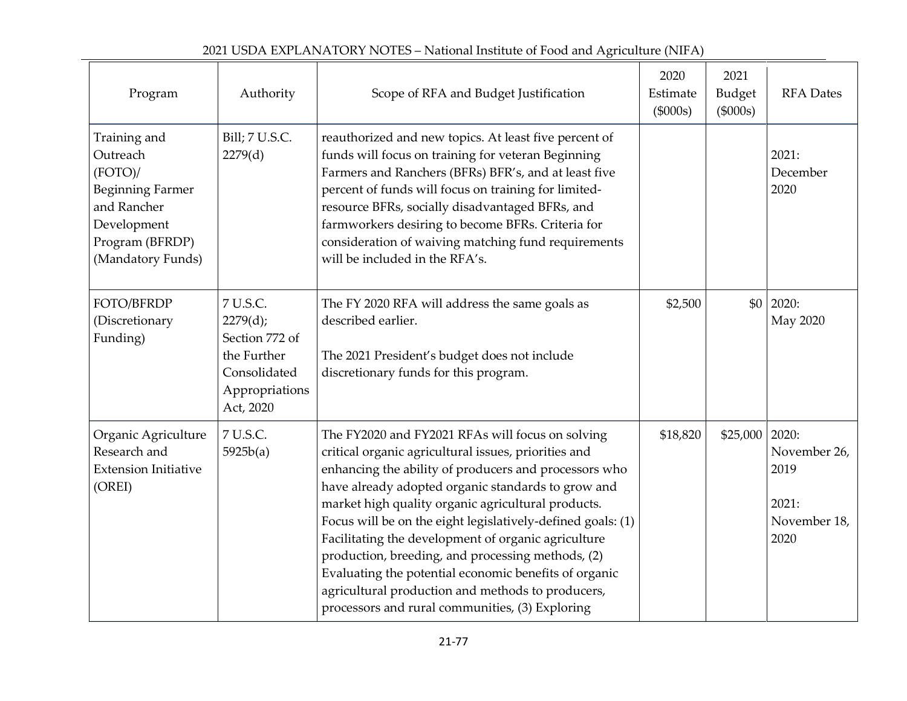| 2021 USDA EXPLANATORY NOTES – National Institute of Food and Agriculture (NIFA) |
|---------------------------------------------------------------------------------|
|---------------------------------------------------------------------------------|

| Program                                                                                                                              | Authority                                                                                            | Scope of RFA and Budget Justification                                                                                                                                                                                                                                                                                                                                                                                                                                                                                                                                                                                     | 2020<br>Estimate<br>(\$000s) | 2021<br><b>Budget</b><br>(\$000s) | <b>RFA</b> Dates                                      |
|--------------------------------------------------------------------------------------------------------------------------------------|------------------------------------------------------------------------------------------------------|---------------------------------------------------------------------------------------------------------------------------------------------------------------------------------------------------------------------------------------------------------------------------------------------------------------------------------------------------------------------------------------------------------------------------------------------------------------------------------------------------------------------------------------------------------------------------------------------------------------------------|------------------------------|-----------------------------------|-------------------------------------------------------|
| Training and<br>Outreach<br>(FOTO)/<br><b>Beginning Farmer</b><br>and Rancher<br>Development<br>Program (BFRDP)<br>(Mandatory Funds) | Bill; 7 U.S.C.<br>2279(d)                                                                            | reauthorized and new topics. At least five percent of<br>funds will focus on training for veteran Beginning<br>Farmers and Ranchers (BFRs) BFR's, and at least five<br>percent of funds will focus on training for limited-<br>resource BFRs, socially disadvantaged BFRs, and<br>farmworkers desiring to become BFRs. Criteria for<br>consideration of waiving matching fund requirements<br>will be included in the RFA's.                                                                                                                                                                                              |                              |                                   | 2021:<br>December<br>2020                             |
| FOTO/BFRDP<br>(Discretionary<br>Funding)                                                                                             | 7 U.S.C.<br>2279(d);<br>Section 772 of<br>the Further<br>Consolidated<br>Appropriations<br>Act, 2020 | The FY 2020 RFA will address the same goals as<br>described earlier.<br>The 2021 President's budget does not include<br>discretionary funds for this program.                                                                                                                                                                                                                                                                                                                                                                                                                                                             | \$2,500                      |                                   | $$0$ 2020:<br>May 2020                                |
| Organic Agriculture<br>Research and<br><b>Extension Initiative</b><br>(OREI)                                                         | 7 U.S.C.<br>5925b(a)                                                                                 | The FY2020 and FY2021 RFAs will focus on solving<br>critical organic agricultural issues, priorities and<br>enhancing the ability of producers and processors who<br>have already adopted organic standards to grow and<br>market high quality organic agricultural products.<br>Focus will be on the eight legislatively-defined goals: (1)<br>Facilitating the development of organic agriculture<br>production, breeding, and processing methods, (2)<br>Evaluating the potential economic benefits of organic<br>agricultural production and methods to producers,<br>processors and rural communities, (3) Exploring | \$18,820                     | \$25,000   2020:                  | November 26,<br>2019<br>2021:<br>November 18,<br>2020 |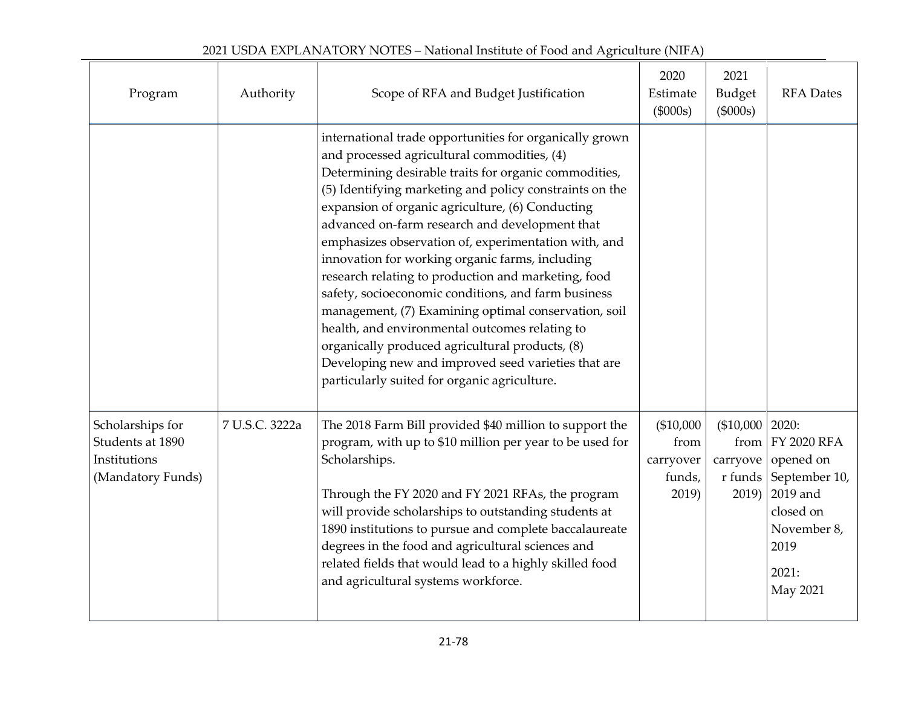| Program                                                                   | Authority      | Scope of RFA and Budget Justification                                                                                                                                                                                                                                                                                                                                                                                                                                                                                                                                                                                                                                                                                                                                                                                         | 2020<br>Estimate<br>(\$000s)                      | 2021<br>Budget<br>(\$000s)                                    | <b>RFA</b> Dates                                                                                                      |
|---------------------------------------------------------------------------|----------------|-------------------------------------------------------------------------------------------------------------------------------------------------------------------------------------------------------------------------------------------------------------------------------------------------------------------------------------------------------------------------------------------------------------------------------------------------------------------------------------------------------------------------------------------------------------------------------------------------------------------------------------------------------------------------------------------------------------------------------------------------------------------------------------------------------------------------------|---------------------------------------------------|---------------------------------------------------------------|-----------------------------------------------------------------------------------------------------------------------|
|                                                                           |                | international trade opportunities for organically grown<br>and processed agricultural commodities, (4)<br>Determining desirable traits for organic commodities,<br>(5) Identifying marketing and policy constraints on the<br>expansion of organic agriculture, (6) Conducting<br>advanced on-farm research and development that<br>emphasizes observation of, experimentation with, and<br>innovation for working organic farms, including<br>research relating to production and marketing, food<br>safety, socioeconomic conditions, and farm business<br>management, (7) Examining optimal conservation, soil<br>health, and environmental outcomes relating to<br>organically produced agricultural products, (8)<br>Developing new and improved seed varieties that are<br>particularly suited for organic agriculture. |                                                   |                                                               |                                                                                                                       |
| Scholarships for<br>Students at 1890<br>Institutions<br>(Mandatory Funds) | 7 U.S.C. 3222a | The 2018 Farm Bill provided \$40 million to support the<br>program, with up to \$10 million per year to be used for<br>Scholarships.<br>Through the FY 2020 and FY 2021 RFAs, the program<br>will provide scholarships to outstanding students at<br>1890 institutions to pursue and complete baccalaureate<br>degrees in the food and agricultural sciences and<br>related fields that would lead to a highly skilled food<br>and agricultural systems workforce.                                                                                                                                                                                                                                                                                                                                                            | (\$10,000<br>from<br>carryover<br>funds,<br>2019) | $($10,000 \mid 2020):$<br>from<br>carryove<br>r funds<br>2019 | <b>FY 2020 RFA</b><br>opened on<br>September 10,<br>2019 and<br>closed on<br>November 8,<br>2019<br>2021:<br>May 2021 |

# 2021 USDA EXPLANATORY NOTES – National Institute of Food and Agriculture (NIFA)

 $\overline{a}$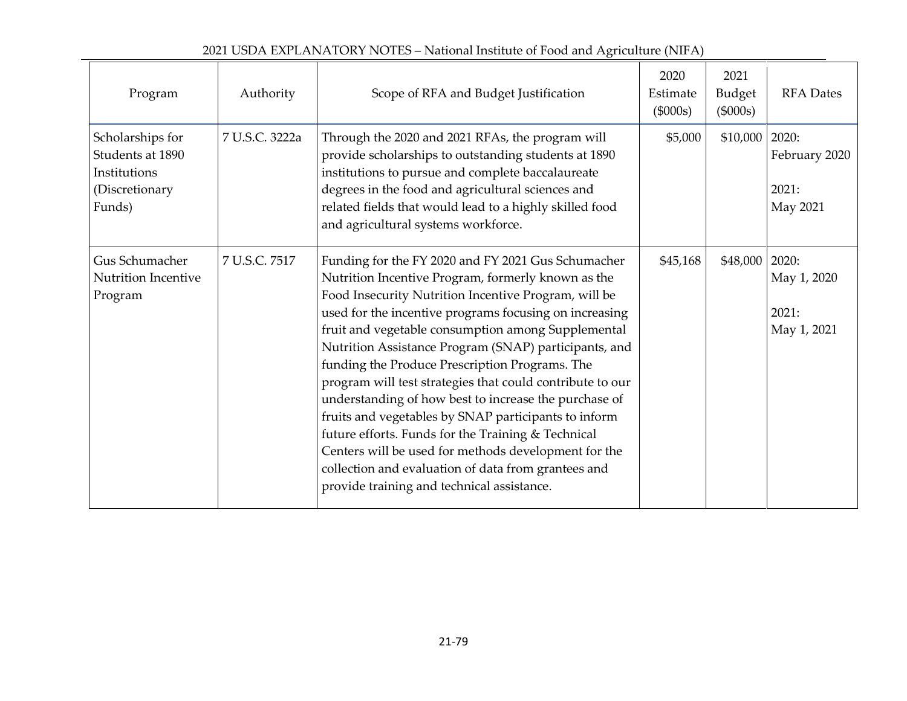| 2021 USDA EXPLANATORY NOTES – National Institute of Food and Agriculture (NIFA) |
|---------------------------------------------------------------------------------|
|---------------------------------------------------------------------------------|

|                                                                                  |                | $\sim$ . The same of the state of the state of the state $\frac{1}{2}$ in $\frac{1}{2}$                                                                                                                                                                                                                                                                                                                                                                                                                                                                                                                                                                                                                                                                                                      |                                |                              |                                              |
|----------------------------------------------------------------------------------|----------------|----------------------------------------------------------------------------------------------------------------------------------------------------------------------------------------------------------------------------------------------------------------------------------------------------------------------------------------------------------------------------------------------------------------------------------------------------------------------------------------------------------------------------------------------------------------------------------------------------------------------------------------------------------------------------------------------------------------------------------------------------------------------------------------------|--------------------------------|------------------------------|----------------------------------------------|
| Program                                                                          | Authority      | Scope of RFA and Budget Justification                                                                                                                                                                                                                                                                                                                                                                                                                                                                                                                                                                                                                                                                                                                                                        | 2020<br>Estimate<br>$(\$000s)$ | 2021<br>Budget<br>$(\$000s)$ | <b>RFA</b> Dates                             |
| Scholarships for<br>Students at 1890<br>Institutions<br>(Discretionary<br>Funds) | 7 U.S.C. 3222a | Through the 2020 and 2021 RFAs, the program will<br>provide scholarships to outstanding students at 1890<br>institutions to pursue and complete baccalaureate<br>degrees in the food and agricultural sciences and<br>related fields that would lead to a highly skilled food<br>and agricultural systems workforce.                                                                                                                                                                                                                                                                                                                                                                                                                                                                         | \$5,000                        | \$10,000                     | 2020:<br>February 2020<br>2021:<br>May 2021  |
| Gus Schumacher<br>Nutrition Incentive<br>Program                                 | 7 U.S.C. 7517  | Funding for the FY 2020 and FY 2021 Gus Schumacher<br>Nutrition Incentive Program, formerly known as the<br>Food Insecurity Nutrition Incentive Program, will be<br>used for the incentive programs focusing on increasing<br>fruit and vegetable consumption among Supplemental<br>Nutrition Assistance Program (SNAP) participants, and<br>funding the Produce Prescription Programs. The<br>program will test strategies that could contribute to our<br>understanding of how best to increase the purchase of<br>fruits and vegetables by SNAP participants to inform<br>future efforts. Funds for the Training & Technical<br>Centers will be used for methods development for the<br>collection and evaluation of data from grantees and<br>provide training and technical assistance. | \$45,168                       | \$48,000                     | 2020:<br>May 1, 2020<br>2021:<br>May 1, 2021 |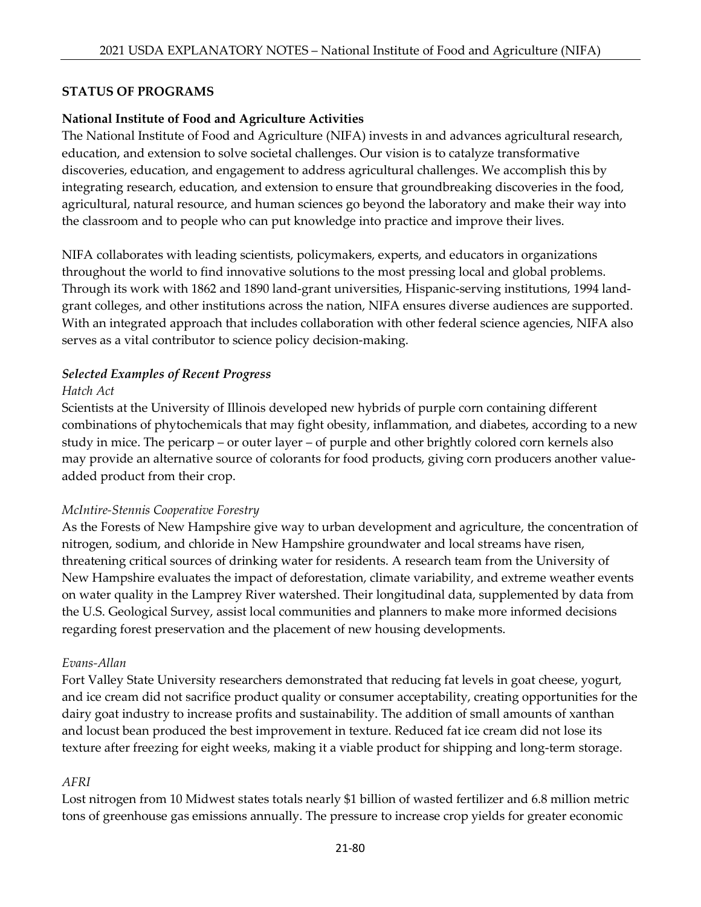#### **STATUS OF PROGRAMS**

#### **National Institute of Food and Agriculture Activities**

The National Institute of Food and Agriculture (NIFA) invests in and advances agricultural research, education, and extension to solve societal challenges. Our vision is to catalyze transformative discoveries, education, and engagement to address agricultural challenges. We accomplish this by integrating research, education, and extension to ensure that groundbreaking discoveries in the food, agricultural, natural resource, and human sciences go beyond the laboratory and make their way into the classroom and to people who can put knowledge into practice and improve their lives.

NIFA collaborates with leading scientists, policymakers, experts, and educators in organizations throughout the world to find innovative solutions to the most pressing local and global problems. Through its work with 1862 and 1890 land-grant universities, Hispanic-serving institutions, 1994 landgrant colleges, and other institutions across the nation, NIFA ensures diverse audiences are supported. With an integrated approach that includes collaboration with other federal science agencies, NIFA also serves as a vital contributor to science policy decision-making.

#### *Selected Examples of Recent Progress*

#### *Hatch Act*

Scientists at the University of Illinois developed new hybrids of purple corn containing different combinations of phytochemicals that may fight obesity, inflammation, and diabetes, according to a new study in mice. The pericarp – or outer layer – of purple and other brightly colored corn kernels also may provide an alternative source of colorants for food products, giving corn producers another valueadded product from their crop.

#### *McIntire-Stennis Cooperative Forestry*

As the Forests of New Hampshire give way to urban development and agriculture, the concentration of nitrogen, sodium, and chloride in New Hampshire groundwater and local streams have risen, threatening critical sources of drinking water for residents. A research team from the University of New Hampshire evaluates the impact of deforestation, climate variability, and extreme weather events on water quality in the Lamprey River watershed. Their longitudinal data, supplemented by data from the U.S. Geological Survey, assist local communities and planners to make more informed decisions regarding forest preservation and the placement of new housing developments.

#### *Evans-Allan*

Fort Valley State University researchers demonstrated that reducing fat levels in goat cheese, yogurt, and ice cream did not sacrifice product quality or consumer acceptability, creating opportunities for the dairy goat industry to increase profits and sustainability. The addition of small amounts of xanthan and locust bean produced the best improvement in texture. Reduced fat ice cream did not lose its texture after freezing for eight weeks, making it a viable product for shipping and long-term storage.

#### *AFRI*

Lost nitrogen from 10 Midwest states totals nearly \$1 billion of wasted fertilizer and 6.8 million metric tons of greenhouse gas emissions annually. The pressure to increase crop yields for greater economic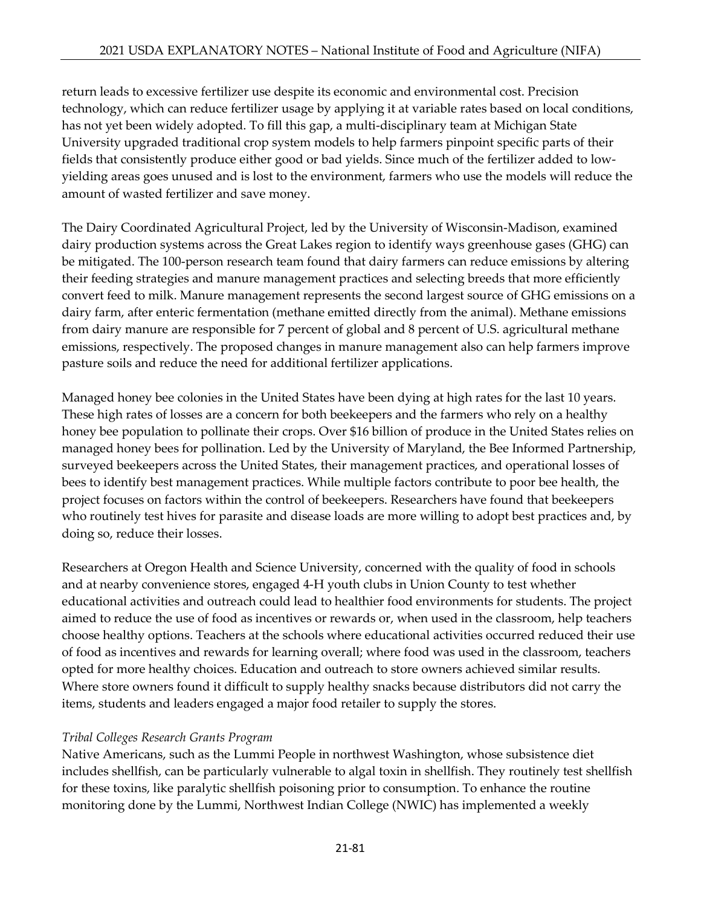return leads to excessive fertilizer use despite its economic and environmental cost. Precision technology, which can reduce fertilizer usage by applying it at variable rates based on local conditions, has not yet been widely adopted. To fill this gap, a multi-disciplinary team at Michigan State University upgraded traditional crop system models to help farmers pinpoint specific parts of their fields that consistently produce either good or bad yields. Since much of the fertilizer added to lowyielding areas goes unused and is lost to the environment, farmers who use the models will reduce the amount of wasted fertilizer and save money.

The Dairy Coordinated Agricultural Project, led by the University of Wisconsin-Madison, examined dairy production systems across the Great Lakes region to identify ways greenhouse gases (GHG) can be mitigated. The 100-person research team found that dairy farmers can reduce emissions by altering their feeding strategies and manure management practices and selecting breeds that more efficiently convert feed to milk. Manure management represents the second largest source of GHG emissions on a dairy farm, after enteric fermentation (methane emitted directly from the animal). Methane emissions from dairy manure are responsible for 7 percent of global and 8 percent of U.S. agricultural methane emissions, respectively. The proposed changes in manure management also can help farmers improve pasture soils and reduce the need for additional fertilizer applications.

Managed honey bee colonies in the United States have been dying at high rates for the last 10 years. These high rates of losses are a concern for both beekeepers and the farmers who rely on a healthy honey bee population to pollinate their crops. Over \$16 billion of produce in the United States relies on managed honey bees for pollination. Led by the University of Maryland, the Bee Informed Partnership, surveyed beekeepers across the United States, their management practices, and operational losses of bees to identify best management practices. While multiple factors contribute to poor bee health, the project focuses on factors within the control of beekeepers. Researchers have found that beekeepers who routinely test hives for parasite and disease loads are more willing to adopt best practices and, by doing so, reduce their losses.

Researchers at Oregon Health and Science University, concerned with the quality of food in schools and at nearby convenience stores, engaged 4-H youth clubs in Union County to test whether educational activities and outreach could lead to healthier food environments for students. The project aimed to reduce the use of food as incentives or rewards or, when used in the classroom, help teachers choose healthy options. Teachers at the schools where educational activities occurred reduced their use of food as incentives and rewards for learning overall; where food was used in the classroom, teachers opted for more healthy choices. Education and outreach to store owners achieved similar results. Where store owners found it difficult to supply healthy snacks because distributors did not carry the items, students and leaders engaged a major food retailer to supply the stores.

### *Tribal Colleges Research Grants Program*

Native Americans, such as the Lummi People in northwest Washington, whose subsistence diet includes shellfish, can be particularly vulnerable to algal toxin in shellfish. They routinely test shellfish for these toxins, like paralytic shellfish poisoning prior to consumption. To enhance the routine monitoring done by the Lummi, Northwest Indian College (NWIC) has implemented a weekly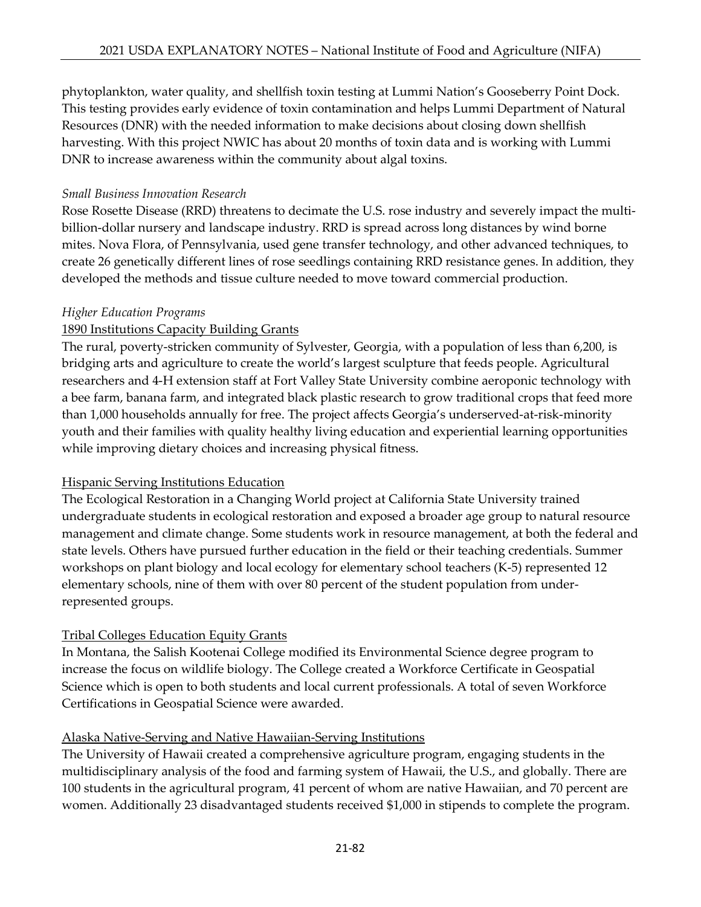phytoplankton, water quality, and shellfish toxin testing at Lummi Nation's Gooseberry Point Dock. This testing provides early evidence of toxin contamination and helps Lummi Department of Natural Resources (DNR) with the needed information to make decisions about closing down shellfish harvesting. With this project NWIC has about 20 months of toxin data and is working with Lummi DNR to increase awareness within the community about algal toxins.

#### *Small Business Innovation Research*

Rose Rosette Disease (RRD) threatens to decimate the U.S. rose industry and severely impact the multibillion-dollar nursery and landscape industry. RRD is spread across long distances by wind borne mites. Nova Flora, of Pennsylvania, used gene transfer technology, and other advanced techniques, to create 26 genetically different lines of rose seedlings containing RRD resistance genes. In addition, they developed the methods and tissue culture needed to move toward commercial production.

#### *Higher Education Programs*

## 1890 Institutions Capacity Building Grants

The rural, poverty-stricken community of Sylvester, Georgia, with a population of less than 6,200, is bridging arts and agriculture to create the world's largest sculpture that feeds people. Agricultural researchers and 4-H extension staff at Fort Valley State University combine aeroponic technology with a bee farm, banana farm, and integrated black plastic research to grow traditional crops that feed more than 1,000 households annually for free. The project affects Georgia's underserved-at-risk-minority youth and their families with quality healthy living education and experiential learning opportunities while improving dietary choices and increasing physical fitness.

### Hispanic Serving Institutions Education

The Ecological Restoration in a Changing World project at California State University trained undergraduate students in ecological restoration and exposed a broader age group to natural resource management and climate change. Some students work in resource management, at both the federal and state levels. Others have pursued further education in the field or their teaching credentials. Summer workshops on plant biology and local ecology for elementary school teachers (K-5) represented 12 elementary schools, nine of them with over 80 percent of the student population from underrepresented groups.

### Tribal Colleges Education Equity Grants

In Montana, the Salish Kootenai College modified its Environmental Science degree program to increase the focus on wildlife biology. The College created a Workforce Certificate in Geospatial Science which is open to both students and local current professionals. A total of seven Workforce Certifications in Geospatial Science were awarded.

### Alaska Native-Serving and Native Hawaiian-Serving Institutions

The University of Hawaii created a comprehensive agriculture program, engaging students in the multidisciplinary analysis of the food and farming system of Hawaii, the U.S., and globally. There are 100 students in the agricultural program, 41 percent of whom are native Hawaiian, and 70 percent are women. Additionally 23 disadvantaged students received \$1,000 in stipends to complete the program.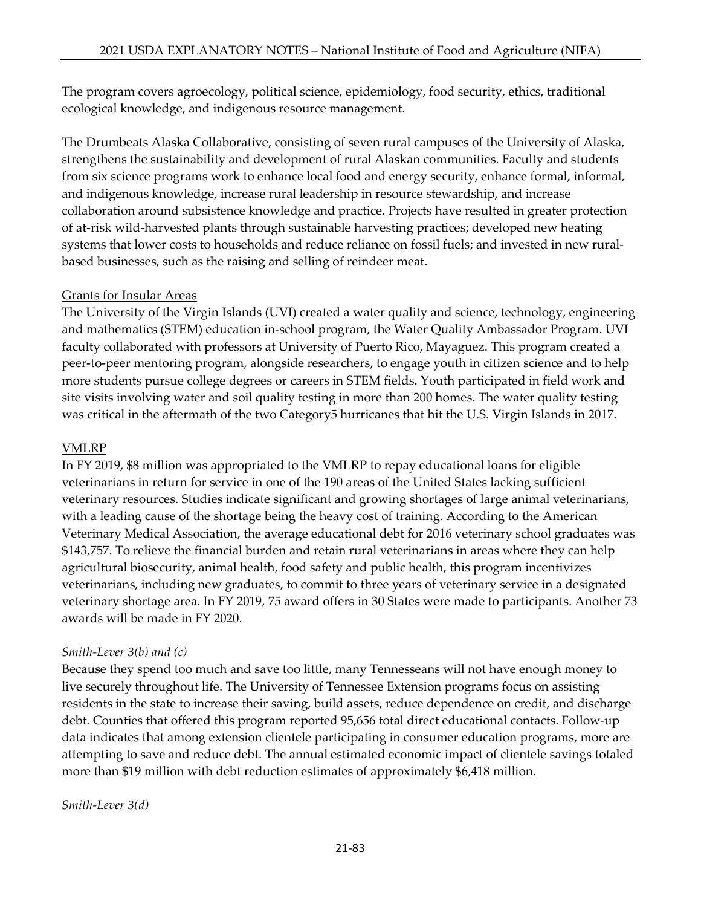The program covers agroecology, political science, epidemiology, food security, ethics, traditional ecological knowledge, and indigenous resource management.

The Drumbeats Alaska Collaborative, consisting of seven rural campuses of the University of Alaska, strengthens the sustainability and development of rural Alaskan communities. Faculty and students from six science programs work to enhance local food and energy security, enhance formal, informal, and indigenous knowledge, increase rural leadership in resource stewardship, and increase collaboration around subsistence knowledge and practice. Projects have resulted in greater protection of at-risk wild-harvested plants through sustainable harvesting practices; developed new heating systems that lower costs to households and reduce reliance on fossil fuels; and invested in new ruralbased businesses, such as the raising and selling of reindeer meat.

### Grants for Insular Areas

The University of the Virgin Islands (UVI) created a water quality and science, technology, engineering and mathematics (STEM) education in-school program, the Water Quality Ambassador Program. UVI faculty collaborated with professors at University of Puerto Rico, Mayaguez. This program created a peer-to-peer mentoring program, alongside researchers, to engage youth in citizen science and to help more students pursue college degrees or careers in STEM fields. Youth participated in field work and site visits involving water and soil quality testing in more than 200 homes. The water quality testing was critical in the aftermath of the two Category5 hurricanes that hit the U.S. Virgin Islands in 2017.

## VMLRP

In FY 2019, \$8 million was appropriated to the VMLRP to repay educational loans for eligible veterinarians in return for service in one of the 190 areas of the United States lacking sufficient veterinary resources. Studies indicate significant and growing shortages of large animal veterinarians, with a leading cause of the shortage being the heavy cost of training. According to the American Veterinary Medical Association, the average educational debt for 2016 veterinary school graduates was \$143,757. To relieve the financial burden and retain rural veterinarians in areas where they can help agricultural biosecurity, animal health, food safety and public health, this program incentivizes veterinarians, including new graduates, to commit to three years of veterinary service in a designated veterinary shortage area. In FY 2019, 75 award offers in 30 States were made to participants. Another 73 awards will be made in FY 2020.

### *Smith-Lever 3(b) and (c)*

Because they spend too much and save too little, many Tennesseans will not have enough money to live securely throughout life. The University of Tennessee Extension programs focus on assisting residents in the state to increase their saving, build assets, reduce dependence on credit, and discharge debt. Counties that offered this program reported 95,656 total direct educational contacts. Follow-up data indicates that among extension clientele participating in consumer education programs, more are attempting to save and reduce debt. The annual estimated economic impact of clientele savings totaled more than \$19 million with debt reduction estimates of approximately \$6,418 million.

### *Smith-Lever 3(d)*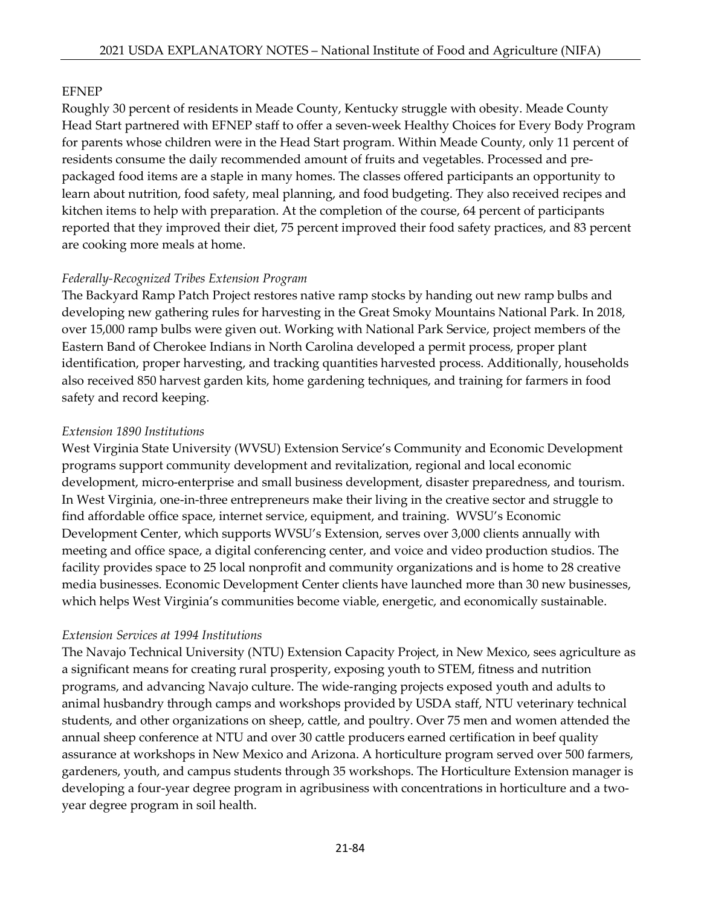## EFNEP

Roughly 30 percent of residents in Meade County, Kentucky struggle with obesity. Meade County Head Start partnered with EFNEP staff to offer a seven-week Healthy Choices for Every Body Program for parents whose children were in the Head Start program. Within Meade County, only 11 percent of residents consume the daily recommended amount of fruits and vegetables. Processed and prepackaged food items are a staple in many homes. The classes offered participants an opportunity to learn about nutrition, food safety, meal planning, and food budgeting. They also received recipes and kitchen items to help with preparation. At the completion of the course, 64 percent of participants reported that they improved their diet, 75 percent improved their food safety practices, and 83 percent are cooking more meals at home.

### *Federally-Recognized Tribes Extension Program*

The Backyard Ramp Patch Project restores native ramp stocks by handing out new ramp bulbs and developing new gathering rules for harvesting in the Great Smoky Mountains National Park. In 2018, over 15,000 ramp bulbs were given out. Working with National Park Service, project members of the Eastern Band of Cherokee Indians in North Carolina developed a permit process, proper plant identification, proper harvesting, and tracking quantities harvested process. Additionally, households also received 850 harvest garden kits, home gardening techniques, and training for farmers in food safety and record keeping.

### *Extension 1890 Institutions*

West Virginia State University (WVSU) Extension Service's Community and Economic Development programs support community development and revitalization, regional and local economic development, micro-enterprise and small business development, disaster preparedness, and tourism. In West Virginia, one-in-three entrepreneurs make their living in the creative sector and struggle to find affordable office space, internet service, equipment, and training. WVSU's Economic Development Center, which supports WVSU's Extension, serves over 3,000 clients annually with meeting and office space, a digital conferencing center, and voice and video production studios. The facility provides space to 25 local nonprofit and community organizations and is home to 28 creative media businesses. Economic Development Center clients have launched more than 30 new businesses, which helps West Virginia's communities become viable, energetic, and economically sustainable.

### *Extension Services at 1994 Institutions*

The Navajo Technical University (NTU) Extension Capacity Project, in New Mexico, sees agriculture as a significant means for creating rural prosperity, exposing youth to STEM, fitness and nutrition programs, and advancing Navajo culture. The wide-ranging projects exposed youth and adults to animal husbandry through camps and workshops provided by USDA staff, NTU veterinary technical students, and other organizations on sheep, cattle, and poultry. Over 75 men and women attended the annual sheep conference at NTU and over 30 cattle producers earned certification in beef quality assurance at workshops in New Mexico and Arizona. A horticulture program served over 500 farmers, gardeners, youth, and campus students through 35 workshops. The Horticulture Extension manager is developing a four-year degree program in agribusiness with concentrations in horticulture and a twoyear degree program in soil health.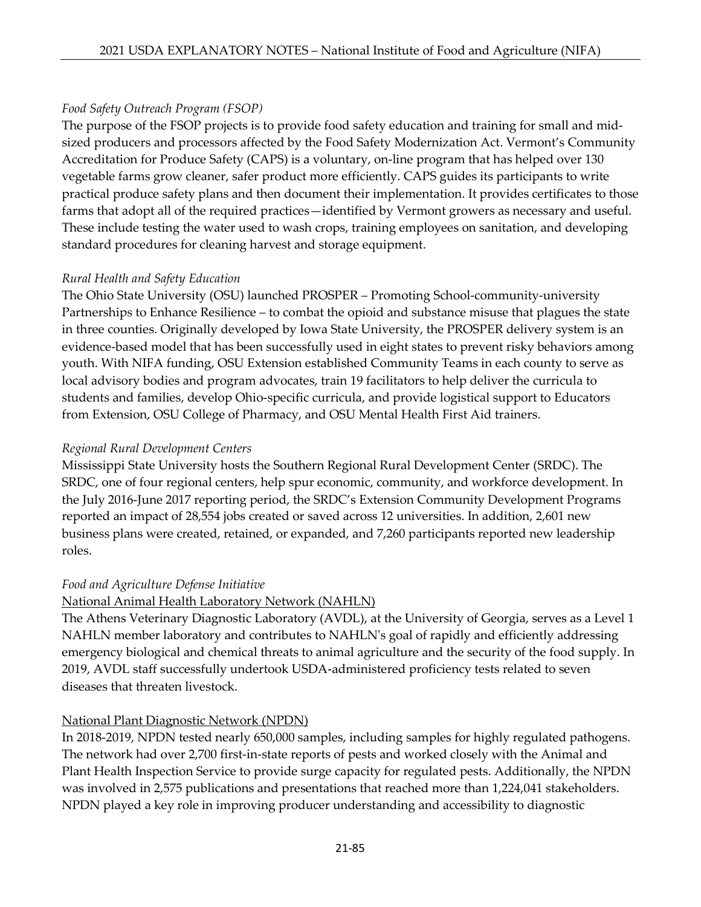## *Food Safety Outreach Program (FSOP)*

The purpose of the FSOP projects is to provide food safety education and training for small and midsized producers and processors affected by the Food Safety Modernization Act. Vermont's Community Accreditation for Produce Safety (CAPS) is a voluntary, on-line program that has helped over 130 vegetable farms grow cleaner, safer product more efficiently. CAPS guides its participants to write practical produce safety plans and then document their implementation. It provides certificates to those farms that adopt all of the required practices—identified by Vermont growers as necessary and useful. These include testing the water used to wash crops, training employees on sanitation, and developing standard procedures for cleaning harvest and storage equipment.

## *Rural Health and Safety Education*

The Ohio State University (OSU) launched PROSPER – Promoting School-community-university Partnerships to Enhance Resilience – to combat the opioid and substance misuse that plagues the state in three counties. Originally developed by Iowa State University, the PROSPER delivery system is an evidence-based model that has been successfully used in eight states to prevent risky behaviors among youth. With NIFA funding, OSU Extension established Community Teams in each county to serve as local advisory bodies and program advocates, train 19 facilitators to help deliver the curricula to students and families, develop Ohio-specific curricula, and provide logistical support to Educators from Extension, OSU College of Pharmacy, and OSU Mental Health First Aid trainers.

### *Regional Rural Development Centers*

Mississippi State University hosts the Southern Regional Rural Development Center (SRDC). The SRDC, one of four regional centers, help spur economic, community, and workforce development. In the July 2016-June 2017 reporting period, the SRDC's Extension Community Development Programs reported an impact of 28,554 jobs created or saved across 12 universities. In addition, 2,601 new business plans were created, retained, or expanded, and 7,260 participants reported new leadership roles.

### *Food and Agriculture Defense Initiative*

# National Animal Health Laboratory Network (NAHLN)

The Athens Veterinary Diagnostic Laboratory (AVDL), at the University of Georgia, serves as a Level 1 NAHLN member laboratory and contributes to NAHLN's goal of rapidly and efficiently addressing emergency biological and chemical threats to animal agriculture and the security of the food supply. In 2019, AVDL staff successfully undertook USDA-administered proficiency tests related to seven diseases that threaten livestock.

# National Plant Diagnostic Network (NPDN)

In 2018-2019, NPDN tested nearly 650,000 samples, including samples for highly regulated pathogens. The network had over 2,700 first-in-state reports of pests and worked closely with the Animal and Plant Health Inspection Service to provide surge capacity for regulated pests. Additionally, the NPDN was involved in 2,575 publications and presentations that reached more than 1,224,041 stakeholders. NPDN played a key role in improving producer understanding and accessibility to diagnostic